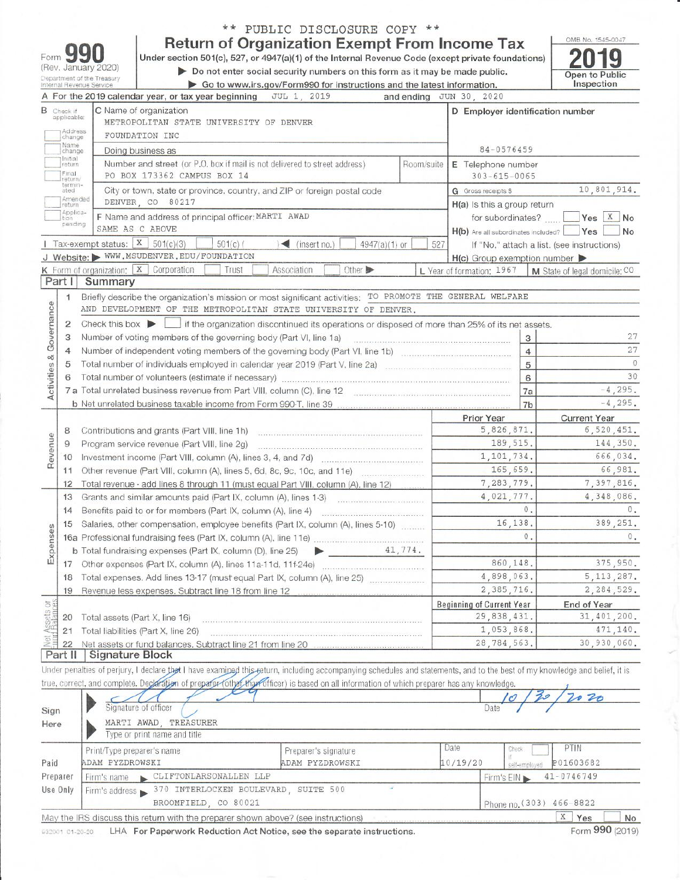|                         |                                  | (Rev. January 2020)<br>Department of the Treasury | Under section 501(c), 527, or 4947(a)(1) of the Internal Revenue Code (except private foundations)                                                                                                                                                                                                                       | <b>Return of Organization Exempt From Income Tax</b><br>Do not enter social security numbers on this form as it may be made public. |            |                                                              |                               | OMB No. 1545-0047<br>Open to Public |
|-------------------------|----------------------------------|---------------------------------------------------|--------------------------------------------------------------------------------------------------------------------------------------------------------------------------------------------------------------------------------------------------------------------------------------------------------------------------|-------------------------------------------------------------------------------------------------------------------------------------|------------|--------------------------------------------------------------|-------------------------------|-------------------------------------|
|                         |                                  | Internal Revenue Service                          |                                                                                                                                                                                                                                                                                                                          | Go to www.irs.gov/Form990 for instructions and the latest information.                                                              |            |                                                              |                               | Inspection                          |
|                         |                                  |                                                   | A For the 2019 calendar year, or tax year beginning                                                                                                                                                                                                                                                                      | JUL 1, 2019                                                                                                                         |            | and ending JUN 30, 2020                                      |                               |                                     |
|                         | <b>B</b> Check if<br>applicable: |                                                   | C Name of organization<br>METROPOLITAN STATE UNIVERSITY OF DENVER                                                                                                                                                                                                                                                        |                                                                                                                                     |            | D Employer identification number                             |                               |                                     |
|                         | Address<br>change                |                                                   | FOUNDATION INC                                                                                                                                                                                                                                                                                                           |                                                                                                                                     |            |                                                              |                               |                                     |
|                         | Name<br>change                   |                                                   | Doing business as                                                                                                                                                                                                                                                                                                        |                                                                                                                                     |            | 84-0576459                                                   |                               |                                     |
|                         | Initial<br>return                |                                                   | Number and street (or P.O. box if mail is not delivered to street address)                                                                                                                                                                                                                                               |                                                                                                                                     | Room/suite | E Telephone number                                           |                               |                                     |
|                         | Final<br>return/<br>termin-      |                                                   | PO BOX 173362 CAMPUS BOX 14                                                                                                                                                                                                                                                                                              |                                                                                                                                     |            | $303 - 615 - 0065$                                           |                               |                                     |
|                         | ated<br>Amended                  |                                                   | City or town, state or province, country, and ZIP or foreign postal code                                                                                                                                                                                                                                                 |                                                                                                                                     |            | <b>G</b> Gross receipts \$                                   |                               | 10,801,914.                         |
|                         | return<br>Applica-               |                                                   | DENVER CO 80217                                                                                                                                                                                                                                                                                                          |                                                                                                                                     |            | H(a) Is this a group return                                  |                               |                                     |
|                         | tion<br>pending                  | SAME AS C ABOVE                                   | F Name and address of principal officer: MARTI AWAD                                                                                                                                                                                                                                                                      |                                                                                                                                     |            | for subordinates?<br>H(b) Are all subordinates included? Yes |                               | Yes X No<br>No                      |
|                         |                                  | Tax-exempt status: $X$ 501(c)(3)                  | $501(c)$ (                                                                                                                                                                                                                                                                                                               | $\blacktriangleleft$ (insert no.)<br>4947(a)(1) or                                                                                  | 527        | If "No," attach a list. (see instructions)                   |                               |                                     |
|                         |                                  |                                                   | J Website: WWW.MSUDENVER.EDU/FOUNDATION                                                                                                                                                                                                                                                                                  |                                                                                                                                     |            | $H(c)$ Group exemption number $\blacktriangleright$          |                               |                                     |
|                         |                                  |                                                   | K Form of organization: $X$ Corporation<br>Trust                                                                                                                                                                                                                                                                         | Association<br>Other >                                                                                                              |            | L Year of formation: 1967                                    | M State of legal domicile: CO |                                     |
|                         | Part I                           | Summary                                           |                                                                                                                                                                                                                                                                                                                          |                                                                                                                                     |            |                                                              |                               |                                     |
|                         | $\mathbf{1}$                     |                                                   | Briefly describe the organization's mission or most significant activities: TO PROMOTE THE GENERAL WELFARE                                                                                                                                                                                                               |                                                                                                                                     |            |                                                              |                               |                                     |
|                         |                                  |                                                   | AND DEVELOPMENT OF THE METROPOLITAN STATE UNIVERSITY OF DENVER.                                                                                                                                                                                                                                                          |                                                                                                                                     |            |                                                              |                               |                                     |
| Activities & Governance | $\overline{\mathbf{c}}$          | Check this box $\blacktriangleright$              |                                                                                                                                                                                                                                                                                                                          | if the organization discontinued its operations or disposed of more than 25% of its net assets.                                     |            |                                                              |                               |                                     |
|                         | 3                                |                                                   | Number of voting members of the governing body (Part VI, line 1a)                                                                                                                                                                                                                                                        |                                                                                                                                     |            | 3                                                            |                               | 27                                  |
|                         | $\overline{4}$                   |                                                   |                                                                                                                                                                                                                                                                                                                          |                                                                                                                                     |            | $\overline{4}$                                               |                               | 27                                  |
|                         | 5                                |                                                   |                                                                                                                                                                                                                                                                                                                          |                                                                                                                                     |            | 5                                                            |                               | $\overline{0}$                      |
|                         | 6                                |                                                   | Total number of volunteers (estimate if necessary) [11] matter continuum contract of volunteers (estimate if necessary)                                                                                                                                                                                                  |                                                                                                                                     |            | 6                                                            |                               | 30                                  |
|                         |                                  |                                                   |                                                                                                                                                                                                                                                                                                                          |                                                                                                                                     |            | 7a                                                           |                               | $-4, 295.$                          |
|                         |                                  |                                                   | b Net unrelated business taxable income from Form 990-T, line 39                                                                                                                                                                                                                                                         |                                                                                                                                     |            | 7 <sub>b</sub>                                               |                               | $-4, 295.$                          |
|                         |                                  |                                                   |                                                                                                                                                                                                                                                                                                                          |                                                                                                                                     |            | Prior Year                                                   |                               | <b>Current Year</b>                 |
|                         | 8                                |                                                   | Contributions and grants (Part VIII, line 1h)                                                                                                                                                                                                                                                                            |                                                                                                                                     |            | 5,826,871.                                                   |                               | 6,520,451.                          |
| Revenue                 | 9                                |                                                   | Program service revenue (Part VIII, line 2g)                                                                                                                                                                                                                                                                             |                                                                                                                                     |            | 189, 515.                                                    |                               | 144,350.                            |
|                         | 10                               |                                                   |                                                                                                                                                                                                                                                                                                                          |                                                                                                                                     |            | 1,101,734.<br>165,659.                                       |                               | 666,034.<br>66,981.                 |
|                         | 11                               |                                                   |                                                                                                                                                                                                                                                                                                                          |                                                                                                                                     |            | 7,283,779.                                                   |                               | 7,397,816.                          |
|                         | 12<br>13                         |                                                   | Total revenue - add lines 8 through 11 (must equal Part VIII, column (A), line 12)                                                                                                                                                                                                                                       |                                                                                                                                     |            | 4,021,777.                                                   |                               | 4,348,086.                          |
|                         | 14                               |                                                   | Benefits paid to or for members (Part IX, column (A), line 4)                                                                                                                                                                                                                                                            |                                                                                                                                     |            | 0.                                                           |                               | 0.                                  |
|                         | 15                               |                                                   | Salaries, other compensation, employee benefits (Part IX, column (A), lines 5-10)                                                                                                                                                                                                                                        |                                                                                                                                     |            | 16,138.                                                      |                               | 389, 251.                           |
| S<br>Φ                  |                                  |                                                   | 16a Professional fundraising fees (Part IX, column (A), line 11e)                                                                                                                                                                                                                                                        |                                                                                                                                     |            | 0.                                                           |                               | $\circ$ .                           |
| Expens                  |                                  |                                                   | b Total fundraising expenses (Part IX, column (D), line 25)                                                                                                                                                                                                                                                              |                                                                                                                                     | 41,774.    |                                                              |                               |                                     |
|                         | 17                               |                                                   | Other expenses (Part IX, column (A), lines 11a-11d, 11f-24e)                                                                                                                                                                                                                                                             |                                                                                                                                     |            | 860.148.                                                     |                               | 375,950.                            |
|                         | 18                               |                                                   | Total expenses. Add lines 13-17 (must equal Part IX, column (A), line 25)                                                                                                                                                                                                                                                |                                                                                                                                     |            | 4,898,063.                                                   |                               | 5, 113, 287.                        |
|                         | 19                               |                                                   | Revenue less expenses. Subtract line 18 from line 12                                                                                                                                                                                                                                                                     |                                                                                                                                     |            | 2,385,716.                                                   |                               | 2,284,529.                          |
|                         |                                  |                                                   |                                                                                                                                                                                                                                                                                                                          |                                                                                                                                     |            | <b>Beginning of Current Year</b>                             |                               | End of Year                         |
| Assets or<br>d'Balances | 20                               |                                                   | Total assets (Part X, line 16)                                                                                                                                                                                                                                                                                           |                                                                                                                                     |            | 29,838,431.                                                  |                               | 31,401,200.                         |
|                         | 21                               |                                                   | Total liabilities (Part X, line 26)                                                                                                                                                                                                                                                                                      |                                                                                                                                     |            | 1,053,868.                                                   |                               | 471,140.                            |
|                         | 22                               |                                                   | Net assets or fund balances. Subtract line 21 from line 20                                                                                                                                                                                                                                                               |                                                                                                                                     |            | 28,784,563.                                                  |                               | 30,930,060.                         |
|                         | Part II                          | <b>Signature Block</b>                            |                                                                                                                                                                                                                                                                                                                          |                                                                                                                                     |            |                                                              |                               |                                     |
|                         |                                  |                                                   | Under penalties of perjury, I declare that I have examined this return, including accompanying schedules and statements, and to the best of my knowledge and belief, it is<br>true, correct, and complete. Declaration of preparer (other thar officer) is based on all information of which preparer has any knowledge. |                                                                                                                                     |            |                                                              |                               |                                     |
|                         |                                  |                                                   |                                                                                                                                                                                                                                                                                                                          |                                                                                                                                     |            |                                                              |                               | 020                                 |
| Sign                    |                                  |                                                   | Signature of officer                                                                                                                                                                                                                                                                                                     |                                                                                                                                     |            | Date                                                         |                               |                                     |
| Here                    |                                  |                                                   | MARTI AWAD, TREASURER<br>Type or print name and title                                                                                                                                                                                                                                                                    |                                                                                                                                     |            |                                                              |                               |                                     |
|                         |                                  |                                                   |                                                                                                                                                                                                                                                                                                                          |                                                                                                                                     |            | Date<br>Check                                                | PTIN                          |                                     |
| Paid                    |                                  | Print/Type preparer's name<br>ADAM PYZDROWSKI     |                                                                                                                                                                                                                                                                                                                          | Preparer's signature<br>ADAM PYZDROWSKI                                                                                             |            | 10/19/20                                                     | P01603682                     |                                     |
| Preparer                |                                  |                                                   | Firm's name CLIFTONLARSONALLEN LLP                                                                                                                                                                                                                                                                                       |                                                                                                                                     |            | self-employed                                                | 41-0746749                    |                                     |
| Use Only                |                                  |                                                   | Firm's address 370 INTERLOCKEN BOULEVARD, SUITE 500                                                                                                                                                                                                                                                                      |                                                                                                                                     |            | Firm's EIN                                                   |                               |                                     |
|                         |                                  |                                                   | BROOMFIELD, CO 80021                                                                                                                                                                                                                                                                                                     |                                                                                                                                     |            |                                                              | Phone no. (303) 466-8822      |                                     |
|                         |                                  |                                                   | May the IRS discuss this return with the preparer shown above? (see instructions)                                                                                                                                                                                                                                        |                                                                                                                                     |            |                                                              | $\mathbf{X}$<br>Yes           | No                                  |
|                         |                                  |                                                   |                                                                                                                                                                                                                                                                                                                          |                                                                                                                                     |            |                                                              |                               |                                     |

\*\* PUBLIC DISCLOSURE COPY \*\*

532001 01-20-20 LHA For Paperwork Reduction Act Notice, see the separate instructions.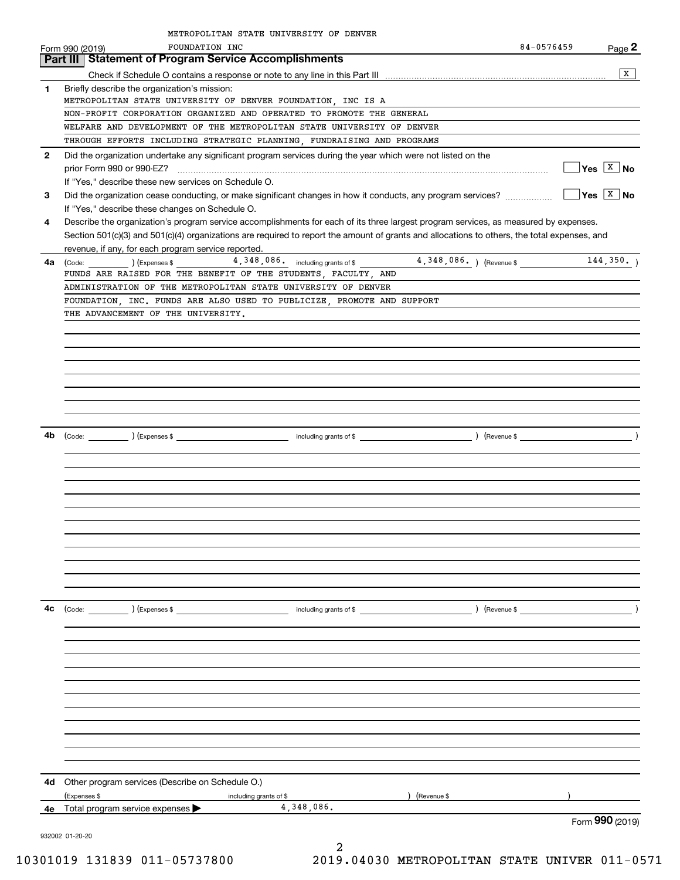|              | METROPOLITAN STATE UNIVERSITY OF DENVER                                                                                                                         |            |                                              |
|--------------|-----------------------------------------------------------------------------------------------------------------------------------------------------------------|------------|----------------------------------------------|
|              | FOUNDATION INC<br>Form 990 (2019)                                                                                                                               | 84-0576459 | Page 2                                       |
|              | Part III   Statement of Program Service Accomplishments                                                                                                         |            |                                              |
|              |                                                                                                                                                                 |            | x                                            |
| 1            | Briefly describe the organization's mission:                                                                                                                    |            |                                              |
|              | METROPOLITAN STATE UNIVERSITY OF DENVER FOUNDATION, INC IS A                                                                                                    |            |                                              |
|              | NON-PROFIT CORPORATION ORGANIZED AND OPERATED TO PROMOTE THE GENERAL                                                                                            |            |                                              |
|              | WELFARE AND DEVELOPMENT OF THE METROPOLITAN STATE UNIVERSITY OF DENVER                                                                                          |            |                                              |
|              | THROUGH EFFORTS INCLUDING STRATEGIC PLANNING, FUNDRAISING AND PROGRAMS                                                                                          |            |                                              |
| $\mathbf{2}$ | Did the organization undertake any significant program services during the year which were not listed on the<br>prior Form 990 or 990-EZ?                       |            | $\sqrt{\mathsf{Yes}}$ $\sqrt{\mathsf{X}}$ No |
|              | If "Yes," describe these new services on Schedule O.                                                                                                            |            |                                              |
| 3            | Did the organization cease conducting, or make significant changes in how it conducts, any program services?<br>If "Yes," describe these changes on Schedule O. |            | $\overline{Y}$ es $\overline{X}$ No          |
| 4            | Describe the organization's program service accomplishments for each of its three largest program services, as measured by expenses.                            |            |                                              |
|              | Section 501(c)(3) and 501(c)(4) organizations are required to report the amount of grants and allocations to others, the total expenses, and                    |            |                                              |
|              | revenue, if any, for each program service reported.                                                                                                             |            |                                              |
| 4a           |                                                                                                                                                                 |            |                                              |
|              | FUNDS ARE RAISED FOR THE BENEFIT OF THE STUDENTS, FACULTY, AND                                                                                                  |            |                                              |
|              | ADMINISTRATION OF THE METROPOLITAN STATE UNIVERSITY OF DENVER                                                                                                   |            |                                              |
|              | FOUNDATION, INC. FUNDS ARE ALSO USED TO PUBLICIZE, PROMOTE AND SUPPORT                                                                                          |            |                                              |
|              | THE ADVANCEMENT OF THE UNIVERSITY.                                                                                                                              |            |                                              |
|              |                                                                                                                                                                 |            |                                              |
|              |                                                                                                                                                                 |            |                                              |
|              |                                                                                                                                                                 |            |                                              |
|              |                                                                                                                                                                 |            |                                              |
|              |                                                                                                                                                                 |            |                                              |
|              |                                                                                                                                                                 |            |                                              |
|              |                                                                                                                                                                 |            |                                              |
|              |                                                                                                                                                                 |            |                                              |
|              |                                                                                                                                                                 |            |                                              |
|              |                                                                                                                                                                 |            |                                              |
|              |                                                                                                                                                                 |            |                                              |
|              |                                                                                                                                                                 |            |                                              |
|              |                                                                                                                                                                 |            |                                              |
|              |                                                                                                                                                                 |            |                                              |
|              |                                                                                                                                                                 |            |                                              |
|              |                                                                                                                                                                 |            |                                              |
|              |                                                                                                                                                                 |            |                                              |
|              |                                                                                                                                                                 |            |                                              |
|              |                                                                                                                                                                 |            |                                              |
|              |                                                                                                                                                                 |            |                                              |
|              |                                                                                                                                                                 |            |                                              |
|              |                                                                                                                                                                 |            |                                              |
| 4с           | (Code: ) (Expenses \$<br>) (Revenue \$ ___<br>including grants of \$                                                                                            |            |                                              |
|              |                                                                                                                                                                 |            |                                              |
|              |                                                                                                                                                                 |            |                                              |
|              |                                                                                                                                                                 |            |                                              |
|              |                                                                                                                                                                 |            |                                              |
|              |                                                                                                                                                                 |            |                                              |
|              |                                                                                                                                                                 |            |                                              |
|              |                                                                                                                                                                 |            |                                              |
|              |                                                                                                                                                                 |            |                                              |
|              |                                                                                                                                                                 |            |                                              |
|              |                                                                                                                                                                 |            |                                              |
|              |                                                                                                                                                                 |            |                                              |
|              |                                                                                                                                                                 |            |                                              |
| 4d           | Other program services (Describe on Schedule O.)                                                                                                                |            |                                              |
|              | (Expenses \$<br>) (Revenue \$<br>including grants of \$                                                                                                         |            |                                              |
|              | 4,348,086.<br>4e Total program service expenses                                                                                                                 |            |                                              |
|              | 932002 01-20-20                                                                                                                                                 |            | Form 990 (2019)                              |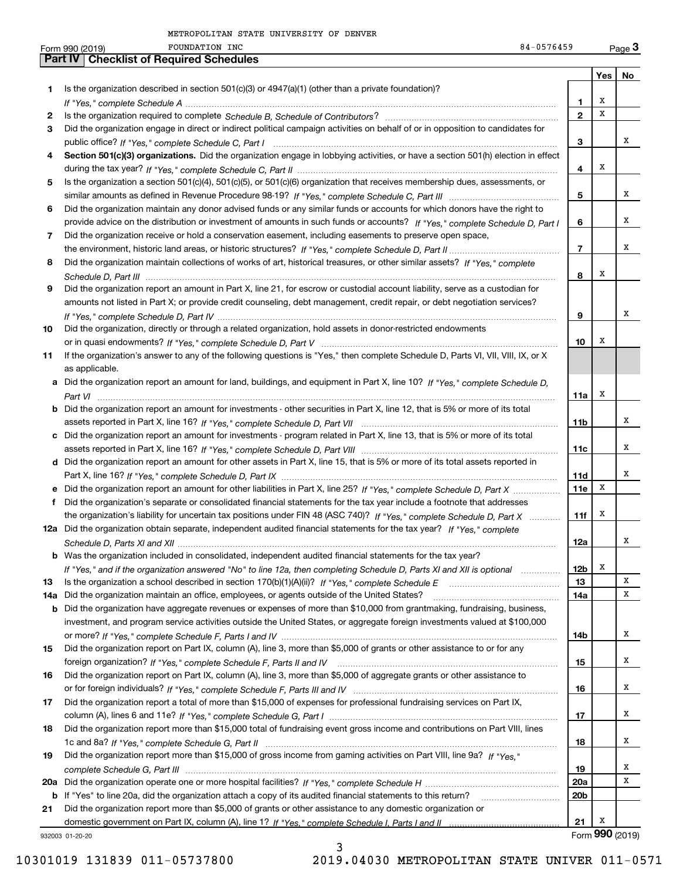| <b>Part IV   Checklist of Required Schedules</b><br>Yes<br>No<br>Is the organization described in section $501(c)(3)$ or $4947(a)(1)$ (other than a private foundation)?<br>1<br>х<br>1<br>X<br>$\mathbf{2}$<br>2<br>Did the organization engage in direct or indirect political campaign activities on behalf of or in opposition to candidates for<br>3<br>х<br>3<br>Section 501(c)(3) organizations. Did the organization engage in lobbying activities, or have a section 501(h) election in effect<br>4<br>X<br>4<br>Is the organization a section 501(c)(4), 501(c)(5), or 501(c)(6) organization that receives membership dues, assessments, or<br>5<br>х<br>5<br>Did the organization maintain any donor advised funds or any similar funds or accounts for which donors have the right to<br>6<br>х<br>provide advice on the distribution or investment of amounts in such funds or accounts? If "Yes," complete Schedule D, Part I<br>6<br>Did the organization receive or hold a conservation easement, including easements to preserve open space,<br>7<br>х<br>$\overline{7}$<br>Did the organization maintain collections of works of art, historical treasures, or other similar assets? If "Yes," complete<br>8<br>X<br>8<br>Did the organization report an amount in Part X, line 21, for escrow or custodial account liability, serve as a custodian for<br>9<br>amounts not listed in Part X; or provide credit counseling, debt management, credit repair, or debt negotiation services?<br>х<br>9<br>Did the organization, directly or through a related organization, hold assets in donor-restricted endowments<br>10<br>х<br>10<br>If the organization's answer to any of the following questions is "Yes," then complete Schedule D, Parts VI, VII, VIII, IX, or X<br>11<br>as applicable.<br>a Did the organization report an amount for land, buildings, and equipment in Part X, line 10? If "Yes," complete Schedule D.<br>Х<br>11a<br><b>b</b> Did the organization report an amount for investments - other securities in Part X, line 12, that is 5% or more of its total<br>х<br>11b<br>c Did the organization report an amount for investments - program related in Part X, line 13, that is 5% or more of its total<br>х<br>11c<br>d Did the organization report an amount for other assets in Part X, line 15, that is 5% or more of its total assets reported in<br>х<br>11d<br>X<br>e Did the organization report an amount for other liabilities in Part X, line 25? If "Yes," complete Schedule D, Part X<br><b>11e</b><br>Did the organization's separate or consolidated financial statements for the tax year include a footnote that addresses<br>f<br>х<br>the organization's liability for uncertain tax positions under FIN 48 (ASC 740)? If "Yes," complete Schedule D, Part X<br>11f<br>12a Did the organization obtain separate, independent audited financial statements for the tax year? If "Yes," complete<br>12a<br>Was the organization included in consolidated, independent audited financial statements for the tax year?<br>b<br>X<br>12 <sub>b</sub><br>If "Yes," and if the organization answered "No" to line 12a, then completing Schedule D, Parts XI and XII is optional manum<br>X<br>13<br>13<br>х<br>Did the organization maintain an office, employees, or agents outside of the United States?<br>14a<br>14a<br>Did the organization have aggregate revenues or expenses of more than \$10,000 from grantmaking, fundraising, business,<br>b<br>investment, and program service activities outside the United States, or aggregate foreign investments valued at \$100,000<br>х<br>14b<br>Did the organization report on Part IX, column (A), line 3, more than \$5,000 of grants or other assistance to or for any<br>15<br>х<br>15<br>Did the organization report on Part IX, column (A), line 3, more than \$5,000 of aggregate grants or other assistance to<br>16<br>х<br>16<br>Did the organization report a total of more than \$15,000 of expenses for professional fundraising services on Part IX,<br>17<br>х<br>17<br>Did the organization report more than \$15,000 total of fundraising event gross income and contributions on Part VIII, lines<br>18<br>х<br>18<br>Did the organization report more than \$15,000 of gross income from gaming activities on Part VIII, line 9a? If "Yes."<br>19<br>х<br>19<br>х<br>20a<br>If "Yes" to line 20a, did the organization attach a copy of its audited financial statements to this return?<br>20 <sub>b</sub><br>b<br>Did the organization report more than \$5,000 of grants or other assistance to any domestic organization or<br>21<br>x<br>21<br>Form 990 (2019)<br>932003 01-20-20 | FOUNDATION INC<br>84-0576459<br>Form 990 (2019) |  | $Page$ <sup>3</sup> |
|----------------------------------------------------------------------------------------------------------------------------------------------------------------------------------------------------------------------------------------------------------------------------------------------------------------------------------------------------------------------------------------------------------------------------------------------------------------------------------------------------------------------------------------------------------------------------------------------------------------------------------------------------------------------------------------------------------------------------------------------------------------------------------------------------------------------------------------------------------------------------------------------------------------------------------------------------------------------------------------------------------------------------------------------------------------------------------------------------------------------------------------------------------------------------------------------------------------------------------------------------------------------------------------------------------------------------------------------------------------------------------------------------------------------------------------------------------------------------------------------------------------------------------------------------------------------------------------------------------------------------------------------------------------------------------------------------------------------------------------------------------------------------------------------------------------------------------------------------------------------------------------------------------------------------------------------------------------------------------------------------------------------------------------------------------------------------------------------------------------------------------------------------------------------------------------------------------------------------------------------------------------------------------------------------------------------------------------------------------------------------------------------------------------------------------------------------------------------------------------------------------------------------------------------------------------------------------------------------------------------------------------------------------------------------------------------------------------------------------------------------------------------------------------------------------------------------------------------------------------------------------------------------------------------------------------------------------------------------------------------------------------------------------------------------------------------------------------------------------------------------------------------------------------------------------------------------------------------------------------------------------------------------------------------------------------------------------------------------------------------------------------------------------------------------------------------------------------------------------------------------------------------------------------------------------------------------------------------------------------------------------------------------------------------------------------------------------------------------------------------------------------------------------------------------------------------------------------------------------------------------------------------------------------------------------------------------------------------------------------------------------------------------------------------------------------------------------------------------------------------------------------------------------------------------------------------------------------------------------------------------------------------------------------------------------------------------------------------------------------------------------------------------------------------------------------------------------------------------------------------------------------------------------------------------------------------------------------------------------------------------------------------------------------------------------------------------------------------------|-------------------------------------------------|--|---------------------|
|                                                                                                                                                                                                                                                                                                                                                                                                                                                                                                                                                                                                                                                                                                                                                                                                                                                                                                                                                                                                                                                                                                                                                                                                                                                                                                                                                                                                                                                                                                                                                                                                                                                                                                                                                                                                                                                                                                                                                                                                                                                                                                                                                                                                                                                                                                                                                                                                                                                                                                                                                                                                                                                                                                                                                                                                                                                                                                                                                                                                                                                                                                                                                                                                                                                                                                                                                                                                                                                                                                                                                                                                                                                                                                                                                                                                                                                                                                                                                                                                                                                                                                                                                                                                                                                                                                                                                                                                                                                                                                                                                                                                                                                                                                                            |                                                 |  |                     |
|                                                                                                                                                                                                                                                                                                                                                                                                                                                                                                                                                                                                                                                                                                                                                                                                                                                                                                                                                                                                                                                                                                                                                                                                                                                                                                                                                                                                                                                                                                                                                                                                                                                                                                                                                                                                                                                                                                                                                                                                                                                                                                                                                                                                                                                                                                                                                                                                                                                                                                                                                                                                                                                                                                                                                                                                                                                                                                                                                                                                                                                                                                                                                                                                                                                                                                                                                                                                                                                                                                                                                                                                                                                                                                                                                                                                                                                                                                                                                                                                                                                                                                                                                                                                                                                                                                                                                                                                                                                                                                                                                                                                                                                                                                                            |                                                 |  |                     |
|                                                                                                                                                                                                                                                                                                                                                                                                                                                                                                                                                                                                                                                                                                                                                                                                                                                                                                                                                                                                                                                                                                                                                                                                                                                                                                                                                                                                                                                                                                                                                                                                                                                                                                                                                                                                                                                                                                                                                                                                                                                                                                                                                                                                                                                                                                                                                                                                                                                                                                                                                                                                                                                                                                                                                                                                                                                                                                                                                                                                                                                                                                                                                                                                                                                                                                                                                                                                                                                                                                                                                                                                                                                                                                                                                                                                                                                                                                                                                                                                                                                                                                                                                                                                                                                                                                                                                                                                                                                                                                                                                                                                                                                                                                                            |                                                 |  |                     |
|                                                                                                                                                                                                                                                                                                                                                                                                                                                                                                                                                                                                                                                                                                                                                                                                                                                                                                                                                                                                                                                                                                                                                                                                                                                                                                                                                                                                                                                                                                                                                                                                                                                                                                                                                                                                                                                                                                                                                                                                                                                                                                                                                                                                                                                                                                                                                                                                                                                                                                                                                                                                                                                                                                                                                                                                                                                                                                                                                                                                                                                                                                                                                                                                                                                                                                                                                                                                                                                                                                                                                                                                                                                                                                                                                                                                                                                                                                                                                                                                                                                                                                                                                                                                                                                                                                                                                                                                                                                                                                                                                                                                                                                                                                                            |                                                 |  |                     |
|                                                                                                                                                                                                                                                                                                                                                                                                                                                                                                                                                                                                                                                                                                                                                                                                                                                                                                                                                                                                                                                                                                                                                                                                                                                                                                                                                                                                                                                                                                                                                                                                                                                                                                                                                                                                                                                                                                                                                                                                                                                                                                                                                                                                                                                                                                                                                                                                                                                                                                                                                                                                                                                                                                                                                                                                                                                                                                                                                                                                                                                                                                                                                                                                                                                                                                                                                                                                                                                                                                                                                                                                                                                                                                                                                                                                                                                                                                                                                                                                                                                                                                                                                                                                                                                                                                                                                                                                                                                                                                                                                                                                                                                                                                                            |                                                 |  |                     |
|                                                                                                                                                                                                                                                                                                                                                                                                                                                                                                                                                                                                                                                                                                                                                                                                                                                                                                                                                                                                                                                                                                                                                                                                                                                                                                                                                                                                                                                                                                                                                                                                                                                                                                                                                                                                                                                                                                                                                                                                                                                                                                                                                                                                                                                                                                                                                                                                                                                                                                                                                                                                                                                                                                                                                                                                                                                                                                                                                                                                                                                                                                                                                                                                                                                                                                                                                                                                                                                                                                                                                                                                                                                                                                                                                                                                                                                                                                                                                                                                                                                                                                                                                                                                                                                                                                                                                                                                                                                                                                                                                                                                                                                                                                                            |                                                 |  |                     |
|                                                                                                                                                                                                                                                                                                                                                                                                                                                                                                                                                                                                                                                                                                                                                                                                                                                                                                                                                                                                                                                                                                                                                                                                                                                                                                                                                                                                                                                                                                                                                                                                                                                                                                                                                                                                                                                                                                                                                                                                                                                                                                                                                                                                                                                                                                                                                                                                                                                                                                                                                                                                                                                                                                                                                                                                                                                                                                                                                                                                                                                                                                                                                                                                                                                                                                                                                                                                                                                                                                                                                                                                                                                                                                                                                                                                                                                                                                                                                                                                                                                                                                                                                                                                                                                                                                                                                                                                                                                                                                                                                                                                                                                                                                                            |                                                 |  |                     |
|                                                                                                                                                                                                                                                                                                                                                                                                                                                                                                                                                                                                                                                                                                                                                                                                                                                                                                                                                                                                                                                                                                                                                                                                                                                                                                                                                                                                                                                                                                                                                                                                                                                                                                                                                                                                                                                                                                                                                                                                                                                                                                                                                                                                                                                                                                                                                                                                                                                                                                                                                                                                                                                                                                                                                                                                                                                                                                                                                                                                                                                                                                                                                                                                                                                                                                                                                                                                                                                                                                                                                                                                                                                                                                                                                                                                                                                                                                                                                                                                                                                                                                                                                                                                                                                                                                                                                                                                                                                                                                                                                                                                                                                                                                                            |                                                 |  |                     |
|                                                                                                                                                                                                                                                                                                                                                                                                                                                                                                                                                                                                                                                                                                                                                                                                                                                                                                                                                                                                                                                                                                                                                                                                                                                                                                                                                                                                                                                                                                                                                                                                                                                                                                                                                                                                                                                                                                                                                                                                                                                                                                                                                                                                                                                                                                                                                                                                                                                                                                                                                                                                                                                                                                                                                                                                                                                                                                                                                                                                                                                                                                                                                                                                                                                                                                                                                                                                                                                                                                                                                                                                                                                                                                                                                                                                                                                                                                                                                                                                                                                                                                                                                                                                                                                                                                                                                                                                                                                                                                                                                                                                                                                                                                                            |                                                 |  |                     |
|                                                                                                                                                                                                                                                                                                                                                                                                                                                                                                                                                                                                                                                                                                                                                                                                                                                                                                                                                                                                                                                                                                                                                                                                                                                                                                                                                                                                                                                                                                                                                                                                                                                                                                                                                                                                                                                                                                                                                                                                                                                                                                                                                                                                                                                                                                                                                                                                                                                                                                                                                                                                                                                                                                                                                                                                                                                                                                                                                                                                                                                                                                                                                                                                                                                                                                                                                                                                                                                                                                                                                                                                                                                                                                                                                                                                                                                                                                                                                                                                                                                                                                                                                                                                                                                                                                                                                                                                                                                                                                                                                                                                                                                                                                                            |                                                 |  |                     |
|                                                                                                                                                                                                                                                                                                                                                                                                                                                                                                                                                                                                                                                                                                                                                                                                                                                                                                                                                                                                                                                                                                                                                                                                                                                                                                                                                                                                                                                                                                                                                                                                                                                                                                                                                                                                                                                                                                                                                                                                                                                                                                                                                                                                                                                                                                                                                                                                                                                                                                                                                                                                                                                                                                                                                                                                                                                                                                                                                                                                                                                                                                                                                                                                                                                                                                                                                                                                                                                                                                                                                                                                                                                                                                                                                                                                                                                                                                                                                                                                                                                                                                                                                                                                                                                                                                                                                                                                                                                                                                                                                                                                                                                                                                                            |                                                 |  |                     |
|                                                                                                                                                                                                                                                                                                                                                                                                                                                                                                                                                                                                                                                                                                                                                                                                                                                                                                                                                                                                                                                                                                                                                                                                                                                                                                                                                                                                                                                                                                                                                                                                                                                                                                                                                                                                                                                                                                                                                                                                                                                                                                                                                                                                                                                                                                                                                                                                                                                                                                                                                                                                                                                                                                                                                                                                                                                                                                                                                                                                                                                                                                                                                                                                                                                                                                                                                                                                                                                                                                                                                                                                                                                                                                                                                                                                                                                                                                                                                                                                                                                                                                                                                                                                                                                                                                                                                                                                                                                                                                                                                                                                                                                                                                                            |                                                 |  |                     |
|                                                                                                                                                                                                                                                                                                                                                                                                                                                                                                                                                                                                                                                                                                                                                                                                                                                                                                                                                                                                                                                                                                                                                                                                                                                                                                                                                                                                                                                                                                                                                                                                                                                                                                                                                                                                                                                                                                                                                                                                                                                                                                                                                                                                                                                                                                                                                                                                                                                                                                                                                                                                                                                                                                                                                                                                                                                                                                                                                                                                                                                                                                                                                                                                                                                                                                                                                                                                                                                                                                                                                                                                                                                                                                                                                                                                                                                                                                                                                                                                                                                                                                                                                                                                                                                                                                                                                                                                                                                                                                                                                                                                                                                                                                                            |                                                 |  |                     |
|                                                                                                                                                                                                                                                                                                                                                                                                                                                                                                                                                                                                                                                                                                                                                                                                                                                                                                                                                                                                                                                                                                                                                                                                                                                                                                                                                                                                                                                                                                                                                                                                                                                                                                                                                                                                                                                                                                                                                                                                                                                                                                                                                                                                                                                                                                                                                                                                                                                                                                                                                                                                                                                                                                                                                                                                                                                                                                                                                                                                                                                                                                                                                                                                                                                                                                                                                                                                                                                                                                                                                                                                                                                                                                                                                                                                                                                                                                                                                                                                                                                                                                                                                                                                                                                                                                                                                                                                                                                                                                                                                                                                                                                                                                                            |                                                 |  |                     |
|                                                                                                                                                                                                                                                                                                                                                                                                                                                                                                                                                                                                                                                                                                                                                                                                                                                                                                                                                                                                                                                                                                                                                                                                                                                                                                                                                                                                                                                                                                                                                                                                                                                                                                                                                                                                                                                                                                                                                                                                                                                                                                                                                                                                                                                                                                                                                                                                                                                                                                                                                                                                                                                                                                                                                                                                                                                                                                                                                                                                                                                                                                                                                                                                                                                                                                                                                                                                                                                                                                                                                                                                                                                                                                                                                                                                                                                                                                                                                                                                                                                                                                                                                                                                                                                                                                                                                                                                                                                                                                                                                                                                                                                                                                                            |                                                 |  |                     |
|                                                                                                                                                                                                                                                                                                                                                                                                                                                                                                                                                                                                                                                                                                                                                                                                                                                                                                                                                                                                                                                                                                                                                                                                                                                                                                                                                                                                                                                                                                                                                                                                                                                                                                                                                                                                                                                                                                                                                                                                                                                                                                                                                                                                                                                                                                                                                                                                                                                                                                                                                                                                                                                                                                                                                                                                                                                                                                                                                                                                                                                                                                                                                                                                                                                                                                                                                                                                                                                                                                                                                                                                                                                                                                                                                                                                                                                                                                                                                                                                                                                                                                                                                                                                                                                                                                                                                                                                                                                                                                                                                                                                                                                                                                                            |                                                 |  |                     |
|                                                                                                                                                                                                                                                                                                                                                                                                                                                                                                                                                                                                                                                                                                                                                                                                                                                                                                                                                                                                                                                                                                                                                                                                                                                                                                                                                                                                                                                                                                                                                                                                                                                                                                                                                                                                                                                                                                                                                                                                                                                                                                                                                                                                                                                                                                                                                                                                                                                                                                                                                                                                                                                                                                                                                                                                                                                                                                                                                                                                                                                                                                                                                                                                                                                                                                                                                                                                                                                                                                                                                                                                                                                                                                                                                                                                                                                                                                                                                                                                                                                                                                                                                                                                                                                                                                                                                                                                                                                                                                                                                                                                                                                                                                                            |                                                 |  |                     |
|                                                                                                                                                                                                                                                                                                                                                                                                                                                                                                                                                                                                                                                                                                                                                                                                                                                                                                                                                                                                                                                                                                                                                                                                                                                                                                                                                                                                                                                                                                                                                                                                                                                                                                                                                                                                                                                                                                                                                                                                                                                                                                                                                                                                                                                                                                                                                                                                                                                                                                                                                                                                                                                                                                                                                                                                                                                                                                                                                                                                                                                                                                                                                                                                                                                                                                                                                                                                                                                                                                                                                                                                                                                                                                                                                                                                                                                                                                                                                                                                                                                                                                                                                                                                                                                                                                                                                                                                                                                                                                                                                                                                                                                                                                                            |                                                 |  |                     |
|                                                                                                                                                                                                                                                                                                                                                                                                                                                                                                                                                                                                                                                                                                                                                                                                                                                                                                                                                                                                                                                                                                                                                                                                                                                                                                                                                                                                                                                                                                                                                                                                                                                                                                                                                                                                                                                                                                                                                                                                                                                                                                                                                                                                                                                                                                                                                                                                                                                                                                                                                                                                                                                                                                                                                                                                                                                                                                                                                                                                                                                                                                                                                                                                                                                                                                                                                                                                                                                                                                                                                                                                                                                                                                                                                                                                                                                                                                                                                                                                                                                                                                                                                                                                                                                                                                                                                                                                                                                                                                                                                                                                                                                                                                                            |                                                 |  |                     |
|                                                                                                                                                                                                                                                                                                                                                                                                                                                                                                                                                                                                                                                                                                                                                                                                                                                                                                                                                                                                                                                                                                                                                                                                                                                                                                                                                                                                                                                                                                                                                                                                                                                                                                                                                                                                                                                                                                                                                                                                                                                                                                                                                                                                                                                                                                                                                                                                                                                                                                                                                                                                                                                                                                                                                                                                                                                                                                                                                                                                                                                                                                                                                                                                                                                                                                                                                                                                                                                                                                                                                                                                                                                                                                                                                                                                                                                                                                                                                                                                                                                                                                                                                                                                                                                                                                                                                                                                                                                                                                                                                                                                                                                                                                                            |                                                 |  |                     |
|                                                                                                                                                                                                                                                                                                                                                                                                                                                                                                                                                                                                                                                                                                                                                                                                                                                                                                                                                                                                                                                                                                                                                                                                                                                                                                                                                                                                                                                                                                                                                                                                                                                                                                                                                                                                                                                                                                                                                                                                                                                                                                                                                                                                                                                                                                                                                                                                                                                                                                                                                                                                                                                                                                                                                                                                                                                                                                                                                                                                                                                                                                                                                                                                                                                                                                                                                                                                                                                                                                                                                                                                                                                                                                                                                                                                                                                                                                                                                                                                                                                                                                                                                                                                                                                                                                                                                                                                                                                                                                                                                                                                                                                                                                                            |                                                 |  |                     |
|                                                                                                                                                                                                                                                                                                                                                                                                                                                                                                                                                                                                                                                                                                                                                                                                                                                                                                                                                                                                                                                                                                                                                                                                                                                                                                                                                                                                                                                                                                                                                                                                                                                                                                                                                                                                                                                                                                                                                                                                                                                                                                                                                                                                                                                                                                                                                                                                                                                                                                                                                                                                                                                                                                                                                                                                                                                                                                                                                                                                                                                                                                                                                                                                                                                                                                                                                                                                                                                                                                                                                                                                                                                                                                                                                                                                                                                                                                                                                                                                                                                                                                                                                                                                                                                                                                                                                                                                                                                                                                                                                                                                                                                                                                                            |                                                 |  |                     |
|                                                                                                                                                                                                                                                                                                                                                                                                                                                                                                                                                                                                                                                                                                                                                                                                                                                                                                                                                                                                                                                                                                                                                                                                                                                                                                                                                                                                                                                                                                                                                                                                                                                                                                                                                                                                                                                                                                                                                                                                                                                                                                                                                                                                                                                                                                                                                                                                                                                                                                                                                                                                                                                                                                                                                                                                                                                                                                                                                                                                                                                                                                                                                                                                                                                                                                                                                                                                                                                                                                                                                                                                                                                                                                                                                                                                                                                                                                                                                                                                                                                                                                                                                                                                                                                                                                                                                                                                                                                                                                                                                                                                                                                                                                                            |                                                 |  |                     |
|                                                                                                                                                                                                                                                                                                                                                                                                                                                                                                                                                                                                                                                                                                                                                                                                                                                                                                                                                                                                                                                                                                                                                                                                                                                                                                                                                                                                                                                                                                                                                                                                                                                                                                                                                                                                                                                                                                                                                                                                                                                                                                                                                                                                                                                                                                                                                                                                                                                                                                                                                                                                                                                                                                                                                                                                                                                                                                                                                                                                                                                                                                                                                                                                                                                                                                                                                                                                                                                                                                                                                                                                                                                                                                                                                                                                                                                                                                                                                                                                                                                                                                                                                                                                                                                                                                                                                                                                                                                                                                                                                                                                                                                                                                                            |                                                 |  |                     |
|                                                                                                                                                                                                                                                                                                                                                                                                                                                                                                                                                                                                                                                                                                                                                                                                                                                                                                                                                                                                                                                                                                                                                                                                                                                                                                                                                                                                                                                                                                                                                                                                                                                                                                                                                                                                                                                                                                                                                                                                                                                                                                                                                                                                                                                                                                                                                                                                                                                                                                                                                                                                                                                                                                                                                                                                                                                                                                                                                                                                                                                                                                                                                                                                                                                                                                                                                                                                                                                                                                                                                                                                                                                                                                                                                                                                                                                                                                                                                                                                                                                                                                                                                                                                                                                                                                                                                                                                                                                                                                                                                                                                                                                                                                                            |                                                 |  |                     |
|                                                                                                                                                                                                                                                                                                                                                                                                                                                                                                                                                                                                                                                                                                                                                                                                                                                                                                                                                                                                                                                                                                                                                                                                                                                                                                                                                                                                                                                                                                                                                                                                                                                                                                                                                                                                                                                                                                                                                                                                                                                                                                                                                                                                                                                                                                                                                                                                                                                                                                                                                                                                                                                                                                                                                                                                                                                                                                                                                                                                                                                                                                                                                                                                                                                                                                                                                                                                                                                                                                                                                                                                                                                                                                                                                                                                                                                                                                                                                                                                                                                                                                                                                                                                                                                                                                                                                                                                                                                                                                                                                                                                                                                                                                                            |                                                 |  |                     |
|                                                                                                                                                                                                                                                                                                                                                                                                                                                                                                                                                                                                                                                                                                                                                                                                                                                                                                                                                                                                                                                                                                                                                                                                                                                                                                                                                                                                                                                                                                                                                                                                                                                                                                                                                                                                                                                                                                                                                                                                                                                                                                                                                                                                                                                                                                                                                                                                                                                                                                                                                                                                                                                                                                                                                                                                                                                                                                                                                                                                                                                                                                                                                                                                                                                                                                                                                                                                                                                                                                                                                                                                                                                                                                                                                                                                                                                                                                                                                                                                                                                                                                                                                                                                                                                                                                                                                                                                                                                                                                                                                                                                                                                                                                                            |                                                 |  |                     |
|                                                                                                                                                                                                                                                                                                                                                                                                                                                                                                                                                                                                                                                                                                                                                                                                                                                                                                                                                                                                                                                                                                                                                                                                                                                                                                                                                                                                                                                                                                                                                                                                                                                                                                                                                                                                                                                                                                                                                                                                                                                                                                                                                                                                                                                                                                                                                                                                                                                                                                                                                                                                                                                                                                                                                                                                                                                                                                                                                                                                                                                                                                                                                                                                                                                                                                                                                                                                                                                                                                                                                                                                                                                                                                                                                                                                                                                                                                                                                                                                                                                                                                                                                                                                                                                                                                                                                                                                                                                                                                                                                                                                                                                                                                                            |                                                 |  |                     |
|                                                                                                                                                                                                                                                                                                                                                                                                                                                                                                                                                                                                                                                                                                                                                                                                                                                                                                                                                                                                                                                                                                                                                                                                                                                                                                                                                                                                                                                                                                                                                                                                                                                                                                                                                                                                                                                                                                                                                                                                                                                                                                                                                                                                                                                                                                                                                                                                                                                                                                                                                                                                                                                                                                                                                                                                                                                                                                                                                                                                                                                                                                                                                                                                                                                                                                                                                                                                                                                                                                                                                                                                                                                                                                                                                                                                                                                                                                                                                                                                                                                                                                                                                                                                                                                                                                                                                                                                                                                                                                                                                                                                                                                                                                                            |                                                 |  |                     |
|                                                                                                                                                                                                                                                                                                                                                                                                                                                                                                                                                                                                                                                                                                                                                                                                                                                                                                                                                                                                                                                                                                                                                                                                                                                                                                                                                                                                                                                                                                                                                                                                                                                                                                                                                                                                                                                                                                                                                                                                                                                                                                                                                                                                                                                                                                                                                                                                                                                                                                                                                                                                                                                                                                                                                                                                                                                                                                                                                                                                                                                                                                                                                                                                                                                                                                                                                                                                                                                                                                                                                                                                                                                                                                                                                                                                                                                                                                                                                                                                                                                                                                                                                                                                                                                                                                                                                                                                                                                                                                                                                                                                                                                                                                                            |                                                 |  |                     |
|                                                                                                                                                                                                                                                                                                                                                                                                                                                                                                                                                                                                                                                                                                                                                                                                                                                                                                                                                                                                                                                                                                                                                                                                                                                                                                                                                                                                                                                                                                                                                                                                                                                                                                                                                                                                                                                                                                                                                                                                                                                                                                                                                                                                                                                                                                                                                                                                                                                                                                                                                                                                                                                                                                                                                                                                                                                                                                                                                                                                                                                                                                                                                                                                                                                                                                                                                                                                                                                                                                                                                                                                                                                                                                                                                                                                                                                                                                                                                                                                                                                                                                                                                                                                                                                                                                                                                                                                                                                                                                                                                                                                                                                                                                                            |                                                 |  |                     |
|                                                                                                                                                                                                                                                                                                                                                                                                                                                                                                                                                                                                                                                                                                                                                                                                                                                                                                                                                                                                                                                                                                                                                                                                                                                                                                                                                                                                                                                                                                                                                                                                                                                                                                                                                                                                                                                                                                                                                                                                                                                                                                                                                                                                                                                                                                                                                                                                                                                                                                                                                                                                                                                                                                                                                                                                                                                                                                                                                                                                                                                                                                                                                                                                                                                                                                                                                                                                                                                                                                                                                                                                                                                                                                                                                                                                                                                                                                                                                                                                                                                                                                                                                                                                                                                                                                                                                                                                                                                                                                                                                                                                                                                                                                                            |                                                 |  |                     |
|                                                                                                                                                                                                                                                                                                                                                                                                                                                                                                                                                                                                                                                                                                                                                                                                                                                                                                                                                                                                                                                                                                                                                                                                                                                                                                                                                                                                                                                                                                                                                                                                                                                                                                                                                                                                                                                                                                                                                                                                                                                                                                                                                                                                                                                                                                                                                                                                                                                                                                                                                                                                                                                                                                                                                                                                                                                                                                                                                                                                                                                                                                                                                                                                                                                                                                                                                                                                                                                                                                                                                                                                                                                                                                                                                                                                                                                                                                                                                                                                                                                                                                                                                                                                                                                                                                                                                                                                                                                                                                                                                                                                                                                                                                                            |                                                 |  |                     |
|                                                                                                                                                                                                                                                                                                                                                                                                                                                                                                                                                                                                                                                                                                                                                                                                                                                                                                                                                                                                                                                                                                                                                                                                                                                                                                                                                                                                                                                                                                                                                                                                                                                                                                                                                                                                                                                                                                                                                                                                                                                                                                                                                                                                                                                                                                                                                                                                                                                                                                                                                                                                                                                                                                                                                                                                                                                                                                                                                                                                                                                                                                                                                                                                                                                                                                                                                                                                                                                                                                                                                                                                                                                                                                                                                                                                                                                                                                                                                                                                                                                                                                                                                                                                                                                                                                                                                                                                                                                                                                                                                                                                                                                                                                                            |                                                 |  |                     |
|                                                                                                                                                                                                                                                                                                                                                                                                                                                                                                                                                                                                                                                                                                                                                                                                                                                                                                                                                                                                                                                                                                                                                                                                                                                                                                                                                                                                                                                                                                                                                                                                                                                                                                                                                                                                                                                                                                                                                                                                                                                                                                                                                                                                                                                                                                                                                                                                                                                                                                                                                                                                                                                                                                                                                                                                                                                                                                                                                                                                                                                                                                                                                                                                                                                                                                                                                                                                                                                                                                                                                                                                                                                                                                                                                                                                                                                                                                                                                                                                                                                                                                                                                                                                                                                                                                                                                                                                                                                                                                                                                                                                                                                                                                                            |                                                 |  |                     |
|                                                                                                                                                                                                                                                                                                                                                                                                                                                                                                                                                                                                                                                                                                                                                                                                                                                                                                                                                                                                                                                                                                                                                                                                                                                                                                                                                                                                                                                                                                                                                                                                                                                                                                                                                                                                                                                                                                                                                                                                                                                                                                                                                                                                                                                                                                                                                                                                                                                                                                                                                                                                                                                                                                                                                                                                                                                                                                                                                                                                                                                                                                                                                                                                                                                                                                                                                                                                                                                                                                                                                                                                                                                                                                                                                                                                                                                                                                                                                                                                                                                                                                                                                                                                                                                                                                                                                                                                                                                                                                                                                                                                                                                                                                                            |                                                 |  |                     |
|                                                                                                                                                                                                                                                                                                                                                                                                                                                                                                                                                                                                                                                                                                                                                                                                                                                                                                                                                                                                                                                                                                                                                                                                                                                                                                                                                                                                                                                                                                                                                                                                                                                                                                                                                                                                                                                                                                                                                                                                                                                                                                                                                                                                                                                                                                                                                                                                                                                                                                                                                                                                                                                                                                                                                                                                                                                                                                                                                                                                                                                                                                                                                                                                                                                                                                                                                                                                                                                                                                                                                                                                                                                                                                                                                                                                                                                                                                                                                                                                                                                                                                                                                                                                                                                                                                                                                                                                                                                                                                                                                                                                                                                                                                                            |                                                 |  |                     |
|                                                                                                                                                                                                                                                                                                                                                                                                                                                                                                                                                                                                                                                                                                                                                                                                                                                                                                                                                                                                                                                                                                                                                                                                                                                                                                                                                                                                                                                                                                                                                                                                                                                                                                                                                                                                                                                                                                                                                                                                                                                                                                                                                                                                                                                                                                                                                                                                                                                                                                                                                                                                                                                                                                                                                                                                                                                                                                                                                                                                                                                                                                                                                                                                                                                                                                                                                                                                                                                                                                                                                                                                                                                                                                                                                                                                                                                                                                                                                                                                                                                                                                                                                                                                                                                                                                                                                                                                                                                                                                                                                                                                                                                                                                                            |                                                 |  |                     |
|                                                                                                                                                                                                                                                                                                                                                                                                                                                                                                                                                                                                                                                                                                                                                                                                                                                                                                                                                                                                                                                                                                                                                                                                                                                                                                                                                                                                                                                                                                                                                                                                                                                                                                                                                                                                                                                                                                                                                                                                                                                                                                                                                                                                                                                                                                                                                                                                                                                                                                                                                                                                                                                                                                                                                                                                                                                                                                                                                                                                                                                                                                                                                                                                                                                                                                                                                                                                                                                                                                                                                                                                                                                                                                                                                                                                                                                                                                                                                                                                                                                                                                                                                                                                                                                                                                                                                                                                                                                                                                                                                                                                                                                                                                                            |                                                 |  |                     |
|                                                                                                                                                                                                                                                                                                                                                                                                                                                                                                                                                                                                                                                                                                                                                                                                                                                                                                                                                                                                                                                                                                                                                                                                                                                                                                                                                                                                                                                                                                                                                                                                                                                                                                                                                                                                                                                                                                                                                                                                                                                                                                                                                                                                                                                                                                                                                                                                                                                                                                                                                                                                                                                                                                                                                                                                                                                                                                                                                                                                                                                                                                                                                                                                                                                                                                                                                                                                                                                                                                                                                                                                                                                                                                                                                                                                                                                                                                                                                                                                                                                                                                                                                                                                                                                                                                                                                                                                                                                                                                                                                                                                                                                                                                                            |                                                 |  |                     |
|                                                                                                                                                                                                                                                                                                                                                                                                                                                                                                                                                                                                                                                                                                                                                                                                                                                                                                                                                                                                                                                                                                                                                                                                                                                                                                                                                                                                                                                                                                                                                                                                                                                                                                                                                                                                                                                                                                                                                                                                                                                                                                                                                                                                                                                                                                                                                                                                                                                                                                                                                                                                                                                                                                                                                                                                                                                                                                                                                                                                                                                                                                                                                                                                                                                                                                                                                                                                                                                                                                                                                                                                                                                                                                                                                                                                                                                                                                                                                                                                                                                                                                                                                                                                                                                                                                                                                                                                                                                                                                                                                                                                                                                                                                                            |                                                 |  |                     |
|                                                                                                                                                                                                                                                                                                                                                                                                                                                                                                                                                                                                                                                                                                                                                                                                                                                                                                                                                                                                                                                                                                                                                                                                                                                                                                                                                                                                                                                                                                                                                                                                                                                                                                                                                                                                                                                                                                                                                                                                                                                                                                                                                                                                                                                                                                                                                                                                                                                                                                                                                                                                                                                                                                                                                                                                                                                                                                                                                                                                                                                                                                                                                                                                                                                                                                                                                                                                                                                                                                                                                                                                                                                                                                                                                                                                                                                                                                                                                                                                                                                                                                                                                                                                                                                                                                                                                                                                                                                                                                                                                                                                                                                                                                                            |                                                 |  |                     |
|                                                                                                                                                                                                                                                                                                                                                                                                                                                                                                                                                                                                                                                                                                                                                                                                                                                                                                                                                                                                                                                                                                                                                                                                                                                                                                                                                                                                                                                                                                                                                                                                                                                                                                                                                                                                                                                                                                                                                                                                                                                                                                                                                                                                                                                                                                                                                                                                                                                                                                                                                                                                                                                                                                                                                                                                                                                                                                                                                                                                                                                                                                                                                                                                                                                                                                                                                                                                                                                                                                                                                                                                                                                                                                                                                                                                                                                                                                                                                                                                                                                                                                                                                                                                                                                                                                                                                                                                                                                                                                                                                                                                                                                                                                                            |                                                 |  |                     |
|                                                                                                                                                                                                                                                                                                                                                                                                                                                                                                                                                                                                                                                                                                                                                                                                                                                                                                                                                                                                                                                                                                                                                                                                                                                                                                                                                                                                                                                                                                                                                                                                                                                                                                                                                                                                                                                                                                                                                                                                                                                                                                                                                                                                                                                                                                                                                                                                                                                                                                                                                                                                                                                                                                                                                                                                                                                                                                                                                                                                                                                                                                                                                                                                                                                                                                                                                                                                                                                                                                                                                                                                                                                                                                                                                                                                                                                                                                                                                                                                                                                                                                                                                                                                                                                                                                                                                                                                                                                                                                                                                                                                                                                                                                                            |                                                 |  |                     |
|                                                                                                                                                                                                                                                                                                                                                                                                                                                                                                                                                                                                                                                                                                                                                                                                                                                                                                                                                                                                                                                                                                                                                                                                                                                                                                                                                                                                                                                                                                                                                                                                                                                                                                                                                                                                                                                                                                                                                                                                                                                                                                                                                                                                                                                                                                                                                                                                                                                                                                                                                                                                                                                                                                                                                                                                                                                                                                                                                                                                                                                                                                                                                                                                                                                                                                                                                                                                                                                                                                                                                                                                                                                                                                                                                                                                                                                                                                                                                                                                                                                                                                                                                                                                                                                                                                                                                                                                                                                                                                                                                                                                                                                                                                                            |                                                 |  |                     |
|                                                                                                                                                                                                                                                                                                                                                                                                                                                                                                                                                                                                                                                                                                                                                                                                                                                                                                                                                                                                                                                                                                                                                                                                                                                                                                                                                                                                                                                                                                                                                                                                                                                                                                                                                                                                                                                                                                                                                                                                                                                                                                                                                                                                                                                                                                                                                                                                                                                                                                                                                                                                                                                                                                                                                                                                                                                                                                                                                                                                                                                                                                                                                                                                                                                                                                                                                                                                                                                                                                                                                                                                                                                                                                                                                                                                                                                                                                                                                                                                                                                                                                                                                                                                                                                                                                                                                                                                                                                                                                                                                                                                                                                                                                                            |                                                 |  |                     |
|                                                                                                                                                                                                                                                                                                                                                                                                                                                                                                                                                                                                                                                                                                                                                                                                                                                                                                                                                                                                                                                                                                                                                                                                                                                                                                                                                                                                                                                                                                                                                                                                                                                                                                                                                                                                                                                                                                                                                                                                                                                                                                                                                                                                                                                                                                                                                                                                                                                                                                                                                                                                                                                                                                                                                                                                                                                                                                                                                                                                                                                                                                                                                                                                                                                                                                                                                                                                                                                                                                                                                                                                                                                                                                                                                                                                                                                                                                                                                                                                                                                                                                                                                                                                                                                                                                                                                                                                                                                                                                                                                                                                                                                                                                                            |                                                 |  |                     |
|                                                                                                                                                                                                                                                                                                                                                                                                                                                                                                                                                                                                                                                                                                                                                                                                                                                                                                                                                                                                                                                                                                                                                                                                                                                                                                                                                                                                                                                                                                                                                                                                                                                                                                                                                                                                                                                                                                                                                                                                                                                                                                                                                                                                                                                                                                                                                                                                                                                                                                                                                                                                                                                                                                                                                                                                                                                                                                                                                                                                                                                                                                                                                                                                                                                                                                                                                                                                                                                                                                                                                                                                                                                                                                                                                                                                                                                                                                                                                                                                                                                                                                                                                                                                                                                                                                                                                                                                                                                                                                                                                                                                                                                                                                                            |                                                 |  |                     |
|                                                                                                                                                                                                                                                                                                                                                                                                                                                                                                                                                                                                                                                                                                                                                                                                                                                                                                                                                                                                                                                                                                                                                                                                                                                                                                                                                                                                                                                                                                                                                                                                                                                                                                                                                                                                                                                                                                                                                                                                                                                                                                                                                                                                                                                                                                                                                                                                                                                                                                                                                                                                                                                                                                                                                                                                                                                                                                                                                                                                                                                                                                                                                                                                                                                                                                                                                                                                                                                                                                                                                                                                                                                                                                                                                                                                                                                                                                                                                                                                                                                                                                                                                                                                                                                                                                                                                                                                                                                                                                                                                                                                                                                                                                                            |                                                 |  |                     |
|                                                                                                                                                                                                                                                                                                                                                                                                                                                                                                                                                                                                                                                                                                                                                                                                                                                                                                                                                                                                                                                                                                                                                                                                                                                                                                                                                                                                                                                                                                                                                                                                                                                                                                                                                                                                                                                                                                                                                                                                                                                                                                                                                                                                                                                                                                                                                                                                                                                                                                                                                                                                                                                                                                                                                                                                                                                                                                                                                                                                                                                                                                                                                                                                                                                                                                                                                                                                                                                                                                                                                                                                                                                                                                                                                                                                                                                                                                                                                                                                                                                                                                                                                                                                                                                                                                                                                                                                                                                                                                                                                                                                                                                                                                                            |                                                 |  |                     |
|                                                                                                                                                                                                                                                                                                                                                                                                                                                                                                                                                                                                                                                                                                                                                                                                                                                                                                                                                                                                                                                                                                                                                                                                                                                                                                                                                                                                                                                                                                                                                                                                                                                                                                                                                                                                                                                                                                                                                                                                                                                                                                                                                                                                                                                                                                                                                                                                                                                                                                                                                                                                                                                                                                                                                                                                                                                                                                                                                                                                                                                                                                                                                                                                                                                                                                                                                                                                                                                                                                                                                                                                                                                                                                                                                                                                                                                                                                                                                                                                                                                                                                                                                                                                                                                                                                                                                                                                                                                                                                                                                                                                                                                                                                                            |                                                 |  |                     |
|                                                                                                                                                                                                                                                                                                                                                                                                                                                                                                                                                                                                                                                                                                                                                                                                                                                                                                                                                                                                                                                                                                                                                                                                                                                                                                                                                                                                                                                                                                                                                                                                                                                                                                                                                                                                                                                                                                                                                                                                                                                                                                                                                                                                                                                                                                                                                                                                                                                                                                                                                                                                                                                                                                                                                                                                                                                                                                                                                                                                                                                                                                                                                                                                                                                                                                                                                                                                                                                                                                                                                                                                                                                                                                                                                                                                                                                                                                                                                                                                                                                                                                                                                                                                                                                                                                                                                                                                                                                                                                                                                                                                                                                                                                                            |                                                 |  |                     |
|                                                                                                                                                                                                                                                                                                                                                                                                                                                                                                                                                                                                                                                                                                                                                                                                                                                                                                                                                                                                                                                                                                                                                                                                                                                                                                                                                                                                                                                                                                                                                                                                                                                                                                                                                                                                                                                                                                                                                                                                                                                                                                                                                                                                                                                                                                                                                                                                                                                                                                                                                                                                                                                                                                                                                                                                                                                                                                                                                                                                                                                                                                                                                                                                                                                                                                                                                                                                                                                                                                                                                                                                                                                                                                                                                                                                                                                                                                                                                                                                                                                                                                                                                                                                                                                                                                                                                                                                                                                                                                                                                                                                                                                                                                                            |                                                 |  |                     |
|                                                                                                                                                                                                                                                                                                                                                                                                                                                                                                                                                                                                                                                                                                                                                                                                                                                                                                                                                                                                                                                                                                                                                                                                                                                                                                                                                                                                                                                                                                                                                                                                                                                                                                                                                                                                                                                                                                                                                                                                                                                                                                                                                                                                                                                                                                                                                                                                                                                                                                                                                                                                                                                                                                                                                                                                                                                                                                                                                                                                                                                                                                                                                                                                                                                                                                                                                                                                                                                                                                                                                                                                                                                                                                                                                                                                                                                                                                                                                                                                                                                                                                                                                                                                                                                                                                                                                                                                                                                                                                                                                                                                                                                                                                                            |                                                 |  |                     |
|                                                                                                                                                                                                                                                                                                                                                                                                                                                                                                                                                                                                                                                                                                                                                                                                                                                                                                                                                                                                                                                                                                                                                                                                                                                                                                                                                                                                                                                                                                                                                                                                                                                                                                                                                                                                                                                                                                                                                                                                                                                                                                                                                                                                                                                                                                                                                                                                                                                                                                                                                                                                                                                                                                                                                                                                                                                                                                                                                                                                                                                                                                                                                                                                                                                                                                                                                                                                                                                                                                                                                                                                                                                                                                                                                                                                                                                                                                                                                                                                                                                                                                                                                                                                                                                                                                                                                                                                                                                                                                                                                                                                                                                                                                                            |                                                 |  |                     |
|                                                                                                                                                                                                                                                                                                                                                                                                                                                                                                                                                                                                                                                                                                                                                                                                                                                                                                                                                                                                                                                                                                                                                                                                                                                                                                                                                                                                                                                                                                                                                                                                                                                                                                                                                                                                                                                                                                                                                                                                                                                                                                                                                                                                                                                                                                                                                                                                                                                                                                                                                                                                                                                                                                                                                                                                                                                                                                                                                                                                                                                                                                                                                                                                                                                                                                                                                                                                                                                                                                                                                                                                                                                                                                                                                                                                                                                                                                                                                                                                                                                                                                                                                                                                                                                                                                                                                                                                                                                                                                                                                                                                                                                                                                                            |                                                 |  |                     |
|                                                                                                                                                                                                                                                                                                                                                                                                                                                                                                                                                                                                                                                                                                                                                                                                                                                                                                                                                                                                                                                                                                                                                                                                                                                                                                                                                                                                                                                                                                                                                                                                                                                                                                                                                                                                                                                                                                                                                                                                                                                                                                                                                                                                                                                                                                                                                                                                                                                                                                                                                                                                                                                                                                                                                                                                                                                                                                                                                                                                                                                                                                                                                                                                                                                                                                                                                                                                                                                                                                                                                                                                                                                                                                                                                                                                                                                                                                                                                                                                                                                                                                                                                                                                                                                                                                                                                                                                                                                                                                                                                                                                                                                                                                                            |                                                 |  |                     |
|                                                                                                                                                                                                                                                                                                                                                                                                                                                                                                                                                                                                                                                                                                                                                                                                                                                                                                                                                                                                                                                                                                                                                                                                                                                                                                                                                                                                                                                                                                                                                                                                                                                                                                                                                                                                                                                                                                                                                                                                                                                                                                                                                                                                                                                                                                                                                                                                                                                                                                                                                                                                                                                                                                                                                                                                                                                                                                                                                                                                                                                                                                                                                                                                                                                                                                                                                                                                                                                                                                                                                                                                                                                                                                                                                                                                                                                                                                                                                                                                                                                                                                                                                                                                                                                                                                                                                                                                                                                                                                                                                                                                                                                                                                                            |                                                 |  |                     |
|                                                                                                                                                                                                                                                                                                                                                                                                                                                                                                                                                                                                                                                                                                                                                                                                                                                                                                                                                                                                                                                                                                                                                                                                                                                                                                                                                                                                                                                                                                                                                                                                                                                                                                                                                                                                                                                                                                                                                                                                                                                                                                                                                                                                                                                                                                                                                                                                                                                                                                                                                                                                                                                                                                                                                                                                                                                                                                                                                                                                                                                                                                                                                                                                                                                                                                                                                                                                                                                                                                                                                                                                                                                                                                                                                                                                                                                                                                                                                                                                                                                                                                                                                                                                                                                                                                                                                                                                                                                                                                                                                                                                                                                                                                                            |                                                 |  |                     |

3

932003 01-20-20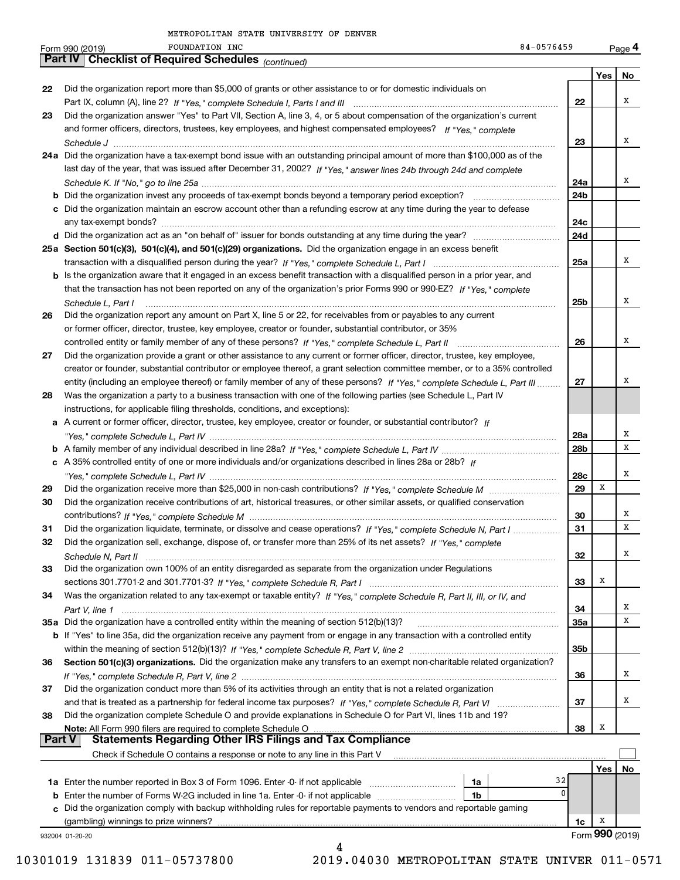|               | FOUNDATION INC<br>84-0576459<br>Form 990 (2019)                                                                                         |              |                 | Page 4 |
|---------------|-----------------------------------------------------------------------------------------------------------------------------------------|--------------|-----------------|--------|
|               | Part IV   Checklist of Required Schedules (continued)                                                                                   |              |                 |        |
|               |                                                                                                                                         |              | Yes             | No     |
| 22            | Did the organization report more than \$5,000 of grants or other assistance to or for domestic individuals on                           |              |                 |        |
|               |                                                                                                                                         | 22           |                 | х      |
| 23            | Did the organization answer "Yes" to Part VII, Section A, line 3, 4, or 5 about compensation of the organization's current              |              |                 |        |
|               | and former officers, directors, trustees, key employees, and highest compensated employees? If "Yes," complete                          |              |                 |        |
|               |                                                                                                                                         | 23           |                 | x      |
|               | 24a Did the organization have a tax-exempt bond issue with an outstanding principal amount of more than \$100,000 as of the             |              |                 |        |
|               | last day of the year, that was issued after December 31, 2002? If "Yes," answer lines 24b through 24d and complete                      |              |                 | x      |
|               |                                                                                                                                         | 24a          |                 |        |
|               | c Did the organization maintain an escrow account other than a refunding escrow at any time during the year to defease                  | 24b          |                 |        |
|               |                                                                                                                                         | 24c          |                 |        |
|               |                                                                                                                                         | 24d          |                 |        |
|               | 25a Section 501(c)(3), 501(c)(4), and 501(c)(29) organizations. Did the organization engage in an excess benefit                        |              |                 |        |
|               |                                                                                                                                         | 25a          |                 | x      |
|               | b Is the organization aware that it engaged in an excess benefit transaction with a disqualified person in a prior year, and            |              |                 |        |
|               | that the transaction has not been reported on any of the organization's prior Forms 990 or 990-EZ? If "Yes," complete                   |              |                 |        |
|               | Schedule L, Part I                                                                                                                      | 25b          |                 | x      |
| 26            | Did the organization report any amount on Part X, line 5 or 22, for receivables from or payables to any current                         |              |                 |        |
|               | or former officer, director, trustee, key employee, creator or founder, substantial contributor, or 35%                                 |              |                 |        |
|               |                                                                                                                                         | 26           |                 | x      |
| 27            | Did the organization provide a grant or other assistance to any current or former officer, director, trustee, key employee,             |              |                 |        |
|               | creator or founder, substantial contributor or employee thereof, a grant selection committee member, or to a 35% controlled             |              |                 |        |
|               | entity (including an employee thereof) or family member of any of these persons? If "Yes," complete Schedule L, Part III                | 27           |                 | х      |
| 28            | Was the organization a party to a business transaction with one of the following parties (see Schedule L, Part IV                       |              |                 |        |
|               | instructions, for applicable filing thresholds, conditions, and exceptions):                                                            |              |                 |        |
|               | a A current or former officer, director, trustee, key employee, creator or founder, or substantial contributor? If                      |              |                 |        |
|               |                                                                                                                                         | 28a          |                 | х      |
|               |                                                                                                                                         | 28b          |                 | х      |
|               | c A 35% controlled entity of one or more individuals and/or organizations described in lines 28a or 28b? If                             |              |                 |        |
|               |                                                                                                                                         | 28c          | х               | х      |
| 29            |                                                                                                                                         | 29           |                 |        |
| 30            | Did the organization receive contributions of art, historical treasures, or other similar assets, or qualified conservation             |              |                 | х      |
| 31            | Did the organization liquidate, terminate, or dissolve and cease operations? If "Yes," complete Schedule N, Part I                      | 30<br>31     |                 | x      |
| 32            |                                                                                                                                         |              |                 |        |
|               | Did the organization sell, exchange, dispose of, or transfer more than 25% of its net assets? If "Yes," complete<br>Schedule N, Part II | 32           |                 | х      |
| 33            | Did the organization own 100% of an entity disregarded as separate from the organization under Regulations                              |              |                 |        |
|               |                                                                                                                                         | 33           | Х               |        |
| 34            | Was the organization related to any tax-exempt or taxable entity? If "Yes," complete Schedule R, Part II, III, or IV, and               |              |                 |        |
|               |                                                                                                                                         | 34           |                 | х      |
|               |                                                                                                                                         | <b>35a</b>   |                 | х      |
|               | b If "Yes" to line 35a, did the organization receive any payment from or engage in any transaction with a controlled entity             |              |                 |        |
|               |                                                                                                                                         | 35b          |                 |        |
| 36            | Section 501(c)(3) organizations. Did the organization make any transfers to an exempt non-charitable related organization?              |              |                 |        |
|               |                                                                                                                                         | 36           |                 | х      |
| 37            | Did the organization conduct more than 5% of its activities through an entity that is not a related organization                        |              |                 |        |
|               |                                                                                                                                         | 37           |                 | х      |
| 38            | Did the organization complete Schedule O and provide explanations in Schedule O for Part VI, lines 11b and 19?                          |              |                 |        |
| <b>Part V</b> | Note: All Form 990 filers are required to complete Schedule O<br>Statements Regarding Other IRS Filings and Tax Compliance              | 38           | Х               |        |
|               | Check if Schedule O contains a response or note to any line in this Part V                                                              |              |                 |        |
|               |                                                                                                                                         |              | Yes $ $         | No     |
|               | 1a                                                                                                                                      | 32           |                 |        |
| b             | Enter the number of Forms W-2G included in line 1a. Enter -0- if not applicable<br>1b                                                   | $\mathbf{0}$ |                 |        |
| c             | Did the organization comply with backup withholding rules for reportable payments to vendors and reportable gaming                      |              |                 |        |
|               | (gambling) winnings to prize winners?                                                                                                   | 1c           | x               |        |
|               | 932004 01-20-20                                                                                                                         |              | Form 990 (2019) |        |
|               | 4                                                                                                                                       |              |                 |        |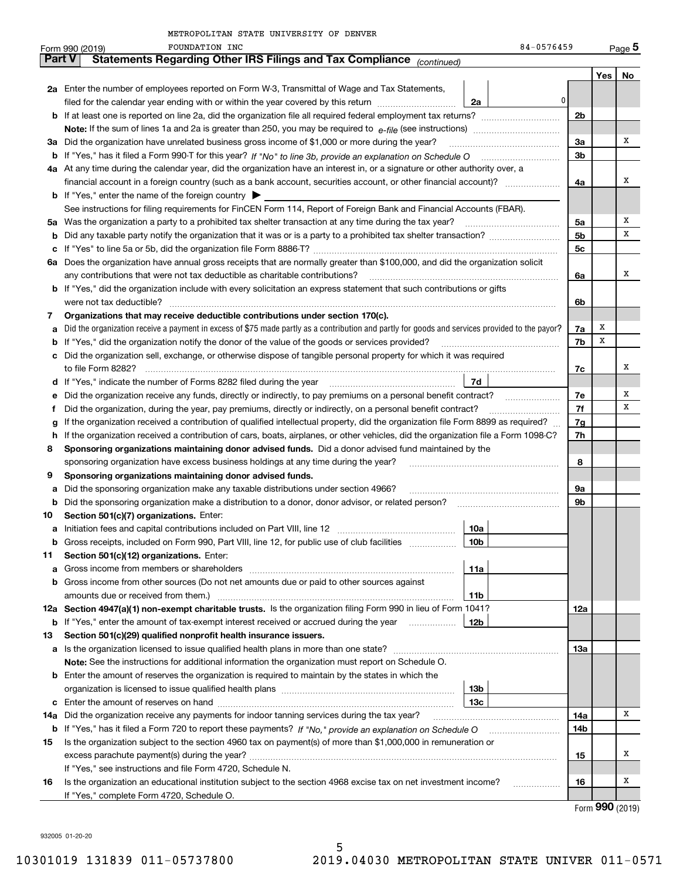|               | 84-0576459<br>FOUNDATION INC<br>Form 990 (2019)                                                                                                 |                |                   | $_{\text{Page}}$ 5 |
|---------------|-------------------------------------------------------------------------------------------------------------------------------------------------|----------------|-------------------|--------------------|
| <b>Part V</b> | Statements Regarding Other IRS Filings and Tax Compliance (continued)                                                                           |                |                   |                    |
|               |                                                                                                                                                 |                | Yes               | No                 |
|               | 2a Enter the number of employees reported on Form W-3, Transmittal of Wage and Tax Statements,                                                  |                |                   |                    |
|               | 0 <br>2a<br>filed for the calendar year ending with or within the year covered by this return                                                   |                |                   |                    |
|               | <b>b</b> If at least one is reported on line 2a, did the organization file all required federal employment tax returns?                         | 2 <sub>b</sub> |                   |                    |
|               | <b>Note:</b> If the sum of lines 1a and 2a is greater than 250, you may be required to $e$ -file (see instructions) <i>marrouum</i> manu-       |                |                   |                    |
|               | 3a Did the organization have unrelated business gross income of \$1,000 or more during the year?                                                | 3a             |                   | x                  |
|               |                                                                                                                                                 | 3 <sub>b</sub> |                   |                    |
|               | 4a At any time during the calendar year, did the organization have an interest in, or a signature or other authority over, a                    |                |                   |                    |
|               |                                                                                                                                                 | 4a             |                   | x                  |
|               | <b>b</b> If "Yes," enter the name of the foreign country $\blacktriangleright$                                                                  |                |                   |                    |
|               | See instructions for filing requirements for FinCEN Form 114, Report of Foreign Bank and Financial Accounts (FBAR).                             |                |                   |                    |
|               | 5a Was the organization a party to a prohibited tax shelter transaction at any time during the tax year?                                        | 5a             |                   | х                  |
|               |                                                                                                                                                 | 5 <sub>b</sub> |                   | х                  |
|               |                                                                                                                                                 | 5c             |                   |                    |
|               | 6a Does the organization have annual gross receipts that are normally greater than \$100,000, and did the organization solicit                  |                |                   |                    |
|               | any contributions that were not tax deductible as charitable contributions?                                                                     | 6a             |                   | x                  |
|               | <b>b</b> If "Yes," did the organization include with every solicitation an express statement that such contributions or gifts                   |                |                   |                    |
|               | were not tax deductible?                                                                                                                        | 6b             |                   |                    |
| 7             | Organizations that may receive deductible contributions under section 170(c).                                                                   |                |                   |                    |
| а             | Did the organization receive a payment in excess of \$75 made partly as a contribution and partly for goods and services provided to the payor? | 7a             | х                 |                    |
|               | <b>b</b> If "Yes," did the organization notify the donor of the value of the goods or services provided?                                        | 7b             | х                 |                    |
|               | c Did the organization sell, exchange, or otherwise dispose of tangible personal property for which it was required                             |                |                   |                    |
|               |                                                                                                                                                 | 7с             |                   | x                  |
|               | 7d                                                                                                                                              |                |                   |                    |
|               | e Did the organization receive any funds, directly or indirectly, to pay premiums on a personal benefit contract?                               | 7e             |                   | х                  |
| f             | Did the organization, during the year, pay premiums, directly or indirectly, on a personal benefit contract?                                    | 7f             |                   | х                  |
|               | If the organization received a contribution of qualified intellectual property, did the organization file Form 8899 as required?                | 7g             |                   |                    |
| g             | h If the organization received a contribution of cars, boats, airplanes, or other vehicles, did the organization file a Form 1098-C?            | 7h             |                   |                    |
| 8             | Sponsoring organizations maintaining donor advised funds. Did a donor advised fund maintained by the                                            |                |                   |                    |
|               | sponsoring organization have excess business holdings at any time during the year?                                                              | 8              |                   |                    |
| 9             | Sponsoring organizations maintaining donor advised funds.                                                                                       |                |                   |                    |
|               |                                                                                                                                                 | 9а             |                   |                    |
| а             | Did the sponsoring organization make any taxable distributions under section 4966?                                                              | 9b             |                   |                    |
| b             | Did the sponsoring organization make a distribution to a donor, donor advisor, or related person?<br>Section 501(c)(7) organizations. Enter:    |                |                   |                    |
| 10            |                                                                                                                                                 |                |                   |                    |
|               | 10a<br><b>b</b> Gross receipts, included on Form 990, Part VIII, line 12, for public use of club facilities                                     |                |                   |                    |
|               | 10b<br>Section 501(c)(12) organizations. Enter:                                                                                                 |                |                   |                    |
| 11            | 11a                                                                                                                                             |                |                   |                    |
| a             | b Gross income from other sources (Do not net amounts due or paid to other sources against                                                      |                |                   |                    |
|               |                                                                                                                                                 |                |                   |                    |
|               | 11b<br>12a Section 4947(a)(1) non-exempt charitable trusts. Is the organization filing Form 990 in lieu of Form 1041?                           |                |                   |                    |
|               | 12 <sub>b</sub>                                                                                                                                 | 12a            |                   |                    |
|               | <b>b</b> If "Yes," enter the amount of tax-exempt interest received or accrued during the year <i>manument</i>                                  |                |                   |                    |
| 13            | Section 501(c)(29) qualified nonprofit health insurance issuers.                                                                                |                |                   |                    |
|               | <b>a</b> Is the organization licensed to issue qualified health plans in more than one state?                                                   | 13а            |                   |                    |
|               | <b>Note:</b> See the instructions for additional information the organization must report on Schedule O.                                        |                |                   |                    |
|               | <b>b</b> Enter the amount of reserves the organization is required to maintain by the states in which the                                       |                |                   |                    |
|               | 13 <sub>b</sub>                                                                                                                                 |                |                   |                    |
|               | 13с                                                                                                                                             |                |                   | x                  |
| 14a           | Did the organization receive any payments for indoor tanning services during the tax year?                                                      | 14a            |                   |                    |
|               |                                                                                                                                                 | 14b            |                   |                    |
| 15            | Is the organization subject to the section 4960 tax on payment(s) of more than \$1,000,000 in remuneration or                                   |                |                   | х                  |
|               |                                                                                                                                                 | 15             |                   |                    |
|               | If "Yes," see instructions and file Form 4720, Schedule N.                                                                                      |                |                   |                    |
| 16            | Is the organization an educational institution subject to the section 4968 excise tax on net investment income?<br>.                            | 16             |                   | Х                  |
|               | If "Yes," complete Form 4720, Schedule O.                                                                                                       |                | $000 \, \text{m}$ |                    |

5

Form (2019) **990**

932005 01-20-20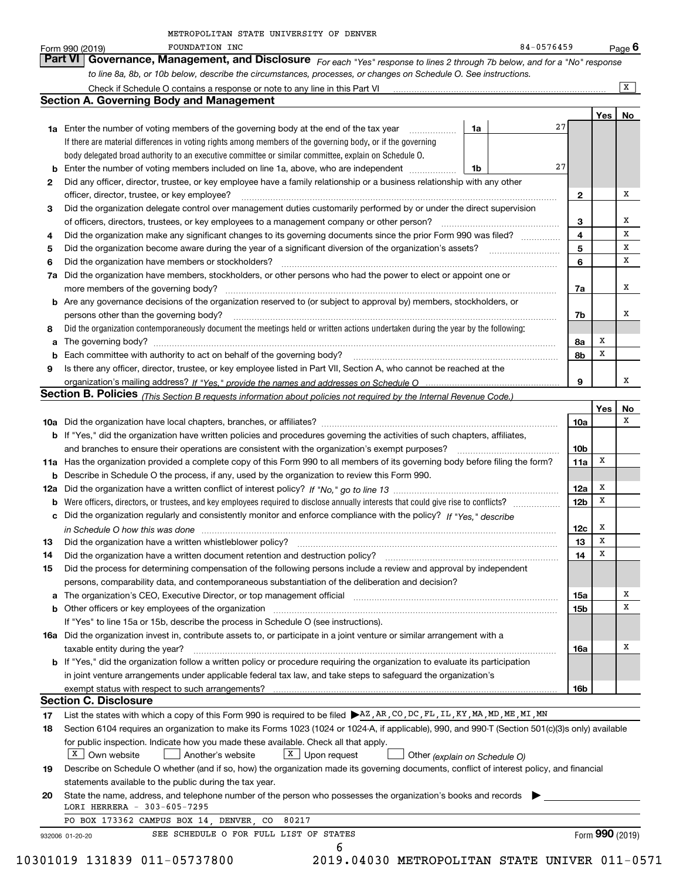|    | to line 8a, 8b, or 10b below, describe the circumstances, processes, or changes on Schedule O. See instructions.                                                                                                               |    |    |                 |     | $\overline{X}$ |
|----|--------------------------------------------------------------------------------------------------------------------------------------------------------------------------------------------------------------------------------|----|----|-----------------|-----|----------------|
|    | <b>Section A. Governing Body and Management</b>                                                                                                                                                                                |    |    |                 |     |                |
|    |                                                                                                                                                                                                                                |    |    |                 | Yes | No             |
|    | <b>1a</b> Enter the number of voting members of the governing body at the end of the tax year                                                                                                                                  | 1a | 27 |                 |     |                |
|    | If there are material differences in voting rights among members of the governing body, or if the governing                                                                                                                    |    |    |                 |     |                |
|    | body delegated broad authority to an executive committee or similar committee, explain on Schedule O.                                                                                                                          |    |    |                 |     |                |
| b  | Enter the number of voting members included on line 1a, above, who are independent <i>manumum</i>                                                                                                                              | 1b | 27 |                 |     |                |
| 2  | Did any officer, director, trustee, or key employee have a family relationship or a business relationship with any other                                                                                                       |    |    |                 |     |                |
|    | officer, director, trustee, or key employee?                                                                                                                                                                                   |    |    | 2               |     | x              |
| 3  | Did the organization delegate control over management duties customarily performed by or under the direct supervision                                                                                                          |    |    |                 |     |                |
|    | of officers, directors, trustees, or key employees to a management company or other person?                                                                                                                                    |    |    | 3               |     | x              |
| 4  | Did the organization make any significant changes to its governing documents since the prior Form 990 was filed?                                                                                                               |    |    | 4               |     | x              |
| 5  |                                                                                                                                                                                                                                |    |    | 5               |     | x              |
| 6  | Did the organization have members or stockholders?                                                                                                                                                                             |    |    | 6               |     | x              |
| 7a | Did the organization have members, stockholders, or other persons who had the power to elect or appoint one or                                                                                                                 |    |    |                 |     |                |
|    |                                                                                                                                                                                                                                |    |    | 7a              |     | x              |
| b  | Are any governance decisions of the organization reserved to (or subject to approval by) members, stockholders, or                                                                                                             |    |    |                 |     |                |
|    | persons other than the governing body?                                                                                                                                                                                         |    |    | 7b              |     | x              |
| 8  | Did the organization contemporaneously document the meetings held or written actions undertaken during the year by the following:                                                                                              |    |    |                 |     |                |
| a  |                                                                                                                                                                                                                                |    |    | 8а              | x   |                |
|    | Each committee with authority to act on behalf of the governing body? [11] manufacture manufacture with authority to act on behalf of the governing body? [11] manufacture manufacture with authority of the state with an int |    |    | 8b              | x   |                |
| 9  | Is there any officer, director, trustee, or key employee listed in Part VII, Section A, who cannot be reached at the                                                                                                           |    |    |                 |     |                |
|    |                                                                                                                                                                                                                                |    |    | 9               |     | x              |
|    | Section B. Policies (This Section B requests information about policies not required by the Internal Revenue Code.)                                                                                                            |    |    |                 |     |                |
|    |                                                                                                                                                                                                                                |    |    |                 | Yes | No             |
|    |                                                                                                                                                                                                                                |    |    | 10a             |     | x              |
|    | b If "Yes," did the organization have written policies and procedures governing the activities of such chapters, affiliates,                                                                                                   |    |    |                 |     |                |
|    | and branches to ensure their operations are consistent with the organization's exempt purposes?                                                                                                                                |    |    | 10 <sub>b</sub> |     |                |
|    | 11a Has the organization provided a complete copy of this Form 990 to all members of its governing body before filing the form?                                                                                                |    |    | 11a             | х   |                |
| b  | Describe in Schedule O the process, if any, used by the organization to review this Form 990.                                                                                                                                  |    |    |                 |     |                |
|    |                                                                                                                                                                                                                                |    |    | 12a             | X   |                |
| b  |                                                                                                                                                                                                                                |    |    | 12 <sub>b</sub> | x   |                |
|    | c Did the organization regularly and consistently monitor and enforce compliance with the policy? If "Yes," describe                                                                                                           |    |    |                 |     |                |
|    | in Schedule O how this was done manufactured and continuum and contact the state of the state of the state of                                                                                                                  |    |    | 12c             | х   |                |
| 13 |                                                                                                                                                                                                                                |    |    | 13              | X   |                |
| 14 | Did the organization have a written document retention and destruction policy? manufactured and the organization have a written document retention and destruction policy?                                                     |    |    | 14              | X   |                |
| 15 | Did the process for determining compensation of the following persons include a review and approval by independent                                                                                                             |    |    |                 |     |                |
|    | persons, comparability data, and contemporaneous substantiation of the deliberation and decision?                                                                                                                              |    |    |                 |     |                |
|    |                                                                                                                                                                                                                                |    |    | 15a             |     | х              |
|    |                                                                                                                                                                                                                                |    |    | 15b             |     | X              |
|    | If "Yes" to line 15a or 15b, describe the process in Schedule O (see instructions).                                                                                                                                            |    |    |                 |     |                |
|    | 16a Did the organization invest in, contribute assets to, or participate in a joint venture or similar arrangement with a                                                                                                      |    |    |                 |     |                |
|    | taxable entity during the year?                                                                                                                                                                                                |    |    | 16a             |     | x              |
|    | b If "Yes," did the organization follow a written policy or procedure requiring the organization to evaluate its participation                                                                                                 |    |    |                 |     |                |
|    | in joint venture arrangements under applicable federal tax law, and take steps to safeguard the organization's                                                                                                                 |    |    |                 |     |                |
|    |                                                                                                                                                                                                                                |    |    | 16b             |     |                |
|    | <b>Section C. Disclosure</b>                                                                                                                                                                                                   |    |    |                 |     |                |
| 17 | List the states with which a copy of this Form 990 is required to be filed ▶ AZ, AR, CO, DC, FL, IL, KY, MA, MD, ME, MI, MN                                                                                                    |    |    |                 |     |                |
| 18 | Section 6104 requires an organization to make its Forms 1023 (1024 or 1024-A, if applicable), 990, and 990-T (Section 501(c)(3)s only) available                                                                               |    |    |                 |     |                |
|    | for public inspection. Indicate how you made these available. Check all that apply.                                                                                                                                            |    |    |                 |     |                |
|    | $X$ Own website<br>$\boxed{\text{X}}$ Upon request<br>Another's website<br>Other (explain on Schedule O)                                                                                                                       |    |    |                 |     |                |
| 19 | Describe on Schedule O whether (and if so, how) the organization made its governing documents, conflict of interest policy, and financial                                                                                      |    |    |                 |     |                |
|    | statements available to the public during the tax year.                                                                                                                                                                        |    |    |                 |     |                |
| 20 | State the name, address, and telephone number of the person who possesses the organization's books and records                                                                                                                 |    |    |                 |     |                |
|    | LORI HERRERA - 303-605-7295                                                                                                                                                                                                    |    |    |                 |     |                |
|    |                                                                                                                                                                                                                                |    |    |                 |     |                |
|    | PO BOX 173362 CAMPUS BOX 14, DENVER, CO 80217                                                                                                                                                                                  |    |    |                 |     |                |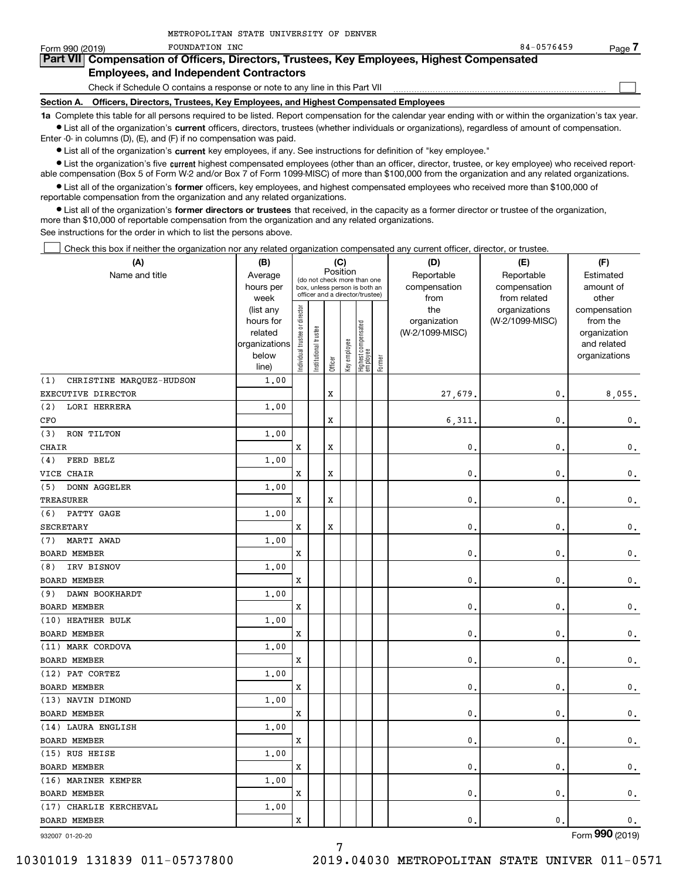| Form 990 (2019) | FOUNDATION INC                                                                                                                                             | 84-0576459 | Page . |
|-----------------|------------------------------------------------------------------------------------------------------------------------------------------------------------|------------|--------|
|                 | Part VII Compensation of Officers, Directors, Trustees, Key Employees, Highest Compensated                                                                 |            |        |
|                 | <b>Employees, and Independent Contractors</b>                                                                                                              |            |        |
|                 | Check if Schedule O contains a response or note to any line in this Part VII                                                                               |            |        |
|                 | Section A. Officers, Directors, Trustees, Key Employees, and Highest Compensated Employees                                                                 |            |        |
|                 | 1a Complete this table for all persons required to be listed. Report compensation for the calendar year ending with or within the organization's tax year. |            |        |
|                 | • List all of the organization's current officers, directors, trustees (whether individuals or organizations), regardless of amount of compensation.       |            |        |

Enter -0- in columns (D), (E), and (F) if no compensation was paid.

 $\bullet$  List all of the organization's  $\,$ current key employees, if any. See instructions for definition of "key employee."

METROPOLITAN STATE UNIVERSITY OF DENVER

**•** List the organization's five current highest compensated employees (other than an officer, director, trustee, or key employee) who received reportable compensation (Box 5 of Form W-2 and/or Box 7 of Form 1099-MISC) of more than \$100,000 from the organization and any related organizations.

**•** List all of the organization's former officers, key employees, and highest compensated employees who received more than \$100,000 of reportable compensation from the organization and any related organizations.

**former directors or trustees**  ¥ List all of the organization's that received, in the capacity as a former director or trustee of the organization, more than \$10,000 of reportable compensation from the organization and any related organizations.

See instructions for the order in which to list the persons above.

Check this box if neither the organization nor any related organization compensated any current officer, director, or trustee.  $\mathcal{L}^{\text{max}}$ 

| Position<br>Name and title<br>Reportable<br>Reportable<br>Estimated<br>Average<br>(do not check more than one<br>compensation<br>amount of<br>hours per<br>compensation<br>box, unless person is both an<br>officer and a director/trustee)<br>week<br>from<br>from related<br>other<br>ndividual trustee or director<br>the<br>organizations<br>(list any<br>compensation<br>(W-2/1099-MISC)<br>hours for<br>organization<br>from the<br>Highest compensated<br> employee<br>Institutional trustee<br>(W-2/1099-MISC)<br>related<br>organization<br>Key employee<br>organizations<br>and related<br>below<br>organizations<br>Former<br>Officer<br>line)<br>CHRISTINE MARQUEZ-HUDSON<br>1,00<br>(1)<br>X<br>0.<br>EXECUTIVE DIRECTOR<br>27,679.<br>8,055.<br>(2)<br>LORI HERRERA<br>1,00<br>X<br>6,311<br>$\mathbf{0}$ .<br>0.<br>CFO<br>RON TILTON<br>(3)<br>1,00<br>X<br>X<br>$\mathbf{0}$ .<br>$\mathbf{0}$ .<br><b>CHAIR</b><br>$\mathbf{0}$ .<br>FERD BELZ<br>1.00<br>(4)<br>$\mathbf x$<br>VICE CHAIR<br>X<br>$\mathbf{0}$ .<br>$\mathbf{0}$ .<br>$\mathbf{0}$ .<br>(5)<br><b>DONN AGGELER</b><br>1.00<br>X<br><b>TREASURER</b><br>X<br>$\mathbf{0}$ .<br>0.<br>$\mathbf{0}$ .<br>(6)<br>PATTY GAGE<br>1.00<br>$\mathbf x$<br><b>SECRETARY</b><br>X<br>$\mathbf{0}$<br>$\mathbf{0}$ .<br>0.<br>MARTI AWAD<br>(7)<br>1.00<br><b>BOARD MEMBER</b><br>X<br>$\mathbf{0}$ .<br>0.<br>$\mathbf 0$ .<br>IRV BISNOV<br>1.00<br>(8)<br><b>BOARD MEMBER</b><br>$\mathbf x$<br>$\mathbf{0}$ .<br>$\mathbf{0}$ .<br>$\mathbf 0$ .<br>DAWN BOOKHARDT<br>1,00<br>(9)<br><b>BOARD MEMBER</b><br>X<br>$\mathbf{0}$ .<br>0.<br>$\mathbf 0$ .<br>(10) HEATHER BULK<br>1.00<br><b>BOARD MEMBER</b><br>$\mathbf x$<br>$\mathbf{0}$ .<br>$\mathbf{0}$ .<br>$\mathbf{0}$ .<br>(11) MARK CORDOVA<br>1.00<br><b>BOARD MEMBER</b><br>X<br>$\mathbf{0}$ .<br>$\mathbf{0}$ .<br>$\mathsf{0}\,.$<br>(12) PAT CORTEZ<br>1.00<br>X<br>$\mathbf{0}$ .<br>$\mathbf{0}$ .<br>$\mathbf{0}$ .<br>(13) NAVIN DIMOND<br>1.00<br><b>BOARD MEMBER</b><br>X<br>$\mathbf{0}$ .<br>0.<br>$\mathbf 0$ .<br>(14) LAURA ENGLISH<br>1.00<br><b>BOARD MEMBER</b><br>X<br>$\mathbf{0}$ .<br>$\mathbf{0}$ .<br>$\mathbf{0}$ .<br>(15) RUS HEISE<br>1.00<br><b>BOARD MEMBER</b><br>X<br>$\mathbf{0}$ .<br>$\mathbf{0}$ .<br>$\mathbf 0$ .<br>(16) MARINER KEMPER<br>1.00<br>$\mathbf x$<br>$\mathbf{0}$ .<br>$\mathbf{0}$ .<br>$\mathbf 0$ .<br>(17) CHARLIE KERCHEVAL<br>1.00<br>X<br>$\mathbf{0}$ .<br>$\mathbf 0$ .<br>$\mathbf 0$ . | (A)                 | (B) |  | (C) |  | (D) | (E) | (F) |
|----------------------------------------------------------------------------------------------------------------------------------------------------------------------------------------------------------------------------------------------------------------------------------------------------------------------------------------------------------------------------------------------------------------------------------------------------------------------------------------------------------------------------------------------------------------------------------------------------------------------------------------------------------------------------------------------------------------------------------------------------------------------------------------------------------------------------------------------------------------------------------------------------------------------------------------------------------------------------------------------------------------------------------------------------------------------------------------------------------------------------------------------------------------------------------------------------------------------------------------------------------------------------------------------------------------------------------------------------------------------------------------------------------------------------------------------------------------------------------------------------------------------------------------------------------------------------------------------------------------------------------------------------------------------------------------------------------------------------------------------------------------------------------------------------------------------------------------------------------------------------------------------------------------------------------------------------------------------------------------------------------------------------------------------------------------------------------------------------------------------------------------------------------------------------------------------------------------------------------------------------------------------------------------------------------------------------------------------------------------------------------------------------------------------------------------------------------------------------------------------|---------------------|-----|--|-----|--|-----|-----|-----|
|                                                                                                                                                                                                                                                                                                                                                                                                                                                                                                                                                                                                                                                                                                                                                                                                                                                                                                                                                                                                                                                                                                                                                                                                                                                                                                                                                                                                                                                                                                                                                                                                                                                                                                                                                                                                                                                                                                                                                                                                                                                                                                                                                                                                                                                                                                                                                                                                                                                                                              |                     |     |  |     |  |     |     |     |
|                                                                                                                                                                                                                                                                                                                                                                                                                                                                                                                                                                                                                                                                                                                                                                                                                                                                                                                                                                                                                                                                                                                                                                                                                                                                                                                                                                                                                                                                                                                                                                                                                                                                                                                                                                                                                                                                                                                                                                                                                                                                                                                                                                                                                                                                                                                                                                                                                                                                                              |                     |     |  |     |  |     |     |     |
|                                                                                                                                                                                                                                                                                                                                                                                                                                                                                                                                                                                                                                                                                                                                                                                                                                                                                                                                                                                                                                                                                                                                                                                                                                                                                                                                                                                                                                                                                                                                                                                                                                                                                                                                                                                                                                                                                                                                                                                                                                                                                                                                                                                                                                                                                                                                                                                                                                                                                              |                     |     |  |     |  |     |     |     |
|                                                                                                                                                                                                                                                                                                                                                                                                                                                                                                                                                                                                                                                                                                                                                                                                                                                                                                                                                                                                                                                                                                                                                                                                                                                                                                                                                                                                                                                                                                                                                                                                                                                                                                                                                                                                                                                                                                                                                                                                                                                                                                                                                                                                                                                                                                                                                                                                                                                                                              |                     |     |  |     |  |     |     |     |
|                                                                                                                                                                                                                                                                                                                                                                                                                                                                                                                                                                                                                                                                                                                                                                                                                                                                                                                                                                                                                                                                                                                                                                                                                                                                                                                                                                                                                                                                                                                                                                                                                                                                                                                                                                                                                                                                                                                                                                                                                                                                                                                                                                                                                                                                                                                                                                                                                                                                                              |                     |     |  |     |  |     |     |     |
|                                                                                                                                                                                                                                                                                                                                                                                                                                                                                                                                                                                                                                                                                                                                                                                                                                                                                                                                                                                                                                                                                                                                                                                                                                                                                                                                                                                                                                                                                                                                                                                                                                                                                                                                                                                                                                                                                                                                                                                                                                                                                                                                                                                                                                                                                                                                                                                                                                                                                              |                     |     |  |     |  |     |     |     |
|                                                                                                                                                                                                                                                                                                                                                                                                                                                                                                                                                                                                                                                                                                                                                                                                                                                                                                                                                                                                                                                                                                                                                                                                                                                                                                                                                                                                                                                                                                                                                                                                                                                                                                                                                                                                                                                                                                                                                                                                                                                                                                                                                                                                                                                                                                                                                                                                                                                                                              |                     |     |  |     |  |     |     |     |
|                                                                                                                                                                                                                                                                                                                                                                                                                                                                                                                                                                                                                                                                                                                                                                                                                                                                                                                                                                                                                                                                                                                                                                                                                                                                                                                                                                                                                                                                                                                                                                                                                                                                                                                                                                                                                                                                                                                                                                                                                                                                                                                                                                                                                                                                                                                                                                                                                                                                                              |                     |     |  |     |  |     |     |     |
|                                                                                                                                                                                                                                                                                                                                                                                                                                                                                                                                                                                                                                                                                                                                                                                                                                                                                                                                                                                                                                                                                                                                                                                                                                                                                                                                                                                                                                                                                                                                                                                                                                                                                                                                                                                                                                                                                                                                                                                                                                                                                                                                                                                                                                                                                                                                                                                                                                                                                              |                     |     |  |     |  |     |     |     |
|                                                                                                                                                                                                                                                                                                                                                                                                                                                                                                                                                                                                                                                                                                                                                                                                                                                                                                                                                                                                                                                                                                                                                                                                                                                                                                                                                                                                                                                                                                                                                                                                                                                                                                                                                                                                                                                                                                                                                                                                                                                                                                                                                                                                                                                                                                                                                                                                                                                                                              |                     |     |  |     |  |     |     |     |
|                                                                                                                                                                                                                                                                                                                                                                                                                                                                                                                                                                                                                                                                                                                                                                                                                                                                                                                                                                                                                                                                                                                                                                                                                                                                                                                                                                                                                                                                                                                                                                                                                                                                                                                                                                                                                                                                                                                                                                                                                                                                                                                                                                                                                                                                                                                                                                                                                                                                                              |                     |     |  |     |  |     |     |     |
|                                                                                                                                                                                                                                                                                                                                                                                                                                                                                                                                                                                                                                                                                                                                                                                                                                                                                                                                                                                                                                                                                                                                                                                                                                                                                                                                                                                                                                                                                                                                                                                                                                                                                                                                                                                                                                                                                                                                                                                                                                                                                                                                                                                                                                                                                                                                                                                                                                                                                              |                     |     |  |     |  |     |     |     |
|                                                                                                                                                                                                                                                                                                                                                                                                                                                                                                                                                                                                                                                                                                                                                                                                                                                                                                                                                                                                                                                                                                                                                                                                                                                                                                                                                                                                                                                                                                                                                                                                                                                                                                                                                                                                                                                                                                                                                                                                                                                                                                                                                                                                                                                                                                                                                                                                                                                                                              |                     |     |  |     |  |     |     |     |
|                                                                                                                                                                                                                                                                                                                                                                                                                                                                                                                                                                                                                                                                                                                                                                                                                                                                                                                                                                                                                                                                                                                                                                                                                                                                                                                                                                                                                                                                                                                                                                                                                                                                                                                                                                                                                                                                                                                                                                                                                                                                                                                                                                                                                                                                                                                                                                                                                                                                                              |                     |     |  |     |  |     |     |     |
|                                                                                                                                                                                                                                                                                                                                                                                                                                                                                                                                                                                                                                                                                                                                                                                                                                                                                                                                                                                                                                                                                                                                                                                                                                                                                                                                                                                                                                                                                                                                                                                                                                                                                                                                                                                                                                                                                                                                                                                                                                                                                                                                                                                                                                                                                                                                                                                                                                                                                              |                     |     |  |     |  |     |     |     |
|                                                                                                                                                                                                                                                                                                                                                                                                                                                                                                                                                                                                                                                                                                                                                                                                                                                                                                                                                                                                                                                                                                                                                                                                                                                                                                                                                                                                                                                                                                                                                                                                                                                                                                                                                                                                                                                                                                                                                                                                                                                                                                                                                                                                                                                                                                                                                                                                                                                                                              |                     |     |  |     |  |     |     |     |
|                                                                                                                                                                                                                                                                                                                                                                                                                                                                                                                                                                                                                                                                                                                                                                                                                                                                                                                                                                                                                                                                                                                                                                                                                                                                                                                                                                                                                                                                                                                                                                                                                                                                                                                                                                                                                                                                                                                                                                                                                                                                                                                                                                                                                                                                                                                                                                                                                                                                                              |                     |     |  |     |  |     |     |     |
|                                                                                                                                                                                                                                                                                                                                                                                                                                                                                                                                                                                                                                                                                                                                                                                                                                                                                                                                                                                                                                                                                                                                                                                                                                                                                                                                                                                                                                                                                                                                                                                                                                                                                                                                                                                                                                                                                                                                                                                                                                                                                                                                                                                                                                                                                                                                                                                                                                                                                              |                     |     |  |     |  |     |     |     |
|                                                                                                                                                                                                                                                                                                                                                                                                                                                                                                                                                                                                                                                                                                                                                                                                                                                                                                                                                                                                                                                                                                                                                                                                                                                                                                                                                                                                                                                                                                                                                                                                                                                                                                                                                                                                                                                                                                                                                                                                                                                                                                                                                                                                                                                                                                                                                                                                                                                                                              |                     |     |  |     |  |     |     |     |
|                                                                                                                                                                                                                                                                                                                                                                                                                                                                                                                                                                                                                                                                                                                                                                                                                                                                                                                                                                                                                                                                                                                                                                                                                                                                                                                                                                                                                                                                                                                                                                                                                                                                                                                                                                                                                                                                                                                                                                                                                                                                                                                                                                                                                                                                                                                                                                                                                                                                                              |                     |     |  |     |  |     |     |     |
|                                                                                                                                                                                                                                                                                                                                                                                                                                                                                                                                                                                                                                                                                                                                                                                                                                                                                                                                                                                                                                                                                                                                                                                                                                                                                                                                                                                                                                                                                                                                                                                                                                                                                                                                                                                                                                                                                                                                                                                                                                                                                                                                                                                                                                                                                                                                                                                                                                                                                              |                     |     |  |     |  |     |     |     |
|                                                                                                                                                                                                                                                                                                                                                                                                                                                                                                                                                                                                                                                                                                                                                                                                                                                                                                                                                                                                                                                                                                                                                                                                                                                                                                                                                                                                                                                                                                                                                                                                                                                                                                                                                                                                                                                                                                                                                                                                                                                                                                                                                                                                                                                                                                                                                                                                                                                                                              |                     |     |  |     |  |     |     |     |
|                                                                                                                                                                                                                                                                                                                                                                                                                                                                                                                                                                                                                                                                                                                                                                                                                                                                                                                                                                                                                                                                                                                                                                                                                                                                                                                                                                                                                                                                                                                                                                                                                                                                                                                                                                                                                                                                                                                                                                                                                                                                                                                                                                                                                                                                                                                                                                                                                                                                                              |                     |     |  |     |  |     |     |     |
|                                                                                                                                                                                                                                                                                                                                                                                                                                                                                                                                                                                                                                                                                                                                                                                                                                                                                                                                                                                                                                                                                                                                                                                                                                                                                                                                                                                                                                                                                                                                                                                                                                                                                                                                                                                                                                                                                                                                                                                                                                                                                                                                                                                                                                                                                                                                                                                                                                                                                              |                     |     |  |     |  |     |     |     |
|                                                                                                                                                                                                                                                                                                                                                                                                                                                                                                                                                                                                                                                                                                                                                                                                                                                                                                                                                                                                                                                                                                                                                                                                                                                                                                                                                                                                                                                                                                                                                                                                                                                                                                                                                                                                                                                                                                                                                                                                                                                                                                                                                                                                                                                                                                                                                                                                                                                                                              |                     |     |  |     |  |     |     |     |
|                                                                                                                                                                                                                                                                                                                                                                                                                                                                                                                                                                                                                                                                                                                                                                                                                                                                                                                                                                                                                                                                                                                                                                                                                                                                                                                                                                                                                                                                                                                                                                                                                                                                                                                                                                                                                                                                                                                                                                                                                                                                                                                                                                                                                                                                                                                                                                                                                                                                                              |                     |     |  |     |  |     |     |     |
|                                                                                                                                                                                                                                                                                                                                                                                                                                                                                                                                                                                                                                                                                                                                                                                                                                                                                                                                                                                                                                                                                                                                                                                                                                                                                                                                                                                                                                                                                                                                                                                                                                                                                                                                                                                                                                                                                                                                                                                                                                                                                                                                                                                                                                                                                                                                                                                                                                                                                              |                     |     |  |     |  |     |     |     |
|                                                                                                                                                                                                                                                                                                                                                                                                                                                                                                                                                                                                                                                                                                                                                                                                                                                                                                                                                                                                                                                                                                                                                                                                                                                                                                                                                                                                                                                                                                                                                                                                                                                                                                                                                                                                                                                                                                                                                                                                                                                                                                                                                                                                                                                                                                                                                                                                                                                                                              |                     |     |  |     |  |     |     |     |
|                                                                                                                                                                                                                                                                                                                                                                                                                                                                                                                                                                                                                                                                                                                                                                                                                                                                                                                                                                                                                                                                                                                                                                                                                                                                                                                                                                                                                                                                                                                                                                                                                                                                                                                                                                                                                                                                                                                                                                                                                                                                                                                                                                                                                                                                                                                                                                                                                                                                                              |                     |     |  |     |  |     |     |     |
|                                                                                                                                                                                                                                                                                                                                                                                                                                                                                                                                                                                                                                                                                                                                                                                                                                                                                                                                                                                                                                                                                                                                                                                                                                                                                                                                                                                                                                                                                                                                                                                                                                                                                                                                                                                                                                                                                                                                                                                                                                                                                                                                                                                                                                                                                                                                                                                                                                                                                              |                     |     |  |     |  |     |     |     |
|                                                                                                                                                                                                                                                                                                                                                                                                                                                                                                                                                                                                                                                                                                                                                                                                                                                                                                                                                                                                                                                                                                                                                                                                                                                                                                                                                                                                                                                                                                                                                                                                                                                                                                                                                                                                                                                                                                                                                                                                                                                                                                                                                                                                                                                                                                                                                                                                                                                                                              |                     |     |  |     |  |     |     |     |
|                                                                                                                                                                                                                                                                                                                                                                                                                                                                                                                                                                                                                                                                                                                                                                                                                                                                                                                                                                                                                                                                                                                                                                                                                                                                                                                                                                                                                                                                                                                                                                                                                                                                                                                                                                                                                                                                                                                                                                                                                                                                                                                                                                                                                                                                                                                                                                                                                                                                                              | <b>BOARD MEMBER</b> |     |  |     |  |     |     |     |
|                                                                                                                                                                                                                                                                                                                                                                                                                                                                                                                                                                                                                                                                                                                                                                                                                                                                                                                                                                                                                                                                                                                                                                                                                                                                                                                                                                                                                                                                                                                                                                                                                                                                                                                                                                                                                                                                                                                                                                                                                                                                                                                                                                                                                                                                                                                                                                                                                                                                                              |                     |     |  |     |  |     |     |     |
|                                                                                                                                                                                                                                                                                                                                                                                                                                                                                                                                                                                                                                                                                                                                                                                                                                                                                                                                                                                                                                                                                                                                                                                                                                                                                                                                                                                                                                                                                                                                                                                                                                                                                                                                                                                                                                                                                                                                                                                                                                                                                                                                                                                                                                                                                                                                                                                                                                                                                              |                     |     |  |     |  |     |     |     |
|                                                                                                                                                                                                                                                                                                                                                                                                                                                                                                                                                                                                                                                                                                                                                                                                                                                                                                                                                                                                                                                                                                                                                                                                                                                                                                                                                                                                                                                                                                                                                                                                                                                                                                                                                                                                                                                                                                                                                                                                                                                                                                                                                                                                                                                                                                                                                                                                                                                                                              |                     |     |  |     |  |     |     |     |
|                                                                                                                                                                                                                                                                                                                                                                                                                                                                                                                                                                                                                                                                                                                                                                                                                                                                                                                                                                                                                                                                                                                                                                                                                                                                                                                                                                                                                                                                                                                                                                                                                                                                                                                                                                                                                                                                                                                                                                                                                                                                                                                                                                                                                                                                                                                                                                                                                                                                                              |                     |     |  |     |  |     |     |     |
|                                                                                                                                                                                                                                                                                                                                                                                                                                                                                                                                                                                                                                                                                                                                                                                                                                                                                                                                                                                                                                                                                                                                                                                                                                                                                                                                                                                                                                                                                                                                                                                                                                                                                                                                                                                                                                                                                                                                                                                                                                                                                                                                                                                                                                                                                                                                                                                                                                                                                              |                     |     |  |     |  |     |     |     |
|                                                                                                                                                                                                                                                                                                                                                                                                                                                                                                                                                                                                                                                                                                                                                                                                                                                                                                                                                                                                                                                                                                                                                                                                                                                                                                                                                                                                                                                                                                                                                                                                                                                                                                                                                                                                                                                                                                                                                                                                                                                                                                                                                                                                                                                                                                                                                                                                                                                                                              |                     |     |  |     |  |     |     |     |
|                                                                                                                                                                                                                                                                                                                                                                                                                                                                                                                                                                                                                                                                                                                                                                                                                                                                                                                                                                                                                                                                                                                                                                                                                                                                                                                                                                                                                                                                                                                                                                                                                                                                                                                                                                                                                                                                                                                                                                                                                                                                                                                                                                                                                                                                                                                                                                                                                                                                                              |                     |     |  |     |  |     |     |     |
|                                                                                                                                                                                                                                                                                                                                                                                                                                                                                                                                                                                                                                                                                                                                                                                                                                                                                                                                                                                                                                                                                                                                                                                                                                                                                                                                                                                                                                                                                                                                                                                                                                                                                                                                                                                                                                                                                                                                                                                                                                                                                                                                                                                                                                                                                                                                                                                                                                                                                              | <b>BOARD MEMBER</b> |     |  |     |  |     |     |     |
|                                                                                                                                                                                                                                                                                                                                                                                                                                                                                                                                                                                                                                                                                                                                                                                                                                                                                                                                                                                                                                                                                                                                                                                                                                                                                                                                                                                                                                                                                                                                                                                                                                                                                                                                                                                                                                                                                                                                                                                                                                                                                                                                                                                                                                                                                                                                                                                                                                                                                              |                     |     |  |     |  |     |     |     |
|                                                                                                                                                                                                                                                                                                                                                                                                                                                                                                                                                                                                                                                                                                                                                                                                                                                                                                                                                                                                                                                                                                                                                                                                                                                                                                                                                                                                                                                                                                                                                                                                                                                                                                                                                                                                                                                                                                                                                                                                                                                                                                                                                                                                                                                                                                                                                                                                                                                                                              | <b>BOARD MEMBER</b> |     |  |     |  |     |     |     |

932007 01-20-20

Form (2019) **990**

7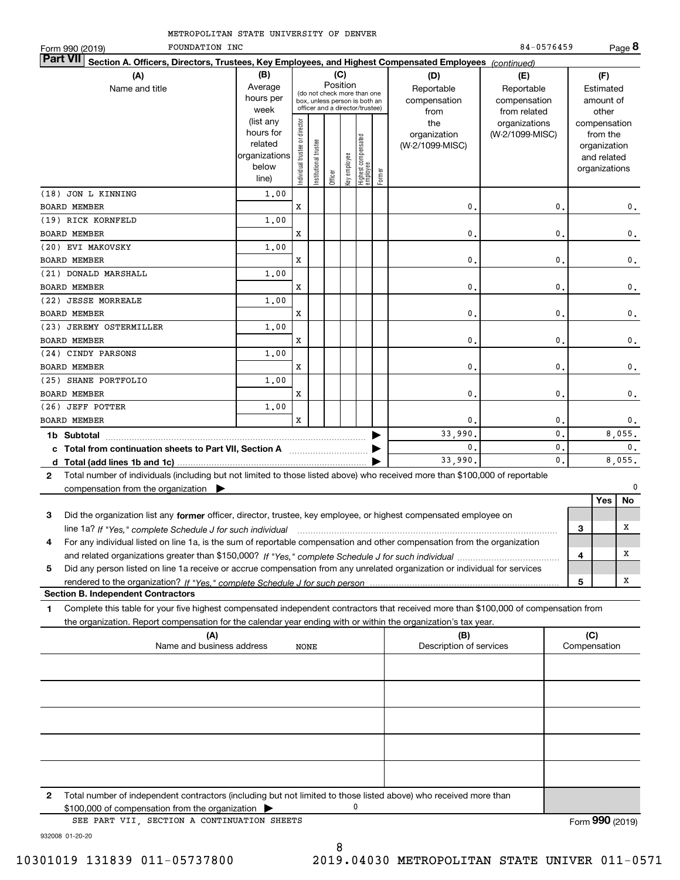| METROPOLITAN STATE UNIVERSITY OF DENVER |  |  |
|-----------------------------------------|--|--|
|                                         |  |  |

| <b>Part VII</b><br>Section A. Officers, Directors, Trustees, Key Employees, and Highest Compensated Employees (continued)<br>(B)<br>(C)<br>(A)<br>(D)<br>(F)<br>(E)<br>Position<br>Average<br>Name and title<br>Reportable<br>Reportable<br>Estimated<br>(do not check more than one<br>hours per<br>compensation<br>compensation<br>amount of<br>box, unless person is both an<br>officer and a director/trustee)<br>week<br>other<br>from related<br>from<br>(list any<br>Individual trustee or director<br>the<br>organizations<br>compensation<br>hours for<br>organization<br>(W-2/1099-MISC)<br>from the<br>  Highest compensated<br>  employee<br>Institutional trustee<br>related<br>(W-2/1099-MISC)<br>organization<br>Key employee<br>organizations<br>and related<br>below<br>organizations<br>Former<br>Officer<br>line)<br>(18) JON L KINNING<br>1,00<br>x<br>0<br>0<br><b>BOARD MEMBER</b><br>(19) RICK KORNFELD<br>1,00<br><b>BOARD MEMBER</b><br>x<br>0<br>0<br>0.<br>1,00<br>(20) EVI MAKOVSKY<br><b>BOARD MEMBER</b><br>x<br>0<br>0<br>0.<br>1,00<br>(21) DONALD MARSHALL<br><b>BOARD MEMBER</b><br>x<br>0<br>0<br>0.<br>(22) JESSE MORREALE<br>1,00<br>x<br>0<br>0<br>0.<br><b>BOARD MEMBER</b><br>(23) JEREMY OSTERMILLER<br>1,00<br>x<br>0<br>0<br>$\mathbf 0$ .<br><b>BOARD MEMBER</b><br>(24) CINDY PARSONS<br>1,00<br>x<br>0<br>0<br>0.<br><b>BOARD MEMBER</b><br>(25) SHANE PORTFOLIO<br>1,00<br><b>BOARD MEMBER</b><br>x<br>0<br>0<br>0.<br>(26) JEFF POTTER<br>1,00<br>X<br><b>BOARD MEMBER</b><br>$\mathbf 0$<br>0<br>0.<br>0.<br>33,990.<br>8,055.<br>$\mathbf{0}$<br>0.<br>c Total from continuation sheets to Part VII, Section A manufactured by<br>0.<br>33,990.<br>8,055.<br>Total number of individuals (including but not limited to those listed above) who received more than \$100,000 of reportable<br>$\mathbf{2}$<br>0<br>compensation from the organization $\blacktriangleright$<br>Yes<br>No<br>З<br>Did the organization list any former officer, director, trustee, key employee, or highest compensated employee on<br>х<br>3<br>For any individual listed on line 1a, is the sum of reportable compensation and other compensation from the organization<br>4<br>х<br>4<br>Did any person listed on line 1a receive or accrue compensation from any unrelated organization or individual for services<br>5<br>Χ<br>5<br><b>Section B. Independent Contractors</b><br>Complete this table for your five highest compensated independent contractors that received more than \$100,000 of compensation from<br>1<br>the organization. Report compensation for the calendar year ending with or within the organization's tax year.<br>(C)<br>(A)<br>(B)<br>Name and business address<br>Description of services<br>Compensation<br>NONE | METROPOLITAN STATE UNIVERSITY OF DENVER<br>FOUNDATION INC |  |  |  |  | 84-0576459 |  | Page 8 |
|----------------------------------------------------------------------------------------------------------------------------------------------------------------------------------------------------------------------------------------------------------------------------------------------------------------------------------------------------------------------------------------------------------------------------------------------------------------------------------------------------------------------------------------------------------------------------------------------------------------------------------------------------------------------------------------------------------------------------------------------------------------------------------------------------------------------------------------------------------------------------------------------------------------------------------------------------------------------------------------------------------------------------------------------------------------------------------------------------------------------------------------------------------------------------------------------------------------------------------------------------------------------------------------------------------------------------------------------------------------------------------------------------------------------------------------------------------------------------------------------------------------------------------------------------------------------------------------------------------------------------------------------------------------------------------------------------------------------------------------------------------------------------------------------------------------------------------------------------------------------------------------------------------------------------------------------------------------------------------------------------------------------------------------------------------------------------------------------------------------------------------------------------------------------------------------------------------------------------------------------------------------------------------------------------------------------------------------------------------------------------------------------------------------------------------------------------------------------------------------------------------------------------------------------------------------------------------------------------------------------------------------------------------------------------------------------------------------------------------------------------------------------------------------|-----------------------------------------------------------|--|--|--|--|------------|--|--------|
|                                                                                                                                                                                                                                                                                                                                                                                                                                                                                                                                                                                                                                                                                                                                                                                                                                                                                                                                                                                                                                                                                                                                                                                                                                                                                                                                                                                                                                                                                                                                                                                                                                                                                                                                                                                                                                                                                                                                                                                                                                                                                                                                                                                                                                                                                                                                                                                                                                                                                                                                                                                                                                                                                                                                                                                        | Form 990 (2019)                                           |  |  |  |  |            |  |        |
|                                                                                                                                                                                                                                                                                                                                                                                                                                                                                                                                                                                                                                                                                                                                                                                                                                                                                                                                                                                                                                                                                                                                                                                                                                                                                                                                                                                                                                                                                                                                                                                                                                                                                                                                                                                                                                                                                                                                                                                                                                                                                                                                                                                                                                                                                                                                                                                                                                                                                                                                                                                                                                                                                                                                                                                        |                                                           |  |  |  |  |            |  |        |
| $\mathbf{0}$ .                                                                                                                                                                                                                                                                                                                                                                                                                                                                                                                                                                                                                                                                                                                                                                                                                                                                                                                                                                                                                                                                                                                                                                                                                                                                                                                                                                                                                                                                                                                                                                                                                                                                                                                                                                                                                                                                                                                                                                                                                                                                                                                                                                                                                                                                                                                                                                                                                                                                                                                                                                                                                                                                                                                                                                         |                                                           |  |  |  |  |            |  |        |
|                                                                                                                                                                                                                                                                                                                                                                                                                                                                                                                                                                                                                                                                                                                                                                                                                                                                                                                                                                                                                                                                                                                                                                                                                                                                                                                                                                                                                                                                                                                                                                                                                                                                                                                                                                                                                                                                                                                                                                                                                                                                                                                                                                                                                                                                                                                                                                                                                                                                                                                                                                                                                                                                                                                                                                                        |                                                           |  |  |  |  |            |  |        |
|                                                                                                                                                                                                                                                                                                                                                                                                                                                                                                                                                                                                                                                                                                                                                                                                                                                                                                                                                                                                                                                                                                                                                                                                                                                                                                                                                                                                                                                                                                                                                                                                                                                                                                                                                                                                                                                                                                                                                                                                                                                                                                                                                                                                                                                                                                                                                                                                                                                                                                                                                                                                                                                                                                                                                                                        |                                                           |  |  |  |  |            |  |        |
|                                                                                                                                                                                                                                                                                                                                                                                                                                                                                                                                                                                                                                                                                                                                                                                                                                                                                                                                                                                                                                                                                                                                                                                                                                                                                                                                                                                                                                                                                                                                                                                                                                                                                                                                                                                                                                                                                                                                                                                                                                                                                                                                                                                                                                                                                                                                                                                                                                                                                                                                                                                                                                                                                                                                                                                        |                                                           |  |  |  |  |            |  |        |
| 0.                                                                                                                                                                                                                                                                                                                                                                                                                                                                                                                                                                                                                                                                                                                                                                                                                                                                                                                                                                                                                                                                                                                                                                                                                                                                                                                                                                                                                                                                                                                                                                                                                                                                                                                                                                                                                                                                                                                                                                                                                                                                                                                                                                                                                                                                                                                                                                                                                                                                                                                                                                                                                                                                                                                                                                                     |                                                           |  |  |  |  |            |  |        |
|                                                                                                                                                                                                                                                                                                                                                                                                                                                                                                                                                                                                                                                                                                                                                                                                                                                                                                                                                                                                                                                                                                                                                                                                                                                                                                                                                                                                                                                                                                                                                                                                                                                                                                                                                                                                                                                                                                                                                                                                                                                                                                                                                                                                                                                                                                                                                                                                                                                                                                                                                                                                                                                                                                                                                                                        |                                                           |  |  |  |  |            |  |        |
|                                                                                                                                                                                                                                                                                                                                                                                                                                                                                                                                                                                                                                                                                                                                                                                                                                                                                                                                                                                                                                                                                                                                                                                                                                                                                                                                                                                                                                                                                                                                                                                                                                                                                                                                                                                                                                                                                                                                                                                                                                                                                                                                                                                                                                                                                                                                                                                                                                                                                                                                                                                                                                                                                                                                                                                        |                                                           |  |  |  |  |            |  |        |
|                                                                                                                                                                                                                                                                                                                                                                                                                                                                                                                                                                                                                                                                                                                                                                                                                                                                                                                                                                                                                                                                                                                                                                                                                                                                                                                                                                                                                                                                                                                                                                                                                                                                                                                                                                                                                                                                                                                                                                                                                                                                                                                                                                                                                                                                                                                                                                                                                                                                                                                                                                                                                                                                                                                                                                                        |                                                           |  |  |  |  |            |  |        |
|                                                                                                                                                                                                                                                                                                                                                                                                                                                                                                                                                                                                                                                                                                                                                                                                                                                                                                                                                                                                                                                                                                                                                                                                                                                                                                                                                                                                                                                                                                                                                                                                                                                                                                                                                                                                                                                                                                                                                                                                                                                                                                                                                                                                                                                                                                                                                                                                                                                                                                                                                                                                                                                                                                                                                                                        |                                                           |  |  |  |  |            |  |        |
|                                                                                                                                                                                                                                                                                                                                                                                                                                                                                                                                                                                                                                                                                                                                                                                                                                                                                                                                                                                                                                                                                                                                                                                                                                                                                                                                                                                                                                                                                                                                                                                                                                                                                                                                                                                                                                                                                                                                                                                                                                                                                                                                                                                                                                                                                                                                                                                                                                                                                                                                                                                                                                                                                                                                                                                        |                                                           |  |  |  |  |            |  |        |
|                                                                                                                                                                                                                                                                                                                                                                                                                                                                                                                                                                                                                                                                                                                                                                                                                                                                                                                                                                                                                                                                                                                                                                                                                                                                                                                                                                                                                                                                                                                                                                                                                                                                                                                                                                                                                                                                                                                                                                                                                                                                                                                                                                                                                                                                                                                                                                                                                                                                                                                                                                                                                                                                                                                                                                                        |                                                           |  |  |  |  |            |  |        |
|                                                                                                                                                                                                                                                                                                                                                                                                                                                                                                                                                                                                                                                                                                                                                                                                                                                                                                                                                                                                                                                                                                                                                                                                                                                                                                                                                                                                                                                                                                                                                                                                                                                                                                                                                                                                                                                                                                                                                                                                                                                                                                                                                                                                                                                                                                                                                                                                                                                                                                                                                                                                                                                                                                                                                                                        |                                                           |  |  |  |  |            |  |        |
|                                                                                                                                                                                                                                                                                                                                                                                                                                                                                                                                                                                                                                                                                                                                                                                                                                                                                                                                                                                                                                                                                                                                                                                                                                                                                                                                                                                                                                                                                                                                                                                                                                                                                                                                                                                                                                                                                                                                                                                                                                                                                                                                                                                                                                                                                                                                                                                                                                                                                                                                                                                                                                                                                                                                                                                        |                                                           |  |  |  |  |            |  |        |
|                                                                                                                                                                                                                                                                                                                                                                                                                                                                                                                                                                                                                                                                                                                                                                                                                                                                                                                                                                                                                                                                                                                                                                                                                                                                                                                                                                                                                                                                                                                                                                                                                                                                                                                                                                                                                                                                                                                                                                                                                                                                                                                                                                                                                                                                                                                                                                                                                                                                                                                                                                                                                                                                                                                                                                                        |                                                           |  |  |  |  |            |  |        |
|                                                                                                                                                                                                                                                                                                                                                                                                                                                                                                                                                                                                                                                                                                                                                                                                                                                                                                                                                                                                                                                                                                                                                                                                                                                                                                                                                                                                                                                                                                                                                                                                                                                                                                                                                                                                                                                                                                                                                                                                                                                                                                                                                                                                                                                                                                                                                                                                                                                                                                                                                                                                                                                                                                                                                                                        |                                                           |  |  |  |  |            |  |        |
|                                                                                                                                                                                                                                                                                                                                                                                                                                                                                                                                                                                                                                                                                                                                                                                                                                                                                                                                                                                                                                                                                                                                                                                                                                                                                                                                                                                                                                                                                                                                                                                                                                                                                                                                                                                                                                                                                                                                                                                                                                                                                                                                                                                                                                                                                                                                                                                                                                                                                                                                                                                                                                                                                                                                                                                        |                                                           |  |  |  |  |            |  |        |
|                                                                                                                                                                                                                                                                                                                                                                                                                                                                                                                                                                                                                                                                                                                                                                                                                                                                                                                                                                                                                                                                                                                                                                                                                                                                                                                                                                                                                                                                                                                                                                                                                                                                                                                                                                                                                                                                                                                                                                                                                                                                                                                                                                                                                                                                                                                                                                                                                                                                                                                                                                                                                                                                                                                                                                                        |                                                           |  |  |  |  |            |  |        |
|                                                                                                                                                                                                                                                                                                                                                                                                                                                                                                                                                                                                                                                                                                                                                                                                                                                                                                                                                                                                                                                                                                                                                                                                                                                                                                                                                                                                                                                                                                                                                                                                                                                                                                                                                                                                                                                                                                                                                                                                                                                                                                                                                                                                                                                                                                                                                                                                                                                                                                                                                                                                                                                                                                                                                                                        |                                                           |  |  |  |  |            |  |        |
|                                                                                                                                                                                                                                                                                                                                                                                                                                                                                                                                                                                                                                                                                                                                                                                                                                                                                                                                                                                                                                                                                                                                                                                                                                                                                                                                                                                                                                                                                                                                                                                                                                                                                                                                                                                                                                                                                                                                                                                                                                                                                                                                                                                                                                                                                                                                                                                                                                                                                                                                                                                                                                                                                                                                                                                        |                                                           |  |  |  |  |            |  |        |
|                                                                                                                                                                                                                                                                                                                                                                                                                                                                                                                                                                                                                                                                                                                                                                                                                                                                                                                                                                                                                                                                                                                                                                                                                                                                                                                                                                                                                                                                                                                                                                                                                                                                                                                                                                                                                                                                                                                                                                                                                                                                                                                                                                                                                                                                                                                                                                                                                                                                                                                                                                                                                                                                                                                                                                                        |                                                           |  |  |  |  |            |  |        |
|                                                                                                                                                                                                                                                                                                                                                                                                                                                                                                                                                                                                                                                                                                                                                                                                                                                                                                                                                                                                                                                                                                                                                                                                                                                                                                                                                                                                                                                                                                                                                                                                                                                                                                                                                                                                                                                                                                                                                                                                                                                                                                                                                                                                                                                                                                                                                                                                                                                                                                                                                                                                                                                                                                                                                                                        |                                                           |  |  |  |  |            |  |        |
|                                                                                                                                                                                                                                                                                                                                                                                                                                                                                                                                                                                                                                                                                                                                                                                                                                                                                                                                                                                                                                                                                                                                                                                                                                                                                                                                                                                                                                                                                                                                                                                                                                                                                                                                                                                                                                                                                                                                                                                                                                                                                                                                                                                                                                                                                                                                                                                                                                                                                                                                                                                                                                                                                                                                                                                        |                                                           |  |  |  |  |            |  |        |
|                                                                                                                                                                                                                                                                                                                                                                                                                                                                                                                                                                                                                                                                                                                                                                                                                                                                                                                                                                                                                                                                                                                                                                                                                                                                                                                                                                                                                                                                                                                                                                                                                                                                                                                                                                                                                                                                                                                                                                                                                                                                                                                                                                                                                                                                                                                                                                                                                                                                                                                                                                                                                                                                                                                                                                                        |                                                           |  |  |  |  |            |  |        |
|                                                                                                                                                                                                                                                                                                                                                                                                                                                                                                                                                                                                                                                                                                                                                                                                                                                                                                                                                                                                                                                                                                                                                                                                                                                                                                                                                                                                                                                                                                                                                                                                                                                                                                                                                                                                                                                                                                                                                                                                                                                                                                                                                                                                                                                                                                                                                                                                                                                                                                                                                                                                                                                                                                                                                                                        |                                                           |  |  |  |  |            |  |        |
|                                                                                                                                                                                                                                                                                                                                                                                                                                                                                                                                                                                                                                                                                                                                                                                                                                                                                                                                                                                                                                                                                                                                                                                                                                                                                                                                                                                                                                                                                                                                                                                                                                                                                                                                                                                                                                                                                                                                                                                                                                                                                                                                                                                                                                                                                                                                                                                                                                                                                                                                                                                                                                                                                                                                                                                        |                                                           |  |  |  |  |            |  |        |
|                                                                                                                                                                                                                                                                                                                                                                                                                                                                                                                                                                                                                                                                                                                                                                                                                                                                                                                                                                                                                                                                                                                                                                                                                                                                                                                                                                                                                                                                                                                                                                                                                                                                                                                                                                                                                                                                                                                                                                                                                                                                                                                                                                                                                                                                                                                                                                                                                                                                                                                                                                                                                                                                                                                                                                                        |                                                           |  |  |  |  |            |  |        |
|                                                                                                                                                                                                                                                                                                                                                                                                                                                                                                                                                                                                                                                                                                                                                                                                                                                                                                                                                                                                                                                                                                                                                                                                                                                                                                                                                                                                                                                                                                                                                                                                                                                                                                                                                                                                                                                                                                                                                                                                                                                                                                                                                                                                                                                                                                                                                                                                                                                                                                                                                                                                                                                                                                                                                                                        |                                                           |  |  |  |  |            |  |        |
|                                                                                                                                                                                                                                                                                                                                                                                                                                                                                                                                                                                                                                                                                                                                                                                                                                                                                                                                                                                                                                                                                                                                                                                                                                                                                                                                                                                                                                                                                                                                                                                                                                                                                                                                                                                                                                                                                                                                                                                                                                                                                                                                                                                                                                                                                                                                                                                                                                                                                                                                                                                                                                                                                                                                                                                        |                                                           |  |  |  |  |            |  |        |
|                                                                                                                                                                                                                                                                                                                                                                                                                                                                                                                                                                                                                                                                                                                                                                                                                                                                                                                                                                                                                                                                                                                                                                                                                                                                                                                                                                                                                                                                                                                                                                                                                                                                                                                                                                                                                                                                                                                                                                                                                                                                                                                                                                                                                                                                                                                                                                                                                                                                                                                                                                                                                                                                                                                                                                                        |                                                           |  |  |  |  |            |  |        |
|                                                                                                                                                                                                                                                                                                                                                                                                                                                                                                                                                                                                                                                                                                                                                                                                                                                                                                                                                                                                                                                                                                                                                                                                                                                                                                                                                                                                                                                                                                                                                                                                                                                                                                                                                                                                                                                                                                                                                                                                                                                                                                                                                                                                                                                                                                                                                                                                                                                                                                                                                                                                                                                                                                                                                                                        |                                                           |  |  |  |  |            |  |        |
|                                                                                                                                                                                                                                                                                                                                                                                                                                                                                                                                                                                                                                                                                                                                                                                                                                                                                                                                                                                                                                                                                                                                                                                                                                                                                                                                                                                                                                                                                                                                                                                                                                                                                                                                                                                                                                                                                                                                                                                                                                                                                                                                                                                                                                                                                                                                                                                                                                                                                                                                                                                                                                                                                                                                                                                        |                                                           |  |  |  |  |            |  |        |
|                                                                                                                                                                                                                                                                                                                                                                                                                                                                                                                                                                                                                                                                                                                                                                                                                                                                                                                                                                                                                                                                                                                                                                                                                                                                                                                                                                                                                                                                                                                                                                                                                                                                                                                                                                                                                                                                                                                                                                                                                                                                                                                                                                                                                                                                                                                                                                                                                                                                                                                                                                                                                                                                                                                                                                                        |                                                           |  |  |  |  |            |  |        |
|                                                                                                                                                                                                                                                                                                                                                                                                                                                                                                                                                                                                                                                                                                                                                                                                                                                                                                                                                                                                                                                                                                                                                                                                                                                                                                                                                                                                                                                                                                                                                                                                                                                                                                                                                                                                                                                                                                                                                                                                                                                                                                                                                                                                                                                                                                                                                                                                                                                                                                                                                                                                                                                                                                                                                                                        |                                                           |  |  |  |  |            |  |        |
|                                                                                                                                                                                                                                                                                                                                                                                                                                                                                                                                                                                                                                                                                                                                                                                                                                                                                                                                                                                                                                                                                                                                                                                                                                                                                                                                                                                                                                                                                                                                                                                                                                                                                                                                                                                                                                                                                                                                                                                                                                                                                                                                                                                                                                                                                                                                                                                                                                                                                                                                                                                                                                                                                                                                                                                        |                                                           |  |  |  |  |            |  |        |
|                                                                                                                                                                                                                                                                                                                                                                                                                                                                                                                                                                                                                                                                                                                                                                                                                                                                                                                                                                                                                                                                                                                                                                                                                                                                                                                                                                                                                                                                                                                                                                                                                                                                                                                                                                                                                                                                                                                                                                                                                                                                                                                                                                                                                                                                                                                                                                                                                                                                                                                                                                                                                                                                                                                                                                                        |                                                           |  |  |  |  |            |  |        |
|                                                                                                                                                                                                                                                                                                                                                                                                                                                                                                                                                                                                                                                                                                                                                                                                                                                                                                                                                                                                                                                                                                                                                                                                                                                                                                                                                                                                                                                                                                                                                                                                                                                                                                                                                                                                                                                                                                                                                                                                                                                                                                                                                                                                                                                                                                                                                                                                                                                                                                                                                                                                                                                                                                                                                                                        |                                                           |  |  |  |  |            |  |        |
|                                                                                                                                                                                                                                                                                                                                                                                                                                                                                                                                                                                                                                                                                                                                                                                                                                                                                                                                                                                                                                                                                                                                                                                                                                                                                                                                                                                                                                                                                                                                                                                                                                                                                                                                                                                                                                                                                                                                                                                                                                                                                                                                                                                                                                                                                                                                                                                                                                                                                                                                                                                                                                                                                                                                                                                        |                                                           |  |  |  |  |            |  |        |

| $\mathbf{2}$ | Total number of independent contractors (including but not limited to those listed above) who received more than<br>$$100,000$ of compensation from the organization $\blacktriangleright$ |                 |
|--------------|--------------------------------------------------------------------------------------------------------------------------------------------------------------------------------------------|-----------------|
|              | SEE PART VII, SECTION A CONTINUATION SHEETS                                                                                                                                                | Form 990 (2019) |

932008 01-20-20

8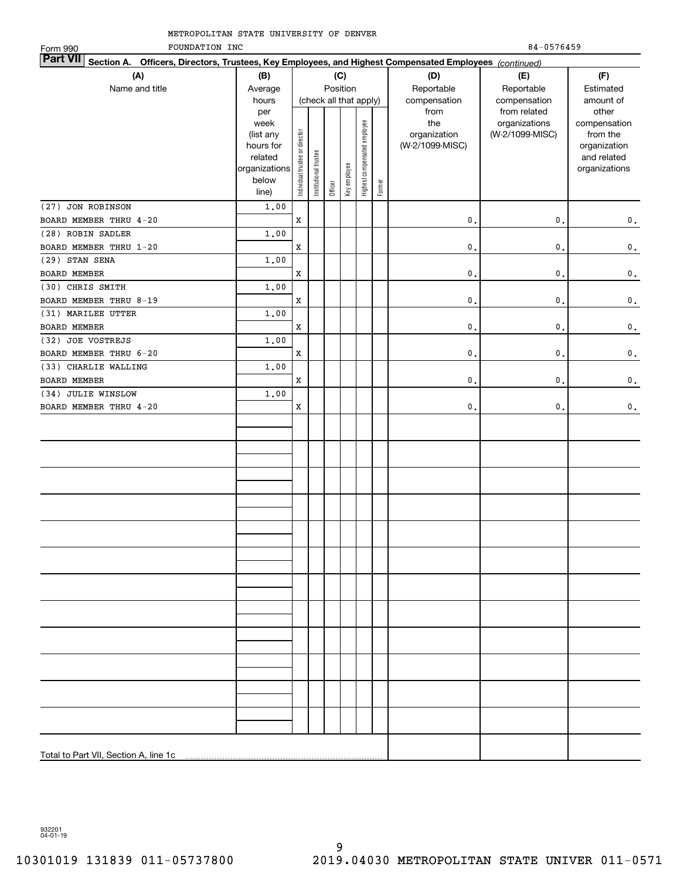| METROPOLITAN STATE UNIVERSITY OF DENVER |
|-----------------------------------------|
|-----------------------------------------|

FOUNDATION INC 84-0576459 Form 990 **Part VII Section A. Officers, Directors, Trustees, Key Employees, and Highest Compensated Employees**  *(continued)* **(A) (B) (C) (D) (E) (F)** Name and title **Average** Position ReportableReportableEstimated(check all that apply) compensation compensation amount of hours from from related otherper compensationweektheorganizations Highest compensated employee Highest compensated employee (list any Individual trustee or director organization (W-2/1099-MISC)from the trustee or director hours for organization (W-2/1099-MISC) Institutional trustee Institutional trustee and related relatedKey employee organizations organizations Individual belowFormer Officer line) (27) JON ROBINSON 1.00 BOARD MEMBER THRU 4-20 0.0.X0. (28) ROBIN SADLER 1.00 BOARD MEMBER THRU 1-20  $\mathbf{0}$ .  $\mathbf{0}$ . X0. 1.00(29) STAN SENA BOARD MEMBER X $\mathbf{0}$ .  $\mathbf{0}$ . 0.(30) CHRIS SMITH 1.00BOARD MEMBER THRU 8-19  $\mathbf{0}$ .  $\mathbf{0}$ . X0. (31) MARILEE UTTER 1.00 $\mathbf{0}$ .  $\mathbf{0}$ . BOARD MEMBER X0. (32) JOE VOSTREJS 1.00BOARD MEMBER THRU 6-20  $\mathbf{0}$ .  $\mathbf{0}$ . X0. (33) CHARLIE WALLING 1.00BOARD MEMBER X0.0.0. (34) JULIE WINSLOW 1.00BOARD MEMBER THRU 4-20 X $\mathbf{0}$ 0.0. Total to Part VII, Section A, line 1c

932201 04-01-19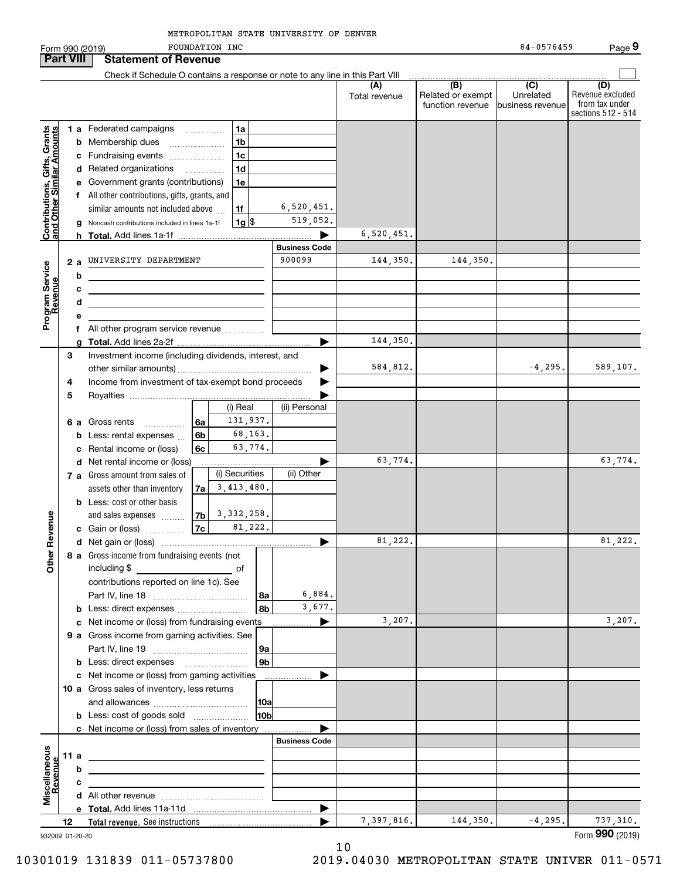FOUNDATION INC 84-0576459 **9**Form 990 (2019) FOUNDATION INC 84-0576459 Page **Part VIII Statement of Revenue**  $\mathcal{L}^{\text{max}}$ Check if Schedule O contains a response or note to any line in this Part VIII  $\overline{(D)}$ **(A) (B) (C) (D)** Revenue excluded Total revenue  $\vert$  Related or exempt Unrelatedfrom tax under function revenue business revenue sections 512 - 514 **Contributions, Gifts, Grants**<br>and Other Similar Amounts **1 a** Federated campaigns **Contributions, Gifts, Grants and Other Similar Amounts** ~~~~~**1ab** Membership dues \_\_\_\_\_\_\_\_\_\_\_\_\_\_\_ **1bc**Fundraising events ~~~~~~~ **1cd** Related organizations …………… **1de** Government grants (contributions) **1ef** All other contributions, gifts, grants, and 6,520,451. similar amounts not included above  $\,\ldots\,$ **1f**519,052. **1**\$**g** Noncash contributions included in lines 1a-1f 1g 6,520,451. **h Total.**  Add lines 1a-1f | **Business Code** 144,350. **a2**UNIVERSITY DEPARTMENT 900099 144,350. Program Service<br>Revenue **Program Service bRevenue cdef** All other program service revenue .............. 144,350. **gTotal.**  Add lines 2a-2f | Investment income (including dividends, interest, and **3**584,812. -4,295. 589,107. other similar amounts) ~~~~~~~~~~~~~~~~~ | Income from investment of tax-exempt bond proceeds **4** $\blacksquare$ **5**Royalties | (i) Real (ii) Personal 131,937. **6 a** Gross rents ............... **6a**68,163. **6bb** Less: rental expenses  $\ldots$ 63,774. **6cc** Rental income or (loss) 63,774. 63,774.  $\blacktriangleright$ **d** Net rental income or (loss) (i) Securities (ii) Other **7 a** Gross amount from sales of 3,413,480. assets other than inventory **7ab** Less: cost or other basis 3,332,258. **Other Revenue Other Revenue** and sales expenses **7b7c**81,222. **c** Gain or (loss) …………… 81,222. **d**Net gain or (loss) | **8 a** Gross income from fundraising events (not including \$ ofcontributions reported on line 1c). See Part IV, line 18 ~~~~~~~~~~~~ 6,884. **8a**3,677. **8bb** Less: direct expenses  $^{(1)}$ 3,207. 3,207. **c** Net income or (loss) from fundraising events **............... 9 a** Gross income from gaming activities. See Part IV, line 19 ~~~~~~~~~~~~ **9a9bb** Less: direct expenses \_\_\_\_\_\_\_\_\_\_\_\_\_\_\_\_\_\_  $\blacktriangleright$ **c** Net income or (loss) from gaming activities . . . . . . . . . . . . . . . . . . **10 a** Gross sales of inventory, less returns and allowances ~~~~~~~~~~~~ **10a10bb** Less: cost of goods sold  $^{[1]}$  .....................  $\blacksquare$ **c** Net income or (loss) from sales of inventory . . . . . . . . . . . . . . . . . . **Business Code** scellaneous **Miscellaneous 11 a** Revenue **Revenue bcd** All other revenue  $\ldots$   $\ldots$   $\ldots$   $\ldots$   $\ldots$   $\ldots$   $\ldots$   $\ldots$ **eTotal.**  Add lines 11a-11d |  $7,397,816.$  144,350.  $-4,295.$  737,310. **12Total revenue.**  See instructions | 

932009 01-20-20

10

10301019 131839 011-05737800 2019.04030 METROPOLITAN STATE UNIVER 011-0571

Form (2019) **990**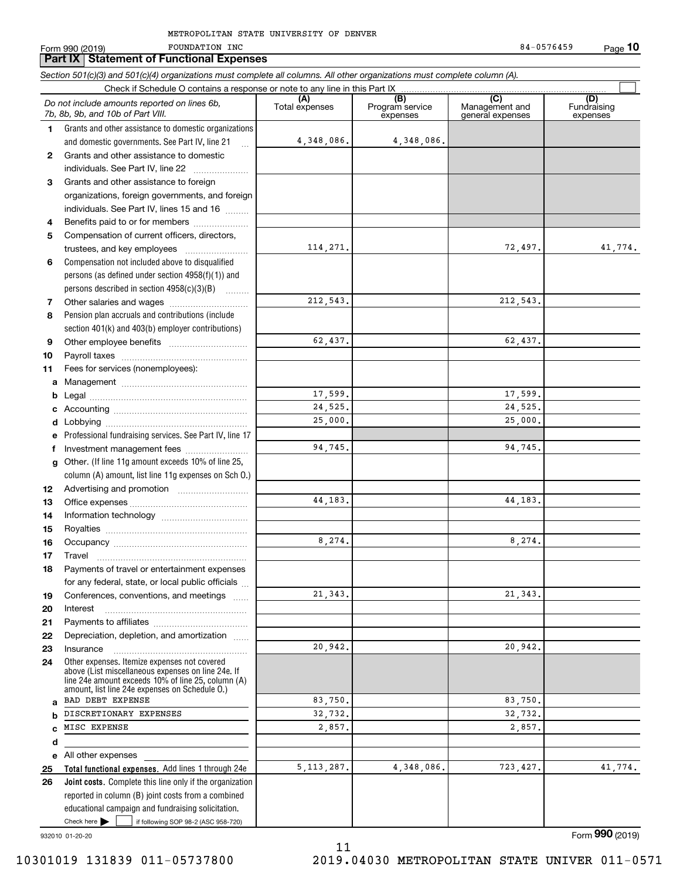Form 990 (2019) POUNDATION INC 64-0576459 FOUNDATION INC

**Part IX Statement of Functional Expenses**

|              | Section 501(c)(3) and 501(c)(4) organizations must complete all columns. All other organizations must complete column (A).<br>Check if Schedule O contains a response or note to any line in this Part IX  |                |                             |                                    |                         |
|--------------|------------------------------------------------------------------------------------------------------------------------------------------------------------------------------------------------------------|----------------|-----------------------------|------------------------------------|-------------------------|
|              | Do not include amounts reported on lines 6b,                                                                                                                                                               | (A)            | (B)                         | (C)                                | (D)                     |
|              | 7b, 8b, 9b, and 10b of Part VIII.                                                                                                                                                                          | Total expenses | Program service<br>expenses | Management and<br>general expenses | Fundraising<br>expenses |
| 1.           | Grants and other assistance to domestic organizations                                                                                                                                                      |                |                             |                                    |                         |
|              | and domestic governments. See Part IV, line 21                                                                                                                                                             | 4,348,086.     | 4,348,086.                  |                                    |                         |
| $\mathbf{2}$ | Grants and other assistance to domestic                                                                                                                                                                    |                |                             |                                    |                         |
|              | individuals. See Part IV, line 22                                                                                                                                                                          |                |                             |                                    |                         |
| 3            | Grants and other assistance to foreign                                                                                                                                                                     |                |                             |                                    |                         |
|              | organizations, foreign governments, and foreign                                                                                                                                                            |                |                             |                                    |                         |
|              | individuals. See Part IV, lines 15 and 16                                                                                                                                                                  |                |                             |                                    |                         |
| 4            | Benefits paid to or for members                                                                                                                                                                            |                |                             |                                    |                         |
| 5            | Compensation of current officers, directors,                                                                                                                                                               |                |                             |                                    |                         |
|              |                                                                                                                                                                                                            | 114,271.       |                             | 72,497.                            | 41,774.                 |
| 6            | Compensation not included above to disqualified                                                                                                                                                            |                |                             |                                    |                         |
|              | persons (as defined under section $4958(f)(1)$ ) and                                                                                                                                                       |                |                             |                                    |                         |
|              | persons described in section 4958(c)(3)(B)                                                                                                                                                                 |                |                             |                                    |                         |
| 7            |                                                                                                                                                                                                            | 212,543.       |                             | 212,543.                           |                         |
| 8            | Pension plan accruals and contributions (include                                                                                                                                                           |                |                             |                                    |                         |
|              | section 401(k) and 403(b) employer contributions)                                                                                                                                                          |                |                             |                                    |                         |
| 9            |                                                                                                                                                                                                            | 62,437.        |                             | 62,437.                            |                         |
| 10           |                                                                                                                                                                                                            |                |                             |                                    |                         |
| 11           | Fees for services (nonemployees):                                                                                                                                                                          |                |                             |                                    |                         |
| a            |                                                                                                                                                                                                            |                |                             |                                    |                         |
| b            |                                                                                                                                                                                                            | 17,599.        |                             | 17,599.                            |                         |
|              |                                                                                                                                                                                                            | 24,525.        |                             | 24,525.                            |                         |
| d            |                                                                                                                                                                                                            | 25,000.        |                             | 25,000.                            |                         |
|              | Professional fundraising services. See Part IV, line 17                                                                                                                                                    |                |                             |                                    |                         |
| f            | Investment management fees                                                                                                                                                                                 | 94,745.        |                             | 94,745.                            |                         |
| g            | Other. (If line 11g amount exceeds 10% of line 25,                                                                                                                                                         |                |                             |                                    |                         |
|              | column (A) amount, list line 11g expenses on Sch O.)                                                                                                                                                       |                |                             |                                    |                         |
| 12           |                                                                                                                                                                                                            |                |                             |                                    |                         |
| 13           |                                                                                                                                                                                                            | 44.183.        |                             | 44, 183.                           |                         |
| 14           |                                                                                                                                                                                                            |                |                             |                                    |                         |
| 15           |                                                                                                                                                                                                            |                |                             |                                    |                         |
| 16           |                                                                                                                                                                                                            | 8,274.         |                             | 8,274.                             |                         |
| 17           |                                                                                                                                                                                                            |                |                             |                                    |                         |
| 18           | Payments of travel or entertainment expenses                                                                                                                                                               |                |                             |                                    |                         |
|              | for any federal, state, or local public officials                                                                                                                                                          |                |                             |                                    |                         |
| 19           | Conferences, conventions, and meetings                                                                                                                                                                     | 21,343.        |                             | 21,343.                            |                         |
| 20           | Interest                                                                                                                                                                                                   |                |                             |                                    |                         |
| 21           |                                                                                                                                                                                                            |                |                             |                                    |                         |
| 22           | Depreciation, depletion, and amortization                                                                                                                                                                  |                |                             |                                    |                         |
| 23           | Insurance                                                                                                                                                                                                  | 20,942.        |                             | 20,942.                            |                         |
| 24           | Other expenses. Itemize expenses not covered<br>above (List miscellaneous expenses on line 24e. If<br>line 24e amount exceeds 10% of line 25, column (A)<br>amount, list line 24e expenses on Schedule O.) |                |                             |                                    |                         |
| a            | <b>BAD DEBT EXPENSE</b>                                                                                                                                                                                    | 83,750.        |                             | 83,750.                            |                         |
| b            | DISCRETIONARY EXPENSES                                                                                                                                                                                     | 32,732.        |                             | 32,732.                            |                         |
| C            | MISC EXPENSE                                                                                                                                                                                               | 2,857.         |                             | 2,857.                             |                         |
| d            |                                                                                                                                                                                                            |                |                             |                                    |                         |
|              | e All other expenses                                                                                                                                                                                       |                |                             |                                    |                         |
| 25           | Total functional expenses. Add lines 1 through 24e                                                                                                                                                         | 5, 113, 287.   | 4,348,086.                  | 723, 427.                          | 41,774.                 |
| 26           | <b>Joint costs.</b> Complete this line only if the organization                                                                                                                                            |                |                             |                                    |                         |
|              | reported in column (B) joint costs from a combined                                                                                                                                                         |                |                             |                                    |                         |
|              | educational campaign and fundraising solicitation.                                                                                                                                                         |                |                             |                                    |                         |
|              | Check here $\blacktriangleright$<br>if following SOP 98-2 (ASC 958-720)                                                                                                                                    |                |                             |                                    |                         |

11

932010 01-20-20

Form (2019) **990**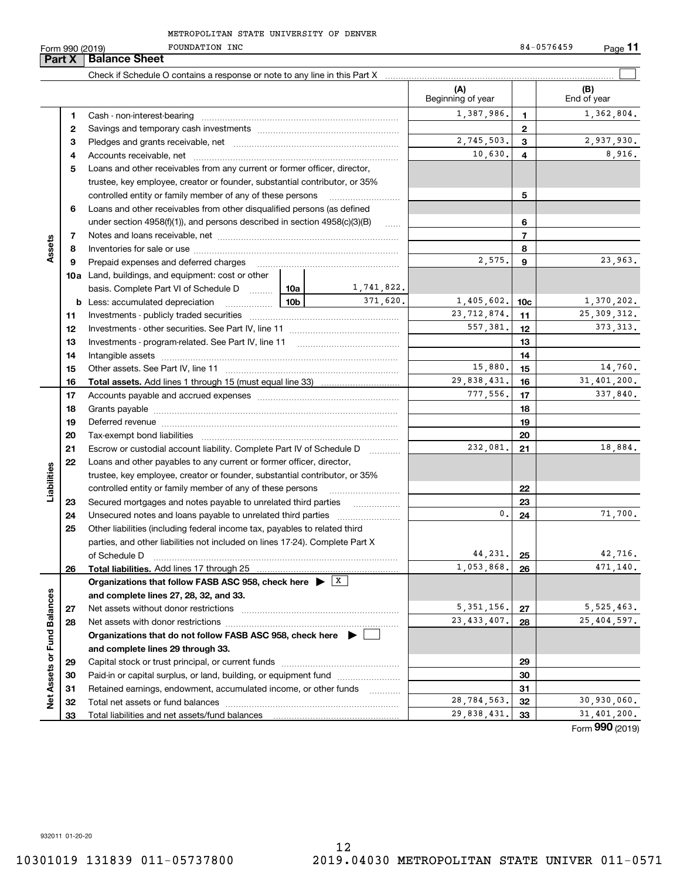**11**

|                             | Part X | <b>Balance Sheet</b>                                                                                                                                                                                                           |                 |            |                          |                 |                    |
|-----------------------------|--------|--------------------------------------------------------------------------------------------------------------------------------------------------------------------------------------------------------------------------------|-----------------|------------|--------------------------|-----------------|--------------------|
|                             |        |                                                                                                                                                                                                                                |                 |            |                          |                 |                    |
|                             |        |                                                                                                                                                                                                                                |                 |            | (A)<br>Beginning of year |                 | (B)<br>End of year |
|                             | 1      |                                                                                                                                                                                                                                |                 |            | 1,387,986.               | 1               | 1,362,804.         |
|                             | 2      |                                                                                                                                                                                                                                |                 |            |                          | $\mathbf{2}$    |                    |
|                             | з      |                                                                                                                                                                                                                                |                 |            | 2,745,503.               | 3               | 2,937,930.         |
|                             | 4      |                                                                                                                                                                                                                                |                 |            | 10,630.                  | 4               | 8,916.             |
|                             | 5      | Loans and other receivables from any current or former officer, director,                                                                                                                                                      |                 |            |                          |                 |                    |
|                             |        | trustee, key employee, creator or founder, substantial contributor, or 35%                                                                                                                                                     |                 |            |                          |                 |                    |
|                             |        | controlled entity or family member of any of these persons                                                                                                                                                                     |                 |            |                          | 5               |                    |
|                             | 6      | Loans and other receivables from other disqualified persons (as defined                                                                                                                                                        |                 |            |                          |                 |                    |
|                             |        | under section $4958(f)(1)$ , and persons described in section $4958(c)(3)(B)$                                                                                                                                                  |                 | 1.1.1.1    |                          | 6               |                    |
|                             | 7      |                                                                                                                                                                                                                                |                 |            |                          | $\overline{7}$  |                    |
| Assets                      | 8      |                                                                                                                                                                                                                                |                 |            |                          | 8               |                    |
|                             | 9      | Prepaid expenses and deferred charges                                                                                                                                                                                          |                 |            | 2,575.                   | 9               | 23,963.            |
|                             |        | <b>10a</b> Land, buildings, and equipment: cost or other                                                                                                                                                                       |                 |            |                          |                 |                    |
|                             |        | basis. Complete Part VI of Schedule D  10a                                                                                                                                                                                     |                 | 1,741,822. |                          |                 |                    |
|                             | b      | Less: accumulated depreciation<br>.                                                                                                                                                                                            | 10 <sub>b</sub> | 371.620.   | 1,405,602.               | 10 <sub>c</sub> | 1,370,202.         |
|                             | 11     |                                                                                                                                                                                                                                |                 |            | 23, 712, 874.            | 11              | 25, 309, 312.      |
|                             | 12     |                                                                                                                                                                                                                                |                 |            | 557,381.                 | 12              | 373, 313.          |
|                             | 13     |                                                                                                                                                                                                                                |                 |            |                          | 13              |                    |
|                             | 14     |                                                                                                                                                                                                                                |                 |            |                          | 14              |                    |
|                             | 15     |                                                                                                                                                                                                                                |                 |            | 15,880.                  | 15              | 14,760.            |
|                             | 16     |                                                                                                                                                                                                                                |                 |            | 29,838,431.              | 16              | 31,401,200.        |
|                             | 17     |                                                                                                                                                                                                                                |                 |            | 777,556.                 | 17              | 337,840.           |
|                             | 18     |                                                                                                                                                                                                                                |                 |            |                          | 18              |                    |
|                             | 19     | Deferred revenue manual contracts and contracts are all the contracts and contracts are contracted and contracts are contracted and contract are contracted and contract are contracted and contract are contracted and contra |                 |            |                          | 19              |                    |
|                             | 20     |                                                                                                                                                                                                                                |                 |            |                          | 20              |                    |
|                             | 21     | Escrow or custodial account liability. Complete Part IV of Schedule D                                                                                                                                                          |                 | .          | 232,081.                 | 21              | 18,884.            |
|                             | 22     | Loans and other payables to any current or former officer, director,                                                                                                                                                           |                 |            |                          |                 |                    |
| Liabilities                 |        | trustee, key employee, creator or founder, substantial contributor, or 35%                                                                                                                                                     |                 |            |                          |                 |                    |
|                             |        | controlled entity or family member of any of these persons                                                                                                                                                                     |                 |            |                          | 22              |                    |
|                             | 23     | Secured mortgages and notes payable to unrelated third parties                                                                                                                                                                 |                 |            |                          | 23              |                    |
|                             | 24     | Unsecured notes and loans payable to unrelated third parties                                                                                                                                                                   |                 |            | $\mathbf{0}$ .           | 24              | 71,700.            |
|                             | 25     | Other liabilities (including federal income tax, payables to related third                                                                                                                                                     |                 |            |                          |                 |                    |
|                             |        | parties, and other liabilities not included on lines 17-24). Complete Part X                                                                                                                                                   |                 |            |                          |                 |                    |
|                             |        | of Schedule D                                                                                                                                                                                                                  |                 |            | 44,231.                  | 25              | 42,716.            |
|                             | 26     | Total liabilities. Add lines 17 through 25                                                                                                                                                                                     |                 |            | 1,053,868.               | 26              | 471,140.           |
|                             |        | Organizations that follow FASB ASC 958, check here $\blacktriangleright$ $\boxed{X}$                                                                                                                                           |                 |            |                          |                 |                    |
|                             |        | and complete lines 27, 28, 32, and 33.                                                                                                                                                                                         |                 |            | 5, 351, 156.             |                 | 5, 525, 463.       |
|                             | 27     |                                                                                                                                                                                                                                |                 |            | 23, 433, 407.            | 27              | 25,404,597.        |
|                             | 28     |                                                                                                                                                                                                                                |                 |            |                          | 28              |                    |
|                             |        | Organizations that do not follow FASB ASC 958, check here $\blacktriangleright$                                                                                                                                                |                 |            |                          |                 |                    |
| Net Assets or Fund Balances | 29     | and complete lines 29 through 33.                                                                                                                                                                                              |                 |            |                          | 29              |                    |
|                             | 30     | Paid-in or capital surplus, or land, building, or equipment fund                                                                                                                                                               |                 |            |                          | 30              |                    |
|                             | 31     | Retained earnings, endowment, accumulated income, or other funds                                                                                                                                                               |                 |            |                          | 31              |                    |
|                             | 32     |                                                                                                                                                                                                                                |                 |            | 28,784,563.              | 32              | 30,930,060.        |
|                             | 33     |                                                                                                                                                                                                                                |                 |            | 29,838,431.              | 33              | 31,401,200.        |
|                             |        |                                                                                                                                                                                                                                |                 |            |                          |                 | Form 990 (2019)    |

932011 01-20-20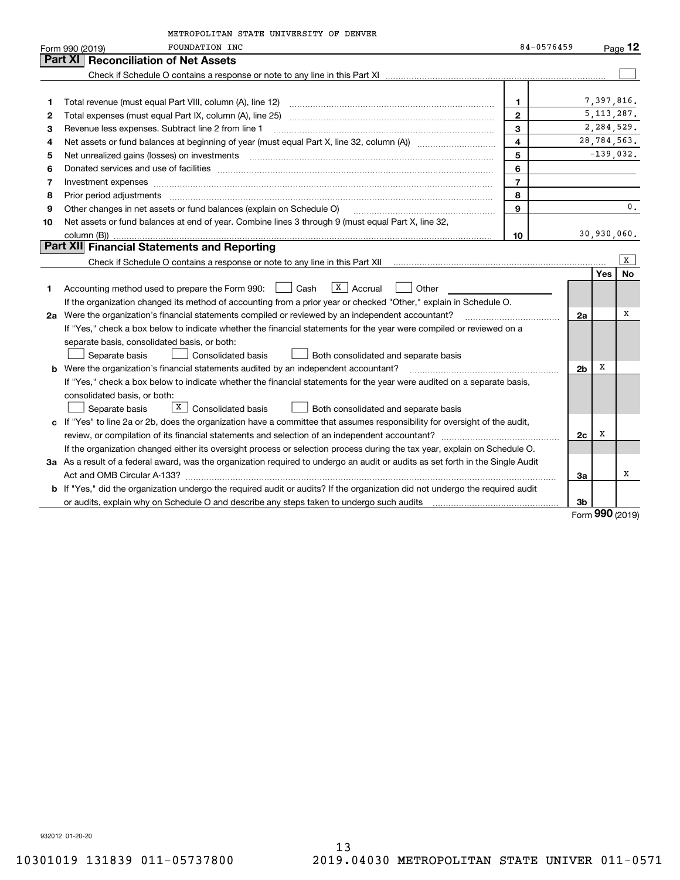|    | METROPOLITAN STATE UNIVERSITY OF DENVER                                                                                                                                                                                                                                                                                                                                                                                                                                 |                         |                |              |             |
|----|-------------------------------------------------------------------------------------------------------------------------------------------------------------------------------------------------------------------------------------------------------------------------------------------------------------------------------------------------------------------------------------------------------------------------------------------------------------------------|-------------------------|----------------|--------------|-------------|
|    | <b>FOUNDATION INC</b><br>Form 990 (2019)                                                                                                                                                                                                                                                                                                                                                                                                                                | 84-0576459              |                |              | Page $12$   |
|    | <b>Reconciliation of Net Assets</b><br>Part XI                                                                                                                                                                                                                                                                                                                                                                                                                          |                         |                |              |             |
|    |                                                                                                                                                                                                                                                                                                                                                                                                                                                                         |                         |                |              |             |
|    |                                                                                                                                                                                                                                                                                                                                                                                                                                                                         |                         |                |              |             |
| 1  |                                                                                                                                                                                                                                                                                                                                                                                                                                                                         | 1.                      |                | 7,397,816.   |             |
| 2  |                                                                                                                                                                                                                                                                                                                                                                                                                                                                         | $\mathbf{2}$            |                | 5, 113, 287. |             |
| З  | Revenue less expenses. Subtract line 2 from line 1                                                                                                                                                                                                                                                                                                                                                                                                                      | 3                       |                |              | 2,284,529.  |
| 4  |                                                                                                                                                                                                                                                                                                                                                                                                                                                                         | $\overline{\mathbf{4}}$ |                |              | 28,784,563. |
| 5  |                                                                                                                                                                                                                                                                                                                                                                                                                                                                         | 5                       |                |              | $-139,032.$ |
| 6  | Donated services and use of facilities [111] Donated and the service of facilities [11] Donated services and use of facilities [11] Donated and the service of the service of the service of the service of the service of the                                                                                                                                                                                                                                          | 6                       |                |              |             |
| 7  | Investment expenses www.communication.com/www.communication.com/www.communication.com/www.com                                                                                                                                                                                                                                                                                                                                                                           | $\overline{7}$          |                |              |             |
| 8  | Prior period adjustments<br>$\begin{minipage}{0.5\textwidth} \begin{tabular}{ l l l } \hline \multicolumn{1}{ l l l } \hline \multicolumn{1}{ l l } \multicolumn{1}{ l } \multicolumn{1}{ l } \multicolumn{1}{ l } \multicolumn{1}{ l } \multicolumn{1}{ l } \multicolumn{1}{ l } \multicolumn{1}{ l } \multicolumn{1}{ l } \multicolumn{1}{ l } \multicolumn{1}{ l } \multicolumn{1}{ l } \multicolumn{1}{ l } \multicolumn{1}{ l } \multicolumn{1}{ l } \multicolumn$ | 8                       |                |              |             |
| 9  | Other changes in net assets or fund balances (explain on Schedule O)                                                                                                                                                                                                                                                                                                                                                                                                    | $\mathbf{Q}$            |                |              | 0.          |
| 10 | Net assets or fund balances at end of year. Combine lines 3 through 9 (must equal Part X, line 32,                                                                                                                                                                                                                                                                                                                                                                      |                         |                |              |             |
|    | column (B))                                                                                                                                                                                                                                                                                                                                                                                                                                                             | 10                      |                | 30,930,060.  |             |
|    | <b>Part XII</b> Financial Statements and Reporting                                                                                                                                                                                                                                                                                                                                                                                                                      |                         |                |              |             |
|    | Check if Schedule O contains a response or note to any line in this Part XII [11] [12] Check if Schedule O contains a response or note to any line in this Part XII                                                                                                                                                                                                                                                                                                     |                         |                |              | x           |
|    |                                                                                                                                                                                                                                                                                                                                                                                                                                                                         |                         |                | Yes          | No          |
| 1  | $X$ Accrual<br>Accounting method used to prepare the Form 990: <u>[16</u> ] Cash<br>Other                                                                                                                                                                                                                                                                                                                                                                               |                         |                |              |             |
|    | If the organization changed its method of accounting from a prior year or checked "Other," explain in Schedule O.                                                                                                                                                                                                                                                                                                                                                       |                         |                |              |             |
|    | 2a Were the organization's financial statements compiled or reviewed by an independent accountant?                                                                                                                                                                                                                                                                                                                                                                      |                         | 2a             |              | х           |
|    | If "Yes," check a box below to indicate whether the financial statements for the year were compiled or reviewed on a                                                                                                                                                                                                                                                                                                                                                    |                         |                |              |             |
|    | separate basis, consolidated basis, or both:                                                                                                                                                                                                                                                                                                                                                                                                                            |                         |                |              |             |
|    | Separate basis<br><b>Consolidated basis</b><br>Both consolidated and separate basis                                                                                                                                                                                                                                                                                                                                                                                     |                         |                |              |             |
|    | <b>b</b> Were the organization's financial statements audited by an independent accountant?                                                                                                                                                                                                                                                                                                                                                                             |                         | 2 <sub>b</sub> | х            |             |
|    | If "Yes," check a box below to indicate whether the financial statements for the year were audited on a separate basis,                                                                                                                                                                                                                                                                                                                                                 |                         |                |              |             |
|    | consolidated basis, or both:                                                                                                                                                                                                                                                                                                                                                                                                                                            |                         |                |              |             |
|    | $\boxed{\textbf{X}}$ Consolidated basis<br>Separate basis<br>Both consolidated and separate basis                                                                                                                                                                                                                                                                                                                                                                       |                         |                |              |             |
|    | c If "Yes" to line 2a or 2b, does the organization have a committee that assumes responsibility for oversight of the audit,                                                                                                                                                                                                                                                                                                                                             |                         |                |              |             |
|    |                                                                                                                                                                                                                                                                                                                                                                                                                                                                         |                         | 2c             | х            |             |
|    | If the organization changed either its oversight process or selection process during the tax year, explain on Schedule O.                                                                                                                                                                                                                                                                                                                                               |                         |                |              |             |
|    | 3a As a result of a federal award, was the organization required to undergo an audit or audits as set forth in the Single Audit                                                                                                                                                                                                                                                                                                                                         |                         |                |              |             |
|    |                                                                                                                                                                                                                                                                                                                                                                                                                                                                         |                         | За             |              | х           |
|    | b If "Yes," did the organization undergo the required audit or audits? If the organization did not undergo the required audit                                                                                                                                                                                                                                                                                                                                           |                         |                |              |             |
|    | or audits, explain why on Schedule O and describe any steps taken to undergo such audits [11] contains the school of audits [11] or audits [11] or audits [11] or audits [11] or audits [11] or audits [11] or audits [11] or                                                                                                                                                                                                                                           |                         | 3b             |              |             |
|    |                                                                                                                                                                                                                                                                                                                                                                                                                                                                         |                         |                | <u>nnn</u>   |             |

Form (2019) **990**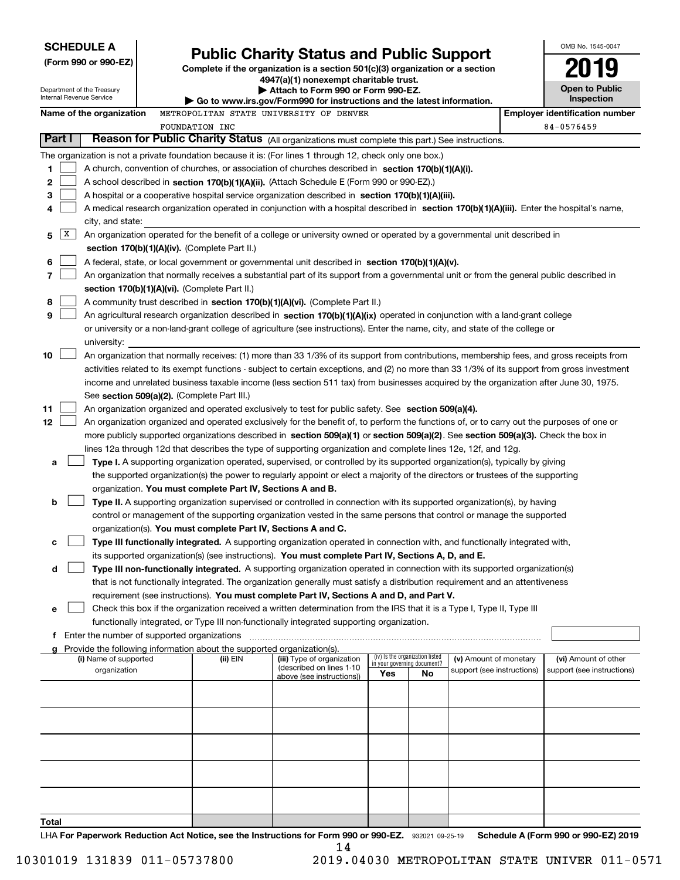| <b>SCHEDULE A</b>          |                                               |                                                                        |                                                                                                                                                                                                                                                                                  |     |                                                                |                            | OMB No. 1545-0047                     |
|----------------------------|-----------------------------------------------|------------------------------------------------------------------------|----------------------------------------------------------------------------------------------------------------------------------------------------------------------------------------------------------------------------------------------------------------------------------|-----|----------------------------------------------------------------|----------------------------|---------------------------------------|
| (Form 990 or 990-EZ)       |                                               |                                                                        | <b>Public Charity Status and Public Support</b><br>Complete if the organization is a section 501(c)(3) organization or a section                                                                                                                                                 |     |                                                                |                            |                                       |
|                            |                                               |                                                                        | 4947(a)(1) nonexempt charitable trust.                                                                                                                                                                                                                                           |     |                                                                |                            |                                       |
| Department of the Treasury |                                               |                                                                        | Attach to Form 990 or Form 990-EZ.                                                                                                                                                                                                                                               |     |                                                                |                            | <b>Open to Public</b>                 |
| Internal Revenue Service   |                                               |                                                                        | $\blacktriangleright$ Go to www.irs.gov/Form990 for instructions and the latest information.                                                                                                                                                                                     |     |                                                                |                            | Inspection                            |
| Name of the organization   |                                               |                                                                        | METROPOLITAN STATE UNIVERSITY OF DENVER                                                                                                                                                                                                                                          |     |                                                                |                            | <b>Employer identification number</b> |
|                            | <b>FOUNDATION INC</b>                         |                                                                        |                                                                                                                                                                                                                                                                                  |     |                                                                |                            | 84-0576459                            |
| Part I                     |                                               |                                                                        | Reason for Public Charity Status (All organizations must complete this part.) See instructions.                                                                                                                                                                                  |     |                                                                |                            |                                       |
|                            |                                               |                                                                        | The organization is not a private foundation because it is: (For lines 1 through 12, check only one box.)                                                                                                                                                                        |     |                                                                |                            |                                       |
| 1                          |                                               |                                                                        | A church, convention of churches, or association of churches described in section 170(b)(1)(A)(i).                                                                                                                                                                               |     |                                                                |                            |                                       |
| 2                          |                                               |                                                                        | A school described in section 170(b)(1)(A)(ii). (Attach Schedule E (Form 990 or 990-EZ).)                                                                                                                                                                                        |     |                                                                |                            |                                       |
| 3                          |                                               |                                                                        | A hospital or a cooperative hospital service organization described in section $170(b)(1)(A)(iii)$ .                                                                                                                                                                             |     |                                                                |                            |                                       |
| 4<br>city, and state:      |                                               |                                                                        | A medical research organization operated in conjunction with a hospital described in section 170(b)(1)(A)(iii). Enter the hospital's name,                                                                                                                                       |     |                                                                |                            |                                       |
| X<br>5                     |                                               |                                                                        | An organization operated for the benefit of a college or university owned or operated by a governmental unit described in                                                                                                                                                        |     |                                                                |                            |                                       |
|                            | section 170(b)(1)(A)(iv). (Complete Part II.) |                                                                        |                                                                                                                                                                                                                                                                                  |     |                                                                |                            |                                       |
| 6                          |                                               |                                                                        | A federal, state, or local government or governmental unit described in section 170(b)(1)(A)(v).                                                                                                                                                                                 |     |                                                                |                            |                                       |
| 7                          |                                               |                                                                        | An organization that normally receives a substantial part of its support from a governmental unit or from the general public described in                                                                                                                                        |     |                                                                |                            |                                       |
|                            | section 170(b)(1)(A)(vi). (Complete Part II.) |                                                                        |                                                                                                                                                                                                                                                                                  |     |                                                                |                            |                                       |
| 8                          |                                               |                                                                        | A community trust described in section 170(b)(1)(A)(vi). (Complete Part II.)                                                                                                                                                                                                     |     |                                                                |                            |                                       |
| 9                          |                                               |                                                                        | An agricultural research organization described in section 170(b)(1)(A)(ix) operated in conjunction with a land-grant college                                                                                                                                                    |     |                                                                |                            |                                       |
|                            |                                               |                                                                        | or university or a non-land-grant college of agriculture (see instructions). Enter the name, city, and state of the college or                                                                                                                                                   |     |                                                                |                            |                                       |
| university:                |                                               |                                                                        |                                                                                                                                                                                                                                                                                  |     |                                                                |                            |                                       |
| 10                         |                                               |                                                                        | An organization that normally receives: (1) more than 33 1/3% of its support from contributions, membership fees, and gross receipts from                                                                                                                                        |     |                                                                |                            |                                       |
|                            |                                               |                                                                        | activities related to its exempt functions - subject to certain exceptions, and (2) no more than 33 1/3% of its support from gross investment                                                                                                                                    |     |                                                                |                            |                                       |
|                            |                                               |                                                                        | income and unrelated business taxable income (less section 511 tax) from businesses acquired by the organization after June 30, 1975.                                                                                                                                            |     |                                                                |                            |                                       |
|                            | See section 509(a)(2). (Complete Part III.)   |                                                                        |                                                                                                                                                                                                                                                                                  |     |                                                                |                            |                                       |
| 11<br>12                   |                                               |                                                                        | An organization organized and operated exclusively to test for public safety. See section 509(a)(4).                                                                                                                                                                             |     |                                                                |                            |                                       |
|                            |                                               |                                                                        | An organization organized and operated exclusively for the benefit of, to perform the functions of, or to carry out the purposes of one or<br>more publicly supported organizations described in section 509(a)(1) or section 509(a)(2). See section 509(a)(3). Check the box in |     |                                                                |                            |                                       |
|                            |                                               |                                                                        | lines 12a through 12d that describes the type of supporting organization and complete lines 12e, 12f, and 12g.                                                                                                                                                                   |     |                                                                |                            |                                       |
| a                          |                                               |                                                                        | Type I. A supporting organization operated, supervised, or controlled by its supported organization(s), typically by giving                                                                                                                                                      |     |                                                                |                            |                                       |
|                            |                                               |                                                                        | the supported organization(s) the power to regularly appoint or elect a majority of the directors or trustees of the supporting                                                                                                                                                  |     |                                                                |                            |                                       |
|                            |                                               | organization. You must complete Part IV, Sections A and B.             |                                                                                                                                                                                                                                                                                  |     |                                                                |                            |                                       |
| b                          |                                               |                                                                        | Type II. A supporting organization supervised or controlled in connection with its supported organization(s), by having                                                                                                                                                          |     |                                                                |                            |                                       |
|                            |                                               |                                                                        | control or management of the supporting organization vested in the same persons that control or manage the supported                                                                                                                                                             |     |                                                                |                            |                                       |
|                            |                                               |                                                                        | organization(s). You must complete Part IV, Sections A and C.                                                                                                                                                                                                                    |     |                                                                |                            |                                       |
| с                          |                                               |                                                                        | Type III functionally integrated. A supporting organization operated in connection with, and functionally integrated with,                                                                                                                                                       |     |                                                                |                            |                                       |
|                            |                                               |                                                                        | its supported organization(s) (see instructions). You must complete Part IV, Sections A, D, and E.                                                                                                                                                                               |     |                                                                |                            |                                       |
| d                          |                                               |                                                                        | Type III non-functionally integrated. A supporting organization operated in connection with its supported organization(s)                                                                                                                                                        |     |                                                                |                            |                                       |
|                            |                                               |                                                                        | that is not functionally integrated. The organization generally must satisfy a distribution requirement and an attentiveness                                                                                                                                                     |     |                                                                |                            |                                       |
|                            |                                               |                                                                        | requirement (see instructions). You must complete Part IV, Sections A and D, and Part V.                                                                                                                                                                                         |     |                                                                |                            |                                       |
| е                          |                                               |                                                                        | Check this box if the organization received a written determination from the IRS that it is a Type I, Type II, Type III                                                                                                                                                          |     |                                                                |                            |                                       |
|                            |                                               |                                                                        | functionally integrated, or Type III non-functionally integrated supporting organization.                                                                                                                                                                                        |     |                                                                |                            |                                       |
|                            |                                               | Provide the following information about the supported organization(s). |                                                                                                                                                                                                                                                                                  |     |                                                                |                            |                                       |
| (i) Name of supported      |                                               | (ii) EIN                                                               | (iii) Type of organization                                                                                                                                                                                                                                                       |     | (iv) Is the organization listed<br>in your governing document? | (v) Amount of monetary     | (vi) Amount of other                  |
| organization               |                                               |                                                                        | (described on lines 1-10<br>above (see instructions))                                                                                                                                                                                                                            | Yes | No                                                             | support (see instructions) | support (see instructions)            |
|                            |                                               |                                                                        |                                                                                                                                                                                                                                                                                  |     |                                                                |                            |                                       |
|                            |                                               |                                                                        |                                                                                                                                                                                                                                                                                  |     |                                                                |                            |                                       |
|                            |                                               |                                                                        |                                                                                                                                                                                                                                                                                  |     |                                                                |                            |                                       |
|                            |                                               |                                                                        |                                                                                                                                                                                                                                                                                  |     |                                                                |                            |                                       |
|                            |                                               |                                                                        |                                                                                                                                                                                                                                                                                  |     |                                                                |                            |                                       |
|                            |                                               |                                                                        |                                                                                                                                                                                                                                                                                  |     |                                                                |                            |                                       |
|                            |                                               |                                                                        |                                                                                                                                                                                                                                                                                  |     |                                                                |                            |                                       |
|                            |                                               |                                                                        |                                                                                                                                                                                                                                                                                  |     |                                                                |                            |                                       |
|                            |                                               |                                                                        |                                                                                                                                                                                                                                                                                  |     |                                                                |                            |                                       |
|                            |                                               |                                                                        |                                                                                                                                                                                                                                                                                  |     |                                                                |                            |                                       |
| Total                      |                                               |                                                                        |                                                                                                                                                                                                                                                                                  |     |                                                                |                            |                                       |

LHA For Paperwork Reduction Act Notice, see the Instructions for Form 990 or 990-EZ. 932021 09-25-19 Schedule A (Form 990 or 990-EZ) 2019 14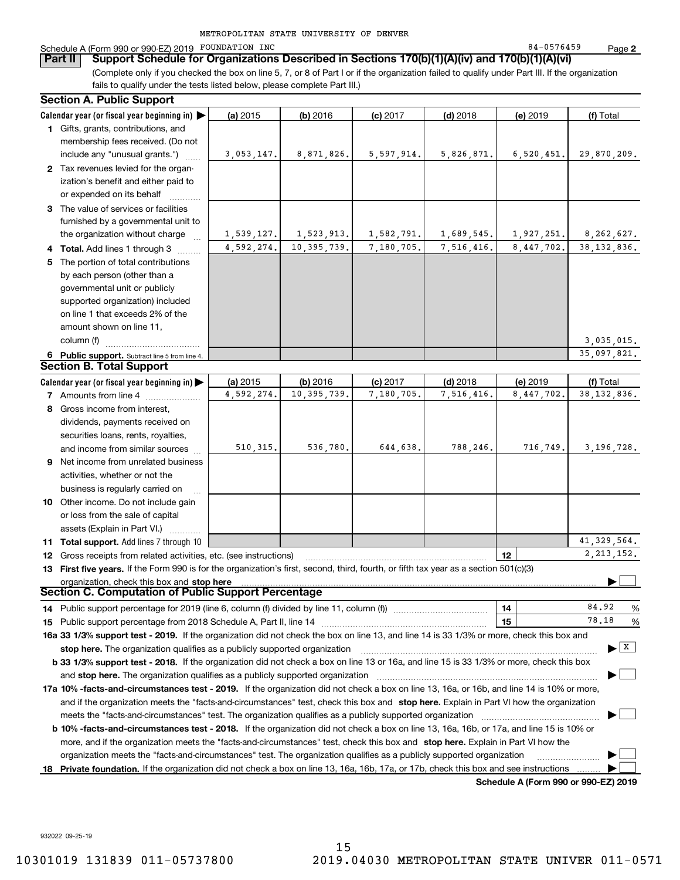| METROPOLITAN STATE UNIVERSITY OF DENVER |  |  |  |  |  |
|-----------------------------------------|--|--|--|--|--|
|-----------------------------------------|--|--|--|--|--|

### Schedule A (Form 990 or 990-EZ) 2019 POUNDATION INC Research Control of the State of the State of the State of Page

(Complete only if you checked the box on line 5, 7, or 8 of Part I or if the organization failed to qualify under Part III. If the organization **Part II Support Schedule for Organizations Described in Sections 170(b)(1)(A)(iv) and 170(b)(1)(A)(vi)**

fails to qualify under the tests listed below, please complete Part III.)

|    | <b>Section A. Public Support</b>                                                                                                               |            |               |            |            |            |                                |
|----|------------------------------------------------------------------------------------------------------------------------------------------------|------------|---------------|------------|------------|------------|--------------------------------|
|    | Calendar year (or fiscal year beginning in)                                                                                                    | (a) 2015   | $(b)$ 2016    | $(c)$ 2017 | $(d)$ 2018 | (e) 2019   | (f) Total                      |
|    | 1 Gifts, grants, contributions, and                                                                                                            |            |               |            |            |            |                                |
|    | membership fees received. (Do not                                                                                                              |            |               |            |            |            |                                |
|    | include any "unusual grants.")                                                                                                                 | 3,053,147. | 8,871,826.    | 5,597,914. | 5,826,871. | 6,520,451. | 29,870,209.                    |
|    | 2 Tax revenues levied for the organ-                                                                                                           |            |               |            |            |            |                                |
|    | ization's benefit and either paid to                                                                                                           |            |               |            |            |            |                                |
|    | or expended on its behalf                                                                                                                      |            |               |            |            |            |                                |
|    | 3 The value of services or facilities                                                                                                          |            |               |            |            |            |                                |
|    | furnished by a governmental unit to                                                                                                            |            |               |            |            |            |                                |
|    | the organization without charge                                                                                                                | 1,539,127. | 1,523,913.    | 1,582,791. | 1,689,545. | 1,927,251. | 8,262,627.                     |
|    | 4 Total. Add lines 1 through 3                                                                                                                 | 4,592,274. | 10, 395, 739. | 7,180,705. | 7,516,416. | 8.447.702. | 38, 132, 836.                  |
| 5  | The portion of total contributions                                                                                                             |            |               |            |            |            |                                |
|    | by each person (other than a                                                                                                                   |            |               |            |            |            |                                |
|    | governmental unit or publicly                                                                                                                  |            |               |            |            |            |                                |
|    | supported organization) included                                                                                                               |            |               |            |            |            |                                |
|    | on line 1 that exceeds 2% of the                                                                                                               |            |               |            |            |            |                                |
|    | amount shown on line 11,                                                                                                                       |            |               |            |            |            |                                |
|    | column (f)                                                                                                                                     |            |               |            |            |            | 3,035,015.                     |
|    |                                                                                                                                                |            |               |            |            |            | 35,097,821.                    |
|    | 6 Public support. Subtract line 5 from line 4.<br><b>Section B. Total Support</b>                                                              |            |               |            |            |            |                                |
|    |                                                                                                                                                | (a) 2015   | (b) 2016      | $(c)$ 2017 | $(d)$ 2018 | (e) 2019   | (f) Total                      |
|    | Calendar year (or fiscal year beginning in) $\blacktriangleright$<br>7 Amounts from line 4                                                     | 4,592,274. | 10, 395, 739. | 7,180,705. | 7,516,416. | 8,447,702. | 38, 132, 836.                  |
|    | 8 Gross income from interest,                                                                                                                  |            |               |            |            |            |                                |
|    |                                                                                                                                                |            |               |            |            |            |                                |
|    | dividends, payments received on                                                                                                                |            |               |            |            |            |                                |
|    | securities loans, rents, royalties,                                                                                                            | 510, 315.  | 536,780.      | 644,638.   | 788,246.   | 716,749.   | 3, 196, 728.                   |
|    | and income from similar sources                                                                                                                |            |               |            |            |            |                                |
| 9  | Net income from unrelated business                                                                                                             |            |               |            |            |            |                                |
|    | activities, whether or not the                                                                                                                 |            |               |            |            |            |                                |
|    | business is regularly carried on                                                                                                               |            |               |            |            |            |                                |
|    | 10 Other income. Do not include gain                                                                                                           |            |               |            |            |            |                                |
|    | or loss from the sale of capital                                                                                                               |            |               |            |            |            |                                |
|    | assets (Explain in Part VI.)                                                                                                                   |            |               |            |            |            |                                |
|    | 11 Total support. Add lines 7 through 10                                                                                                       |            |               |            |            |            | 41, 329, 564.                  |
|    | 12 Gross receipts from related activities, etc. (see instructions)                                                                             |            |               |            |            | 12         | 2, 213, 152.                   |
|    | 13 First five years. If the Form 990 is for the organization's first, second, third, fourth, or fifth tax year as a section 501(c)(3)          |            |               |            |            |            |                                |
|    | organization, check this box and stop here<br>Section C. Computation of Public Support Percentage                                              |            |               |            |            |            |                                |
|    |                                                                                                                                                |            |               |            |            |            | 84.92                          |
|    |                                                                                                                                                |            |               |            |            | 14         | %<br>78.18                     |
|    |                                                                                                                                                |            |               |            |            | 15         | %                              |
|    | 16a 33 1/3% support test - 2019. If the organization did not check the box on line 13, and line 14 is 33 1/3% or more, check this box and      |            |               |            |            |            |                                |
|    | stop here. The organization qualifies as a publicly supported organization                                                                     |            |               |            |            |            | $\blacktriangleright$ $\mid$ X |
|    | b 33 1/3% support test - 2018. If the organization did not check a box on line 13 or 16a, and line 15 is 33 1/3% or more, check this box       |            |               |            |            |            |                                |
|    | and stop here. The organization qualifies as a publicly supported organization                                                                 |            |               |            |            |            |                                |
|    | 17a 10% -facts-and-circumstances test - 2019. If the organization did not check a box on line 13, 16a, or 16b, and line 14 is 10% or more,     |            |               |            |            |            |                                |
|    | and if the organization meets the "facts-and-circumstances" test, check this box and stop here. Explain in Part VI how the organization        |            |               |            |            |            |                                |
|    | meets the "facts-and-circumstances" test. The organization qualifies as a publicly supported organization                                      |            |               |            |            |            |                                |
|    | <b>b 10% -facts-and-circumstances test - 2018.</b> If the organization did not check a box on line 13, 16a, 16b, or 17a, and line 15 is 10% or |            |               |            |            |            |                                |
|    | more, and if the organization meets the "facts-and-circumstances" test, check this box and stop here. Explain in Part VI how the               |            |               |            |            |            |                                |
|    | organization meets the "facts-and-circumstances" test. The organization qualifies as a publicly supported organization                         |            |               |            |            |            |                                |
| 18 | Private foundation. If the organization did not check a box on line 13, 16a, 16b, 17a, or 17b, check this box and see instructions             |            |               |            |            |            |                                |

**Schedule A (Form 990 or 990-EZ) 2019**

932022 09-25-19

**2**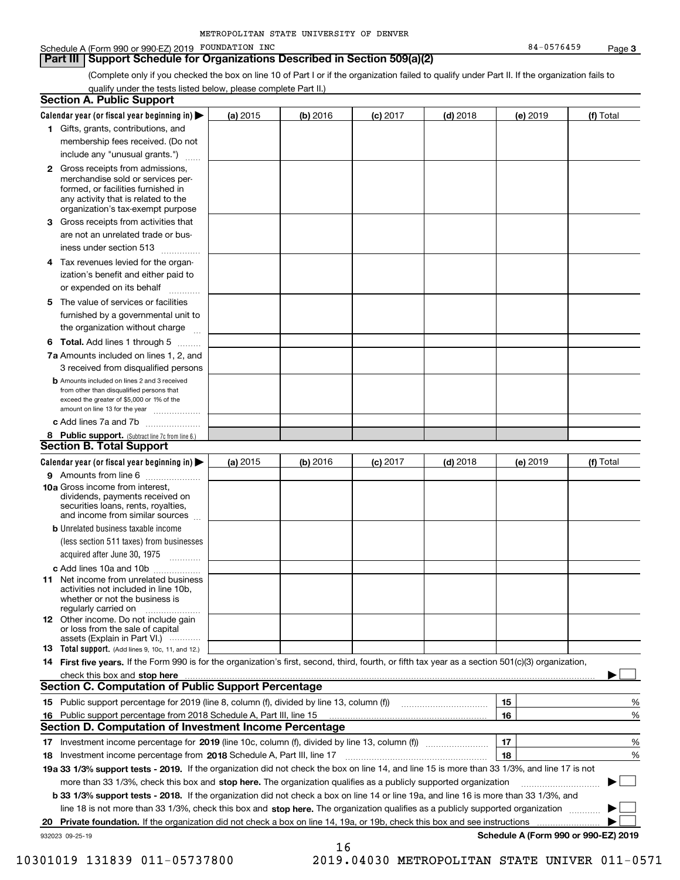#### Schedule A (Form 990 or 990-EZ) 2019 POUNDATION INC Research Control of the State of the State of the State of Page

#### **Part III Support Schedule for Organizations Described in Section 509(a)(2)**

(Complete only if you checked the box on line 10 of Part I or if the organization failed to qualify under Part II. If the organization fails to qualify under the tests listed below, please complete Part II.)

| <b>Section A. Public Support</b>                                                                                                                                                                                                    |          |          |            |            |          |                                      |
|-------------------------------------------------------------------------------------------------------------------------------------------------------------------------------------------------------------------------------------|----------|----------|------------|------------|----------|--------------------------------------|
| Calendar year (or fiscal year beginning in)                                                                                                                                                                                         | (a) 2015 | (b) 2016 | $(c)$ 2017 | $(d)$ 2018 | (e) 2019 | (f) Total                            |
| 1 Gifts, grants, contributions, and                                                                                                                                                                                                 |          |          |            |            |          |                                      |
| membership fees received. (Do not                                                                                                                                                                                                   |          |          |            |            |          |                                      |
| include any "unusual grants.")                                                                                                                                                                                                      |          |          |            |            |          |                                      |
| 2 Gross receipts from admissions,<br>merchandise sold or services per-<br>formed, or facilities furnished in<br>any activity that is related to the<br>organization's tax-exempt purpose                                            |          |          |            |            |          |                                      |
| 3 Gross receipts from activities that<br>are not an unrelated trade or bus-                                                                                                                                                         |          |          |            |            |          |                                      |
| iness under section 513                                                                                                                                                                                                             |          |          |            |            |          |                                      |
| 4 Tax revenues levied for the organ-<br>ization's benefit and either paid to<br>or expended on its behalf                                                                                                                           |          |          |            |            |          |                                      |
| 5 The value of services or facilities<br>furnished by a governmental unit to                                                                                                                                                        |          |          |            |            |          |                                      |
| the organization without charge                                                                                                                                                                                                     |          |          |            |            |          |                                      |
| <b>6 Total.</b> Add lines 1 through 5                                                                                                                                                                                               |          |          |            |            |          |                                      |
| 7a Amounts included on lines 1, 2, and<br>3 received from disqualified persons                                                                                                                                                      |          |          |            |            |          |                                      |
| <b>b</b> Amounts included on lines 2 and 3 received<br>from other than disqualified persons that<br>exceed the greater of \$5,000 or 1% of the<br>amount on line 13 for the year                                                    |          |          |            |            |          |                                      |
| c Add lines 7a and 7b                                                                                                                                                                                                               |          |          |            |            |          |                                      |
| 8 Public support. (Subtract line 7c from line 6.)<br><b>Section B. Total Support</b>                                                                                                                                                |          |          |            |            |          |                                      |
| Calendar year (or fiscal year beginning in)                                                                                                                                                                                         | (a) 2015 | (b) 2016 | $(c)$ 2017 | $(d)$ 2018 | (e) 2019 | (f) Total                            |
| 9 Amounts from line 6                                                                                                                                                                                                               |          |          |            |            |          |                                      |
| 10a Gross income from interest,<br>dividends, payments received on<br>securities loans, rents, royalties,<br>and income from similar sources                                                                                        |          |          |            |            |          |                                      |
| <b>b</b> Unrelated business taxable income<br>(less section 511 taxes) from businesses                                                                                                                                              |          |          |            |            |          |                                      |
| acquired after June 30, 1975                                                                                                                                                                                                        |          |          |            |            |          |                                      |
| c Add lines 10a and 10b<br>11 Net income from unrelated business<br>activities not included in line 10b.<br>whether or not the business is<br>regularly carried on                                                                  |          |          |            |            |          |                                      |
| <b>12</b> Other income. Do not include gain<br>or loss from the sale of capital<br>assets (Explain in Part VI.)                                                                                                                     |          |          |            |            |          |                                      |
| 13 Total support. (Add lines 9, 10c, 11, and 12.)                                                                                                                                                                                   |          |          |            |            |          |                                      |
| 14 First five years. If the Form 990 is for the organization's first, second, third, fourth, or fifth tax year as a section 501(c)(3) organization,                                                                                 |          |          |            |            |          |                                      |
| check this box and stop here <i>manual content of the content of the state of the state and stop here</i> manual content of the state of the state of the state of the state of the state of the state of the state of the state of |          |          |            |            |          |                                      |
| <b>Section C. Computation of Public Support Percentage</b>                                                                                                                                                                          |          |          |            |            |          |                                      |
| 15 Public support percentage for 2019 (line 8, column (f), divided by line 13, column (f))                                                                                                                                          |          |          |            |            | 15       | %                                    |
| 16 Public support percentage from 2018 Schedule A, Part III, line 15<br><b>Section D. Computation of Investment Income Percentage</b>                                                                                               |          |          |            |            | 16       | %                                    |
|                                                                                                                                                                                                                                     |          |          |            |            |          |                                      |
| 17 Investment income percentage for 2019 (line 10c, column (f), divided by line 13, column (f))<br>18 Investment income percentage from 2018 Schedule A, Part III, line 17                                                          |          |          |            |            | 17<br>18 | %<br>%                               |
| 19a 33 1/3% support tests - 2019. If the organization did not check the box on line 14, and line 15 is more than 33 1/3%, and line 17 is not                                                                                        |          |          |            |            |          |                                      |
| more than 33 1/3%, check this box and stop here. The organization qualifies as a publicly supported organization                                                                                                                    |          |          |            |            |          |                                      |
| <b>b 33 1/3% support tests - 2018.</b> If the organization did not check a box on line 14 or line 19a, and line 16 is more than 33 1/3%, and                                                                                        |          |          |            |            |          |                                      |
| line 18 is not more than 33 1/3%, check this box and stop here. The organization qualifies as a publicly supported organization                                                                                                     |          |          |            |            |          |                                      |
| 20 Private foundation. If the organization did not check a box on line 14, 19a, or 19b, check this box and see instructions                                                                                                         |          |          |            |            |          |                                      |
| 932023 09-25-19                                                                                                                                                                                                                     |          |          |            |            |          | Schedule A (Form 990 or 990-EZ) 2019 |
|                                                                                                                                                                                                                                     |          | 16       |            |            |          |                                      |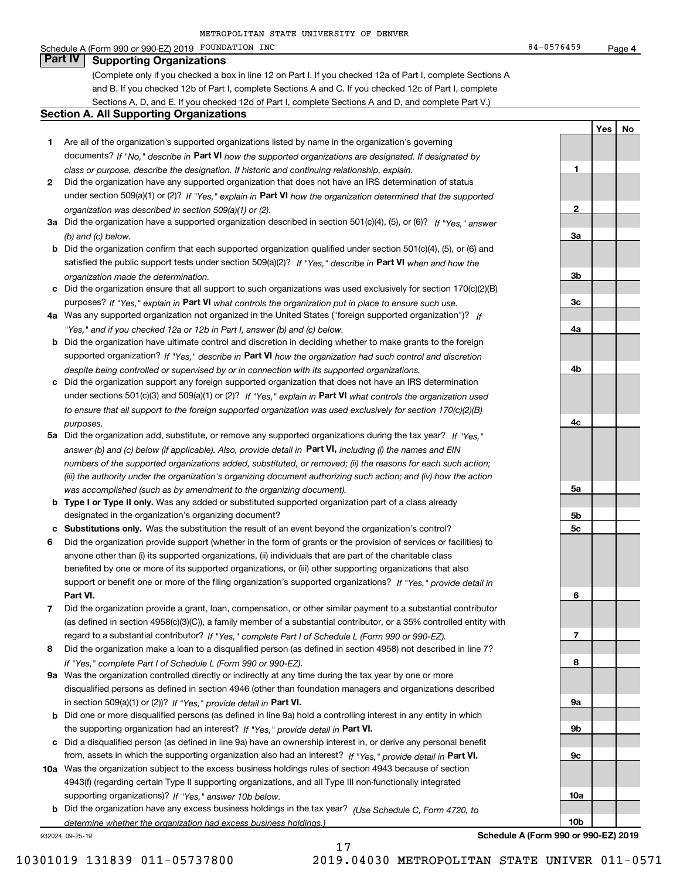#### Schedule A (Form 990 or 990-EZ) 2019 POUNDATION INC Research Control of the State of the State of the State of Page

(Complete only if you checked a box in line 12 on Part I. If you checked 12a of Part I, complete Sections A and B. If you checked 12b of Part I, complete Sections A and C. If you checked 12c of Part I, complete Sections A, D, and E. If you checked 12d of Part I, complete Sections A and D, and complete Part V.)

#### **Section A. All Supporting Organizations**

- **1** Are all of the organization's supported organizations listed by name in the organization's governing documents? If "No," describe in **Part VI** how the supported organizations are designated. If designated by *class or purpose, describe the designation. If historic and continuing relationship, explain.*
- **2** Did the organization have any supported organization that does not have an IRS determination of status under section 509(a)(1) or (2)? If "Yes," explain in Part VI how the organization determined that the supported *organization was described in section 509(a)(1) or (2).*
- **3a** Did the organization have a supported organization described in section 501(c)(4), (5), or (6)? If "Yes," answer *(b) and (c) below.*
- **b** Did the organization confirm that each supported organization qualified under section 501(c)(4), (5), or (6) and satisfied the public support tests under section 509(a)(2)? If "Yes," describe in **Part VI** when and how the *organization made the determination.*
- **c**Did the organization ensure that all support to such organizations was used exclusively for section 170(c)(2)(B) purposes? If "Yes," explain in **Part VI** what controls the organization put in place to ensure such use.
- **4a***If* Was any supported organization not organized in the United States ("foreign supported organization")? *"Yes," and if you checked 12a or 12b in Part I, answer (b) and (c) below.*
- **b** Did the organization have ultimate control and discretion in deciding whether to make grants to the foreign supported organization? If "Yes," describe in **Part VI** how the organization had such control and discretion *despite being controlled or supervised by or in connection with its supported organizations.*
- **c** Did the organization support any foreign supported organization that does not have an IRS determination under sections 501(c)(3) and 509(a)(1) or (2)? If "Yes," explain in **Part VI** what controls the organization used *to ensure that all support to the foreign supported organization was used exclusively for section 170(c)(2)(B) purposes.*
- **5a** Did the organization add, substitute, or remove any supported organizations during the tax year? If "Yes," answer (b) and (c) below (if applicable). Also, provide detail in **Part VI,** including (i) the names and EIN *numbers of the supported organizations added, substituted, or removed; (ii) the reasons for each such action; (iii) the authority under the organization's organizing document authorizing such action; and (iv) how the action was accomplished (such as by amendment to the organizing document).*
- **b** Type I or Type II only. Was any added or substituted supported organization part of a class already designated in the organization's organizing document?
- **cSubstitutions only.**  Was the substitution the result of an event beyond the organization's control?
- **6** Did the organization provide support (whether in the form of grants or the provision of services or facilities) to **Part VI.** *If "Yes," provide detail in* support or benefit one or more of the filing organization's supported organizations? anyone other than (i) its supported organizations, (ii) individuals that are part of the charitable class benefited by one or more of its supported organizations, or (iii) other supporting organizations that also
- **7**Did the organization provide a grant, loan, compensation, or other similar payment to a substantial contributor *If "Yes," complete Part I of Schedule L (Form 990 or 990-EZ).* regard to a substantial contributor? (as defined in section 4958(c)(3)(C)), a family member of a substantial contributor, or a 35% controlled entity with
- **8** Did the organization make a loan to a disqualified person (as defined in section 4958) not described in line 7? *If "Yes," complete Part I of Schedule L (Form 990 or 990-EZ).*
- **9a** Was the organization controlled directly or indirectly at any time during the tax year by one or more in section 509(a)(1) or (2))? If "Yes," *provide detail in* <code>Part VI.</code> disqualified persons as defined in section 4946 (other than foundation managers and organizations described
- **b**the supporting organization had an interest? If "Yes," provide detail in P**art VI**. Did one or more disqualified persons (as defined in line 9a) hold a controlling interest in any entity in which
- **c**Did a disqualified person (as defined in line 9a) have an ownership interest in, or derive any personal benefit from, assets in which the supporting organization also had an interest? If "Yes," provide detail in P**art VI.**
- **10a** Was the organization subject to the excess business holdings rules of section 4943 because of section supporting organizations)? If "Yes," answer 10b below. 4943(f) (regarding certain Type II supporting organizations, and all Type III non-functionally integrated
- **b** Did the organization have any excess business holdings in the tax year? (Use Schedule C, Form 4720, to *determine whether the organization had excess business holdings.)*

17

932024 09-25-19

**Schedule A (Form 990 or 990-EZ) 2019**

**YesNo**

**123a3b3c4a4b4c5a 5b5c6789a 9b9c10a10b**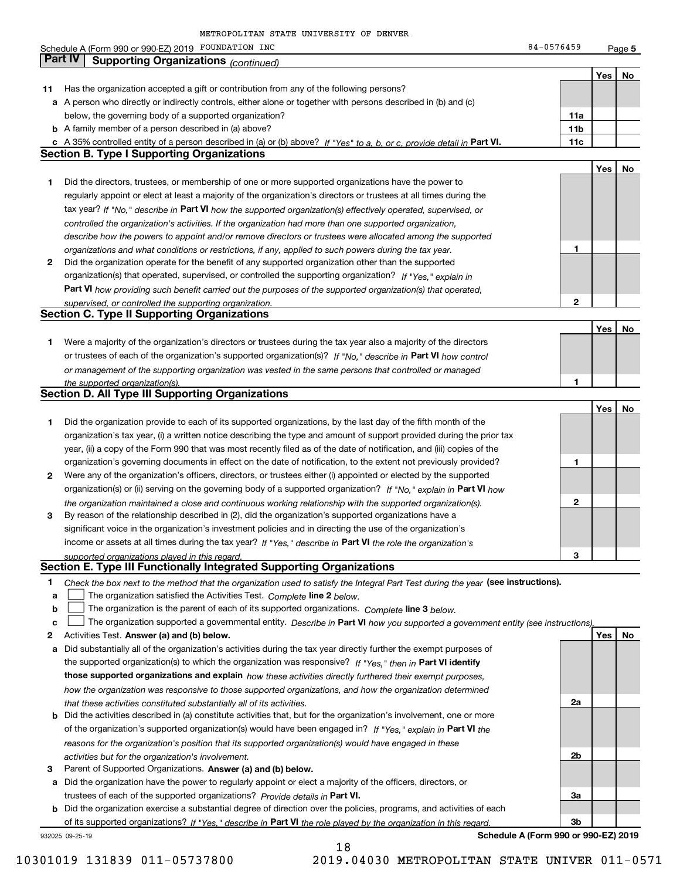|    | Schedule A (Form 990 or 990-EZ) 2019 FOUNDATION INC                                                                               | 84-0576459                           |     | Page 5 |
|----|-----------------------------------------------------------------------------------------------------------------------------------|--------------------------------------|-----|--------|
|    | <b>Part IV</b><br><b>Supporting Organizations (continued)</b>                                                                     |                                      |     |        |
|    |                                                                                                                                   |                                      | Yes | No.    |
| 11 | Has the organization accepted a gift or contribution from any of the following persons?                                           |                                      |     |        |
|    | a A person who directly or indirectly controls, either alone or together with persons described in (b) and (c)                    |                                      |     |        |
|    | below, the governing body of a supported organization?                                                                            | 11a                                  |     |        |
|    | <b>b</b> A family member of a person described in (a) above?                                                                      | 11 <sub>b</sub>                      |     |        |
|    | c A 35% controlled entity of a person described in (a) or (b) above? If "Yes" to a, b, or c, provide detail in Part VI.           | 11c                                  |     |        |
|    | <b>Section B. Type I Supporting Organizations</b>                                                                                 |                                      |     |        |
|    |                                                                                                                                   |                                      |     |        |
|    |                                                                                                                                   |                                      | Yes | No     |
| 1  | Did the directors, trustees, or membership of one or more supported organizations have the power to                               |                                      |     |        |
|    | regularly appoint or elect at least a majority of the organization's directors or trustees at all times during the                |                                      |     |        |
|    | tax year? If "No," describe in Part VI how the supported organization(s) effectively operated, supervised, or                     |                                      |     |        |
|    | controlled the organization's activities. If the organization had more than one supported organization,                           |                                      |     |        |
|    | describe how the powers to appoint and/or remove directors or trustees were allocated among the supported                         |                                      |     |        |
|    | organizations and what conditions or restrictions, if any, applied to such powers during the tax year.                            | 1                                    |     |        |
| 2  | Did the organization operate for the benefit of any supported organization other than the supported                               |                                      |     |        |
|    | organization(s) that operated, supervised, or controlled the supporting organization? If "Yes," explain in                        |                                      |     |        |
|    | Part VI how providing such benefit carried out the purposes of the supported organization(s) that operated,                       |                                      |     |        |
|    | supervised, or controlled the supporting organization.                                                                            | 2                                    |     |        |
|    | <b>Section C. Type II Supporting Organizations</b>                                                                                |                                      |     |        |
|    |                                                                                                                                   |                                      | Yes | No     |
| 1  | Were a majority of the organization's directors or trustees during the tax year also a majority of the directors                  |                                      |     |        |
|    | or trustees of each of the organization's supported organization(s)? If "No," describe in Part VI how control                     |                                      |     |        |
|    |                                                                                                                                   |                                      |     |        |
|    | or management of the supporting organization was vested in the same persons that controlled or managed                            |                                      |     |        |
|    | the supported organization(s).<br><b>Section D. All Type III Supporting Organizations</b>                                         | 1                                    |     |        |
|    |                                                                                                                                   |                                      |     |        |
|    |                                                                                                                                   |                                      | Yes | No     |
| 1  | Did the organization provide to each of its supported organizations, by the last day of the fifth month of the                    |                                      |     |        |
|    | organization's tax year, (i) a written notice describing the type and amount of support provided during the prior tax             |                                      |     |        |
|    | year, (ii) a copy of the Form 990 that was most recently filed as of the date of notification, and (iii) copies of the            |                                      |     |        |
|    | organization's governing documents in effect on the date of notification, to the extent not previously provided?                  | 1                                    |     |        |
| 2  | Were any of the organization's officers, directors, or trustees either (i) appointed or elected by the supported                  |                                      |     |        |
|    | organization(s) or (ii) serving on the governing body of a supported organization? If "No," explain in Part VI how                |                                      |     |        |
|    | the organization maintained a close and continuous working relationship with the supported organization(s).                       | 2                                    |     |        |
| 3  | By reason of the relationship described in (2), did the organization's supported organizations have a                             |                                      |     |        |
|    | significant voice in the organization's investment policies and in directing the use of the organization's                        |                                      |     |        |
|    | income or assets at all times during the tax year? If "Yes," describe in Part VI the role the organization's                      |                                      |     |        |
|    | supported organizations played in this regard.                                                                                    | 3                                    |     |        |
|    | Section E. Type III Functionally Integrated Supporting Organizations                                                              |                                      |     |        |
|    |                                                                                                                                   |                                      |     |        |
| 1. | Check the box next to the method that the organization used to satisfy the Integral Part Test during the year (see instructions). |                                      |     |        |
| a  | The organization satisfied the Activities Test. Complete line 2 below.                                                            |                                      |     |        |
| b  | The organization is the parent of each of its supported organizations. Complete line 3 below.                                     |                                      |     |        |
| c  | The organization supported a governmental entity. Describe in Part VI how you supported a government entity (see instructions),   |                                      |     |        |
| 2  | Activities Test. Answer (a) and (b) below.                                                                                        |                                      | Yes | No     |
| а  | Did substantially all of the organization's activities during the tax year directly further the exempt purposes of                |                                      |     |        |
|    | the supported organization(s) to which the organization was responsive? If "Yes," then in Part VI identify                        |                                      |     |        |
|    | those supported organizations and explain how these activities directly furthered their exempt purposes,                          |                                      |     |        |
|    | how the organization was responsive to those supported organizations, and how the organization determined                         |                                      |     |        |
|    | that these activities constituted substantially all of its activities.                                                            | 2a                                   |     |        |
|    | <b>b</b> Did the activities described in (a) constitute activities that, but for the organization's involvement, one or more      |                                      |     |        |
|    | of the organization's supported organization(s) would have been engaged in? If "Yes," explain in Part VI the                      |                                      |     |        |
|    | reasons for the organization's position that its supported organization(s) would have engaged in these                            |                                      |     |        |
|    |                                                                                                                                   | 2b                                   |     |        |
|    | activities but for the organization's involvement.                                                                                |                                      |     |        |
| з  | Parent of Supported Organizations. Answer (a) and (b) below.                                                                      |                                      |     |        |
|    | a Did the organization have the power to regularly appoint or elect a majority of the officers, directors, or                     |                                      |     |        |
|    | trustees of each of the supported organizations? Provide details in Part VI.                                                      | За                                   |     |        |
|    | <b>b</b> Did the organization exercise a substantial degree of direction over the policies, programs, and activities of each      |                                      |     |        |
|    | of its supported organizations? If "Yes," describe in Part VI the role played by the organization in this regard                  | 3b                                   |     |        |
|    | 932025 09-25-19                                                                                                                   | Schedule A (Form 990 or 990-EZ) 2019 |     |        |

18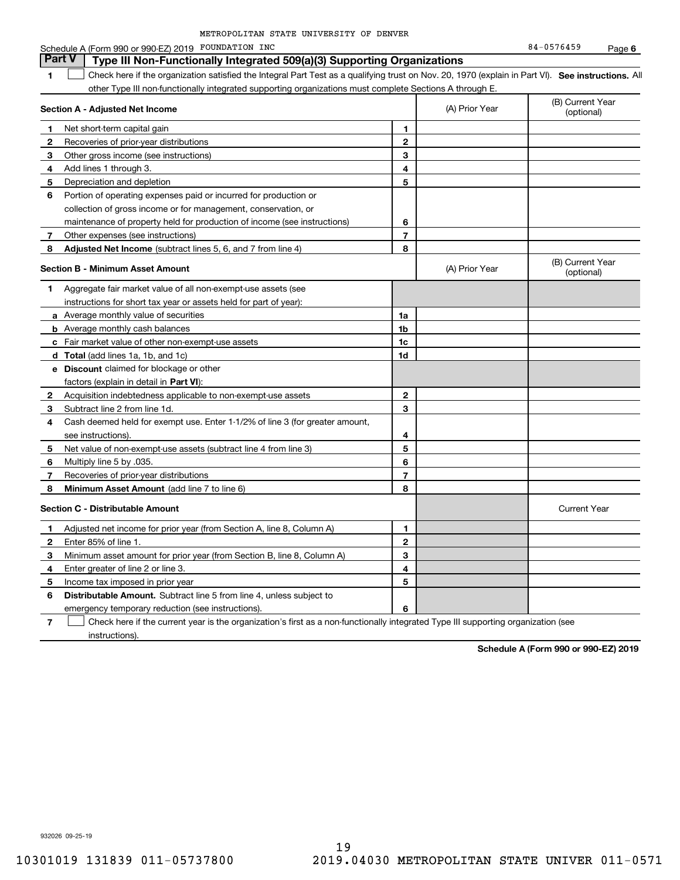| METROPOLITAN STATE UNIVERSITY OF DENVER |  |  |
|-----------------------------------------|--|--|
|                                         |  |  |

**6**

|   | Schedule A (Form 990 or 990-EZ) 2019 FOUNDATION INC                                                                                               |                |                | 84-0576459                     | Page 6 |
|---|---------------------------------------------------------------------------------------------------------------------------------------------------|----------------|----------------|--------------------------------|--------|
|   | <b>Part V</b><br>Type III Non-Functionally Integrated 509(a)(3) Supporting Organizations                                                          |                |                |                                |        |
| 1 | Check here if the organization satisfied the Integral Part Test as a qualifying trust on Nov. 20, 1970 (explain in Part VI). See instructions. Al |                |                |                                |        |
|   | other Type III non-functionally integrated supporting organizations must complete Sections A through E.                                           |                |                |                                |        |
|   | Section A - Adjusted Net Income                                                                                                                   |                | (A) Prior Year | (B) Current Year<br>(optional) |        |
| 1 | Net short-term capital gain                                                                                                                       | 1              |                |                                |        |
| 2 | Recoveries of prior-year distributions                                                                                                            | $\mathbf{2}$   |                |                                |        |
| 3 | Other gross income (see instructions)                                                                                                             | 3              |                |                                |        |
| 4 | Add lines 1 through 3.                                                                                                                            | 4              |                |                                |        |
| 5 | Depreciation and depletion                                                                                                                        | 5              |                |                                |        |
| 6 | Portion of operating expenses paid or incurred for production or                                                                                  |                |                |                                |        |
|   | collection of gross income or for management, conservation, or                                                                                    |                |                |                                |        |
|   | maintenance of property held for production of income (see instructions)                                                                          | 6              |                |                                |        |
| 7 | Other expenses (see instructions)                                                                                                                 | 7              |                |                                |        |
| 8 | Adjusted Net Income (subtract lines 5, 6, and 7 from line 4)                                                                                      | 8              |                |                                |        |
|   | <b>Section B - Minimum Asset Amount</b>                                                                                                           |                | (A) Prior Year | (B) Current Year<br>(optional) |        |
| 1 | Aggregate fair market value of all non-exempt-use assets (see                                                                                     |                |                |                                |        |
|   | instructions for short tax year or assets held for part of year):                                                                                 |                |                |                                |        |
|   | a Average monthly value of securities                                                                                                             | 1a             |                |                                |        |
|   | <b>b</b> Average monthly cash balances                                                                                                            | 1 <sub>b</sub> |                |                                |        |
|   | c Fair market value of other non-exempt-use assets                                                                                                | 1c             |                |                                |        |
|   | d Total (add lines 1a, 1b, and 1c)                                                                                                                | 1d             |                |                                |        |
|   | e Discount claimed for blockage or other                                                                                                          |                |                |                                |        |
|   | factors (explain in detail in Part VI):                                                                                                           |                |                |                                |        |
| 2 | Acquisition indebtedness applicable to non-exempt-use assets                                                                                      | 2              |                |                                |        |
| 3 | Subtract line 2 from line 1d.                                                                                                                     | 3              |                |                                |        |
| 4 | Cash deemed held for exempt use. Enter 1-1/2% of line 3 (for greater amount,                                                                      |                |                |                                |        |
|   | see instructions).                                                                                                                                | 4              |                |                                |        |
| 5 | Net value of non-exempt-use assets (subtract line 4 from line 3)                                                                                  | 5              |                |                                |        |
| 6 | Multiply line 5 by .035.                                                                                                                          | 6              |                |                                |        |
| 7 | Recoveries of prior-year distributions                                                                                                            | $\overline{7}$ |                |                                |        |
| 8 | Minimum Asset Amount (add line 7 to line 6)                                                                                                       | 8              |                |                                |        |
|   | <b>Section C - Distributable Amount</b>                                                                                                           |                |                | <b>Current Year</b>            |        |
| 1 | Adjusted net income for prior year (from Section A, line 8, Column A)                                                                             | 1              |                |                                |        |
| 2 | Enter 85% of line 1.                                                                                                                              | $\mathbf{2}$   |                |                                |        |
| 3 | Minimum asset amount for prior year (from Section B, line 8, Column A)                                                                            | 3              |                |                                |        |
| 4 | Enter greater of line 2 or line 3.                                                                                                                | 4              |                |                                |        |
| 5 | Income tax imposed in prior year                                                                                                                  | 5              |                |                                |        |
| 6 | <b>Distributable Amount.</b> Subtract line 5 from line 4, unless subject to                                                                       |                |                |                                |        |
|   | emergency temporary reduction (see instructions).                                                                                                 | 6              |                |                                |        |

**7** Check here if the current year is the organization's first as a non-functionally integrated Type III supporting organization (see instructions).

**Schedule A (Form 990 or 990-EZ) 2019**

932026 09-25-19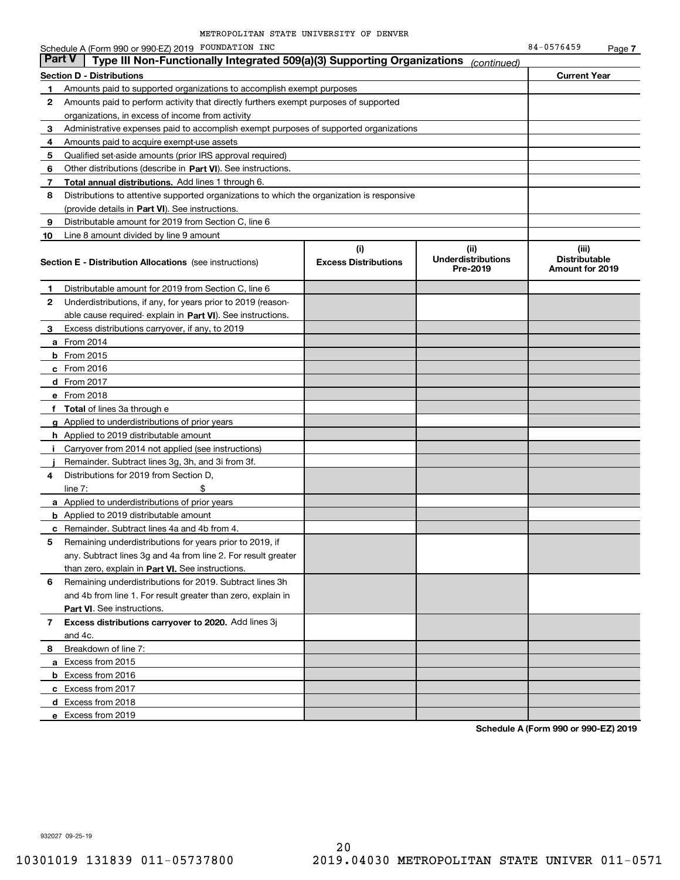|    | Part V<br>Type III Non-Functionally Integrated 509(a)(3) Supporting Organizations          |                                    | (continued)                                   |                                                         |
|----|--------------------------------------------------------------------------------------------|------------------------------------|-----------------------------------------------|---------------------------------------------------------|
|    | Section D - Distributions                                                                  |                                    |                                               | <b>Current Year</b>                                     |
| 1  | Amounts paid to supported organizations to accomplish exempt purposes                      |                                    |                                               |                                                         |
| 2  | Amounts paid to perform activity that directly furthers exempt purposes of supported       |                                    |                                               |                                                         |
|    | organizations, in excess of income from activity                                           |                                    |                                               |                                                         |
| 3  | Administrative expenses paid to accomplish exempt purposes of supported organizations      |                                    |                                               |                                                         |
| 4  | Amounts paid to acquire exempt-use assets                                                  |                                    |                                               |                                                         |
| 5  | Qualified set-aside amounts (prior IRS approval required)                                  |                                    |                                               |                                                         |
| 6  | Other distributions (describe in Part VI). See instructions.                               |                                    |                                               |                                                         |
| 7  | Total annual distributions. Add lines 1 through 6.                                         |                                    |                                               |                                                         |
| 8  | Distributions to attentive supported organizations to which the organization is responsive |                                    |                                               |                                                         |
|    | (provide details in Part VI). See instructions.                                            |                                    |                                               |                                                         |
| 9  | Distributable amount for 2019 from Section C, line 6                                       |                                    |                                               |                                                         |
| 10 | Line 8 amount divided by line 9 amount                                                     |                                    |                                               |                                                         |
|    | <b>Section E - Distribution Allocations</b> (see instructions)                             | (i)<br><b>Excess Distributions</b> | (ii)<br><b>Underdistributions</b><br>Pre-2019 | (iii)<br><b>Distributable</b><br><b>Amount for 2019</b> |
| 1  | Distributable amount for 2019 from Section C, line 6                                       |                                    |                                               |                                                         |
| 2  | Underdistributions, if any, for years prior to 2019 (reason-                               |                                    |                                               |                                                         |
|    | able cause required- explain in Part VI). See instructions.                                |                                    |                                               |                                                         |
| з  | Excess distributions carryover, if any, to 2019                                            |                                    |                                               |                                                         |
|    | <b>a</b> From 2014                                                                         |                                    |                                               |                                                         |
|    | <b>b</b> From 2015                                                                         |                                    |                                               |                                                         |
|    | $c$ From 2016                                                                              |                                    |                                               |                                                         |
|    | d From 2017                                                                                |                                    |                                               |                                                         |
|    | e From 2018                                                                                |                                    |                                               |                                                         |
| f  | <b>Total</b> of lines 3a through e                                                         |                                    |                                               |                                                         |
|    | <b>g</b> Applied to underdistributions of prior years                                      |                                    |                                               |                                                         |
|    | <b>h</b> Applied to 2019 distributable amount                                              |                                    |                                               |                                                         |
|    | Carryover from 2014 not applied (see instructions)                                         |                                    |                                               |                                                         |
|    | Remainder. Subtract lines 3g, 3h, and 3i from 3f.                                          |                                    |                                               |                                                         |
| 4  | Distributions for 2019 from Section D,                                                     |                                    |                                               |                                                         |
|    | line $7:$                                                                                  |                                    |                                               |                                                         |
|    | <b>a</b> Applied to underdistributions of prior years                                      |                                    |                                               |                                                         |
|    | <b>b</b> Applied to 2019 distributable amount                                              |                                    |                                               |                                                         |
|    | c Remainder. Subtract lines 4a and 4b from 4.                                              |                                    |                                               |                                                         |
| 5  | Remaining underdistributions for years prior to 2019, if                                   |                                    |                                               |                                                         |
|    | any. Subtract lines 3g and 4a from line 2. For result greater                              |                                    |                                               |                                                         |
|    | than zero, explain in Part VI. See instructions.                                           |                                    |                                               |                                                         |
| 6  | Remaining underdistributions for 2019. Subtract lines 3h                                   |                                    |                                               |                                                         |
|    | and 4b from line 1. For result greater than zero, explain in                               |                                    |                                               |                                                         |
|    | <b>Part VI.</b> See instructions.                                                          |                                    |                                               |                                                         |
| 7  | Excess distributions carryover to 2020. Add lines 3j                                       |                                    |                                               |                                                         |
|    | and 4c.                                                                                    |                                    |                                               |                                                         |
| 8  | Breakdown of line 7:                                                                       |                                    |                                               |                                                         |
|    | a Excess from 2015                                                                         |                                    |                                               |                                                         |
|    | <b>b</b> Excess from 2016                                                                  |                                    |                                               |                                                         |
|    | c Excess from 2017                                                                         |                                    |                                               |                                                         |
|    | d Excess from 2018                                                                         |                                    |                                               |                                                         |

**Schedule A (Form 990 or 990-EZ) 2019**

932027 09-25-19

**e** Excess from 2019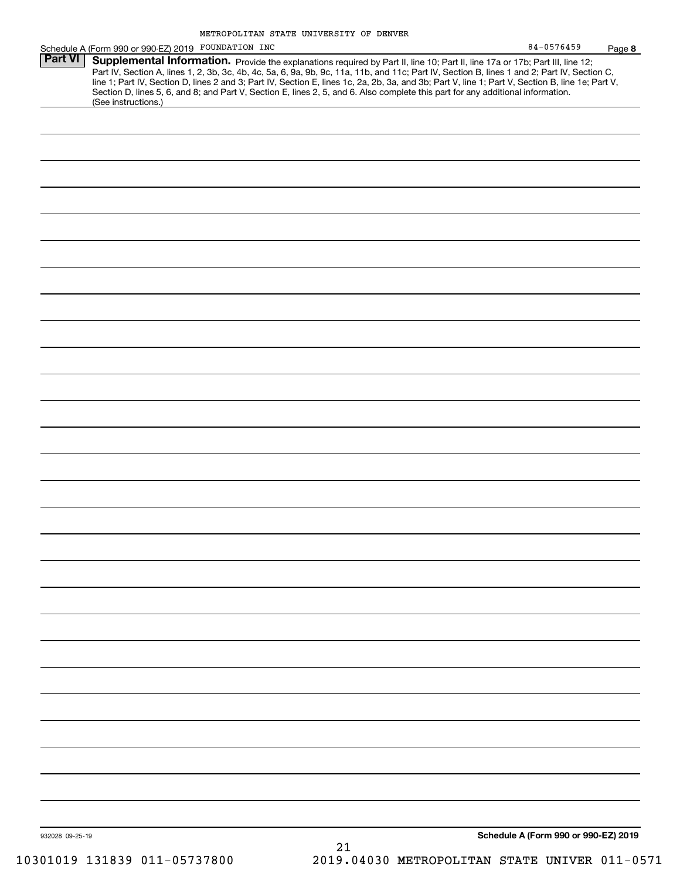|                 | Schedule A (Form 990 or 990-EZ) 2019 FOUNDATION INC |                                                                                                                                                                                                                                                                                                                                                                                                                                                                                                                                                                      | 84-0576459<br>Page 8                 |
|-----------------|-----------------------------------------------------|----------------------------------------------------------------------------------------------------------------------------------------------------------------------------------------------------------------------------------------------------------------------------------------------------------------------------------------------------------------------------------------------------------------------------------------------------------------------------------------------------------------------------------------------------------------------|--------------------------------------|
| <b>Part VI</b>  | (See instructions.)                                 | Supplemental Information. Provide the explanations required by Part II, line 10; Part II, line 17a or 17b; Part III, line 12;<br>Part IV, Section A, lines 1, 2, 3b, 3c, 4b, 4c, 5a, 6, 9a, 9b, 9c, 11a, 11b, and 11c; Part IV, Section B, lines 1 and 2; Part IV, Section C,<br>line 1; Part IV, Section D, lines 2 and 3; Part IV, Section E, lines 1c, 2a, 2b, 3a, and 3b; Part V, line 1; Part V, Section B, line 1e; Part V,<br>Section D, lines 5, 6, and 8; and Part V, Section E, lines 2, 5, and 6. Also complete this part for any additional information. |                                      |
|                 |                                                     |                                                                                                                                                                                                                                                                                                                                                                                                                                                                                                                                                                      |                                      |
|                 |                                                     |                                                                                                                                                                                                                                                                                                                                                                                                                                                                                                                                                                      |                                      |
|                 |                                                     |                                                                                                                                                                                                                                                                                                                                                                                                                                                                                                                                                                      |                                      |
|                 |                                                     |                                                                                                                                                                                                                                                                                                                                                                                                                                                                                                                                                                      |                                      |
|                 |                                                     |                                                                                                                                                                                                                                                                                                                                                                                                                                                                                                                                                                      |                                      |
|                 |                                                     |                                                                                                                                                                                                                                                                                                                                                                                                                                                                                                                                                                      |                                      |
|                 |                                                     |                                                                                                                                                                                                                                                                                                                                                                                                                                                                                                                                                                      |                                      |
|                 |                                                     |                                                                                                                                                                                                                                                                                                                                                                                                                                                                                                                                                                      |                                      |
|                 |                                                     |                                                                                                                                                                                                                                                                                                                                                                                                                                                                                                                                                                      |                                      |
|                 |                                                     |                                                                                                                                                                                                                                                                                                                                                                                                                                                                                                                                                                      |                                      |
|                 |                                                     |                                                                                                                                                                                                                                                                                                                                                                                                                                                                                                                                                                      |                                      |
|                 |                                                     |                                                                                                                                                                                                                                                                                                                                                                                                                                                                                                                                                                      |                                      |
|                 |                                                     |                                                                                                                                                                                                                                                                                                                                                                                                                                                                                                                                                                      |                                      |
|                 |                                                     |                                                                                                                                                                                                                                                                                                                                                                                                                                                                                                                                                                      |                                      |
|                 |                                                     |                                                                                                                                                                                                                                                                                                                                                                                                                                                                                                                                                                      |                                      |
|                 |                                                     |                                                                                                                                                                                                                                                                                                                                                                                                                                                                                                                                                                      |                                      |
|                 |                                                     |                                                                                                                                                                                                                                                                                                                                                                                                                                                                                                                                                                      |                                      |
|                 |                                                     |                                                                                                                                                                                                                                                                                                                                                                                                                                                                                                                                                                      |                                      |
|                 |                                                     |                                                                                                                                                                                                                                                                                                                                                                                                                                                                                                                                                                      |                                      |
|                 |                                                     |                                                                                                                                                                                                                                                                                                                                                                                                                                                                                                                                                                      |                                      |
|                 |                                                     |                                                                                                                                                                                                                                                                                                                                                                                                                                                                                                                                                                      |                                      |
|                 |                                                     |                                                                                                                                                                                                                                                                                                                                                                                                                                                                                                                                                                      |                                      |
|                 |                                                     |                                                                                                                                                                                                                                                                                                                                                                                                                                                                                                                                                                      |                                      |
|                 |                                                     |                                                                                                                                                                                                                                                                                                                                                                                                                                                                                                                                                                      |                                      |
|                 |                                                     |                                                                                                                                                                                                                                                                                                                                                                                                                                                                                                                                                                      |                                      |
|                 |                                                     |                                                                                                                                                                                                                                                                                                                                                                                                                                                                                                                                                                      |                                      |
|                 |                                                     |                                                                                                                                                                                                                                                                                                                                                                                                                                                                                                                                                                      |                                      |
|                 |                                                     |                                                                                                                                                                                                                                                                                                                                                                                                                                                                                                                                                                      |                                      |
|                 |                                                     |                                                                                                                                                                                                                                                                                                                                                                                                                                                                                                                                                                      |                                      |
|                 |                                                     |                                                                                                                                                                                                                                                                                                                                                                                                                                                                                                                                                                      |                                      |
|                 |                                                     |                                                                                                                                                                                                                                                                                                                                                                                                                                                                                                                                                                      |                                      |
|                 |                                                     |                                                                                                                                                                                                                                                                                                                                                                                                                                                                                                                                                                      |                                      |
|                 |                                                     |                                                                                                                                                                                                                                                                                                                                                                                                                                                                                                                                                                      |                                      |
|                 |                                                     |                                                                                                                                                                                                                                                                                                                                                                                                                                                                                                                                                                      |                                      |
| 932028 09-25-19 |                                                     | 21                                                                                                                                                                                                                                                                                                                                                                                                                                                                                                                                                                   | Schedule A (Form 990 or 990-EZ) 2019 |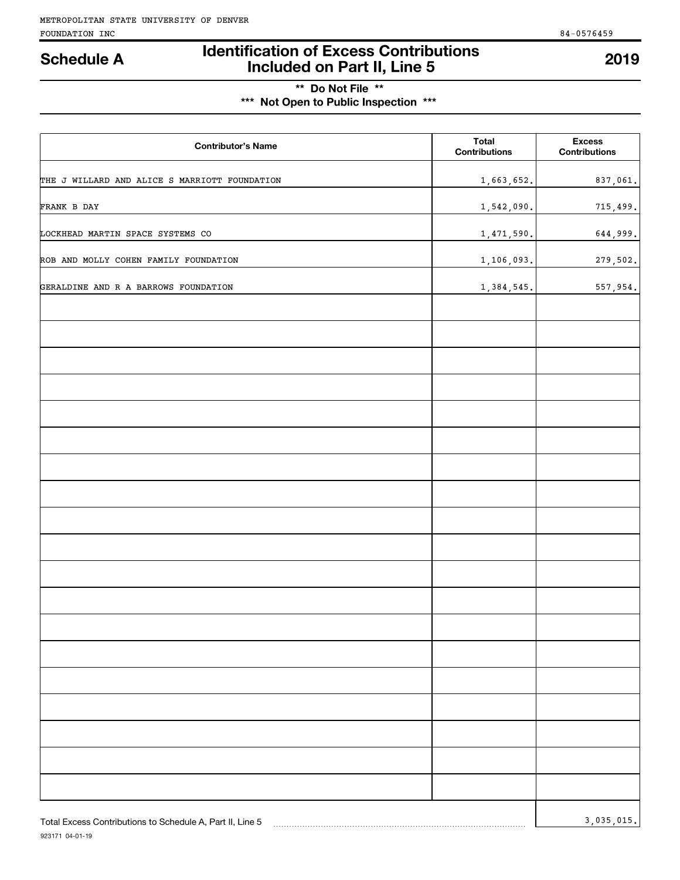# **Identification of Excess Contributions Included on Part II, Line 5 Schedule A 2019**

# **\*\* Do Not File \*\* \*\*\* Not Open to Public Inspection \*\*\***

| <b>Contributor's Name</b>                                 | <b>Total</b><br><b>Contributions</b> | <b>Excess</b><br><b>Contributions</b> |
|-----------------------------------------------------------|--------------------------------------|---------------------------------------|
| THE J WILLARD AND ALICE S MARRIOTT FOUNDATION             | 1,663,652.                           | 837,061.                              |
| FRANK B DAY                                               | 1,542,090.                           | 715,499.                              |
| LOCKHEAD MARTIN SPACE SYSTEMS CO                          | 1,471,590.                           | 644,999.                              |
| ROB AND MOLLY COHEN FAMILY FOUNDATION                     | 1,106,093.                           | 279,502.                              |
| GERALDINE AND R A BARROWS FOUNDATION                      | 1,384,545.                           | 557,954.                              |
|                                                           |                                      |                                       |
|                                                           |                                      |                                       |
|                                                           |                                      |                                       |
|                                                           |                                      |                                       |
|                                                           |                                      |                                       |
|                                                           |                                      |                                       |
|                                                           |                                      |                                       |
|                                                           |                                      |                                       |
|                                                           |                                      |                                       |
|                                                           |                                      |                                       |
|                                                           |                                      |                                       |
|                                                           |                                      |                                       |
|                                                           |                                      |                                       |
|                                                           |                                      |                                       |
|                                                           |                                      |                                       |
|                                                           |                                      |                                       |
|                                                           |                                      |                                       |
|                                                           |                                      |                                       |
| Total Excess Contributions to Schedule A, Part II, Line 5 |                                      | 3,035,015.                            |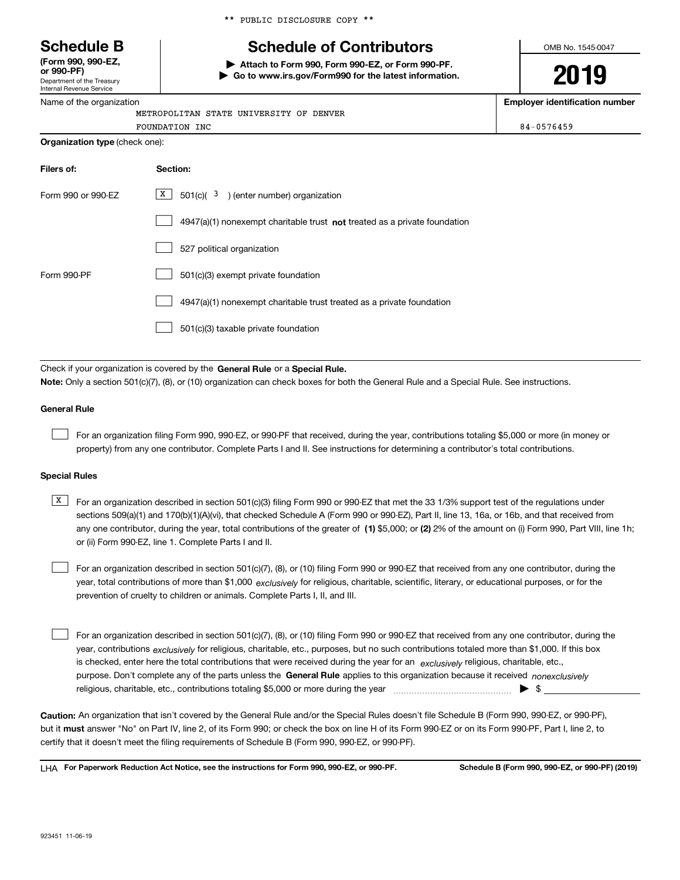Department of the Treasury **(Form 990, 990-EZ, or 990-PF)**

### Internal Revenue Service Name of the organization

\*\* PUBLIC DISCLOSURE COPY \*\*

# **Schedule B Schedule of Contributors**

**| Attach to Form 990, Form 990-EZ, or Form 990-PF. | Go to www.irs.gov/Form990 for the latest information.** OMB No. 1545-0047

# **2019**

**Employer identification number**

| <b>FOUNDATION INC</b><br><b>Organization type (check one):</b> | 84-0576459 |
|----------------------------------------------------------------|------------|
| METROPOLITAN STATE UNIVERSITY OF DENVER                        |            |
| -                                                              |            |

| Filers of:         | Section:                                                                    |
|--------------------|-----------------------------------------------------------------------------|
| Form 990 or 990-EZ | X<br>$501(c)$ $3$ ) (enter number) organization                             |
|                    | $4947(a)(1)$ nonexempt charitable trust not treated as a private foundation |
|                    | 527 political organization                                                  |
| Form 990-PF        | 501(c)(3) exempt private foundation                                         |
|                    | 4947(a)(1) nonexempt charitable trust treated as a private foundation       |
|                    | 501(c)(3) taxable private foundation                                        |

Check if your organization is covered by the **General Rule** or a **Special Rule. Note:**  Only a section 501(c)(7), (8), or (10) organization can check boxes for both the General Rule and a Special Rule. See instructions.

#### **General Rule**

 $\mathcal{L}^{\text{max}}$ 

For an organization filing Form 990, 990-EZ, or 990-PF that received, during the year, contributions totaling \$5,000 or more (in money or property) from any one contributor. Complete Parts I and II. See instructions for determining a contributor's total contributions.

#### **Special Rules**

any one contributor, during the year, total contributions of the greater of  $\,$  (1) \$5,000; or **(2)** 2% of the amount on (i) Form 990, Part VIII, line 1h;  $\overline{X}$  For an organization described in section 501(c)(3) filing Form 990 or 990-EZ that met the 33 1/3% support test of the regulations under sections 509(a)(1) and 170(b)(1)(A)(vi), that checked Schedule A (Form 990 or 990-EZ), Part II, line 13, 16a, or 16b, and that received from or (ii) Form 990-EZ, line 1. Complete Parts I and II.

year, total contributions of more than \$1,000 *exclusively* for religious, charitable, scientific, literary, or educational purposes, or for the For an organization described in section 501(c)(7), (8), or (10) filing Form 990 or 990-EZ that received from any one contributor, during the prevention of cruelty to children or animals. Complete Parts I, II, and III.  $\mathcal{L}^{\text{max}}$ 

purpose. Don't complete any of the parts unless the **General Rule** applies to this organization because it received *nonexclusively* year, contributions <sub>exclusively</sub> for religious, charitable, etc., purposes, but no such contributions totaled more than \$1,000. If this box is checked, enter here the total contributions that were received during the year for an  $\;$ exclusively religious, charitable, etc., For an organization described in section 501(c)(7), (8), or (10) filing Form 990 or 990-EZ that received from any one contributor, during the religious, charitable, etc., contributions totaling \$5,000 or more during the year  $\Box$ — $\Box$   $\Box$  $\mathcal{L}^{\text{max}}$ 

**Caution:**  An organization that isn't covered by the General Rule and/or the Special Rules doesn't file Schedule B (Form 990, 990-EZ, or 990-PF),  **must** but it answer "No" on Part IV, line 2, of its Form 990; or check the box on line H of its Form 990-EZ or on its Form 990-PF, Part I, line 2, to certify that it doesn't meet the filing requirements of Schedule B (Form 990, 990-EZ, or 990-PF).

**For Paperwork Reduction Act Notice, see the instructions for Form 990, 990-EZ, or 990-PF. Schedule B (Form 990, 990-EZ, or 990-PF) (2019)** LHA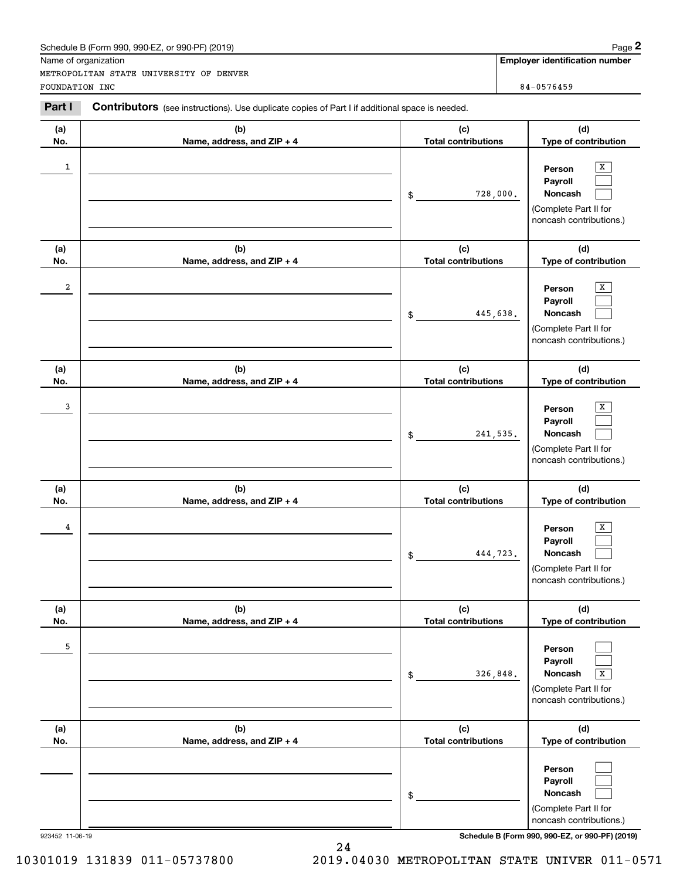### Schedule B (Form 990, 990-EZ, or 990-PF) (2019) **Page 2** Page 2

| Name of organization                                                                                     |                            | <b>Employer identification number</b>                                                 |
|----------------------------------------------------------------------------------------------------------|----------------------------|---------------------------------------------------------------------------------------|
|                                                                                                          |                            |                                                                                       |
| METROPOLITAN STATE UNIVERSITY OF DENVER                                                                  |                            |                                                                                       |
| FOUNDATION INC                                                                                           |                            | 84-0576459                                                                            |
| Part I<br>Contributors (see instructions). Use duplicate copies of Part I if additional space is needed. |                            |                                                                                       |
| (a)<br>(b)                                                                                               | (c)                        | (d)                                                                                   |
| No.<br>Name, address, and ZIP + 4                                                                        | <b>Total contributions</b> | Type of contribution                                                                  |
| $\mathbf{1}$                                                                                             | 728,000.<br>\$             | х<br>Person<br>Payroll<br>Noncash<br>(Complete Part II for<br>noncash contributions.) |
| (a)<br>(b)                                                                                               | (c)                        | (d)                                                                                   |
| No.<br>Name, address, and ZIP + 4                                                                        | <b>Total contributions</b> | Type of contribution                                                                  |
| 2                                                                                                        | 445,638.<br>\$             | х<br>Person<br>Payroll<br>Noncash<br>(Complete Part II for<br>noncash contributions.) |
| (a)<br>(b)                                                                                               | (c)                        | (d)                                                                                   |
| No.<br>Name, address, and ZIP + 4                                                                        | <b>Total contributions</b> | Type of contribution                                                                  |
| 3                                                                                                        | 241,535.<br>\$             | X<br>Person<br>Payroll<br>Noncash<br>(Complete Part II for<br>noncash contributions.) |
| (a)<br>(b)                                                                                               | (c)                        | (d)                                                                                   |
| No.<br>Name, address, and ZIP + 4                                                                        | <b>Total contributions</b> | Type of contribution                                                                  |
| 4                                                                                                        | 444,723.<br>\$             | х<br>Person<br>Payroll<br>Noncash<br>(Complete Part II for<br>noncash contributions.) |
| (b)<br>(a)                                                                                               | (c)                        | (d)                                                                                   |
| No.<br>Name, address, and ZIP + 4                                                                        | <b>Total contributions</b> | Type of contribution                                                                  |
| 5                                                                                                        | 326,848.<br>\$             | Person<br>Payroll<br>Noncash<br>x<br>(Complete Part II for<br>noncash contributions.) |
| (a)<br>(b)                                                                                               | (c)                        | (d)                                                                                   |
| No.<br>Name, address, and ZIP + 4                                                                        | <b>Total contributions</b> | Type of contribution                                                                  |
|                                                                                                          | \$                         | Person<br>Payroll<br>Noncash<br>(Complete Part II for<br>noncash contributions.)      |
| 923452 11-06-19                                                                                          |                            | Schedule B (Form 990, 990-EZ, or 990-PF) (2019)                                       |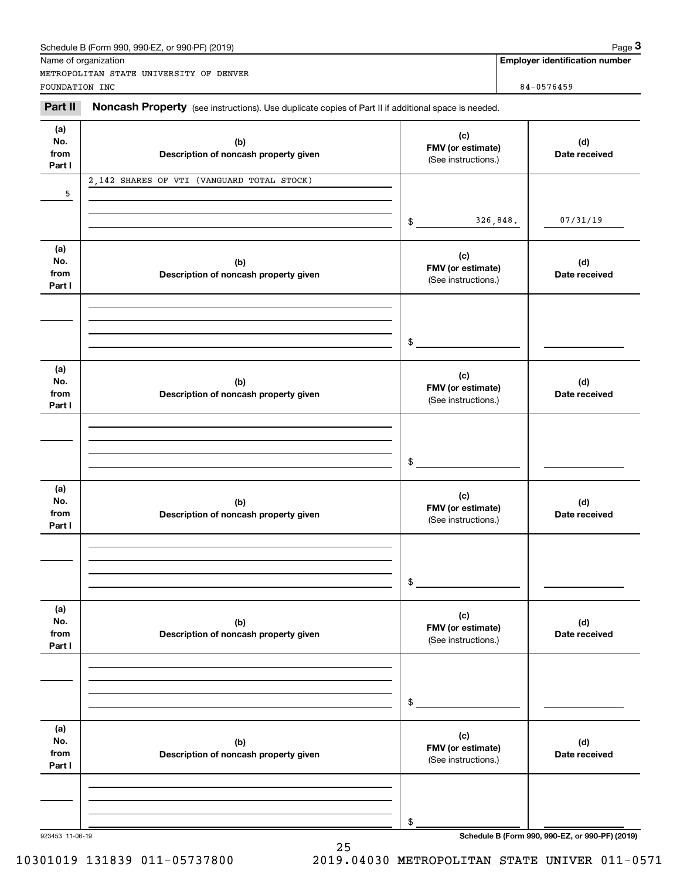### Schedule B (Form 990, 990-EZ, or 990-PF) (2019) **Page 3**

|                 | Schedule B (Form 990, 990-EZ, or 990-PF) (2019)                                                     |                                          |          | Page 3                                          |
|-----------------|-----------------------------------------------------------------------------------------------------|------------------------------------------|----------|-------------------------------------------------|
|                 | Name of organization                                                                                |                                          |          | <b>Employer identification number</b>           |
|                 | METROPOLITAN STATE UNIVERSITY OF DENVER                                                             |                                          |          |                                                 |
| FOUNDATION INC  |                                                                                                     |                                          |          | 84-0576459                                      |
| Part II         | Noncash Property (see instructions). Use duplicate copies of Part II if additional space is needed. |                                          |          |                                                 |
| (a)             |                                                                                                     | (c)                                      |          |                                                 |
| No.             | (b)                                                                                                 | FMV (or estimate)                        |          | (d)                                             |
| from<br>Part I  | Description of noncash property given                                                               | (See instructions.)                      |          | Date received                                   |
|                 | 2,142 SHARES OF VTI (VANGUARD TOTAL STOCK)                                                          |                                          |          |                                                 |
| 5               |                                                                                                     |                                          |          |                                                 |
|                 |                                                                                                     |                                          |          |                                                 |
|                 |                                                                                                     | \$                                       | 326,848. | 07/31/19                                        |
|                 |                                                                                                     |                                          |          |                                                 |
| (a)<br>No.      |                                                                                                     | (c)                                      |          |                                                 |
| from            | (b)<br>Description of noncash property given                                                        | FMV (or estimate)                        |          | (d)<br>Date received                            |
| Part I          |                                                                                                     | (See instructions.)                      |          |                                                 |
|                 |                                                                                                     |                                          |          |                                                 |
|                 |                                                                                                     |                                          |          |                                                 |
|                 |                                                                                                     |                                          |          |                                                 |
|                 |                                                                                                     | \$                                       |          |                                                 |
| (a)             |                                                                                                     |                                          |          |                                                 |
| No.             | (b)                                                                                                 | (c)<br>FMV (or estimate)                 |          | (d)                                             |
| from            | Description of noncash property given                                                               | (See instructions.)                      |          | Date received                                   |
| Part I          |                                                                                                     |                                          |          |                                                 |
|                 |                                                                                                     |                                          |          |                                                 |
|                 |                                                                                                     |                                          |          |                                                 |
|                 |                                                                                                     | \$                                       |          |                                                 |
|                 |                                                                                                     |                                          |          |                                                 |
| (a)             |                                                                                                     | (c)                                      |          |                                                 |
| No.<br>from     | (b)<br>Description of noncash property given                                                        | FMV (or estimate)                        |          | (d)<br>Date received                            |
| Part I          |                                                                                                     | (See instructions.)                      |          |                                                 |
|                 |                                                                                                     |                                          |          |                                                 |
|                 |                                                                                                     |                                          |          |                                                 |
|                 |                                                                                                     |                                          |          |                                                 |
|                 |                                                                                                     | \$                                       |          |                                                 |
| (a)             |                                                                                                     |                                          |          |                                                 |
| No.             | (b)                                                                                                 | (c)                                      |          | (d)                                             |
| from            | Description of noncash property given                                                               | FMV (or estimate)<br>(See instructions.) |          | Date received                                   |
| Part I          |                                                                                                     |                                          |          |                                                 |
|                 |                                                                                                     |                                          |          |                                                 |
|                 |                                                                                                     |                                          |          |                                                 |
|                 |                                                                                                     | \$                                       |          |                                                 |
|                 |                                                                                                     |                                          |          |                                                 |
| (a)             |                                                                                                     | (c)                                      |          |                                                 |
| No.             | (b)                                                                                                 | FMV (or estimate)                        |          | (d)                                             |
| from<br>Part I  | Description of noncash property given                                                               | (See instructions.)                      |          | Date received                                   |
|                 |                                                                                                     |                                          |          |                                                 |
|                 |                                                                                                     |                                          |          |                                                 |
|                 |                                                                                                     |                                          |          |                                                 |
|                 |                                                                                                     | \$                                       |          |                                                 |
| 923453 11-06-19 |                                                                                                     |                                          |          | Schedule B (Form 990, 990-EZ, or 990-PF) (2019) |

25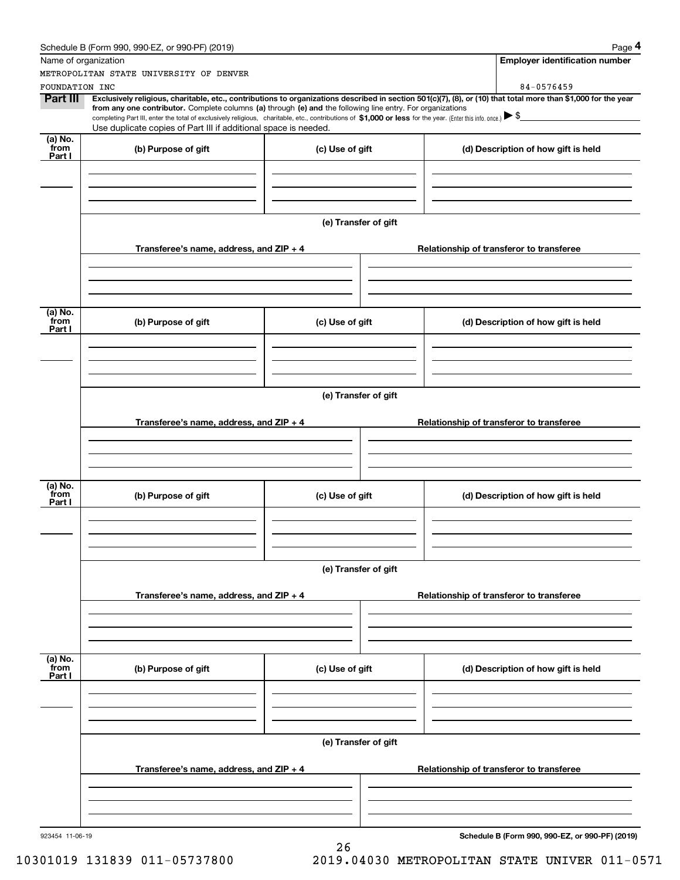|                                               | Schedule B (Form 990, 990-EZ, or 990-PF) (2019)                                                                                                                                                                                                                              |                      |  | Page 4                                          |  |  |
|-----------------------------------------------|------------------------------------------------------------------------------------------------------------------------------------------------------------------------------------------------------------------------------------------------------------------------------|----------------------|--|-------------------------------------------------|--|--|
|                                               | Name of organization                                                                                                                                                                                                                                                         |                      |  | <b>Employer identification number</b>           |  |  |
|                                               | METROPOLITAN STATE UNIVERSITY OF DENVER                                                                                                                                                                                                                                      |                      |  |                                                 |  |  |
| FOUNDATION INC                                |                                                                                                                                                                                                                                                                              |                      |  | 84-0576459                                      |  |  |
| <b>Part III</b>                               | Exclusively religious, charitable, etc., contributions to organizations described in section 501(c)(7), (8), or (10) that total more than \$1,000 for the year<br>from any one contributor. Complete columns (a) through (e) and the following line entry. For organizations |                      |  |                                                 |  |  |
|                                               | completing Part III, enter the total of exclusively religious, charitable, etc., contributions of \$1,000 or less for the year. (Enter this info. once.) \\$                                                                                                                 |                      |  |                                                 |  |  |
|                                               | Use duplicate copies of Part III if additional space is needed.                                                                                                                                                                                                              |                      |  |                                                 |  |  |
| (a) $\overline{\text{No.}}$<br>from<br>Part I | (b) Purpose of gift                                                                                                                                                                                                                                                          | (c) Use of gift      |  | (d) Description of how gift is held             |  |  |
|                                               |                                                                                                                                                                                                                                                                              |                      |  |                                                 |  |  |
|                                               |                                                                                                                                                                                                                                                                              | (e) Transfer of gift |  |                                                 |  |  |
|                                               | Transferee's name, address, and $ZIP + 4$                                                                                                                                                                                                                                    |                      |  | Relationship of transferor to transferee        |  |  |
|                                               |                                                                                                                                                                                                                                                                              |                      |  |                                                 |  |  |
|                                               |                                                                                                                                                                                                                                                                              |                      |  |                                                 |  |  |
| (a) No.<br>from<br>Part I                     | (b) Purpose of gift                                                                                                                                                                                                                                                          | (c) Use of gift      |  | (d) Description of how gift is held             |  |  |
|                                               |                                                                                                                                                                                                                                                                              |                      |  |                                                 |  |  |
|                                               |                                                                                                                                                                                                                                                                              | (e) Transfer of gift |  |                                                 |  |  |
|                                               |                                                                                                                                                                                                                                                                              |                      |  |                                                 |  |  |
|                                               | Transferee's name, address, and $ZIP + 4$                                                                                                                                                                                                                                    |                      |  | Relationship of transferor to transferee        |  |  |
|                                               |                                                                                                                                                                                                                                                                              |                      |  |                                                 |  |  |
| (a) No.<br>from<br>Part I                     | (b) Purpose of gift                                                                                                                                                                                                                                                          | (c) Use of gift      |  | (d) Description of how gift is held             |  |  |
|                                               |                                                                                                                                                                                                                                                                              |                      |  |                                                 |  |  |
|                                               |                                                                                                                                                                                                                                                                              |                      |  |                                                 |  |  |
|                                               | (e) Transfer of gift                                                                                                                                                                                                                                                         |                      |  |                                                 |  |  |
|                                               | Transferee's name, address, and ZIP + 4                                                                                                                                                                                                                                      |                      |  | Relationship of transferor to transferee        |  |  |
|                                               |                                                                                                                                                                                                                                                                              |                      |  |                                                 |  |  |
| (a) No.<br>from                               | (b) Purpose of gift                                                                                                                                                                                                                                                          | (c) Use of gift      |  | (d) Description of how gift is held             |  |  |
| Part I                                        |                                                                                                                                                                                                                                                                              |                      |  |                                                 |  |  |
|                                               |                                                                                                                                                                                                                                                                              |                      |  |                                                 |  |  |
|                                               | (e) Transfer of gift                                                                                                                                                                                                                                                         |                      |  |                                                 |  |  |
|                                               | Transferee's name, address, and ZIP + 4                                                                                                                                                                                                                                      |                      |  | Relationship of transferor to transferee        |  |  |
|                                               |                                                                                                                                                                                                                                                                              |                      |  |                                                 |  |  |
|                                               |                                                                                                                                                                                                                                                                              |                      |  |                                                 |  |  |
| 923454 11-06-19                               |                                                                                                                                                                                                                                                                              | 26                   |  | Schedule B (Form 990, 990-EZ, or 990-PF) (2019) |  |  |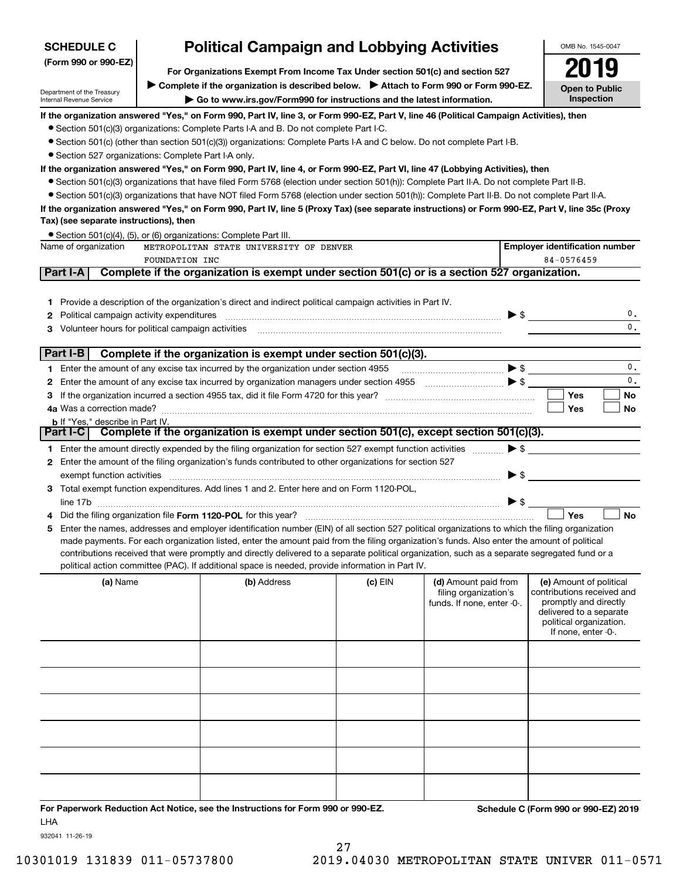| <b>SCHEDULE C</b>                                                                                      |                                                                                                                                                                    | <b>Political Campaign and Lobbying Activities</b>                                                                                                                                                                                                                                                                                                                                                                                                                                                                                                                                    |           |                                                                             |                          | OMB No. 1545-0047                                                                                                                                           |                                     |
|--------------------------------------------------------------------------------------------------------|--------------------------------------------------------------------------------------------------------------------------------------------------------------------|--------------------------------------------------------------------------------------------------------------------------------------------------------------------------------------------------------------------------------------------------------------------------------------------------------------------------------------------------------------------------------------------------------------------------------------------------------------------------------------------------------------------------------------------------------------------------------------|-----------|-----------------------------------------------------------------------------|--------------------------|-------------------------------------------------------------------------------------------------------------------------------------------------------------|-------------------------------------|
| (Form 990 or 990-EZ)                                                                                   | For Organizations Exempt From Income Tax Under section 501(c) and section 527                                                                                      |                                                                                                                                                                                                                                                                                                                                                                                                                                                                                                                                                                                      |           |                                                                             |                          |                                                                                                                                                             |                                     |
| Department of the Treasury<br>Internal Revenue Service                                                 | Complete if the organization is described below.<br>> Attach to Form 990 or Form 990-EZ.<br>Go to www.irs.gov/Form990 for instructions and the latest information. |                                                                                                                                                                                                                                                                                                                                                                                                                                                                                                                                                                                      |           |                                                                             |                          |                                                                                                                                                             | <b>Open to Public</b><br>Inspection |
| • Section 527 organizations: Complete Part I-A only.                                                   |                                                                                                                                                                    | If the organization answered "Yes," on Form 990, Part IV, line 3, or Form 990-EZ, Part V, line 46 (Political Campaign Activities), then<br>• Section 501(c)(3) organizations: Complete Parts I-A and B. Do not complete Part I-C.<br>● Section 501(c) (other than section 501(c)(3)) organizations: Complete Parts I-A and C below. Do not complete Part I-B.                                                                                                                                                                                                                        |           |                                                                             |                          |                                                                                                                                                             |                                     |
|                                                                                                        |                                                                                                                                                                    | If the organization answered "Yes," on Form 990, Part IV, line 4, or Form 990-EZ, Part VI, line 47 (Lobbying Activities), then<br>• Section 501(c)(3) organizations that have filed Form 5768 (election under section 501(h)): Complete Part II-A. Do not complete Part II-B.<br>• Section 501(c)(3) organizations that have NOT filed Form 5768 (election under section 501(h)): Complete Part II-B. Do not complete Part II-A.<br>If the organization answered "Yes," on Form 990, Part IV, line 5 (Proxy Tax) (see separate instructions) or Form 990-EZ, Part V, line 35c (Proxy |           |                                                                             |                          |                                                                                                                                                             |                                     |
| Tax) (see separate instructions), then                                                                 |                                                                                                                                                                    |                                                                                                                                                                                                                                                                                                                                                                                                                                                                                                                                                                                      |           |                                                                             |                          |                                                                                                                                                             |                                     |
| Name of organization                                                                                   |                                                                                                                                                                    | Section 501(c)(4), (5), or (6) organizations: Complete Part III.                                                                                                                                                                                                                                                                                                                                                                                                                                                                                                                     |           |                                                                             |                          |                                                                                                                                                             |                                     |
|                                                                                                        | FOUNDATION INC                                                                                                                                                     | METROPOLITAN STATE UNIVERSITY OF DENVER                                                                                                                                                                                                                                                                                                                                                                                                                                                                                                                                              |           |                                                                             |                          | <b>Employer identification number</b><br>84-0576459                                                                                                         |                                     |
| Part I-A                                                                                               |                                                                                                                                                                    | Complete if the organization is exempt under section 501(c) or is a section 527 organization.                                                                                                                                                                                                                                                                                                                                                                                                                                                                                        |           |                                                                             |                          |                                                                                                                                                             |                                     |
|                                                                                                        |                                                                                                                                                                    |                                                                                                                                                                                                                                                                                                                                                                                                                                                                                                                                                                                      |           |                                                                             |                          |                                                                                                                                                             |                                     |
| <b>2</b> Political campaign activity expenditures<br>Volunteer hours for political campaign activities |                                                                                                                                                                    | 1 Provide a description of the organization's direct and indirect political campaign activities in Part IV.                                                                                                                                                                                                                                                                                                                                                                                                                                                                          |           |                                                                             | $\blacktriangleright$ \$ |                                                                                                                                                             | 0.<br>0.                            |
| Part I-B                                                                                               |                                                                                                                                                                    | Complete if the organization is exempt under section 501(c)(3).                                                                                                                                                                                                                                                                                                                                                                                                                                                                                                                      |           |                                                                             |                          |                                                                                                                                                             |                                     |
|                                                                                                        |                                                                                                                                                                    | 1 Enter the amount of any excise tax incurred by the organization under section 4955                                                                                                                                                                                                                                                                                                                                                                                                                                                                                                 |           |                                                                             | $\blacktriangleright$ \$ |                                                                                                                                                             | 0.                                  |
| 2                                                                                                      |                                                                                                                                                                    | Enter the amount of any excise tax incurred by organization managers under section 4955 [11] [12] Example 10 S                                                                                                                                                                                                                                                                                                                                                                                                                                                                       |           |                                                                             |                          |                                                                                                                                                             | 0.                                  |
|                                                                                                        |                                                                                                                                                                    |                                                                                                                                                                                                                                                                                                                                                                                                                                                                                                                                                                                      |           |                                                                             |                          | Yes                                                                                                                                                         | <b>No</b>                           |
| 4a Was a correction made?                                                                              |                                                                                                                                                                    |                                                                                                                                                                                                                                                                                                                                                                                                                                                                                                                                                                                      |           |                                                                             |                          | Yes                                                                                                                                                         | No                                  |
| <b>b</b> If "Yes," describe in Part IV.<br>Part I-C                                                    |                                                                                                                                                                    | Complete if the organization is exempt under section 501(c), except section 501(c)(3).                                                                                                                                                                                                                                                                                                                                                                                                                                                                                               |           |                                                                             |                          |                                                                                                                                                             |                                     |
|                                                                                                        |                                                                                                                                                                    | 1 Enter the amount directly expended by the filing organization for section 527 exempt function activities                                                                                                                                                                                                                                                                                                                                                                                                                                                                           |           |                                                                             | $\blacktriangleright$ \$ |                                                                                                                                                             |                                     |
|                                                                                                        |                                                                                                                                                                    | 2 Enter the amount of the filing organization's funds contributed to other organizations for section 527                                                                                                                                                                                                                                                                                                                                                                                                                                                                             |           |                                                                             |                          |                                                                                                                                                             |                                     |
| exempt function activities                                                                             |                                                                                                                                                                    |                                                                                                                                                                                                                                                                                                                                                                                                                                                                                                                                                                                      |           |                                                                             | ▶ \$                     |                                                                                                                                                             |                                     |
|                                                                                                        |                                                                                                                                                                    | 3 Total exempt function expenditures. Add lines 1 and 2. Enter here and on Form 1120-POL,                                                                                                                                                                                                                                                                                                                                                                                                                                                                                            |           |                                                                             |                          |                                                                                                                                                             |                                     |
| line 17b                                                                                               |                                                                                                                                                                    |                                                                                                                                                                                                                                                                                                                                                                                                                                                                                                                                                                                      |           |                                                                             | $\blacktriangleright$ \$ |                                                                                                                                                             |                                     |
|                                                                                                        |                                                                                                                                                                    | Did the filing organization file Form 1120-POL for this year?                                                                                                                                                                                                                                                                                                                                                                                                                                                                                                                        |           |                                                                             |                          | Yes                                                                                                                                                         | <b>No</b>                           |
|                                                                                                        |                                                                                                                                                                    | 5 Enter the names, addresses and employer identification number (EIN) of all section 527 political organizations to which the filing organization                                                                                                                                                                                                                                                                                                                                                                                                                                    |           |                                                                             |                          |                                                                                                                                                             |                                     |
|                                                                                                        |                                                                                                                                                                    | made payments. For each organization listed, enter the amount paid from the filing organization's funds. Also enter the amount of political                                                                                                                                                                                                                                                                                                                                                                                                                                          |           |                                                                             |                          |                                                                                                                                                             |                                     |
|                                                                                                        |                                                                                                                                                                    | contributions received that were promptly and directly delivered to a separate political organization, such as a separate segregated fund or a<br>political action committee (PAC). If additional space is needed, provide information in Part IV.                                                                                                                                                                                                                                                                                                                                   |           |                                                                             |                          |                                                                                                                                                             |                                     |
| (a) Name                                                                                               |                                                                                                                                                                    | (b) Address                                                                                                                                                                                                                                                                                                                                                                                                                                                                                                                                                                          | $(c)$ EIN | (d) Amount paid from<br>filing organization's<br>funds. If none, enter -0-. |                          | (e) Amount of political<br>contributions received and<br>promptly and directly<br>delivered to a separate<br>political organization.<br>If none, enter -0-. |                                     |
|                                                                                                        |                                                                                                                                                                    |                                                                                                                                                                                                                                                                                                                                                                                                                                                                                                                                                                                      |           |                                                                             |                          |                                                                                                                                                             |                                     |

**For Paperwork Reduction Act Notice, see the Instructions for Form 990 or 990-EZ. Schedule C (Form 990 or 990-EZ) 2019** LHA

932041 11-26-19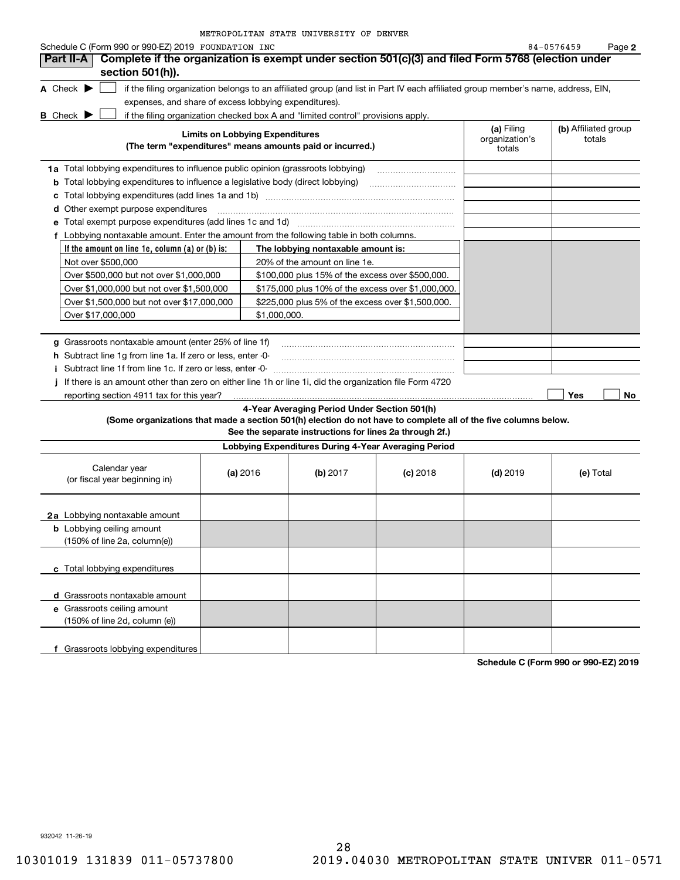| METROPOLITAN STATE UNIVERSITY OF DENVER |  |  |  |  |
|-----------------------------------------|--|--|--|--|
|-----------------------------------------|--|--|--|--|

| Schedule C (Form 990 or 990-EZ) 2019 FOUNDATION INC                                                             |                                        |              |                                                                                  |                                                                                                                                   |                                        | 84-0576459<br>Page 2           |
|-----------------------------------------------------------------------------------------------------------------|----------------------------------------|--------------|----------------------------------------------------------------------------------|-----------------------------------------------------------------------------------------------------------------------------------|----------------------------------------|--------------------------------|
| Complete if the organization is exempt under section 501(c)(3) and filed Form 5768 (election under<br>Part II-A |                                        |              |                                                                                  |                                                                                                                                   |                                        |                                |
| section 501(h)).                                                                                                |                                        |              |                                                                                  |                                                                                                                                   |                                        |                                |
| A Check $\blacktriangleright$                                                                                   |                                        |              |                                                                                  | if the filing organization belongs to an affiliated group (and list in Part IV each affiliated group member's name, address, EIN, |                                        |                                |
| expenses, and share of excess lobbying expenditures).                                                           |                                        |              |                                                                                  |                                                                                                                                   |                                        |                                |
| <b>B</b> Check $\blacktriangleright$                                                                            |                                        |              | if the filing organization checked box A and "limited control" provisions apply. |                                                                                                                                   |                                        |                                |
|                                                                                                                 | <b>Limits on Lobbying Expenditures</b> |              | (The term "expenditures" means amounts paid or incurred.)                        |                                                                                                                                   | (a) Filing<br>organization's<br>totals | (b) Affiliated group<br>totals |
|                                                                                                                 |                                        |              |                                                                                  |                                                                                                                                   |                                        |                                |
| 1a Total lobbying expenditures to influence public opinion (grassroots lobbying)                                |                                        |              |                                                                                  |                                                                                                                                   |                                        |                                |
| <b>b</b> Total lobbying expenditures to influence a legislative body (direct lobbying)                          |                                        |              |                                                                                  |                                                                                                                                   |                                        |                                |
| d Other exempt purpose expenditures                                                                             |                                        |              |                                                                                  |                                                                                                                                   |                                        |                                |
| Total exempt purpose expenditures (add lines 1c and 1d)                                                         |                                        |              |                                                                                  |                                                                                                                                   |                                        |                                |
| f Lobbying nontaxable amount. Enter the amount from the following table in both columns.                        |                                        |              |                                                                                  |                                                                                                                                   |                                        |                                |
| If the amount on line 1e, column $(a)$ or $(b)$ is:                                                             |                                        |              | The lobbying nontaxable amount is:                                               |                                                                                                                                   |                                        |                                |
| Not over \$500,000                                                                                              |                                        |              | 20% of the amount on line 1e.                                                    |                                                                                                                                   |                                        |                                |
| Over \$500,000 but not over \$1,000,000                                                                         |                                        |              | \$100,000 plus 15% of the excess over \$500,000.                                 |                                                                                                                                   |                                        |                                |
| Over \$1,000,000 but not over \$1,500,000                                                                       |                                        |              | \$175,000 plus 10% of the excess over \$1,000,000.                               |                                                                                                                                   |                                        |                                |
| Over \$1,500,000 but not over \$17,000,000                                                                      |                                        |              | \$225,000 plus 5% of the excess over \$1,500,000.                                |                                                                                                                                   |                                        |                                |
| Over \$17,000,000                                                                                               |                                        | \$1,000,000. |                                                                                  |                                                                                                                                   |                                        |                                |
|                                                                                                                 |                                        |              |                                                                                  |                                                                                                                                   |                                        |                                |
| g Grassroots nontaxable amount (enter 25% of line 1f)                                                           |                                        |              |                                                                                  |                                                                                                                                   |                                        |                                |
| h Subtract line 1g from line 1a. If zero or less, enter -0-                                                     |                                        |              |                                                                                  |                                                                                                                                   |                                        |                                |
| i Subtract line 1f from line 1c. If zero or less, enter 0                                                       |                                        |              |                                                                                  |                                                                                                                                   |                                        |                                |
| If there is an amount other than zero on either line 1h or line 1i, did the organization file Form 4720         |                                        |              |                                                                                  |                                                                                                                                   |                                        |                                |
| reporting section 4911 tax for this year?                                                                       |                                        |              |                                                                                  |                                                                                                                                   |                                        | Yes<br>No                      |
|                                                                                                                 |                                        |              | 4-Year Averaging Period Under Section 501(h)                                     |                                                                                                                                   |                                        |                                |
| (Some organizations that made a section 501(h) election do not have to complete all of the five columns below.  |                                        |              |                                                                                  |                                                                                                                                   |                                        |                                |
|                                                                                                                 |                                        |              | See the separate instructions for lines 2a through 2f.)                          |                                                                                                                                   |                                        |                                |
|                                                                                                                 |                                        |              | Lobbying Expenditures During 4-Year Averaging Period                             |                                                                                                                                   |                                        |                                |
| Calendar year<br>(or fiscal year beginning in)                                                                  | (a) 2016                               |              | (b) $2017$                                                                       | $(c)$ 2018                                                                                                                        | $(d)$ 2019                             | (e) Total                      |
| 2a Lobbying nontaxable amount                                                                                   |                                        |              |                                                                                  |                                                                                                                                   |                                        |                                |
| <b>b</b> Lobbying ceiling amount<br>(150% of line 2a, column(e))                                                |                                        |              |                                                                                  |                                                                                                                                   |                                        |                                |
| c Total lobbying expenditures                                                                                   |                                        |              |                                                                                  |                                                                                                                                   |                                        |                                |
| d Grassroots nontaxable amount                                                                                  |                                        |              |                                                                                  |                                                                                                                                   |                                        |                                |
| e Grassroots ceiling amount                                                                                     |                                        |              |                                                                                  |                                                                                                                                   |                                        |                                |
| (150% of line 2d, column (e))                                                                                   |                                        |              |                                                                                  |                                                                                                                                   |                                        |                                |
| f Grassroots lobbying expenditures                                                                              |                                        |              |                                                                                  |                                                                                                                                   |                                        |                                |

**Schedule C (Form 990 or 990-EZ) 2019**

932042 11-26-19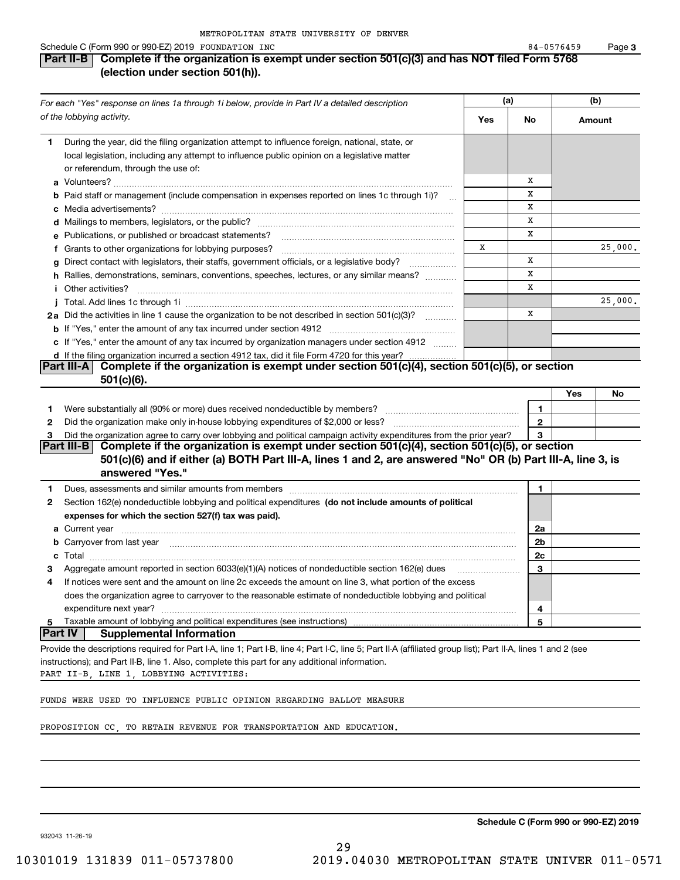#### Schedule C (Form 990 or 990-EZ) 2019 POUNDATION INC Research Control of Maria Control of Maria Control of Mari

### **Part II-B Complete if the organization is exempt under section 501(c)(3) and has NOT filed Form 5768 (election under section 501(h)).**

| For each "Yes" response on lines 1a through 1i below, provide in Part IV a detailed description                                                                                                                                                        |     | (a)          |        | (b)     |  |
|--------------------------------------------------------------------------------------------------------------------------------------------------------------------------------------------------------------------------------------------------------|-----|--------------|--------|---------|--|
| of the lobbying activity.                                                                                                                                                                                                                              | Yes | No           | Amount |         |  |
| During the year, did the filing organization attempt to influence foreign, national, state, or<br>1.<br>local legislation, including any attempt to influence public opinion on a legislative matter<br>or referendum, through the use of:             |     |              |        |         |  |
|                                                                                                                                                                                                                                                        |     | х            |        |         |  |
| <b>b</b> Paid staff or management (include compensation in expenses reported on lines 1c through 1i)?<br>$\sim$                                                                                                                                        |     | x            |        |         |  |
|                                                                                                                                                                                                                                                        |     | x            |        |         |  |
|                                                                                                                                                                                                                                                        |     | х            |        |         |  |
| <b>e</b> Publications, or published or broadcast statements?                                                                                                                                                                                           |     | x            |        |         |  |
| f Grants to other organizations for lobbying purposes?                                                                                                                                                                                                 | х   |              |        | 25,000. |  |
| g Direct contact with legislators, their staffs, government officials, or a legislative body?                                                                                                                                                          |     | х            |        |         |  |
| h Rallies, demonstrations, seminars, conventions, speeches, lectures, or any similar means?                                                                                                                                                            |     | x            |        |         |  |
| <i>i</i> Other activities?                                                                                                                                                                                                                             |     | x            |        |         |  |
|                                                                                                                                                                                                                                                        |     |              |        | 25,000. |  |
| 2a Did the activities in line 1 cause the organization to be not described in section 501(c)(3)?                                                                                                                                                       |     | x            |        |         |  |
|                                                                                                                                                                                                                                                        |     |              |        |         |  |
| c If "Yes," enter the amount of any tax incurred by organization managers under section 4912                                                                                                                                                           |     |              |        |         |  |
| d If the filing organization incurred a section 4912 tax, did it file Form 4720 for this year?<br>Complete if the organization is exempt under section 501(c)(4), section 501(c)(5), or section<br>∣Part III-A ∣                                       |     |              |        |         |  |
| $501(c)(6)$ .                                                                                                                                                                                                                                          |     |              |        |         |  |
|                                                                                                                                                                                                                                                        |     |              | Yes    | No      |  |
| 1.                                                                                                                                                                                                                                                     |     | 1            |        |         |  |
| 2                                                                                                                                                                                                                                                      |     | $\mathbf{2}$ |        |         |  |
| Did the organization agree to carry over lobbying and political campaign activity expenditures from the prior year?<br>3                                                                                                                               |     | 3            |        |         |  |
| Part III-B Complete if the organization is exempt under section $501(c)(4)$ , section $501(c)(5)$ , or section                                                                                                                                         |     |              |        |         |  |
| 501(c)(6) and if either (a) BOTH Part III-A, lines 1 and 2, are answered "No" OR (b) Part III-A, line 3, is<br>answered "Yes."                                                                                                                         |     |              |        |         |  |
| Dues, assessments and similar amounts from members [11] matter contracts and similar amounts from members [11] matter contracts and similar amounts from members [11] matter contracts and similar amounts from members [11] m<br>1.                   |     | 1            |        |         |  |
| Section 162(e) nondeductible lobbying and political expenditures (do not include amounts of political<br>2                                                                                                                                             |     |              |        |         |  |
| expenses for which the section 527(f) tax was paid).                                                                                                                                                                                                   |     |              |        |         |  |
| <b>a</b> Current year                                                                                                                                                                                                                                  |     | 2a           |        |         |  |
| b Carryover from last year manufactured and contact the control of the control of the control of the control of the control of the control of the control of the control of the control of the control of the control of the c                         |     | 2b           |        |         |  |
| $\textbf{Total} \textcolor{red}{x_1x_2x_3x_4x_5x_6x_7x_8x_9x_1x_2x_3x_4x_5x_6x_7x_8x_9x_1x_2x_3x_4x_5x_6x_7x_8x_9x_1x_2x_3x_4x_5x_6x_7x_8x_8x_9x_1x_2x_3x_4x_5x_6x_7x_8x_8x_9x_1x_2x_3x_4x_5x_6x_7x_8x_8x_9x_1x_2x_3x_4x_5x_6x_7x_8x_8x_9x_1x_2x$<br>c |     | 2c           |        |         |  |
| Aggregate amount reported in section 6033(e)(1)(A) notices of nondeductible section 162(e) dues                                                                                                                                                        |     | 3            |        |         |  |
| If notices were sent and the amount on line 2c exceeds the amount on line 3, what portion of the excess<br>4                                                                                                                                           |     |              |        |         |  |
| does the organization agree to carryover to the reasonable estimate of nondeductible lobbying and political                                                                                                                                            |     |              |        |         |  |
| expenditure next year?                                                                                                                                                                                                                                 |     | 4            |        |         |  |
| Taxable amount of lobbying and political expenditures (see instructions)<br>5                                                                                                                                                                          |     | 5            |        |         |  |
| <b>Part IV</b><br><b>Supplemental Information</b>                                                                                                                                                                                                      |     |              |        |         |  |
| Provide the descriptions required for Part I-A, line 1; Part I-B, line 4; Part I-C, line 5; Part II-A (affiliated group list); Part II-A, lines 1 and 2 (see                                                                                           |     |              |        |         |  |
| instructions); and Part II-B, line 1. Also, complete this part for any additional information.<br>PART II-B, LINE 1, LOBBYING ACTIVITIES:                                                                                                              |     |              |        |         |  |
| FUNDS WERE USED TO INFLUENCE PUBLIC OPINION REGARDING BALLOT MEASURE                                                                                                                                                                                   |     |              |        |         |  |
| PROPOSITION CC, TO RETAIN REVENUE FOR TRANSPORTATION AND EDUCATION.                                                                                                                                                                                    |     |              |        |         |  |

932043 11-26-19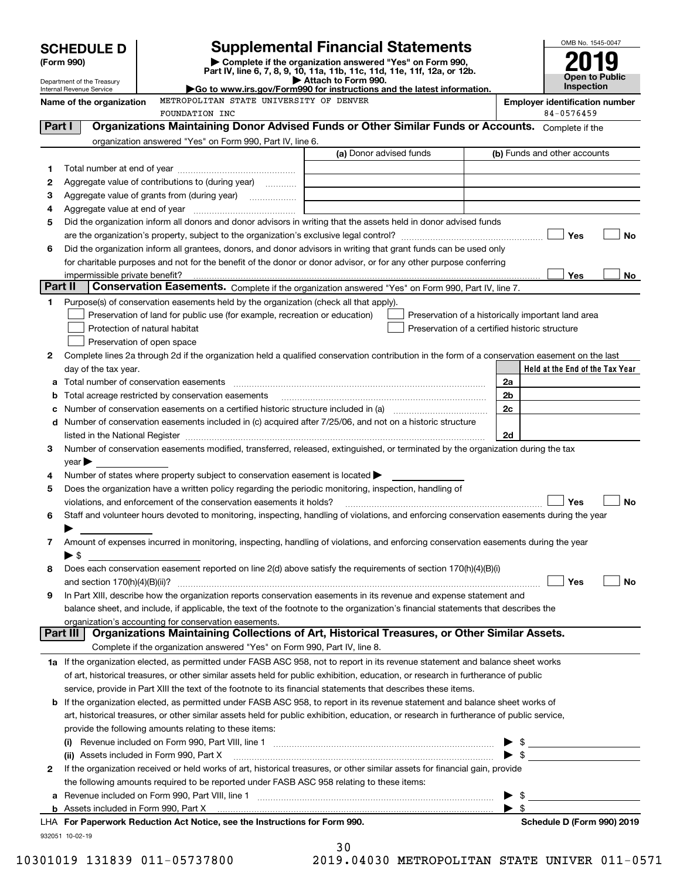|         |                                                               |                                                                                                   |                                                                                                                                                                                                                               |    | OMB No. 1545-0047                                   |
|---------|---------------------------------------------------------------|---------------------------------------------------------------------------------------------------|-------------------------------------------------------------------------------------------------------------------------------------------------------------------------------------------------------------------------------|----|-----------------------------------------------------|
|         | <b>SCHEDULE D</b><br>(Form 990)                               |                                                                                                   | <b>Supplemental Financial Statements</b><br>Complete if the organization answered "Yes" on Form 990,                                                                                                                          |    |                                                     |
|         |                                                               |                                                                                                   | Part IV, line 6, 7, 8, 9, 10, 11a, 11b, 11c, 11d, 11e, 11f, 12a, or 12b.                                                                                                                                                      |    | Open to Public                                      |
|         | Department of the Treasury<br><b>Internal Revenue Service</b> |                                                                                                   | Attach to Form 990.<br>Go to www.irs.gov/Form990 for instructions and the latest information.                                                                                                                                 |    | <b>Inspection</b>                                   |
|         | Name of the organization                                      | METROPOLITAN STATE UNIVERSITY OF DENVER<br>FOUNDATION INC                                         |                                                                                                                                                                                                                               |    | <b>Employer identification number</b><br>84-0576459 |
| Part I  |                                                               |                                                                                                   | Organizations Maintaining Donor Advised Funds or Other Similar Funds or Accounts. Complete if the                                                                                                                             |    |                                                     |
|         |                                                               | organization answered "Yes" on Form 990, Part IV, line 6.                                         |                                                                                                                                                                                                                               |    |                                                     |
|         |                                                               |                                                                                                   | (a) Donor advised funds                                                                                                                                                                                                       |    | (b) Funds and other accounts                        |
| 1       |                                                               |                                                                                                   |                                                                                                                                                                                                                               |    |                                                     |
| 2       |                                                               | Aggregate value of contributions to (during year)                                                 |                                                                                                                                                                                                                               |    |                                                     |
| 3       |                                                               |                                                                                                   |                                                                                                                                                                                                                               |    |                                                     |
| 4       |                                                               |                                                                                                   |                                                                                                                                                                                                                               |    |                                                     |
| 5       |                                                               |                                                                                                   | Did the organization inform all donors and donor advisors in writing that the assets held in donor advised funds                                                                                                              |    |                                                     |
|         |                                                               |                                                                                                   |                                                                                                                                                                                                                               |    | Yes<br><b>No</b>                                    |
| 6       |                                                               |                                                                                                   | Did the organization inform all grantees, donors, and donor advisors in writing that grant funds can be used only                                                                                                             |    |                                                     |
|         |                                                               |                                                                                                   | for charitable purposes and not for the benefit of the donor or donor advisor, or for any other purpose conferring                                                                                                            |    |                                                     |
| Part II | impermissible private benefit?                                |                                                                                                   | Conservation Easements. Complete if the organization answered "Yes" on Form 990, Part IV, line 7.                                                                                                                             |    | Yes<br>No                                           |
| 1       |                                                               | Purpose(s) of conservation easements held by the organization (check all that apply).             |                                                                                                                                                                                                                               |    |                                                     |
|         |                                                               | Preservation of land for public use (for example, recreation or education)                        | Preservation of a historically important land area                                                                                                                                                                            |    |                                                     |
|         | Protection of natural habitat                                 |                                                                                                   | Preservation of a certified historic structure                                                                                                                                                                                |    |                                                     |
|         | Preservation of open space                                    |                                                                                                   |                                                                                                                                                                                                                               |    |                                                     |
| 2       |                                                               |                                                                                                   | Complete lines 2a through 2d if the organization held a qualified conservation contribution in the form of a conservation easement on the last                                                                                |    |                                                     |
|         | day of the tax year.                                          |                                                                                                   |                                                                                                                                                                                                                               |    | Held at the End of the Tax Year                     |
| а       |                                                               |                                                                                                   |                                                                                                                                                                                                                               | 2a |                                                     |
| b       |                                                               | Total acreage restricted by conservation easements                                                |                                                                                                                                                                                                                               | 2b |                                                     |
|         |                                                               |                                                                                                   |                                                                                                                                                                                                                               | 2c |                                                     |
|         |                                                               |                                                                                                   | d Number of conservation easements included in (c) acquired after 7/25/06, and not on a historic structure                                                                                                                    |    |                                                     |
|         |                                                               |                                                                                                   | listed in the National Register [11, 1200] [12] The National Register [11, 1200] [12] The National Register [11, 1200] [12] The National Register [11, 1200] [12] The National Register [11, 1200] [12] The National Register | 2d |                                                     |
| 3       |                                                               |                                                                                                   | Number of conservation easements modified, transferred, released, extinguished, or terminated by the organization during the tax                                                                                              |    |                                                     |
|         | year                                                          |                                                                                                   |                                                                                                                                                                                                                               |    |                                                     |
| 4       |                                                               | Number of states where property subject to conservation easement is located $\blacktriangleright$ |                                                                                                                                                                                                                               |    |                                                     |
| 5       |                                                               |                                                                                                   | Does the organization have a written policy regarding the periodic monitoring, inspection, handling of                                                                                                                        |    |                                                     |
|         |                                                               | violations, and enforcement of the conservation easements it holds?                               |                                                                                                                                                                                                                               |    | Yes<br><b>No</b>                                    |
| 6       |                                                               |                                                                                                   | Staff and volunteer hours devoted to monitoring, inspecting, handling of violations, and enforcing conservation easements during the year                                                                                     |    |                                                     |
|         |                                                               |                                                                                                   |                                                                                                                                                                                                                               |    |                                                     |
| 7       |                                                               |                                                                                                   | Amount of expenses incurred in monitoring, inspecting, handling of violations, and enforcing conservation easements during the year                                                                                           |    |                                                     |
| 8       | $\blacktriangleright$ \$                                      |                                                                                                   | Does each conservation easement reported on line 2(d) above satisfy the requirements of section 170(h)(4)(B)(i)                                                                                                               |    |                                                     |
|         |                                                               |                                                                                                   |                                                                                                                                                                                                                               |    | Yes<br>No                                           |
| 9       |                                                               |                                                                                                   | In Part XIII, describe how the organization reports conservation easements in its revenue and expense statement and                                                                                                           |    |                                                     |
|         |                                                               |                                                                                                   | balance sheet, and include, if applicable, the text of the footnote to the organization's financial statements that describes the                                                                                             |    |                                                     |
|         |                                                               | organization's accounting for conservation easements.                                             |                                                                                                                                                                                                                               |    |                                                     |
|         | Part III                                                      |                                                                                                   | Organizations Maintaining Collections of Art, Historical Treasures, or Other Similar Assets.                                                                                                                                  |    |                                                     |
|         |                                                               | Complete if the organization answered "Yes" on Form 990, Part IV, line 8.                         |                                                                                                                                                                                                                               |    |                                                     |
|         |                                                               |                                                                                                   | 1a If the organization elected, as permitted under FASB ASC 958, not to report in its revenue statement and balance sheet works                                                                                               |    |                                                     |
|         |                                                               |                                                                                                   | of art, historical treasures, or other similar assets held for public exhibition, education, or research in furtherance of public                                                                                             |    |                                                     |
|         |                                                               |                                                                                                   | service, provide in Part XIII the text of the footnote to its financial statements that describes these items.                                                                                                                |    |                                                     |
|         |                                                               |                                                                                                   | <b>b</b> If the organization elected, as permitted under FASB ASC 958, to report in its revenue statement and balance sheet works of                                                                                          |    |                                                     |
|         |                                                               |                                                                                                   | art, historical treasures, or other similar assets held for public exhibition, education, or research in furtherance of public service,                                                                                       |    |                                                     |
|         |                                                               | provide the following amounts relating to these items:                                            |                                                                                                                                                                                                                               |    |                                                     |
|         |                                                               |                                                                                                   |                                                                                                                                                                                                                               |    | $\frac{1}{2}$                                       |
|         |                                                               | (ii) Assets included in Form 990, Part X                                                          |                                                                                                                                                                                                                               |    |                                                     |
| 2       |                                                               |                                                                                                   | If the organization received or held works of art, historical treasures, or other similar assets for financial gain, provide                                                                                                  |    |                                                     |
|         |                                                               | the following amounts required to be reported under FASB ASC 958 relating to these items:         |                                                                                                                                                                                                                               |    |                                                     |
| а       |                                                               |                                                                                                   |                                                                                                                                                                                                                               |    | - \$                                                |
|         |                                                               |                                                                                                   |                                                                                                                                                                                                                               |    | \$                                                  |
|         |                                                               | LHA For Paperwork Reduction Act Notice, see the Instructions for Form 990.                        |                                                                                                                                                                                                                               |    | Schedule D (Form 990) 2019                          |
|         | 932051 10-02-19                                               |                                                                                                   |                                                                                                                                                                                                                               |    |                                                     |

| 30 |                      |  |
|----|----------------------|--|
|    | $10.01020 \text{ m}$ |  |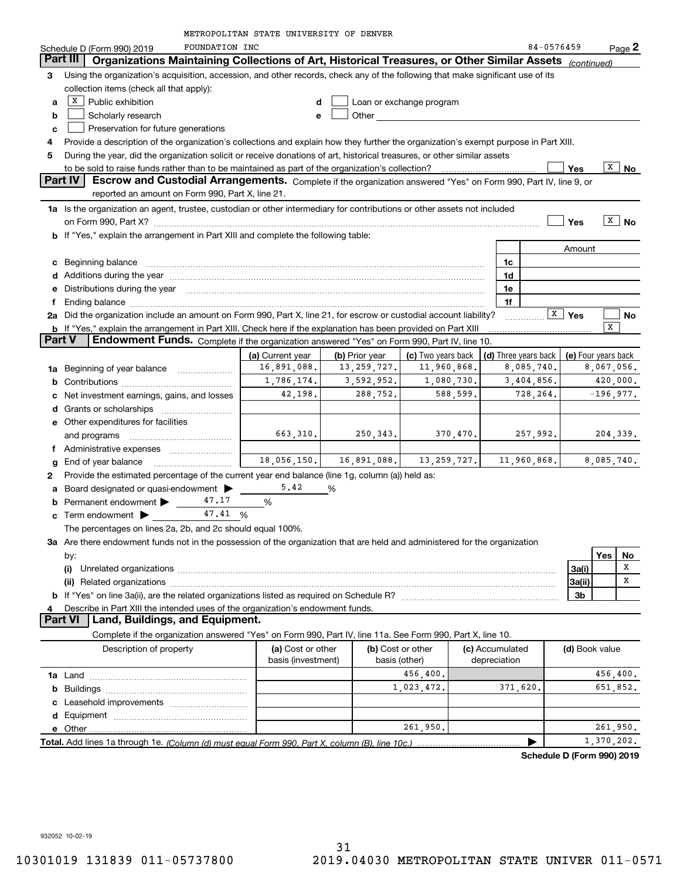| METROPOLITAN STATE UNIVERSITY OF DENVER |
|-----------------------------------------|
|-----------------------------------------|

|        |                                                                                                                                                                                                                               | METROPOLITAN STATE UNIVERSITY OF DENVER |                |                                    |                                 |                      |            |                     |     |                   |
|--------|-------------------------------------------------------------------------------------------------------------------------------------------------------------------------------------------------------------------------------|-----------------------------------------|----------------|------------------------------------|---------------------------------|----------------------|------------|---------------------|-----|-------------------|
|        | FOUNDATION INC<br>Schedule D (Form 990) 2019                                                                                                                                                                                  |                                         |                |                                    |                                 |                      | 84-0576459 |                     |     | $Page$ 2          |
|        | Organizations Maintaining Collections of Art, Historical Treasures, or Other Similar Assets (continued)<br>Part III                                                                                                           |                                         |                |                                    |                                 |                      |            |                     |     |                   |
| 3      | Using the organization's acquisition, accession, and other records, check any of the following that make significant use of its                                                                                               |                                         |                |                                    |                                 |                      |            |                     |     |                   |
|        | collection items (check all that apply):                                                                                                                                                                                      |                                         |                |                                    |                                 |                      |            |                     |     |                   |
| а      | $X$ Public exhibition                                                                                                                                                                                                         | d                                       |                | Loan or exchange program           |                                 |                      |            |                     |     |                   |
| b      | Scholarly research                                                                                                                                                                                                            | e                                       |                |                                    |                                 |                      |            |                     |     |                   |
| с      | Preservation for future generations                                                                                                                                                                                           |                                         |                |                                    |                                 |                      |            |                     |     |                   |
| 4      | Provide a description of the organization's collections and explain how they further the organization's exempt purpose in Part XIII.                                                                                          |                                         |                |                                    |                                 |                      |            |                     |     |                   |
| 5      | During the year, did the organization solicit or receive donations of art, historical treasures, or other similar assets                                                                                                      |                                         |                |                                    |                                 |                      |            |                     |     |                   |
|        |                                                                                                                                                                                                                               |                                         |                |                                    |                                 |                      |            | Yes                 | X   | No                |
|        | Part IV<br>Escrow and Custodial Arrangements. Complete if the organization answered "Yes" on Form 990, Part IV, line 9, or                                                                                                    |                                         |                |                                    |                                 |                      |            |                     |     |                   |
|        | reported an amount on Form 990, Part X, line 21.                                                                                                                                                                              |                                         |                |                                    |                                 |                      |            |                     |     |                   |
|        | 1a Is the organization an agent, trustee, custodian or other intermediary for contributions or other assets not included                                                                                                      |                                         |                |                                    |                                 |                      |            |                     |     |                   |
|        |                                                                                                                                                                                                                               |                                         |                |                                    |                                 |                      |            | Yes                 |     | $\overline{X}$ No |
|        | b If "Yes," explain the arrangement in Part XIII and complete the following table:                                                                                                                                            |                                         |                |                                    |                                 |                      |            |                     |     |                   |
|        |                                                                                                                                                                                                                               |                                         |                |                                    |                                 |                      |            | Amount              |     |                   |
| c      | Beginning balance                                                                                                                                                                                                             |                                         |                |                                    |                                 | 1c                   |            |                     |     |                   |
| d      | Additions during the year manufactured and an anti-manufactured and the year manufactured and all the year manufactured and all the year manufactured and all the year manufactured and all the year manufactured and all the |                                         |                |                                    |                                 | 1d                   |            |                     |     |                   |
| е      | Distributions during the year manufactured and continuum control of the state of the state of the state of the                                                                                                                |                                         |                |                                    |                                 | 1e                   |            |                     |     |                   |
| f      |                                                                                                                                                                                                                               |                                         |                |                                    |                                 | 1f                   |            |                     |     |                   |
| 2a     | Did the organization include an amount on Form 990, Part X, line 21, for escrow or custodial account liability?                                                                                                               |                                         |                |                                    |                                 |                      |            | $\overline{X}$ Yes  |     | No                |
|        | b If "Yes," explain the arrangement in Part XIII. Check here if the explanation has been provided on Part XIII                                                                                                                |                                         |                |                                    |                                 |                      |            |                     | X   |                   |
| Part V | Endowment Funds. Complete if the organization answered "Yes" on Form 990, Part IV, line 10.                                                                                                                                   |                                         |                |                                    |                                 |                      |            |                     |     |                   |
|        |                                                                                                                                                                                                                               | (a) Current year                        | (b) Prior year | (c) Two years back                 |                                 | (d) Three years back |            | (e) Four years back |     |                   |
| 1a     | Beginning of year balance                                                                                                                                                                                                     | 16,891,088.                             | 13, 259, 727.  | 11,960,868.                        |                                 | 8,085,740.           |            |                     |     | 8,067,056.        |
| b      |                                                                                                                                                                                                                               | 1,786,174.                              | 3,592,952.     | 1,080,730.                         |                                 | 3,404,856.           |            |                     |     | 420,000.          |
| с      | Net investment earnings, gains, and losses                                                                                                                                                                                    | 42,198.                                 | 288,752.       | 588,599.                           |                                 | 728,264.             |            |                     |     | $-196,977.$       |
| d      |                                                                                                                                                                                                                               |                                         |                |                                    |                                 |                      |            |                     |     |                   |
|        | e Other expenditures for facilities                                                                                                                                                                                           |                                         |                |                                    |                                 |                      |            |                     |     |                   |
|        | and programs                                                                                                                                                                                                                  | 663,310.                                | 250, 343.      | 370,470.                           |                                 | 257,992.             |            |                     |     | 204, 339.         |
|        |                                                                                                                                                                                                                               |                                         |                |                                    |                                 |                      |            |                     |     |                   |
| g      | End of year balance                                                                                                                                                                                                           | 18,056,150.                             | 16,891,088.    | 13, 259, 727.                      |                                 | 11,960,868.          |            |                     |     | 8,085,740.        |
| 2      | Provide the estimated percentage of the current year end balance (line 1g, column (a)) held as:                                                                                                                               |                                         |                |                                    |                                 |                      |            |                     |     |                   |
| a      | Board designated or quasi-endowment >                                                                                                                                                                                         | 5.42                                    | %              |                                    |                                 |                      |            |                     |     |                   |
| b      | Permanent endowment   47.17                                                                                                                                                                                                   | %                                       |                |                                    |                                 |                      |            |                     |     |                   |
| c      | 47.41 %<br>Term endowment >                                                                                                                                                                                                   |                                         |                |                                    |                                 |                      |            |                     |     |                   |
|        | The percentages on lines 2a, 2b, and 2c should equal 100%.                                                                                                                                                                    |                                         |                |                                    |                                 |                      |            |                     |     |                   |
|        | 3a Are there endowment funds not in the possession of the organization that are held and administered for the organization                                                                                                    |                                         |                |                                    |                                 |                      |            |                     |     |                   |
|        | by:                                                                                                                                                                                                                           |                                         |                |                                    |                                 |                      |            |                     | Yes | No<br>x           |
|        | (i)                                                                                                                                                                                                                           |                                         |                |                                    |                                 |                      |            | 3a(i)               |     | х                 |
|        |                                                                                                                                                                                                                               |                                         |                |                                    |                                 |                      |            | 3a(ii)              |     |                   |
|        |                                                                                                                                                                                                                               |                                         |                |                                    |                                 |                      |            | 3b                  |     |                   |
| 4      | Describe in Part XIII the intended uses of the organization's endowment funds.<br>Land, Buildings, and Equipment.<br>Part VI                                                                                                  |                                         |                |                                    |                                 |                      |            |                     |     |                   |
|        | Complete if the organization answered "Yes" on Form 990, Part IV, line 11a. See Form 990, Part X, line 10.                                                                                                                    |                                         |                |                                    |                                 |                      |            |                     |     |                   |
|        |                                                                                                                                                                                                                               |                                         |                |                                    |                                 |                      |            |                     |     |                   |
|        | Description of property                                                                                                                                                                                                       | (a) Cost or other<br>basis (investment) |                | (b) Cost or other<br>basis (other) | (c) Accumulated<br>depreciation |                      |            | (d) Book value      |     |                   |
|        |                                                                                                                                                                                                                               |                                         |                | 456,400.                           |                                 |                      |            |                     |     | 456,400.          |
|        |                                                                                                                                                                                                                               |                                         |                | 1,023,472.                         |                                 | 371,620.             |            |                     |     | 651,852.          |
| b      |                                                                                                                                                                                                                               |                                         |                |                                    |                                 |                      |            |                     |     |                   |
| c      | Leasehold improvements                                                                                                                                                                                                        |                                         |                |                                    |                                 |                      |            |                     |     |                   |
| d      |                                                                                                                                                                                                                               |                                         |                | 261,950.                           |                                 |                      |            |                     |     | 261,950.          |
|        |                                                                                                                                                                                                                               |                                         |                |                                    |                                 |                      |            |                     |     |                   |

**Total.** Add lines 1a through 1e. *(Column (d) must equal Form 990. Part X, column (B), line 10c.) …………………………………*  $\longrightarrow$  1,370,202.

**Schedule D (Form 990) 2019**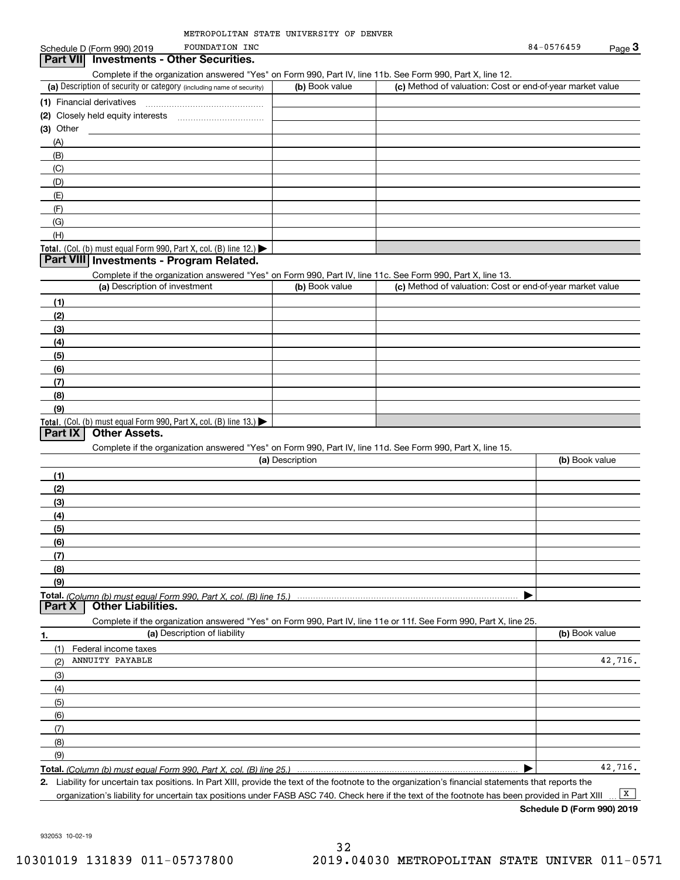#### (a) Description of security or category (including name of security)  $\vert$  (b) Book value  $\vert$  (c) Total. (Col. (b) must equal Form 990, Part X, col. (B) line 12.) Total. (Col. (b) must equal Form 990, Part X, col. (B) line 13.) **(1)**Financial derivatives **(2)** Closely held equity interests **(3)** Other (a) Description of investment **b (b)** Book value **(1)(2) (3)(4) (5) (6)(7)(8)(9)(a) (b)**  Description**(1)(2) (3)(4)(5) (6)(7) (8)(9)Total.**  *(Column (b) must equal Form 990, Part X, col. (B) line 15.)* **1.(a)** Description of liability **Book value** Book value Book value Book value Book value **Total.**  *(Column (b) must equal Form 990, Part X, col. (B) line 25.)* Schedule D (Form 990) 2019 FOUNDATION INC  $\overline{S}$  Below  $\overline{S}$  B4-0576459  $\overline{P}$  Page  $\overline{3}$ Complete if the organization answered "Yes" on Form 990, Part IV, line 11b. See Form 990, Part X, line 12.  $(b)$  Book value  $\vert$  (c) Method of valuation: Cost or end-of-year market value ~~~~~~~~~~~~~~~(A)(B)(C)(D)(E)(F)(G)(H)Complete if the organization answered "Yes" on Form 990, Part IV, line 11c. See Form 990, Part X, line 13. (c) Method of valuation: Cost or end-of-year market value Complete if the organization answered "Yes" on Form 990, Part IV, line 11d. See Form 990, Part X, line 15. (b) Book value  $\blacktriangleright$ Complete if the organization answered "Yes" on Form 990, Part IV, line 11e or 11f. See Form 990, Part X, line 25. (1)(2)(3)(4)(5)(6)(7)(8)(9)Federal income taxes  $\blacktriangleright$ **Part VII Investments - Other Securities. Part VIII Investments - Program Related. Part IX Other Assets. Part X Other Liabilities.** FOUNDATION INC ANNUITY PAYABLE 42,716. 42,716.

**2.**Liability for uncertain tax positions. In Part XIII, provide the text of the footnote to the organization's financial statements that reports the organization's liability for uncertain tax positions under FASB ASC 740. Check here if the text of the footnote has been provided in Part XIII  $\boxed{\mathbf{X}}$ 

**Schedule D (Form 990) 2019**

932053 10-02-19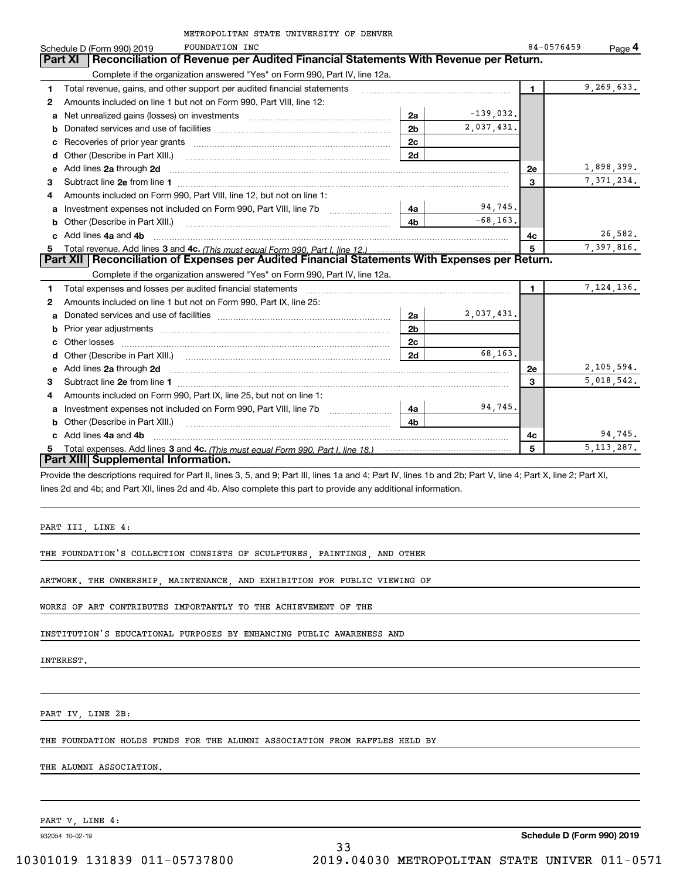| METROPOLITAN STATE UNIVERSITY OF DENVER                                                                                                                                                                                                  |                |              |              |              |
|------------------------------------------------------------------------------------------------------------------------------------------------------------------------------------------------------------------------------------------|----------------|--------------|--------------|--------------|
| <b>FOUNDATION INC</b><br>Schedule D (Form 990) 2019                                                                                                                                                                                      |                |              | 84-0576459   | Page $4$     |
| Reconciliation of Revenue per Audited Financial Statements With Revenue per Return.<br>Part XI                                                                                                                                           |                |              |              |              |
| Complete if the organization answered "Yes" on Form 990, Part IV, line 12a.                                                                                                                                                              |                |              |              |              |
| Total revenue, gains, and other support per audited financial statements<br>1                                                                                                                                                            |                |              | $\mathbf{1}$ | 9,269,633.   |
| Amounts included on line 1 but not on Form 990, Part VIII, line 12:<br>2                                                                                                                                                                 |                |              |              |              |
| a                                                                                                                                                                                                                                        | 2a             | $-139,032$ . |              |              |
| b                                                                                                                                                                                                                                        | 2 <sub>b</sub> | 2,037,431.   |              |              |
| с                                                                                                                                                                                                                                        | 2c             |              |              |              |
| Other (Describe in Part XIII.)<br>d                                                                                                                                                                                                      | 2d             |              |              |              |
| Add lines 2a through 2d<br>е                                                                                                                                                                                                             |                |              | <b>2e</b>    | 1,898,399.   |
| 3                                                                                                                                                                                                                                        |                |              | 3            | 7, 371, 234. |
| Amounts included on Form 990, Part VIII, line 12, but not on line 1:<br>4                                                                                                                                                                |                |              |              |              |
| Investment expenses not included on Form 990, Part VIII, line 7b<br>a                                                                                                                                                                    | 4a             | 94,745.      |              |              |
| Other (Describe in Part XIII.) <b>Construction Contract Construction</b> Chern Construction Chern Chern Chern Chern Chern Chern Chern Chern Chern Chern Chern Chern Chern Chern Chern Chern Chern Chern Chern Chern Chern Chern Che<br>b | 4b             | $-68, 163.$  |              |              |
| c Add lines 4a and 4b                                                                                                                                                                                                                    |                |              | 4с           | 26,582.      |
| 5                                                                                                                                                                                                                                        |                |              | 5            | 7.397.816.   |
| Part XII   Reconciliation of Expenses per Audited Financial Statements With Expenses per Return.                                                                                                                                         |                |              |              |              |
| Complete if the organization answered "Yes" on Form 990, Part IV, line 12a.                                                                                                                                                              |                |              |              |              |
| Total expenses and losses per audited financial statements<br>1                                                                                                                                                                          |                |              | 1.           | 7, 124, 136. |
| Amounts included on line 1 but not on Form 990, Part IX, line 25:<br>2                                                                                                                                                                   |                |              |              |              |
| а                                                                                                                                                                                                                                        | 2a             | 2,037,431.   |              |              |
| b                                                                                                                                                                                                                                        | 2 <sub>b</sub> |              |              |              |
| Other losses<br>c                                                                                                                                                                                                                        | 2c             |              |              |              |
| d                                                                                                                                                                                                                                        | 2d             | 68,163,      |              |              |
| Add lines 2a through 2d <b>must be a constructed as the constant of the constant of the constant of the construction</b><br>е                                                                                                            |                |              | <b>2e</b>    | 2,105,594.   |
| 3                                                                                                                                                                                                                                        |                |              | 3            | 5,018,542.   |
| Amounts included on Form 990, Part IX, line 25, but not on line 1:<br>4                                                                                                                                                                  |                |              |              |              |
| a                                                                                                                                                                                                                                        | 4a             | 94,745.      |              |              |
| Other (Describe in Part XIII.)<br>b                                                                                                                                                                                                      | 4 <sub>b</sub> |              |              |              |
| Add lines 4a and 4b<br>c.                                                                                                                                                                                                                |                |              | 4c           | 94,745.      |
|                                                                                                                                                                                                                                          |                |              | 5            | 5, 113, 287. |
| <b>Part XIII</b> Supplemental Information.                                                                                                                                                                                               |                |              |              |              |

Provide the descriptions required for Part II, lines 3, 5, and 9; Part III, lines 1a and 4; Part IV, lines 1b and 2b; Part V, line 4; Part X, line 2; Part XI, lines 2d and 4b; and Part XII, lines 2d and 4b. Also complete this part to provide any additional information.

PART III, LINE 4:

THE FOUNDATION'S COLLECTION CONSISTS OF SCULPTURES, PAINTINGS, AND OTHER

ARTWORK. THE OWNERSHIP, MAINTENANCE, AND EXHIBITION FOR PUBLIC VIEWING OF

WORKS OF ART CONTRIBUTES IMPORTANTLY TO THE ACHIEVEMENT OF THE

INSTITUTION'S EDUCATIONAL PURPOSES BY ENHANCING PUBLIC AWARENESS AND

INTEREST.

PART IV, LINE 2B:

THE FOUNDATION HOLDS FUNDS FOR THE ALUMNI ASSOCIATION FROM RAFFLES HELD BY

THE ALUMNI ASSOCIATION.

PART V, LINE 4:

932054 10-02-19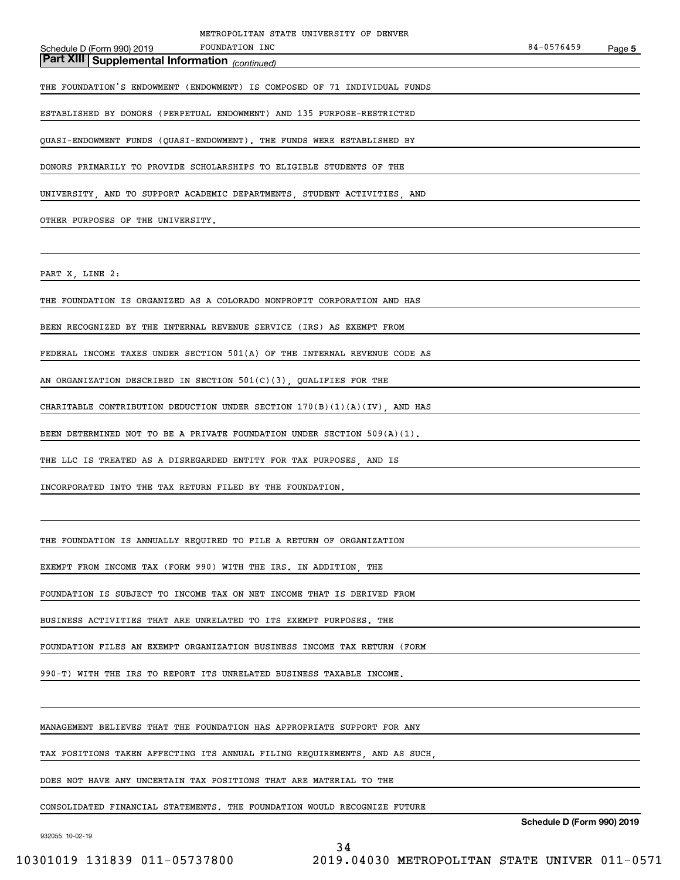| METROPOLITAN STATE UNIVERSITY OF DENVER<br>FOUNDATION INC<br>Schedule D (Form 990) 2019 | 84-0576459 | Page 5 |
|-----------------------------------------------------------------------------------------|------------|--------|
| Part XIII Supplemental Information (continued)                                          |            |        |
| THE FOUNDATION'S ENDOWMENT (ENDOWMENT) IS COMPOSED OF 71 INDIVIDUAL FUNDS               |            |        |
| ESTABLISHED BY DONORS (PERPETUAL ENDOWMENT) AND 135 PURPOSE-RESTRICTED                  |            |        |
| QUASI-ENDOWMENT FUNDS (QUASI-ENDOWMENT). THE FUNDS WERE ESTABLISHED BY                  |            |        |
| DONORS PRIMARILY TO PROVIDE SCHOLARSHIPS TO ELIGIBLE STUDENTS OF THE                    |            |        |
| UNIVERSITY, AND TO SUPPORT ACADEMIC DEPARTMENTS, STUDENT ACTIVITIES, AND                |            |        |
| OTHER PURPOSES OF THE UNIVERSITY.                                                       |            |        |
|                                                                                         |            |        |
| PART X, LINE 2:                                                                         |            |        |
| THE FOUNDATION IS ORGANIZED AS A COLORADO NONPROFIT CORPORATION AND HAS                 |            |        |
| BEEN RECOGNIZED BY THE INTERNAL REVENUE SERVICE (IRS) AS EXEMPT FROM                    |            |        |
| FEDERAL INCOME TAXES UNDER SECTION 501(A) OF THE INTERNAL REVENUE CODE AS               |            |        |
| AN ORGANIZATION DESCRIBED IN SECTION $501(C)(3)$ , QUALIFIES FOR THE                    |            |        |
| CHARITABLE CONTRIBUTION DEDUCTION UNDER SECTION 170(B)(1)(A)(IV), AND HAS               |            |        |
| BEEN DETERMINED NOT TO BE A PRIVATE FOUNDATION UNDER SECTION 509(A)(1).                 |            |        |
| THE LLC IS TREATED AS A DISREGARDED ENTITY FOR TAX PURPOSES, AND IS                     |            |        |
| INCORPORATED INTO THE TAX RETURN FILED BY THE FOUNDATION.                               |            |        |
|                                                                                         |            |        |
| THE FOUNDATION IS ANNUALLY REOUIRED TO FILE A RETURN OF ORGANIZATION                    |            |        |
| EXEMPT FROM INCOME TAX (FORM 990) WITH THE IRS. IN ADDITION, THE                        |            |        |
| FOUNDATION IS SUBJECT TO INCOME TAX ON NET INCOME THAT IS DERIVED FROM                  |            |        |
| BUSINESS ACTIVITIES THAT ARE UNRELATED TO ITS EXEMPT PURPOSES. THE                      |            |        |
| FOUNDATION FILES AN EXEMPT ORGANIZATION BUSINESS INCOME TAX RETURN (FORM                |            |        |
| 990-T) WITH THE IRS TO REPORT ITS UNRELATED BUSINESS TAXABLE INCOME.                    |            |        |
|                                                                                         |            |        |
| MANAGEMENT BELIEVES THAT THE FOUNDATION HAS APPROPRIATE SUPPORT FOR ANY                 |            |        |
| TAX POSITIONS TAKEN AFFECTING ITS ANNUAL FILING REQUIREMENTS. AND AS SUCH.              |            |        |
| DOES NOT HAVE ANY UNCERTAIN TAX POSITIONS THAT ARE MATERIAL TO THE                      |            |        |

CONSOLIDATED FINANCIAL STATEMENTS. THE FOUNDATION WOULD RECOGNIZE FUTURE

932055 10-02-19

**Schedule D (Form 990) 2019**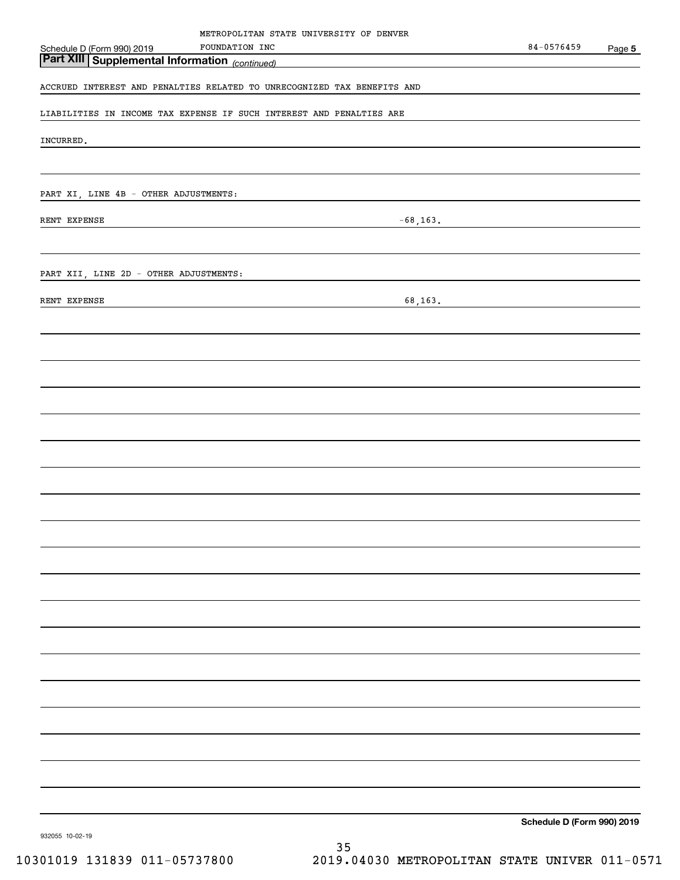| METROPOLITAN STATE UNIVERSITY OF DENVER                                                                                                                                |                            |        |
|------------------------------------------------------------------------------------------------------------------------------------------------------------------------|----------------------------|--------|
| FOUNDATION INC<br>Schedule D (Form 990) 2019<br><u> 1980 - Johann Barn, mars an t-Amerikaansk politiker (</u><br><b>Part XIII Supplemental Information</b> (continued) | 84-0576459                 | Page 5 |
| <u> 1989 - Johann Barn, mars ann an t-Amhain Aonaich an t-Aonaich an t-Aonaich ann an t-Aonaich ann an t-Aonaich</u>                                                   |                            |        |
| ACCRUED INTEREST AND PENALTIES RELATED TO UNRECOGNIZED TAX BENEFITS AND                                                                                                |                            |        |
| LIABILITIES IN INCOME TAX EXPENSE IF SUCH INTEREST AND PENALTIES ARE                                                                                                   |                            |        |
|                                                                                                                                                                        |                            |        |
| INCURRED.                                                                                                                                                              |                            |        |
|                                                                                                                                                                        |                            |        |
| PART XI, LINE 4B - OTHER ADJUSTMENTS:                                                                                                                                  |                            |        |
|                                                                                                                                                                        |                            |        |
| RENT EXPENSE<br><u> 1989 - Johann Stoff, fransk politik (d. 1989)</u>                                                                                                  | $-68, 163.$                |        |
|                                                                                                                                                                        |                            |        |
| PART XII, LINE 2D - OTHER ADJUSTMENTS:                                                                                                                                 |                            |        |
| RENT EXPENSE                                                                                                                                                           |                            |        |
| <u> 1989 - Johann Stoff, fransk politik (d. 1989)</u>                                                                                                                  |                            |        |
|                                                                                                                                                                        |                            |        |
|                                                                                                                                                                        |                            |        |
|                                                                                                                                                                        |                            |        |
|                                                                                                                                                                        |                            |        |
|                                                                                                                                                                        |                            |        |
|                                                                                                                                                                        |                            |        |
|                                                                                                                                                                        |                            |        |
|                                                                                                                                                                        |                            |        |
|                                                                                                                                                                        |                            |        |
|                                                                                                                                                                        |                            |        |
|                                                                                                                                                                        |                            |        |
|                                                                                                                                                                        |                            |        |
|                                                                                                                                                                        |                            |        |
|                                                                                                                                                                        |                            |        |
|                                                                                                                                                                        |                            |        |
|                                                                                                                                                                        |                            |        |
|                                                                                                                                                                        |                            |        |
|                                                                                                                                                                        |                            |        |
|                                                                                                                                                                        |                            |        |
|                                                                                                                                                                        |                            |        |
|                                                                                                                                                                        |                            |        |
|                                                                                                                                                                        |                            |        |
|                                                                                                                                                                        |                            |        |
|                                                                                                                                                                        |                            |        |
|                                                                                                                                                                        | Schedule D (Form 990) 2019 |        |
| 932055 10-02-19                                                                                                                                                        |                            |        |

35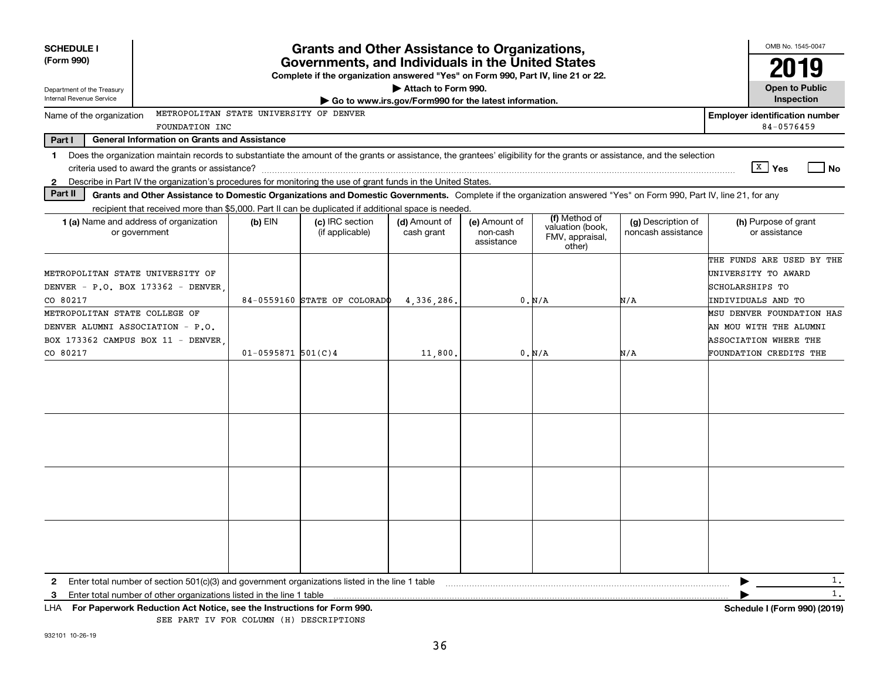| <b>SCHEDULE I</b>                | <b>Grants and Other Assistance to Organizations,</b>                                                                                                                     |                        |                                                                                                                                       |                                                       |                                         | OMB No. 1545-0047                                              |                                          |                                       |      |
|----------------------------------|--------------------------------------------------------------------------------------------------------------------------------------------------------------------------|------------------------|---------------------------------------------------------------------------------------------------------------------------------------|-------------------------------------------------------|-----------------------------------------|----------------------------------------------------------------|------------------------------------------|---------------------------------------|------|
| (Form 990)                       |                                                                                                                                                                          |                        | Governments, and Individuals in the United States<br>Complete if the organization answered "Yes" on Form 990, Part IV, line 21 or 22. |                                                       |                                         |                                                                |                                          |                                       |      |
| Department of the Treasury       |                                                                                                                                                                          |                        |                                                                                                                                       | Attach to Form 990.                                   |                                         |                                                                |                                          | <b>Open to Public</b>                 |      |
| Internal Revenue Service         |                                                                                                                                                                          |                        |                                                                                                                                       | Go to www.irs.gov/Form990 for the latest information. |                                         |                                                                |                                          | Inspection                            |      |
| Name of the organization         | METROPOLITAN STATE UNIVERSITY OF DENVER                                                                                                                                  |                        |                                                                                                                                       |                                                       |                                         |                                                                |                                          | <b>Employer identification number</b> |      |
|                                  | FOUNDATION INC                                                                                                                                                           |                        |                                                                                                                                       |                                                       |                                         |                                                                |                                          | 84-0576459                            |      |
| Part I                           | <b>General Information on Grants and Assistance</b>                                                                                                                      |                        |                                                                                                                                       |                                                       |                                         |                                                                |                                          |                                       |      |
| $\mathbf{1}$                     | Does the organization maintain records to substantiate the amount of the grants or assistance, the grantees' eligibility for the grants or assistance, and the selection |                        |                                                                                                                                       |                                                       |                                         |                                                                |                                          |                                       |      |
|                                  | criteria used to award the grants or assistance?                                                                                                                         |                        |                                                                                                                                       |                                                       |                                         |                                                                |                                          | $X \mid Y$ es                         | l No |
| 2                                | Describe in Part IV the organization's procedures for monitoring the use of grant funds in the United States.                                                            |                        |                                                                                                                                       |                                                       |                                         |                                                                |                                          |                                       |      |
| Part II                          | Grants and Other Assistance to Domestic Organizations and Domestic Governments. Complete if the organization answered "Yes" on Form 990, Part IV, line 21, for any       |                        |                                                                                                                                       |                                                       |                                         |                                                                |                                          |                                       |      |
|                                  | recipient that received more than \$5,000. Part II can be duplicated if additional space is needed.                                                                      |                        |                                                                                                                                       |                                                       |                                         |                                                                |                                          |                                       |      |
|                                  | 1 (a) Name and address of organization<br>or government                                                                                                                  | $(b)$ EIN              | (c) IRC section<br>(if applicable)                                                                                                    | (d) Amount of<br>cash grant                           | (e) Amount of<br>non-cash<br>assistance | (f) Method of<br>valuation (book,<br>FMV, appraisal,<br>other) | (g) Description of<br>noncash assistance | (h) Purpose of grant<br>or assistance |      |
|                                  |                                                                                                                                                                          |                        |                                                                                                                                       |                                                       |                                         |                                                                |                                          | THE FUNDS ARE USED BY THE             |      |
| METROPOLITAN STATE UNIVERSITY OF |                                                                                                                                                                          |                        |                                                                                                                                       |                                                       |                                         |                                                                |                                          | UNIVERSITY TO AWARD                   |      |
|                                  | DENVER - P.O. BOX 173362 - DENVER                                                                                                                                        |                        |                                                                                                                                       |                                                       |                                         |                                                                |                                          | SCHOLARSHIPS TO                       |      |
| CO 80217                         |                                                                                                                                                                          |                        | 84-0559160 STATE OF COLORADO                                                                                                          | 4,336,286.                                            |                                         | 0. N/A                                                         | N/A                                      | INDIVIDUALS AND TO                    |      |
| METROPOLITAN STATE COLLEGE OF    |                                                                                                                                                                          |                        |                                                                                                                                       |                                                       |                                         |                                                                |                                          | MSU DENVER FOUNDATION HAS             |      |
| DENVER ALUMNI ASSOCIATION - P.O. |                                                                                                                                                                          |                        |                                                                                                                                       |                                                       |                                         |                                                                |                                          | AN MOU WITH THE ALUMNI                |      |
|                                  | BOX 173362 CAMPUS BOX 11 - DENVER                                                                                                                                        |                        |                                                                                                                                       |                                                       |                                         |                                                                |                                          | <b>ASSOCIATION WHERE THE</b>          |      |
| CO 80217                         |                                                                                                                                                                          | $01 - 0595871$ 501(C)4 |                                                                                                                                       | 11,800.                                               |                                         | 0. N/A                                                         | N/A                                      | FOUNDATION CREDITS THE                |      |
|                                  |                                                                                                                                                                          |                        |                                                                                                                                       |                                                       |                                         |                                                                |                                          |                                       |      |
|                                  |                                                                                                                                                                          |                        |                                                                                                                                       |                                                       |                                         |                                                                |                                          |                                       |      |
|                                  |                                                                                                                                                                          |                        |                                                                                                                                       |                                                       |                                         |                                                                |                                          |                                       |      |
|                                  |                                                                                                                                                                          |                        |                                                                                                                                       |                                                       |                                         |                                                                |                                          |                                       |      |
|                                  |                                                                                                                                                                          |                        |                                                                                                                                       |                                                       |                                         |                                                                |                                          |                                       |      |
|                                  |                                                                                                                                                                          |                        |                                                                                                                                       |                                                       |                                         |                                                                |                                          |                                       |      |
|                                  |                                                                                                                                                                          |                        |                                                                                                                                       |                                                       |                                         |                                                                |                                          |                                       |      |
|                                  |                                                                                                                                                                          |                        |                                                                                                                                       |                                                       |                                         |                                                                |                                          |                                       |      |
|                                  |                                                                                                                                                                          |                        |                                                                                                                                       |                                                       |                                         |                                                                |                                          |                                       |      |
|                                  |                                                                                                                                                                          |                        |                                                                                                                                       |                                                       |                                         |                                                                |                                          |                                       |      |
|                                  |                                                                                                                                                                          |                        |                                                                                                                                       |                                                       |                                         |                                                                |                                          |                                       |      |
|                                  |                                                                                                                                                                          |                        |                                                                                                                                       |                                                       |                                         |                                                                |                                          |                                       |      |
|                                  |                                                                                                                                                                          |                        |                                                                                                                                       |                                                       |                                         |                                                                |                                          |                                       |      |
|                                  |                                                                                                                                                                          |                        |                                                                                                                                       |                                                       |                                         |                                                                |                                          |                                       |      |
|                                  |                                                                                                                                                                          |                        |                                                                                                                                       |                                                       |                                         |                                                                |                                          |                                       |      |
|                                  |                                                                                                                                                                          |                        |                                                                                                                                       |                                                       |                                         |                                                                |                                          |                                       | 1.   |
| $\mathbf{2}$                     | Enter total number of section $501(c)(3)$ and government organizations listed in the line 1 table                                                                        |                        |                                                                                                                                       |                                                       |                                         |                                                                |                                          |                                       | 1.   |
| 3                                | Enter total number of other organizations listed in the line 1 table                                                                                                     |                        |                                                                                                                                       |                                                       |                                         |                                                                |                                          |                                       |      |
|                                  | LHA For Paperwork Reduction Act Notice, see the Instructions for Form 990.<br>SEE PART IV FOR COLUMN (H) DESCRIPTIONS                                                    |                        |                                                                                                                                       |                                                       |                                         |                                                                |                                          | Schedule I (Form 990) (2019)          |      |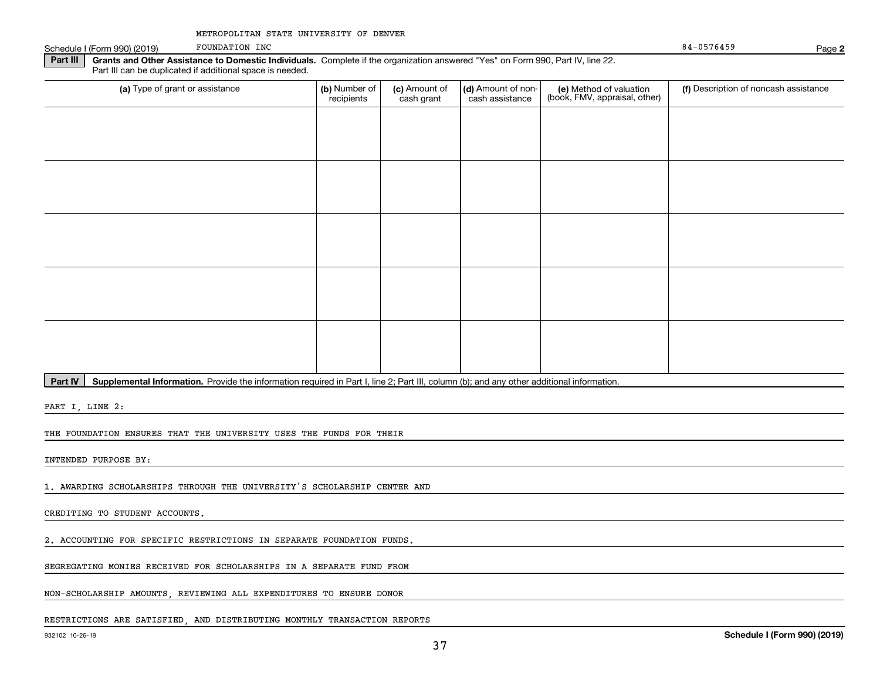| METROPOLITAN STATE UNIVERSITY OF DENVER |  |  |  |  |
|-----------------------------------------|--|--|--|--|
|-----------------------------------------|--|--|--|--|

Schedule I (Form 990) (2019) POUNDATION INC

FOUNDATION INC

**2**

**Part III | Grants and Other Assistance to Domestic Individuals. Complete if the organization answered "Yes" on Form 990, Part IV, line 22.** Part III can be duplicated if additional space is needed.

| (a) Type of grant or assistance | (b) Number of<br>recipients | (c) Amount of<br>cash grant | (d) Amount of non-<br>cash assistance | (e) Method of valuation<br>(book, FMV, appraisal, other) | (f) Description of noncash assistance |
|---------------------------------|-----------------------------|-----------------------------|---------------------------------------|----------------------------------------------------------|---------------------------------------|
|                                 |                             |                             |                                       |                                                          |                                       |
|                                 |                             |                             |                                       |                                                          |                                       |
|                                 |                             |                             |                                       |                                                          |                                       |
|                                 |                             |                             |                                       |                                                          |                                       |
|                                 |                             |                             |                                       |                                                          |                                       |
|                                 |                             |                             |                                       |                                                          |                                       |
|                                 |                             |                             |                                       |                                                          |                                       |
|                                 |                             |                             |                                       |                                                          |                                       |
|                                 |                             |                             |                                       |                                                          |                                       |
|                                 |                             |                             |                                       |                                                          |                                       |

Part IV | Supplemental Information. Provide the information required in Part I, line 2; Part III, column (b); and any other additional information.

PART I, LINE 2:

THE FOUNDATION ENSURES THAT THE UNIVERSITY USES THE FUNDS FOR THEIR

INTENDED PURPOSE BY:

1. AWARDING SCHOLARSHIPS THROUGH THE UNIVERSITY'S SCHOLARSHIP CENTER AND

CREDITING TO STUDENT ACCOUNTS.

2. ACCOUNTING FOR SPECIFIC RESTRICTIONS IN SEPARATE FOUNDATION FUNDS.

SEGREGATING MONIES RECEIVED FOR SCHOLARSHIPS IN A SEPARATE FUND FROM

NON-SCHOLARSHIP AMOUNTS, REVIEWING ALL EXPENDITURES TO ENSURE DONOR

#### RESTRICTIONS ARE SATISFIED, AND DISTRIBUTING MONTHLY TRANSACTION REPORTS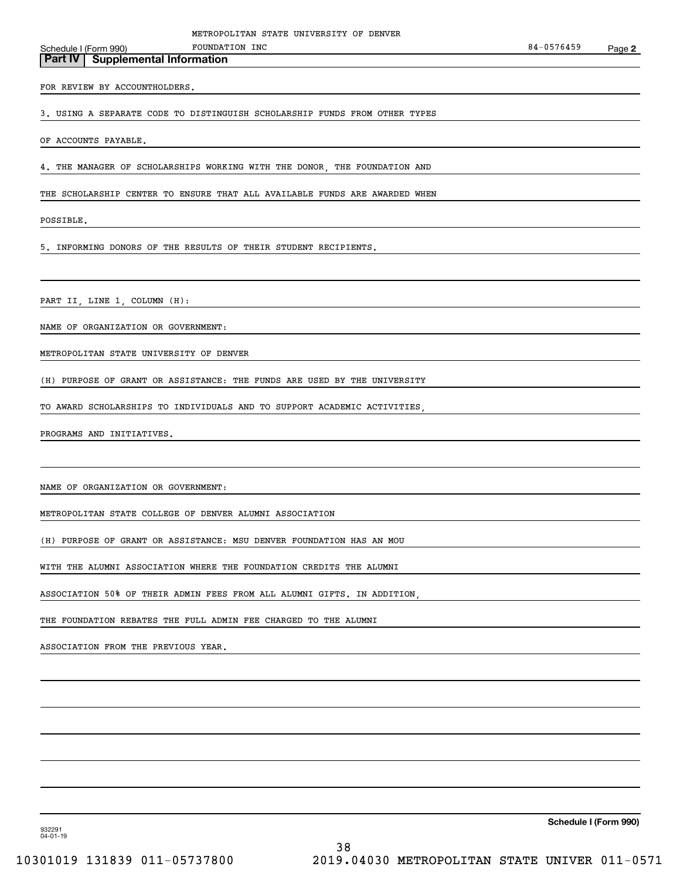Schedule I (Form 990) POUNDATION INC **Part IV Supplemental Information** FOUNDATION INC

FOR REVIEW BY ACCOUNTHOLDERS.

3. USING A SEPARATE CODE TO DISTINGUISH SCHOLARSHIP FUNDS FROM OTHER TYPES

OF ACCOUNTS PAYABLE.

4. THE MANAGER OF SCHOLARSHIPS WORKING WITH THE DONOR, THE FOUNDATION AND

THE SCHOLARSHIP CENTER TO ENSURE THAT ALL AVAILABLE FUNDS ARE AWARDED WHEN

POSSIBLE.

5. INFORMING DONORS OF THE RESULTS OF THEIR STUDENT RECIPIENTS.

PART II, LINE 1, COLUMN (H):

NAME OF ORGANIZATION OR GOVERNMENT:

METROPOLITAN STATE UNIVERSITY OF DENVER

(H) PURPOSE OF GRANT OR ASSISTANCE: THE FUNDS ARE USED BY THE UNIVERSITY

TO AWARD SCHOLARSHIPS TO INDIVIDUALS AND TO SUPPORT ACADEMIC ACTIVITIES,

PROGRAMS AND INITIATIVES.

NAME OF ORGANIZATION OR GOVERNMENT:

METROPOLITAN STATE COLLEGE OF DENVER ALUMNI ASSOCIATION

(H) PURPOSE OF GRANT OR ASSISTANCE: MSU DENVER FOUNDATION HAS AN MOU

WITH THE ALUMNI ASSOCIATION WHERE THE FOUNDATION CREDITS THE ALUMNI

ASSOCIATION 50% OF THEIR ADMIN FEES FROM ALL ALUMNI GIFTS. IN ADDITION,

THE FOUNDATION REBATES THE FULL ADMIN FEE CHARGED TO THE ALUMNI

ASSOCIATION FROM THE PREVIOUS YEAR.

**Schedule I (Form 990)**

932291 04-01-19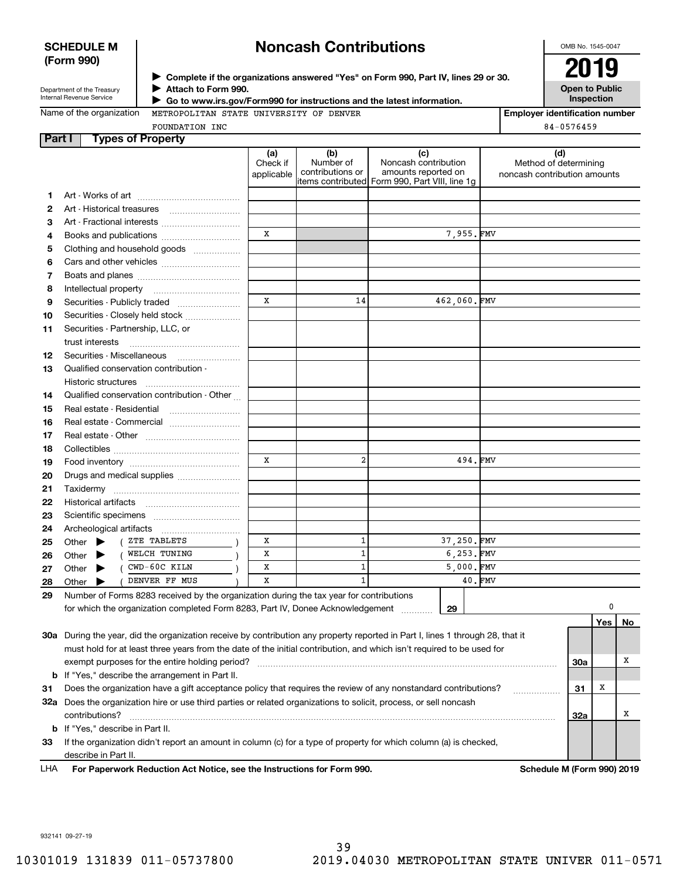### **SCHEDULE M (Form 990)**

# **Noncash Contributions**

OMB No. 1545-0047

| Department of the Treasury      |
|---------------------------------|
| <b>Internal Revenue Service</b> |

**Part I Types of Property**

**Attach to Form 990.** J

**Open to Public InspectionComplete if the organizations answered "Yes" on Form 990, Part IV, lines 29 or 30.** <sup>J</sup>**2019**

| Name of the organization |  |
|--------------------------|--|
|--------------------------|--|

 **Go to www.irs.gov/Form990 for instructions and the latest information.** J METROPOLITAN STATE UNIVERSITY OF DENVER

| rvame or the organization |  |  |  |
|---------------------------|--|--|--|
|                           |  |  |  |

**Employer identification number** 84-0576459

|   | FOUNDATION INC                     |                               |                                      |                                                                                                | 84-0576459                                            |
|---|------------------------------------|-------------------------------|--------------------------------------|------------------------------------------------------------------------------------------------|-------------------------------------------------------|
|   | Part I<br><b>Types of Property</b> |                               |                                      |                                                                                                |                                                       |
|   |                                    | (a)<br>Check if<br>applicable | (b)<br>Number of<br>contributions or | Noncash contribution<br>amounts reported on<br>litems contributed Form 990, Part VIII, line 1g | Method of determining<br>noncash contribution amounts |
|   | 1 Art - Works of art               |                               |                                      |                                                                                                |                                                       |
|   | 2 Art - Historical treasures       |                               |                                      |                                                                                                |                                                       |
|   | <b>3</b> Art Fractional interests  |                               |                                      |                                                                                                |                                                       |
| 4 | Books and publications             |                               |                                      | 7.955.FMV                                                                                      |                                                       |
|   |                                    |                               |                                      |                                                                                                |                                                       |

| 4  | Books and publications                                                                                                       | x            |                | 7,955.FMV    |             |
|----|------------------------------------------------------------------------------------------------------------------------------|--------------|----------------|--------------|-------------|
| 5  | Clothing and household goods                                                                                                 |              |                |              |             |
| 6  |                                                                                                                              |              |                |              |             |
| 7  |                                                                                                                              |              |                |              |             |
| 8  |                                                                                                                              |              |                |              |             |
| 9  | Securities - Publicly traded                                                                                                 | $\mathbf{x}$ | 14             | 462,060.FMV  |             |
| 10 | Securities - Closely held stock                                                                                              |              |                |              |             |
| 11 | Securities - Partnership, LLC, or                                                                                            |              |                |              |             |
|    | trust interests                                                                                                              |              |                |              |             |
| 12 | Securities - Miscellaneous                                                                                                   |              |                |              |             |
| 13 | Qualified conservation contribution -                                                                                        |              |                |              |             |
|    | Historic structures                                                                                                          |              |                |              |             |
| 14 | Qualified conservation contribution - Other                                                                                  |              |                |              |             |
| 15 |                                                                                                                              |              |                |              |             |
| 16 | Real estate - Commercial                                                                                                     |              |                |              |             |
| 17 |                                                                                                                              |              |                |              |             |
| 18 |                                                                                                                              |              |                |              |             |
| 19 |                                                                                                                              | X            | $\overline{2}$ | 494.FMV      |             |
| 20 | Drugs and medical supplies                                                                                                   |              |                |              |             |
| 21 |                                                                                                                              |              |                |              |             |
| 22 |                                                                                                                              |              |                |              |             |
| 23 |                                                                                                                              |              |                |              |             |
| 24 |                                                                                                                              |              |                |              |             |
| 25 | ( ZTE TABLETS<br>Other $\blacktriangleright$                                                                                 | x            | $\mathbf{1}$   | 37.250.FMV   |             |
| 26 | Other (WELCH TUNING                                                                                                          | x            | 1              | 6,253.FMV    |             |
| 27 | ( CWD-60C KILN<br>Other $\blacktriangleright$                                                                                | x            | 1              | $5,000.$ FMV |             |
| 28 | DENVER FF MUS<br>Other $\blacktriangleright$                                                                                 | X            | 1              |              | 40.FMV      |
| 29 | Number of Forms 8283 received by the organization during the tax year for contributions                                      |              |                |              |             |
|    | for which the organization completed Form 8283, Part IV, Donee Acknowledgement                                               |              |                | 29           | 0           |
|    |                                                                                                                              |              |                |              | Yes  <br>No |
|    | 20g, During the vear, did the erganization receive by contribution any property reported in Part Llines 1 through 28 that it |              |                |              |             |

| 30a | During the year, did the organization receive by contribution any property reported in Part I, lines 1 through 28, that it |     |   |  |
|-----|----------------------------------------------------------------------------------------------------------------------------|-----|---|--|
|     | must hold for at least three years from the date of the initial contribution, and which isn't required to be used for      |     |   |  |
|     | exempt purposes for the entire holding period?                                                                             | 30a |   |  |
|     | <b>b</b> If "Yes," describe the arrangement in Part II.                                                                    |     |   |  |
| 31  | Does the organization have a gift acceptance policy that requires the review of any nonstandard contributions?             | 31  | x |  |
| 32a | Does the organization hire or use third parties or related organizations to solicit, process, or sell noncash              |     |   |  |
|     | contributions?                                                                                                             | 32a |   |  |
|     | <b>b</b> If "Yes," describe in Part II.                                                                                    |     |   |  |
| 33  | If the organization didn't report an amount in column (c) for a type of property for which column (a) is checked,          |     |   |  |
|     | describe in Part II.                                                                                                       |     |   |  |

For Paperwork Reduction Act Notice, see the Instructions for Form 990. Schedule M (Form 990) 2019 LHA

932141 09-27-19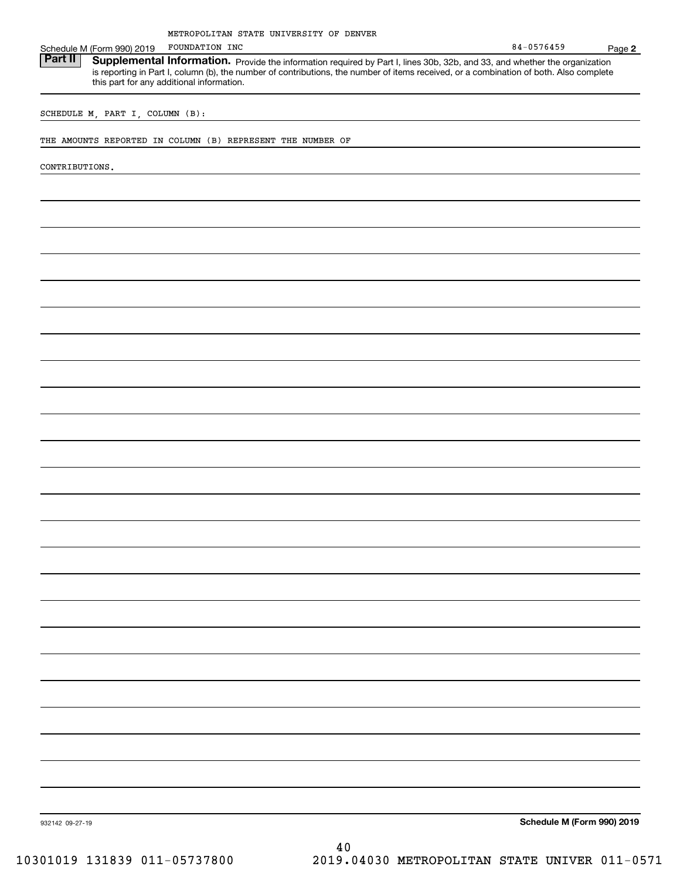|                                 | METROPOLITAN STATE UNIVERSITY OF DENVER                                                                                                                                                                                                                                                                           |                            |        |
|---------------------------------|-------------------------------------------------------------------------------------------------------------------------------------------------------------------------------------------------------------------------------------------------------------------------------------------------------------------|----------------------------|--------|
| Schedule M (Form 990) 2019      | FOUNDATION INC                                                                                                                                                                                                                                                                                                    | 84-0576459                 | Page 2 |
| <b>Part II</b>                  | Supplemental Information. Provide the information required by Part I, lines 30b, 32b, and 33, and whether the organization<br>is reporting in Part I, column (b), the number of contributions, the number of items received, or a combination of both. Also complete<br>this part for any additional information. |                            |        |
|                                 |                                                                                                                                                                                                                                                                                                                   |                            |        |
| SCHEDULE M, PART I, COLUMN (B): |                                                                                                                                                                                                                                                                                                                   |                            |        |
|                                 | THE AMOUNTS REPORTED IN COLUMN (B) REPRESENT THE NUMBER OF                                                                                                                                                                                                                                                        |                            |        |
| CONTRIBUTIONS.                  |                                                                                                                                                                                                                                                                                                                   |                            |        |
|                                 |                                                                                                                                                                                                                                                                                                                   |                            |        |
|                                 |                                                                                                                                                                                                                                                                                                                   |                            |        |
|                                 |                                                                                                                                                                                                                                                                                                                   |                            |        |
|                                 |                                                                                                                                                                                                                                                                                                                   |                            |        |
|                                 |                                                                                                                                                                                                                                                                                                                   |                            |        |
|                                 |                                                                                                                                                                                                                                                                                                                   |                            |        |
|                                 |                                                                                                                                                                                                                                                                                                                   |                            |        |
|                                 |                                                                                                                                                                                                                                                                                                                   |                            |        |
|                                 |                                                                                                                                                                                                                                                                                                                   |                            |        |
|                                 |                                                                                                                                                                                                                                                                                                                   |                            |        |
|                                 |                                                                                                                                                                                                                                                                                                                   |                            |        |
|                                 |                                                                                                                                                                                                                                                                                                                   |                            |        |
|                                 |                                                                                                                                                                                                                                                                                                                   |                            |        |
|                                 |                                                                                                                                                                                                                                                                                                                   |                            |        |
|                                 |                                                                                                                                                                                                                                                                                                                   |                            |        |
|                                 |                                                                                                                                                                                                                                                                                                                   |                            |        |
|                                 |                                                                                                                                                                                                                                                                                                                   |                            |        |
|                                 |                                                                                                                                                                                                                                                                                                                   |                            |        |
|                                 |                                                                                                                                                                                                                                                                                                                   |                            |        |
|                                 |                                                                                                                                                                                                                                                                                                                   |                            |        |
|                                 |                                                                                                                                                                                                                                                                                                                   |                            |        |
|                                 |                                                                                                                                                                                                                                                                                                                   |                            |        |
|                                 |                                                                                                                                                                                                                                                                                                                   |                            |        |
|                                 |                                                                                                                                                                                                                                                                                                                   |                            |        |
|                                 |                                                                                                                                                                                                                                                                                                                   |                            |        |
|                                 |                                                                                                                                                                                                                                                                                                                   |                            |        |
|                                 |                                                                                                                                                                                                                                                                                                                   |                            |        |
|                                 |                                                                                                                                                                                                                                                                                                                   |                            |        |
|                                 |                                                                                                                                                                                                                                                                                                                   |                            |        |
|                                 |                                                                                                                                                                                                                                                                                                                   |                            |        |
| 932142 09-27-19                 |                                                                                                                                                                                                                                                                                                                   | Schedule M (Form 990) 2019 |        |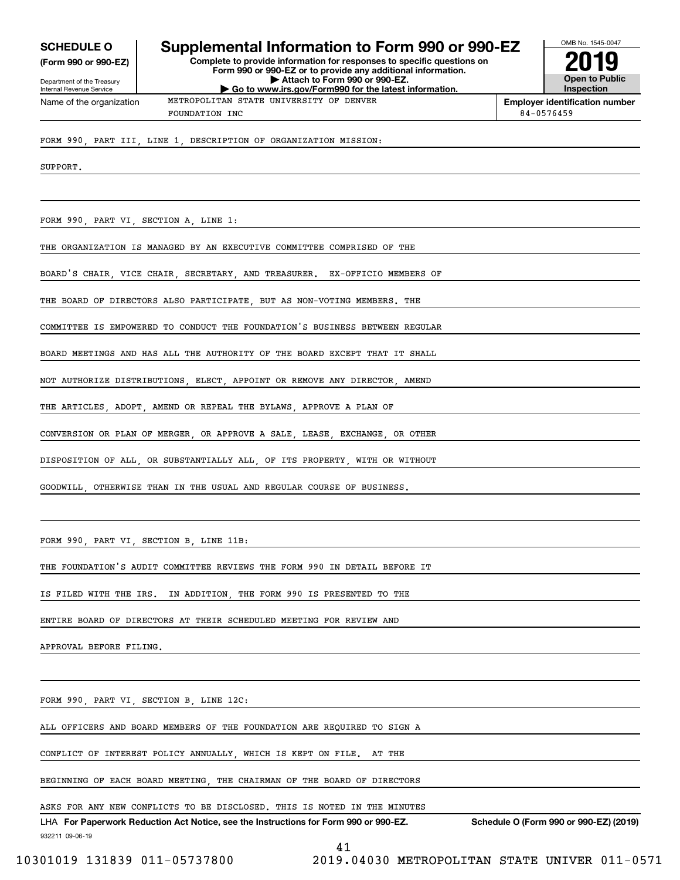**(Form 990 or 990-EZ)**

Department of the Treasury Internal Revenue Service Name of the organization

## **SCHEDULE O Supplemental Information to Form 990 or 990-EZ**

**Complete to provide information for responses to specific questions on Form 990 or 990-EZ or to provide any additional information. | Attach to Form 990 or 990-EZ. | Go to www.irs.gov/Form990 for the latest information.**

**Open to Public Inspection2019**

OMB No. 1545-0047

FOUNDATION INC 84-0576459

METROPOLITAN STATE UNIVERSITY OF DENVER

**Employer identification number**

FORM 990, PART III, LINE 1, DESCRIPTION OF ORGANIZATION MISSION:

SUPPORT.

FORM 990, PART VI, SECTION A, LINE 1:

THE ORGANIZATION IS MANAGED BY AN EXECUTIVE COMMITTEE COMPRISED OF THE

BOARD'S CHAIR, VICE CHAIR, SECRETARY, AND TREASURER. EX-OFFICIO MEMBERS OF

THE BOARD OF DIRECTORS ALSO PARTICIPATE, BUT AS NON-VOTING MEMBERS. THE

COMMITTEE IS EMPOWERED TO CONDUCT THE FOUNDATION'S BUSINESS BETWEEN REGULAR

BOARD MEETINGS AND HAS ALL THE AUTHORITY OF THE BOARD EXCEPT THAT IT SHALL

NOT AUTHORIZE DISTRIBUTIONS, ELECT, APPOINT OR REMOVE ANY DIRECTOR, AMEND

THE ARTICLES, ADOPT, AMEND OR REPEAL THE BYLAWS, APPROVE A PLAN OF

CONVERSION OR PLAN OF MERGER, OR APPROVE A SALE, LEASE, EXCHANGE, OR OTHER

DISPOSITION OF ALL, OR SUBSTANTIALLY ALL, OF ITS PROPERTY, WITH OR WITHOUT

GOODWILL, OTHERWISE THAN IN THE USUAL AND REGULAR COURSE OF BUSINESS.

FORM 990, PART VI, SECTION B, LINE 11B:

THE FOUNDATION'S AUDIT COMMITTEE REVIEWS THE FORM 990 IN DETAIL BEFORE IT

IS FILED WITH THE IRS. IN ADDITION, THE FORM 990 IS PRESENTED TO THE

ENTIRE BOARD OF DIRECTORS AT THEIR SCHEDULED MEETING FOR REVIEW AND

APPROVAL BEFORE FILING.

FORM 990, PART VI, SECTION B, LINE 12C:

ALL OFFICERS AND BOARD MEMBERS OF THE FOUNDATION ARE REQUIRED TO SIGN A

CONFLICT OF INTEREST POLICY ANNUALLY, WHICH IS KEPT ON FILE. AT THE

BEGINNING OF EACH BOARD MEETING, THE CHAIRMAN OF THE BOARD OF DIRECTORS

ASKS FOR ANY NEW CONFLICTS TO BE DISCLOSED. THIS IS NOTED IN THE MINUTES

932211 09-06-19 LHA For Paperwork Reduction Act Notice, see the Instructions for Form 990 or 990-EZ. Schedule O (Form 990 or 990-EZ) (2019)

41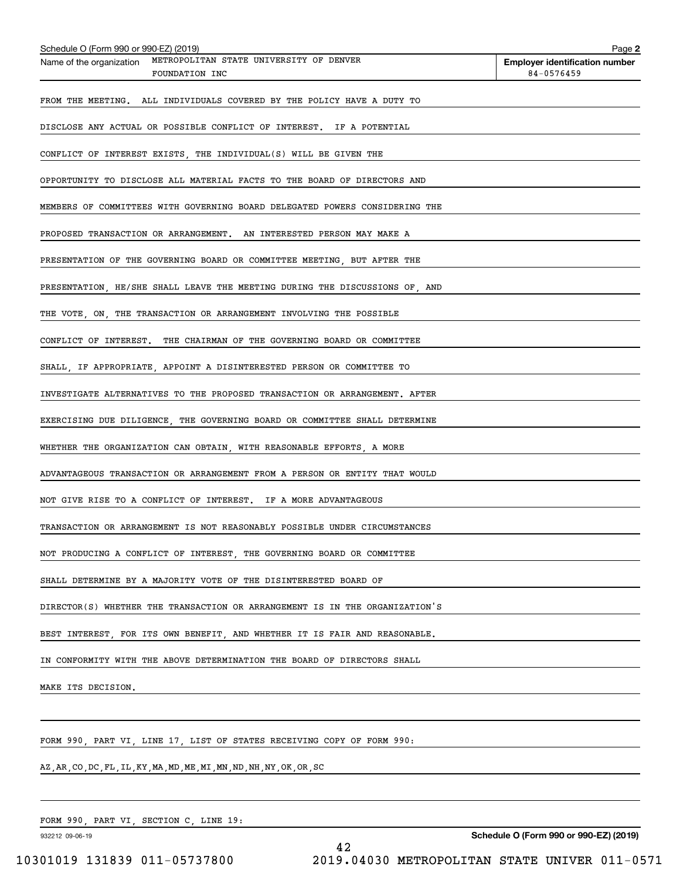| Schedule O (Form 990 or 990-EZ) (2019)<br>METROPOLITAN STATE UNIVERSITY OF DENVER<br>Name of the organization | Page 2<br><b>Employer identification number</b> |
|---------------------------------------------------------------------------------------------------------------|-------------------------------------------------|
| FOUNDATION INC                                                                                                | 84-0576459                                      |
| FROM THE MEETING. ALL INDIVIDUALS COVERED BY THE POLICY HAVE A DUTY TO                                        |                                                 |
| DISCLOSE ANY ACTUAL OR POSSIBLE CONFLICT OF INTEREST. IF A POTENTIAL                                          |                                                 |
| CONFLICT OF INTEREST EXISTS, THE INDIVIDUAL(S) WILL BE GIVEN THE                                              |                                                 |
| OPPORTUNITY TO DISCLOSE ALL MATERIAL FACTS TO THE BOARD OF DIRECTORS AND                                      |                                                 |
| MEMBERS OF COMMITTEES WITH GOVERNING BOARD DELEGATED POWERS CONSIDERING THE                                   |                                                 |
| PROPOSED TRANSACTION OR ARRANGEMENT. AN INTERESTED PERSON MAY MAKE A                                          |                                                 |
| PRESENTATION OF THE GOVERNING BOARD OR COMMITTEE MEETING, BUT AFTER THE                                       |                                                 |
| PRESENTATION, HE/SHE SHALL LEAVE THE MEETING DURING THE DISCUSSIONS OF, AND                                   |                                                 |
| THE VOTE, ON, THE TRANSACTION OR ARRANGEMENT INVOLVING THE POSSIBLE                                           |                                                 |
| CONFLICT OF INTEREST. THE CHAIRMAN OF THE GOVERNING BOARD OR COMMITTEE                                        |                                                 |
| SHALL, IF APPROPRIATE, APPOINT A DISINTERESTED PERSON OR COMMITTEE TO                                         |                                                 |
| INVESTIGATE ALTERNATIVES TO THE PROPOSED TRANSACTION OR ARRANGEMENT. AFTER                                    |                                                 |
| EXERCISING DUE DILIGENCE, THE GOVERNING BOARD OR COMMITTEE SHALL DETERMINE                                    |                                                 |
| WHETHER THE ORGANIZATION CAN OBTAIN, WITH REASONABLE EFFORTS, A MORE                                          |                                                 |
| ADVANTAGEOUS TRANSACTION OR ARRANGEMENT FROM A PERSON OR ENTITY THAT WOULD                                    |                                                 |
| NOT GIVE RISE TO A CONFLICT OF INTEREST. IF A MORE ADVANTAGEOUS                                               |                                                 |
| TRANSACTION OR ARRANGEMENT IS NOT REASONABLY POSSIBLE UNDER CIRCUMSTANCES                                     |                                                 |
| NOT PRODUCING A CONFLICT OF INTEREST, THE GOVERNING BOARD OR COMMITTEE                                        |                                                 |
| SHALL DETERMINE BY A MAJORITY VOTE OF THE DISINTERESTED BOARD OF                                              |                                                 |
| DIRECTOR(S) WHETHER THE TRANSACTION OR ARRANGEMENT IS IN THE ORGANIZATION'S                                   |                                                 |
| BEST INTEREST, FOR ITS OWN BENEFIT, AND WHETHER IT IS FAIR AND REASONABLE.                                    |                                                 |
| IN CONFORMITY WITH THE ABOVE DETERMINATION THE BOARD OF DIRECTORS SHALL                                       |                                                 |
| MAKE ITS DECISION.                                                                                            |                                                 |
|                                                                                                               |                                                 |
| FORM 990, PART VI, LINE 17, LIST OF STATES RECEIVING COPY OF FORM 990:                                        |                                                 |
| AZ, AR, CO, DC, FL, IL, KY, MA, MD, ME, MI, MN, ND, NH, NY, OK, OR, SC                                        |                                                 |
|                                                                                                               |                                                 |
| FORM 990, PART VI, SECTION C, LINE 19:                                                                        |                                                 |

932212 09-06-19

**Schedule O (Form 990 or 990-EZ) (2019)**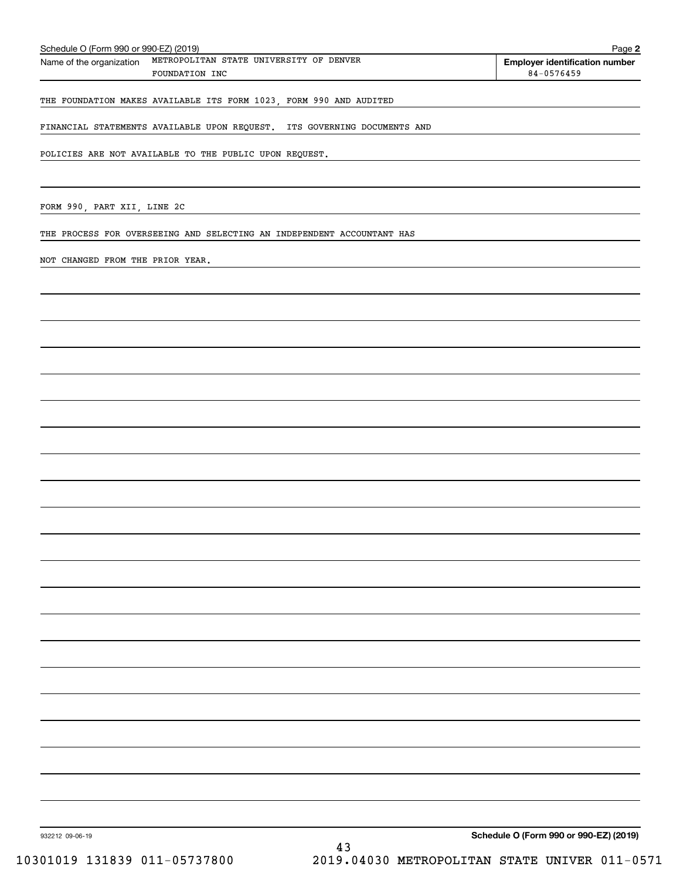| FINANCIAL STATEMENTS AVAILABLE UPON REQUEST. ITS GOVERNING DOCUMENTS AND |                                               |
|--------------------------------------------------------------------------|-----------------------------------------------|
| POLICIES ARE NOT AVAILABLE TO THE PUBLIC UPON REQUEST.                   |                                               |
|                                                                          |                                               |
| FORM 990, PART XII, LINE 2C                                              |                                               |
| THE PROCESS FOR OVERSEEING AND SELECTING AN INDEPENDENT ACCOUNTANT HAS   |                                               |
| NOT CHANGED FROM THE PRIOR YEAR.                                         |                                               |
|                                                                          |                                               |
|                                                                          |                                               |
|                                                                          |                                               |
|                                                                          |                                               |
|                                                                          |                                               |
|                                                                          |                                               |
|                                                                          |                                               |
|                                                                          |                                               |
|                                                                          |                                               |
|                                                                          |                                               |
|                                                                          |                                               |
|                                                                          |                                               |
|                                                                          |                                               |
|                                                                          |                                               |
|                                                                          |                                               |
|                                                                          |                                               |
|                                                                          |                                               |
|                                                                          |                                               |
|                                                                          |                                               |
|                                                                          |                                               |
|                                                                          |                                               |
| 932212 09-06-19                                                          | Schedule O (Form 990 or 990-EZ) (2019)<br>43  |
| 10301019 131839 011-05737800                                             | 2019.04030 METROPOLITAN STATE UNIVER 011-0571 |

FOUNDATION INC

**2**

**Employer identification number** Schedule O (Form 990 or 990-EZ) (2019) Page Name of the organization METROPOLITAN STATE UNIVERSITY OF DENVER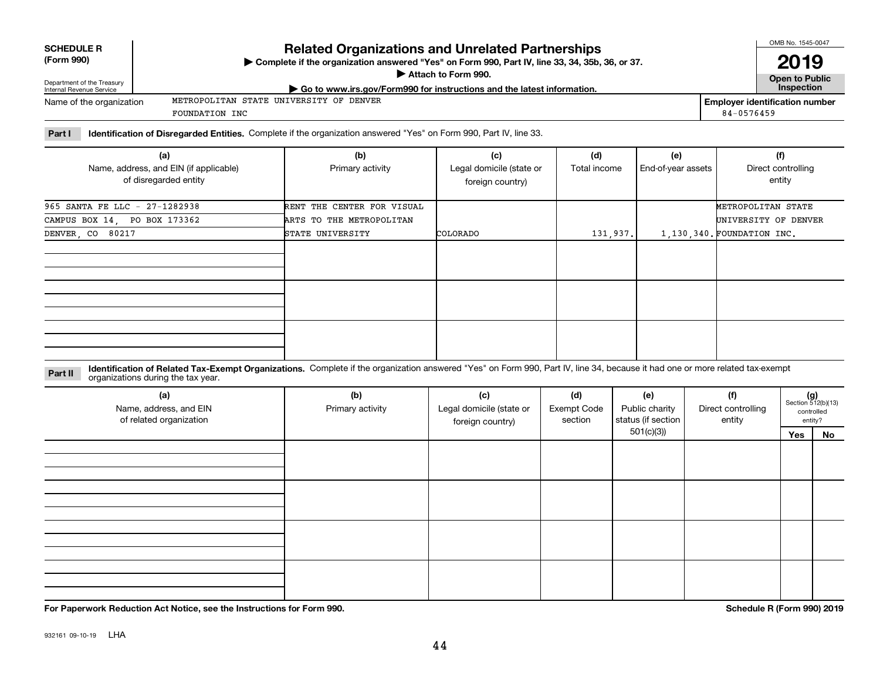| <b>SCHEDULE R</b> |
|-------------------|
|                   |

#### **(Form 990)**

### **Related Organizations and Unrelated Partnerships**

**Complete if the organization answered "Yes" on Form 990, Part IV, line 33, 34, 35b, 36, or 37.** |

**Attach to Form 990.**  |

**Open to Public 2019**

**Employer identification number**

84-0576459

| )epartme<br>hent of the<br>. Treasurv<br>'nternal Revenue .<br>Service | us.qov/Form990 for instructions and the latest information.<br>, www.irs<br>GO TC | -----------<br>Inspection |
|------------------------------------------------------------------------|-----------------------------------------------------------------------------------|---------------------------|
|                                                                        |                                                                                   |                           |

| Name of the organization | METROPOLITAN STATE UNIVERSITY OF DENVER |  |  |  |
|--------------------------|-----------------------------------------|--|--|--|
|                          | FOUNDATION INC                          |  |  |  |

**Part I Identification of Disregarded Entities.**  Complete if the organization answered "Yes" on Form 990, Part IV, line 33.

| (a)<br>Name, address, and EIN (if applicable)<br>of disregarded entity | (b)<br>Primary activity    | (c)<br>Legal domicile (state or<br>foreign country) | (d)<br>Total income | (e)<br>End-of-year assets | (f)<br>Direct controlling<br>entity |
|------------------------------------------------------------------------|----------------------------|-----------------------------------------------------|---------------------|---------------------------|-------------------------------------|
| 965 SANTA FE LLC - 27-1282938                                          | RENT THE CENTER FOR VISUAL |                                                     |                     |                           | METROPOLITAN STATE                  |
| CAMPUS BOX 14, PO BOX 173362                                           | ARTS TO THE METROPOLITAN   |                                                     |                     |                           | UNIVERSITY OF DENVER                |
| DENVER, CO 80217                                                       | STATE UNIVERSITY           | COLORADO                                            | 131, 937.           |                           | 1,130,340. FOUNDATION INC.          |
|                                                                        |                            |                                                     |                     |                           |                                     |
|                                                                        |                            |                                                     |                     |                           |                                     |
|                                                                        |                            |                                                     |                     |                           |                                     |

**Identification of Related Tax-Exempt Organizations.** Complete if the organization answered "Yes" on Form 990, Part IV, line 34, because it had one or more related tax-exempt **Part II** organizations during the tax year.

| (a)<br>Name, address, and EIN<br>of related organization | (b)<br>Primary activity | (c)<br>Legal domicile (state or<br>foreign country) | (d)<br><b>Exempt Code</b><br>section | (e)<br>Public charity<br>status (if section | (f)<br>Direct controlling<br>entity | $(g)$<br>Section 512(b)(13) | controlled<br>entity? |
|----------------------------------------------------------|-------------------------|-----------------------------------------------------|--------------------------------------|---------------------------------------------|-------------------------------------|-----------------------------|-----------------------|
|                                                          |                         |                                                     |                                      | 501(c)(3)                                   |                                     | Yes                         | No                    |
|                                                          |                         |                                                     |                                      |                                             |                                     |                             |                       |
|                                                          |                         |                                                     |                                      |                                             |                                     |                             |                       |
|                                                          |                         |                                                     |                                      |                                             |                                     |                             |                       |

**For Paperwork Reduction Act Notice, see the Instructions for Form 990. Schedule R (Form 990) 2019**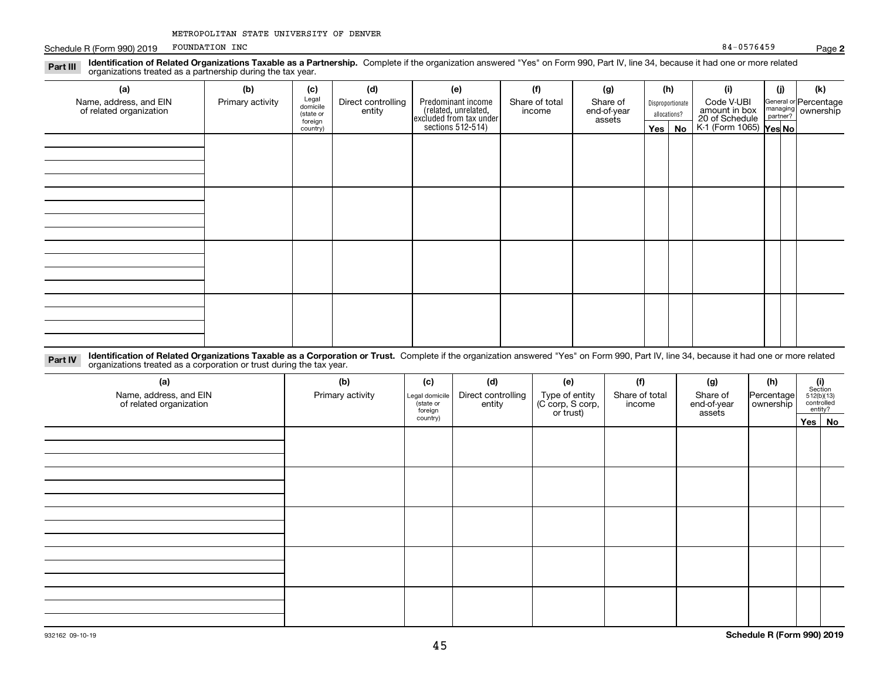| METROPOLITAN STATE UNIVERSITY OF DENVER |  |  |  |  |
|-----------------------------------------|--|--|--|--|
|-----------------------------------------|--|--|--|--|

Schedule R (Form 990) 2019 POUNDATION INC 30 FOUNDATION INC FOUNDATION INC

| Identification of Related Organizations Taxable as a Partnership. Complete if the organization answered "Yes" on Form 990, Part IV, line 34, because it had one or more related<br>Part III<br>organizations treated as a partnership during the tax year. |                  |                                           |                              |                                                                       |                          |                                   |              |                  |                                               |          |                                             |
|------------------------------------------------------------------------------------------------------------------------------------------------------------------------------------------------------------------------------------------------------------|------------------|-------------------------------------------|------------------------------|-----------------------------------------------------------------------|--------------------------|-----------------------------------|--------------|------------------|-----------------------------------------------|----------|---------------------------------------------|
| (a)                                                                                                                                                                                                                                                        | (b)              | (c)                                       | (d)                          | (e)                                                                   | (f)                      | (g)                               | (h)          |                  | (i)                                           | (j)      | (k)                                         |
| Name, address, and EIN<br>of related organization                                                                                                                                                                                                          | Primary activity | Legal<br>domicile<br>(state or<br>foreign | Direct controlling<br>entity | Predominant income<br>(related, unrelated,<br>excluded from tax under | Share of total<br>income | Share of<br>end-of-year<br>assets | allocations? | Disproportionate | Code V-UBI<br>amount in box<br>20 of Schedule | partner? | General or Percentage<br>managing ownership |
|                                                                                                                                                                                                                                                            |                  | country)                                  |                              | sections $512-514$ )                                                  |                          |                                   |              | Yes   No         | K-1 (Form 1065) Yes No                        |          |                                             |
|                                                                                                                                                                                                                                                            |                  |                                           |                              |                                                                       |                          |                                   |              |                  |                                               |          |                                             |
|                                                                                                                                                                                                                                                            |                  |                                           |                              |                                                                       |                          |                                   |              |                  |                                               |          |                                             |
|                                                                                                                                                                                                                                                            |                  |                                           |                              |                                                                       |                          |                                   |              |                  |                                               |          |                                             |
|                                                                                                                                                                                                                                                            |                  |                                           |                              |                                                                       |                          |                                   |              |                  |                                               |          |                                             |
|                                                                                                                                                                                                                                                            |                  |                                           |                              |                                                                       |                          |                                   |              |                  |                                               |          |                                             |
|                                                                                                                                                                                                                                                            |                  |                                           |                              |                                                                       |                          |                                   |              |                  |                                               |          |                                             |
|                                                                                                                                                                                                                                                            |                  |                                           |                              |                                                                       |                          |                                   |              |                  |                                               |          |                                             |
|                                                                                                                                                                                                                                                            |                  |                                           |                              |                                                                       |                          |                                   |              |                  |                                               |          |                                             |
|                                                                                                                                                                                                                                                            |                  |                                           |                              |                                                                       |                          |                                   |              |                  |                                               |          |                                             |
|                                                                                                                                                                                                                                                            |                  |                                           |                              |                                                                       |                          |                                   |              |                  |                                               |          |                                             |
|                                                                                                                                                                                                                                                            |                  |                                           |                              |                                                                       |                          |                                   |              |                  |                                               |          |                                             |
|                                                                                                                                                                                                                                                            |                  |                                           |                              |                                                                       |                          |                                   |              |                  |                                               |          |                                             |

**Identification of Related Organizations Taxable as a Corporation or Trust.** Complete if the organization answered "Yes" on Form 990, Part IV, line 34, because it had one or more related **Part IV** organizations treated as a corporation or trust during the tax year.

| (a)<br>Name, address, and EIN<br>of related organization | (b)<br>Primary activity | (c)<br>Legal domicile<br>(state or<br>foreign | (d)<br>Direct controlling<br>entity | (e)<br>Type of entity<br>(C corp, S corp,<br>or trust) | (f)<br>Share of total<br>income | (g)<br>Share of<br>end-of-year<br>assets | (h)<br>Percentage<br>ownership | $\begin{array}{c} \textbf{(i)}\\ \text{Section}\\ 512 \text{(b)} \text{(13)}\\ \text{controlled}\\ \text{entity?} \end{array}$ |        |
|----------------------------------------------------------|-------------------------|-----------------------------------------------|-------------------------------------|--------------------------------------------------------|---------------------------------|------------------------------------------|--------------------------------|--------------------------------------------------------------------------------------------------------------------------------|--------|
|                                                          |                         | country)                                      |                                     |                                                        |                                 |                                          |                                |                                                                                                                                | Yes No |
|                                                          |                         |                                               |                                     |                                                        |                                 |                                          |                                |                                                                                                                                |        |
|                                                          |                         |                                               |                                     |                                                        |                                 |                                          |                                |                                                                                                                                |        |
|                                                          |                         |                                               |                                     |                                                        |                                 |                                          |                                |                                                                                                                                |        |
|                                                          |                         |                                               |                                     |                                                        |                                 |                                          |                                |                                                                                                                                |        |
|                                                          |                         |                                               |                                     |                                                        |                                 |                                          |                                |                                                                                                                                |        |
|                                                          |                         |                                               |                                     |                                                        |                                 |                                          |                                |                                                                                                                                |        |
|                                                          |                         |                                               |                                     |                                                        |                                 |                                          |                                |                                                                                                                                |        |
|                                                          |                         |                                               |                                     |                                                        |                                 |                                          |                                |                                                                                                                                |        |
|                                                          |                         |                                               |                                     |                                                        |                                 |                                          |                                |                                                                                                                                |        |
|                                                          |                         |                                               |                                     |                                                        |                                 |                                          |                                |                                                                                                                                |        |
|                                                          |                         |                                               |                                     |                                                        |                                 |                                          |                                |                                                                                                                                |        |
|                                                          |                         |                                               |                                     |                                                        |                                 |                                          |                                |                                                                                                                                |        |
|                                                          |                         |                                               |                                     |                                                        |                                 |                                          |                                |                                                                                                                                |        |
|                                                          |                         |                                               |                                     |                                                        |                                 |                                          |                                |                                                                                                                                |        |

# 932162 09-10-19

**Schedule R (Form 990) 2019**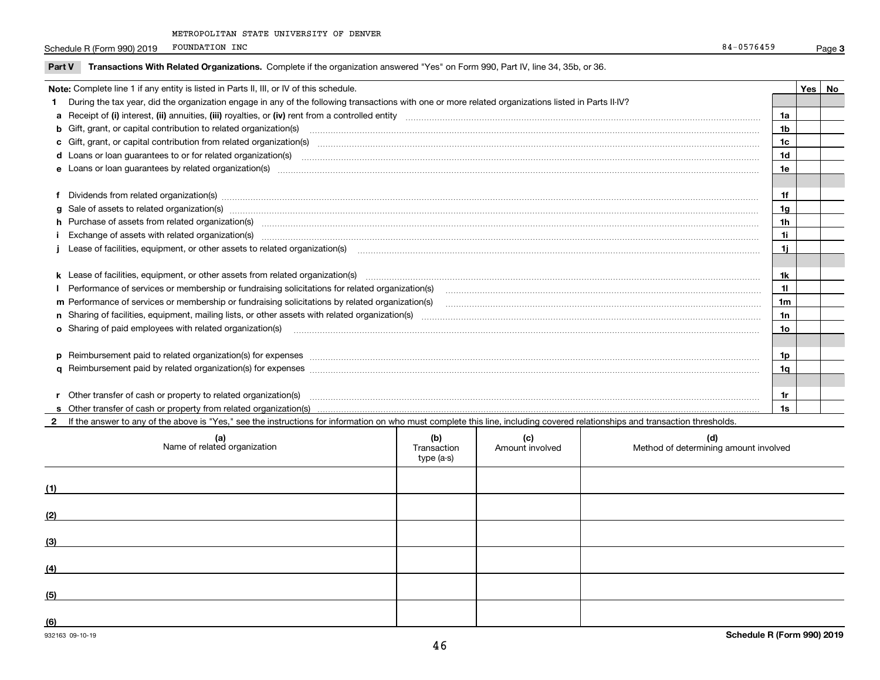Schedule R (Form 990) 2019 POUNDATION INC 34-0576459 FOUNDATION INC 84-0576459

**f** Dividends from related organization(s)

| <b>Part V</b> | Transactions With Related Organizations. Complete if the organization answered "Yes" on Form 990, Part IV, line 34, 35b, or 36.                     |  |  |
|---------------|-----------------------------------------------------------------------------------------------------------------------------------------------------|--|--|
|               | Note: Complete line 1 if any entity is listed in Parts II, III, or IV of this schedule.                                                             |  |  |
|               | During the tax year, did the organization engage in any of the following transactions with one or more related organizations listed in Parts II-IV? |  |  |
|               | a Receipt of (i) interest, (ii) annuities, (iii) royalties, or (iv) rent from a controlled entity                                                   |  |  |
|               | <b>b</b> Gift, grant, or capital contribution to related organization(s)                                                                            |  |  |
|               | c Gift, grant, or capital contribution from related organization(s)                                                                                 |  |  |
|               | d Loans or loan guarantees to or for related organization(s)                                                                                        |  |  |
|               | e Loans or loan guarantees by related organization(s)                                                                                               |  |  |
|               |                                                                                                                                                     |  |  |

| <b>h</b> Purchase of assets from related organization(s)                                        | ٦n |  |
|-------------------------------------------------------------------------------------------------|----|--|
| Exchange of assets with related organization(s)                                                 |    |  |
| j Lease of facilities, equipment, or other assets to related organization(s)                    |    |  |
|                                                                                                 |    |  |
|                                                                                                 |    |  |
| Performance of services or membership or fundraising solicitations for related organization(s)  |    |  |
| m Performance of services or membership or fundraising solicitations by related organization(s) | 1m |  |
| n Sharing of facilities, equipment, mailing lists, or other assets with related organization(s) |    |  |
| <b>o</b> Sharing of paid employees with related organization(s)                                 | 10 |  |
|                                                                                                 |    |  |
| $\mathbf p$ Reimbursement paid to related organization(s) for expenses                          |    |  |
|                                                                                                 | 10 |  |
|                                                                                                 |    |  |
| r Other transfer of cash or property to related organization(s)                                 |    |  |
|                                                                                                 |    |  |

Dividends from related organization(s) ~~~~~~~~~~~~~~~~~~~~~~~~~~~~~~~~~~~~~~~~~~~~~~~~~~~~~~~~~~~~~~~~~~~~

**2**If the answer to any of the above is "Yes," see the instructions for information on who must complete this line, including covered relationships and transaction thresholds.

**g** Sale of assets to related organization(s) ~~~~~~~~~~~~~~~~~~~~~~~~~~~~~~~~~~~~~~~~~~~~~~~~~~~~~~~~~~~~~~~~~~~

| (a)<br>Name of related organization | (b)<br>Transaction<br>type (a-s) | (c)<br>Amount involved | (d)<br>Method of determining amount involved |
|-------------------------------------|----------------------------------|------------------------|----------------------------------------------|
| (1)                                 |                                  |                        |                                              |
| (2)                                 |                                  |                        |                                              |
| (3)                                 |                                  |                        |                                              |
| (4)                                 |                                  |                        |                                              |
| (5)                                 |                                  |                        |                                              |
| (6)                                 |                                  |                        |                                              |

Page 3

**1f1g**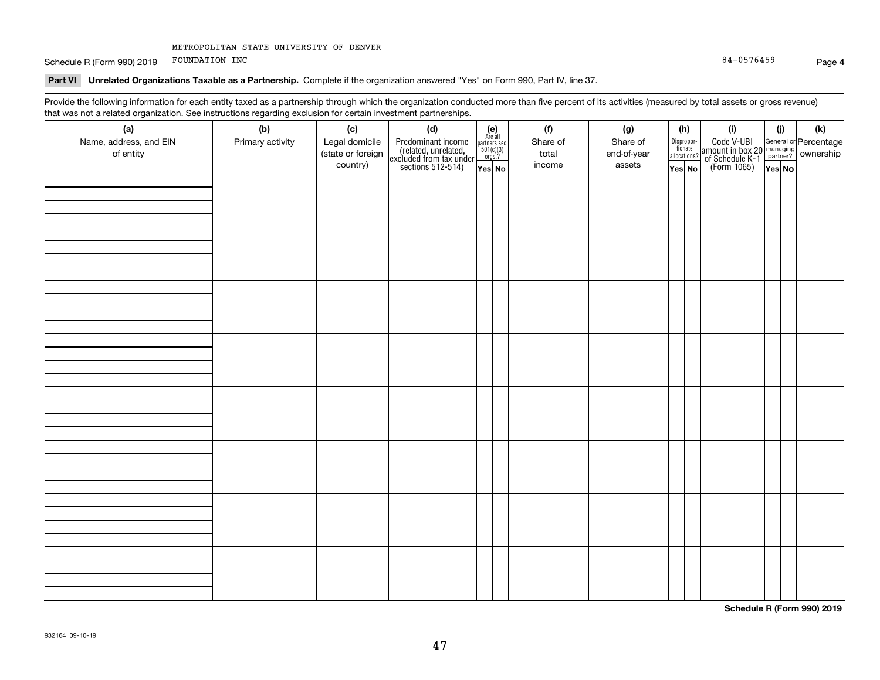Schedule R (Form 990) 2019 POUNDATION INC 34-0576459 FOUNDATION INC 84-0576459

**Part VI Unrelated Organizations Taxable as a Partnership. Complete if the organization answered "Yes" on Form 990, Part IV, line 37.** 

Provide the following information for each entity taxed as a partnership through which the organization conducted more than five percent of its activities (measured by total assets or gross revenue) that was not a related organization. See instructions regarding exclusion for certain investment partnerships.

| that was not a related erganization. See includitions regarding excludion for contain investment partnereinper<br>(a) | (b)              | (c)               | (d)                                                                                        |                                                                                                                   | (f)      | (g)         | (h)                              | (i)                                                                                                    | (i)    | $(\mathsf{k})$ |
|-----------------------------------------------------------------------------------------------------------------------|------------------|-------------------|--------------------------------------------------------------------------------------------|-------------------------------------------------------------------------------------------------------------------|----------|-------------|----------------------------------|--------------------------------------------------------------------------------------------------------|--------|----------------|
| Name, address, and EIN                                                                                                | Primary activity | Legal domicile    |                                                                                            | $\begin{array}{c} \textbf{(e)}\\ \text{Are all} \\ \text{partners sec.}\\ 501(c)(3) \\ \text{orgs.?} \end{array}$ | Share of | Share of    |                                  |                                                                                                        |        |                |
| of entity                                                                                                             |                  | (state or foreign |                                                                                            |                                                                                                                   | total    | end-of-year | Disproportionate<br>allocations? |                                                                                                        |        |                |
|                                                                                                                       |                  | country)          | Predominant income<br>(related, unrelated,<br>excluded from tax under<br>sections 512-514) | Yes No                                                                                                            | income   | assets      | Yes No                           | Code V-UBI<br>amount in box 20 managing<br>of Schedule K-1 partner? ownership<br>(Form 1065)<br>ves No | Yes No |                |
|                                                                                                                       |                  |                   |                                                                                            |                                                                                                                   |          |             |                                  |                                                                                                        |        |                |
|                                                                                                                       |                  |                   |                                                                                            |                                                                                                                   |          |             |                                  |                                                                                                        |        |                |
|                                                                                                                       |                  |                   |                                                                                            |                                                                                                                   |          |             |                                  |                                                                                                        |        |                |
|                                                                                                                       |                  |                   |                                                                                            |                                                                                                                   |          |             |                                  |                                                                                                        |        |                |
|                                                                                                                       |                  |                   |                                                                                            |                                                                                                                   |          |             |                                  |                                                                                                        |        |                |
|                                                                                                                       |                  |                   |                                                                                            |                                                                                                                   |          |             |                                  |                                                                                                        |        |                |
|                                                                                                                       |                  |                   |                                                                                            |                                                                                                                   |          |             |                                  |                                                                                                        |        |                |
|                                                                                                                       |                  |                   |                                                                                            |                                                                                                                   |          |             |                                  |                                                                                                        |        |                |
|                                                                                                                       |                  |                   |                                                                                            |                                                                                                                   |          |             |                                  |                                                                                                        |        |                |
|                                                                                                                       |                  |                   |                                                                                            |                                                                                                                   |          |             |                                  |                                                                                                        |        |                |
|                                                                                                                       |                  |                   |                                                                                            |                                                                                                                   |          |             |                                  |                                                                                                        |        |                |
|                                                                                                                       |                  |                   |                                                                                            |                                                                                                                   |          |             |                                  |                                                                                                        |        |                |
|                                                                                                                       |                  |                   |                                                                                            |                                                                                                                   |          |             |                                  |                                                                                                        |        |                |
|                                                                                                                       |                  |                   |                                                                                            |                                                                                                                   |          |             |                                  |                                                                                                        |        |                |
|                                                                                                                       |                  |                   |                                                                                            |                                                                                                                   |          |             |                                  |                                                                                                        |        |                |
|                                                                                                                       |                  |                   |                                                                                            |                                                                                                                   |          |             |                                  |                                                                                                        |        |                |
|                                                                                                                       |                  |                   |                                                                                            |                                                                                                                   |          |             |                                  |                                                                                                        |        |                |
|                                                                                                                       |                  |                   |                                                                                            |                                                                                                                   |          |             |                                  |                                                                                                        |        |                |
|                                                                                                                       |                  |                   |                                                                                            |                                                                                                                   |          |             |                                  |                                                                                                        |        |                |
|                                                                                                                       |                  |                   |                                                                                            |                                                                                                                   |          |             |                                  |                                                                                                        |        |                |
|                                                                                                                       |                  |                   |                                                                                            |                                                                                                                   |          |             |                                  |                                                                                                        |        |                |
|                                                                                                                       |                  |                   |                                                                                            |                                                                                                                   |          |             |                                  |                                                                                                        |        |                |
|                                                                                                                       |                  |                   |                                                                                            |                                                                                                                   |          |             |                                  |                                                                                                        |        |                |
|                                                                                                                       |                  |                   |                                                                                            |                                                                                                                   |          |             |                                  |                                                                                                        |        |                |
|                                                                                                                       |                  |                   |                                                                                            |                                                                                                                   |          |             |                                  |                                                                                                        |        |                |
|                                                                                                                       |                  |                   |                                                                                            |                                                                                                                   |          |             |                                  |                                                                                                        |        |                |
|                                                                                                                       |                  |                   |                                                                                            |                                                                                                                   |          |             |                                  |                                                                                                        |        |                |
|                                                                                                                       |                  |                   |                                                                                            |                                                                                                                   |          |             |                                  |                                                                                                        |        |                |
|                                                                                                                       |                  |                   |                                                                                            |                                                                                                                   |          |             |                                  |                                                                                                        |        |                |
|                                                                                                                       |                  |                   |                                                                                            |                                                                                                                   |          |             |                                  |                                                                                                        |        |                |
|                                                                                                                       |                  |                   |                                                                                            |                                                                                                                   |          |             |                                  |                                                                                                        |        |                |
|                                                                                                                       |                  |                   |                                                                                            |                                                                                                                   |          |             |                                  |                                                                                                        |        |                |
|                                                                                                                       |                  |                   |                                                                                            |                                                                                                                   |          |             |                                  |                                                                                                        |        |                |

**Schedule R (Form 990) 2019**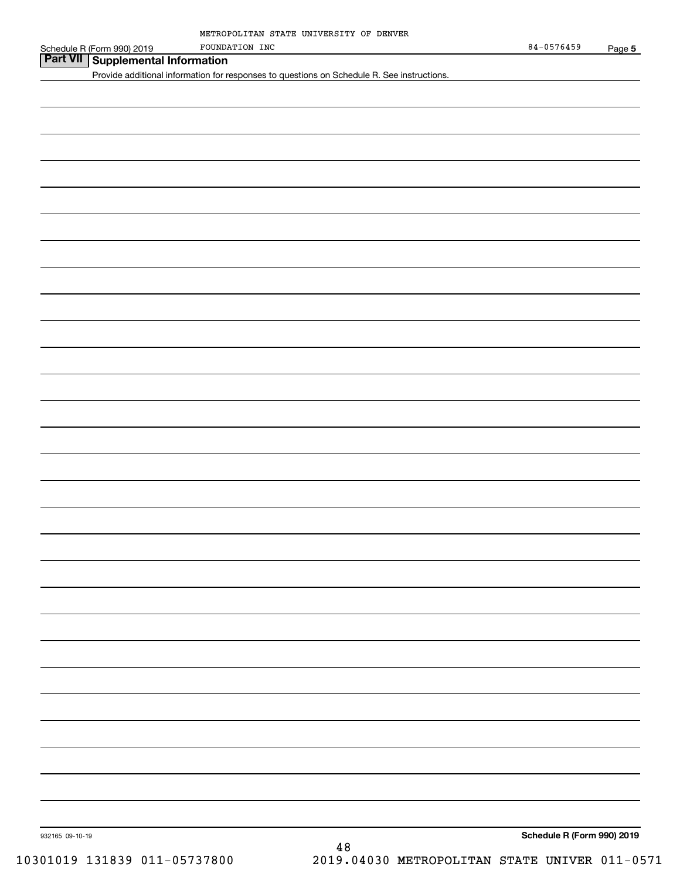| Schedule R (Form | . 2019<br>990) | FOUNDATION | INC | /6459<br>84<br>- 1 | <b>STATES</b><br>Page |  |
|------------------|----------------|------------|-----|--------------------|-----------------------|--|
|------------------|----------------|------------|-----|--------------------|-----------------------|--|

**Part VII Supplemental Information**

Provide additional information for responses to questions on Schedule R. See instructions.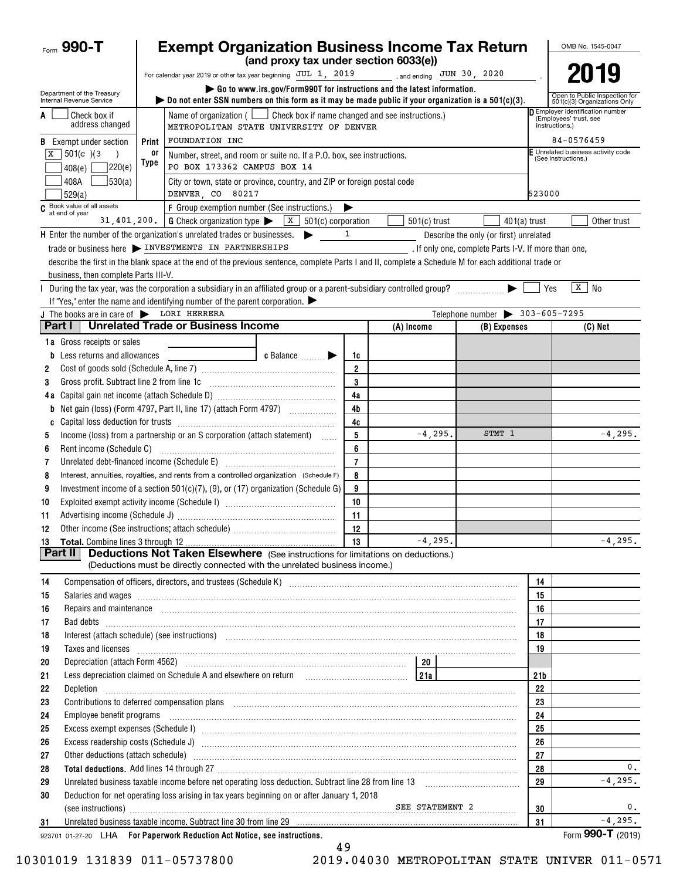| Form $990 - T$                                                                  |       | <b>Exempt Organization Business Income Tax Return</b>                                                                                                                                                                                                       |                                                                                          |                                                         |  |                                                      |                                                |                |                                                                            |  | OMB No. 1545-0047            |  |  |
|---------------------------------------------------------------------------------|-------|-------------------------------------------------------------------------------------------------------------------------------------------------------------------------------------------------------------------------------------------------------------|------------------------------------------------------------------------------------------|---------------------------------------------------------|--|------------------------------------------------------|------------------------------------------------|----------------|----------------------------------------------------------------------------|--|------------------------------|--|--|
|                                                                                 |       |                                                                                                                                                                                                                                                             | (and proxy tax under section 6033(e))                                                    |                                                         |  |                                                      |                                                |                |                                                                            |  |                              |  |  |
|                                                                                 |       | For calendar year 2019 or other tax year beginning JUL 1, 2019                                                                                                                                                                                              |                                                                                          |                                                         |  | , and ending $JUN$ 30, 2020                          |                                                |                |                                                                            |  | 2019                         |  |  |
| Department of the Treasury<br>Internal Revenue Service                          |       | bo not enter SSN numbers on this form as it may be made public if your organization is a $501(c)(3)$ .                                                                                                                                                      | $\triangleright$ Go to www.irs.gov/Form990T for instructions and the latest information. |                                                         |  |                                                      |                                                |                | Open to Public Inspection for<br>501(c)(3) Organizations Only              |  |                              |  |  |
| Check box if<br>A<br>address changed                                            |       | Name of organization $($<br>METROPOLITAN STATE UNIVERSITY OF DENVER                                                                                                                                                                                         | Check box if name changed and see instructions.)                                         |                                                         |  |                                                      |                                                |                | Employer identification number<br>(Employees' trust, see<br>instructions.) |  |                              |  |  |
| <b>B</b> Exempt under section                                                   | Print | <b>FOUNDATION INC</b>                                                                                                                                                                                                                                       |                                                                                          |                                                         |  |                                                      |                                                |                | 84-0576459                                                                 |  |                              |  |  |
| $501(c)$ (3)<br>х                                                               | 0ľ    | Number, street, and room or suite no. If a P.O. box, see instructions.                                                                                                                                                                                      |                                                                                          | Unrelated business activity code<br>(See instructions.) |  |                                                      |                                                |                |                                                                            |  |                              |  |  |
| 220(e)<br>408(e)                                                                | Type  |                                                                                                                                                                                                                                                             | PO BOX 173362 CAMPUS BOX 14                                                              |                                                         |  |                                                      |                                                |                |                                                                            |  |                              |  |  |
| 530(a) <br>408A<br>529(a)                                                       |       | City or town, state or province, country, and ZIP or foreign postal code<br>DENVER, CO 80217                                                                                                                                                                |                                                                                          |                                                         |  |                                                      |                                                |                | 523000                                                                     |  |                              |  |  |
| C Book value of all assets<br>at end of year                                    |       | F Group exemption number (See instructions.)                                                                                                                                                                                                                |                                                                                          |                                                         |  |                                                      |                                                |                |                                                                            |  |                              |  |  |
|                                                                                 |       | 31, 401, 200. G Check organization type $\blacktriangleright$                                                                                                                                                                                               | X  <br>501(c) corporation                                                                |                                                         |  | $501(c)$ trust                                       |                                                | $401(a)$ trust |                                                                            |  | Other trust                  |  |  |
| <b>H</b> Enter the number of the organization's unrelated trades or businesses. |       |                                                                                                                                                                                                                                                             | ▶                                                                                        | 1                                                       |  |                                                      | Describe the only (or first) unrelated         |                |                                                                            |  |                              |  |  |
|                                                                                 |       | trade or business here > INVESTMENTS IN PARTNERSHIPS                                                                                                                                                                                                        |                                                                                          |                                                         |  | . If only one, complete Parts I-V. If more than one, |                                                |                |                                                                            |  |                              |  |  |
|                                                                                 |       | describe the first in the blank space at the end of the previous sentence, complete Parts I and II, complete a Schedule M for each additional trade or                                                                                                      |                                                                                          |                                                         |  |                                                      |                                                |                |                                                                            |  |                              |  |  |
| business, then complete Parts III-V.                                            |       |                                                                                                                                                                                                                                                             |                                                                                          |                                                         |  |                                                      |                                                |                |                                                                            |  |                              |  |  |
|                                                                                 |       | During the tax year, was the corporation a subsidiary in an affiliated group or a parent-subsidiary controlled group? [[[[[[[[[[[[[[[[[[[[[[[]]]]]]]]                                                                                                       |                                                                                          |                                                         |  |                                                      |                                                |                | Yes                                                                        |  | $\sqrt{X}$ No                |  |  |
|                                                                                 |       | If "Yes," enter the name and identifying number of the parent corporation. $\blacktriangleright$                                                                                                                                                            |                                                                                          |                                                         |  |                                                      |                                                |                |                                                                            |  |                              |  |  |
| J The books are in care of $\triangleright$ LORI HERRERA                        |       |                                                                                                                                                                                                                                                             |                                                                                          |                                                         |  |                                                      | Telephone number $\triangleright$ 303-605-7295 |                |                                                                            |  |                              |  |  |
| Part I                                                                          |       | <b>Unrelated Trade or Business Income</b>                                                                                                                                                                                                                   |                                                                                          |                                                         |  | (A) Income                                           |                                                | (B) Expenses   |                                                                            |  | (C) Net                      |  |  |
| <b>1a</b> Gross receipts or sales                                               |       |                                                                                                                                                                                                                                                             |                                                                                          |                                                         |  |                                                      |                                                |                |                                                                            |  |                              |  |  |
| <b>b</b> Less returns and allowances                                            |       |                                                                                                                                                                                                                                                             | <b>c</b> Balance $\ldots$                                                                | 1c                                                      |  |                                                      |                                                |                |                                                                            |  |                              |  |  |
| 2                                                                               |       |                                                                                                                                                                                                                                                             |                                                                                          | $\overline{2}$                                          |  |                                                      |                                                |                |                                                                            |  |                              |  |  |
| 3                                                                               |       | Gross profit. Subtract line 2 from line 1c [11] [11] [12] [12] [13] [14] [15] [15] [15] [15] [15] [15] [15] [1                                                                                                                                              |                                                                                          | 3                                                       |  |                                                      |                                                |                |                                                                            |  |                              |  |  |
|                                                                                 |       |                                                                                                                                                                                                                                                             |                                                                                          | 4a                                                      |  |                                                      |                                                |                |                                                                            |  |                              |  |  |
| b                                                                               |       |                                                                                                                                                                                                                                                             |                                                                                          | 4b                                                      |  |                                                      |                                                |                |                                                                            |  |                              |  |  |
| C                                                                               |       |                                                                                                                                                                                                                                                             |                                                                                          | 4c                                                      |  |                                                      |                                                | STMT 1         |                                                                            |  |                              |  |  |
| 5                                                                               |       | Income (loss) from a partnership or an S corporation (attach statement)                                                                                                                                                                                     |                                                                                          | 5                                                       |  | $-4, 295.$                                           |                                                |                |                                                                            |  | $-4, 295.$                   |  |  |
| 6                                                                               |       |                                                                                                                                                                                                                                                             |                                                                                          | 6<br>$\overline{7}$                                     |  |                                                      |                                                |                |                                                                            |  |                              |  |  |
| 7                                                                               |       | Unrelated debt-financed income (Schedule E) [11] [2010] [2010] [2010] [2010] [2010] [2010] [2010] [2010] [2010                                                                                                                                              |                                                                                          | 8                                                       |  |                                                      |                                                |                |                                                                            |  |                              |  |  |
| 8<br>9                                                                          |       | Interest, annuities, royalties, and rents from a controlled organization (Schedule F)                                                                                                                                                                       |                                                                                          | 9                                                       |  |                                                      |                                                |                |                                                                            |  |                              |  |  |
| 10                                                                              |       | Investment income of a section $501(c)(7)$ , (9), or (17) organization (Schedule G)                                                                                                                                                                         |                                                                                          | 10                                                      |  |                                                      |                                                |                |                                                                            |  |                              |  |  |
| 11                                                                              |       |                                                                                                                                                                                                                                                             |                                                                                          | 11                                                      |  |                                                      |                                                |                |                                                                            |  |                              |  |  |
| 12                                                                              |       |                                                                                                                                                                                                                                                             |                                                                                          | 12                                                      |  |                                                      |                                                |                |                                                                            |  |                              |  |  |
|                                                                                 |       |                                                                                                                                                                                                                                                             |                                                                                          | 13                                                      |  | $-4, 295.$                                           |                                                |                |                                                                            |  | $-4,295.$                    |  |  |
| <b>Part II</b>                                                                  |       | <b>Deductions Not Taken Elsewhere</b> (See instructions for limitations on deductions.)                                                                                                                                                                     |                                                                                          |                                                         |  |                                                      |                                                |                |                                                                            |  |                              |  |  |
|                                                                                 |       | (Deductions must be directly connected with the unrelated business income.)                                                                                                                                                                                 |                                                                                          |                                                         |  |                                                      |                                                |                |                                                                            |  |                              |  |  |
| 14                                                                              |       |                                                                                                                                                                                                                                                             |                                                                                          |                                                         |  |                                                      |                                                |                | 14                                                                         |  |                              |  |  |
| 15                                                                              |       | Salaries and wages <b>construction and construction of the construction</b> and wages <b>construction</b> and wages <b>construction</b>                                                                                                                     |                                                                                          |                                                         |  |                                                      |                                                |                | 15                                                                         |  |                              |  |  |
| 16                                                                              |       |                                                                                                                                                                                                                                                             |                                                                                          |                                                         |  |                                                      |                                                |                | 16                                                                         |  |                              |  |  |
| 17                                                                              |       |                                                                                                                                                                                                                                                             |                                                                                          |                                                         |  |                                                      |                                                |                | 17                                                                         |  |                              |  |  |
| 18                                                                              |       | Interest (attach schedule) (see instructions) www.communicalisations and attachment and attachment and attachment and attachment attachment and attachment attachment at the schedule) (see instructions)                                                   |                                                                                          |                                                         |  |                                                      |                                                |                | 18                                                                         |  |                              |  |  |
| 19                                                                              |       | Taxes and licenses <b>construction and construction of the construction of the construction of the construction</b>                                                                                                                                         |                                                                                          |                                                         |  |                                                      |                                                |                | 19                                                                         |  |                              |  |  |
| 20                                                                              |       |                                                                                                                                                                                                                                                             |                                                                                          |                                                         |  |                                                      |                                                |                |                                                                            |  |                              |  |  |
| 21                                                                              |       | Less depreciation claimed on Schedule A and elsewhere on return [1] [214]                                                                                                                                                                                   |                                                                                          |                                                         |  |                                                      |                                                |                | 21b                                                                        |  |                              |  |  |
| 22                                                                              |       |                                                                                                                                                                                                                                                             |                                                                                          |                                                         |  |                                                      |                                                |                | 22                                                                         |  |                              |  |  |
| 23                                                                              |       |                                                                                                                                                                                                                                                             |                                                                                          |                                                         |  |                                                      |                                                |                | 23                                                                         |  |                              |  |  |
| 24                                                                              |       | Employee benefit programs in the continuum contract of the contract of the contract of the contract of the contract of the contract of the contract of the contract of the contract of the contract of the contract of the con                              |                                                                                          |                                                         |  |                                                      |                                                |                | 24                                                                         |  |                              |  |  |
| 25                                                                              |       |                                                                                                                                                                                                                                                             |                                                                                          |                                                         |  |                                                      |                                                |                | 25                                                                         |  |                              |  |  |
| 26                                                                              |       | Excess readership costs (Schedule J) <b>Marting Community Contract Community</b> Constant Contract Constant Constant Community Constant Community Constant Community Constant Community Constant Community Constant Community Const                         |                                                                                          |                                                         |  |                                                      |                                                |                | 26                                                                         |  |                              |  |  |
| 27                                                                              |       | Other deductions (attach schedule) manufactured and according to the schedule of the schedule of the schedule                                                                                                                                               |                                                                                          |                                                         |  |                                                      |                                                |                | 27                                                                         |  |                              |  |  |
| 28                                                                              |       |                                                                                                                                                                                                                                                             |                                                                                          |                                                         |  |                                                      |                                                |                | 28                                                                         |  | 0.                           |  |  |
| 29                                                                              |       | Unrelated business taxable income before net operating loss deduction. Subtract line 28 from line 13 [11] [12]                                                                                                                                              |                                                                                          |                                                         |  |                                                      |                                                |                | 29                                                                         |  | $-4,295.$                    |  |  |
| 30                                                                              |       | Deduction for net operating loss arising in tax years beginning on or after January 1, 2018                                                                                                                                                                 |                                                                                          |                                                         |  |                                                      |                                                |                |                                                                            |  |                              |  |  |
|                                                                                 |       | $\begin{tabular}{ll} \textbf{(see instructions)} \end{tabular} \begin{tabular}{ll} \textbf{See structures} \end{tabular} \begin{tabular}{ll} \textbf{See structures} \end{tabular} \begin{tabular}{ll} \textbf{See structures} \end{tabular} \end{tabular}$ |                                                                                          |                                                         |  |                                                      |                                                |                | 30                                                                         |  | $\mathbf{0}$ .<br>$-4, 295.$ |  |  |
| 31                                                                              |       | Unrelated business taxable income. Subtract line 30 from line 29 [11] Martin Martin Martin Martin Martin Martin Martin Martin Martin Martin Martin Martin Martin Martin Martin Martin Martin Martin Martin Martin Martin Marti                              |                                                                                          |                                                         |  |                                                      |                                                |                | 31                                                                         |  | Form 990-T (2019)            |  |  |
| 923701 01-27-20 LHA For Paperwork Reduction Act Notice, see instructions.       |       |                                                                                                                                                                                                                                                             |                                                                                          |                                                         |  |                                                      |                                                |                |                                                                            |  |                              |  |  |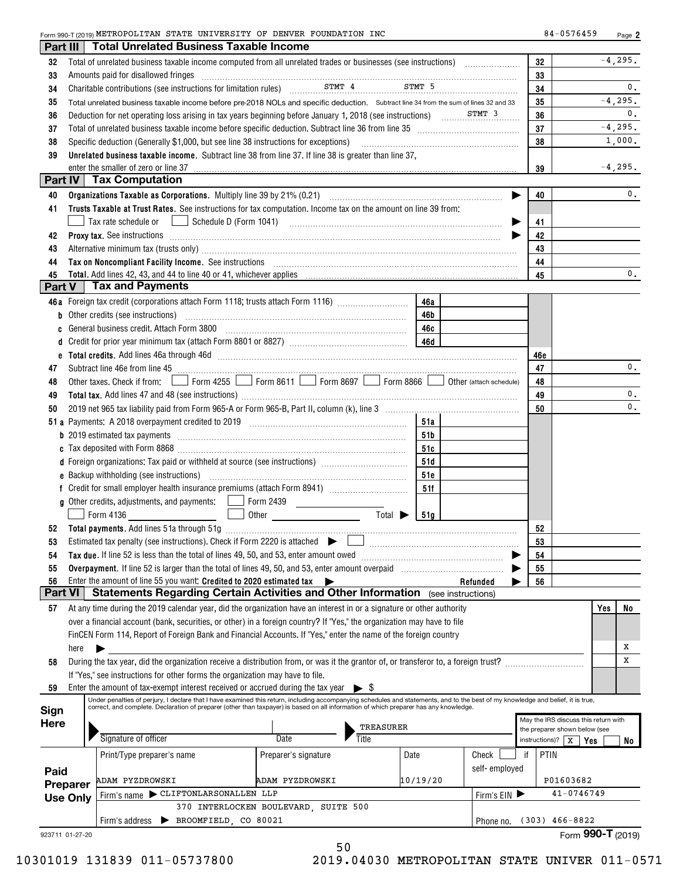| FOUNDATION INC<br>Form 990-T (2019) METROPOLITAN STATE<br>UNIVERSITY OF<br>DENVER<br>רוו-<br>'04.<br>o4 | Pag. |
|---------------------------------------------------------------------------------------------------------|------|
|---------------------------------------------------------------------------------------------------------|------|

| Part III        |      | <b>Total Unrelated Business Taxable Income</b>                                                                                                                                                                                |                                      |          |                         |          |                                                                       |
|-----------------|------|-------------------------------------------------------------------------------------------------------------------------------------------------------------------------------------------------------------------------------|--------------------------------------|----------|-------------------------|----------|-----------------------------------------------------------------------|
| 32              |      | Total of unrelated business taxable income computed from all unrelated trades or businesses (see instructions)                                                                                                                |                                      |          |                         | 32       | $-4,295.$                                                             |
| 33              |      | Amounts paid for disallowed fringes [11, 12] Amounts and the disability of the state of the state of the state of the state of the state of the state of the state of the state of the state of the state of the state of the |                                      |          |                         | 33       |                                                                       |
| 34              |      | Charitable contributions (see instructions for limitation rules) STMT 4 STMT 5                                                                                                                                                |                                      |          |                         | 34       | 0.                                                                    |
| 35              |      | Total unrelated business taxable income before pre-2018 NOLs and specific deduction. Subtract line 34 from the sum of lines 32 and 33                                                                                         |                                      |          |                         | 35       | $-4, 295.$                                                            |
| 36              |      |                                                                                                                                                                                                                               |                                      |          |                         | 36       | 0.                                                                    |
| 37              |      |                                                                                                                                                                                                                               |                                      |          |                         | 37       | $-4, 295.$                                                            |
| 38              |      | Specific deduction (Generally \$1,000, but see line 38 instructions for exceptions)                                                                                                                                           | 38                                   | 1,000.   |                         |          |                                                                       |
| 39              |      | Unrelated business taxable income. Subtract line 38 from line 37. If line 38 is greater than line 37,                                                                                                                         |                                      |          |                         |          |                                                                       |
|                 |      | enter the smaller of zero or line 37                                                                                                                                                                                          |                                      |          |                         | 39       | $-4,295.$                                                             |
|                 |      | Part IV   Tax Computation                                                                                                                                                                                                     |                                      |          |                         |          |                                                                       |
| 40              |      |                                                                                                                                                                                                                               |                                      |          |                         | 40       | 0.                                                                    |
| 41              |      | Trusts Taxable at Trust Rates. See instructions for tax computation. Income tax on the amount on line 39 from:                                                                                                                |                                      |          |                         |          |                                                                       |
|                 |      | Tax rate schedule or                                                                                                                                                                                                          |                                      |          |                         | 41       |                                                                       |
| 42              |      |                                                                                                                                                                                                                               |                                      |          |                         | 42       |                                                                       |
| 43              |      | Alternative minimum tax (trusts only) manufacture and alternative manufacture minimum tax (trusts only)                                                                                                                       |                                      |          |                         | 43       |                                                                       |
| 44              |      |                                                                                                                                                                                                                               |                                      |          |                         | 44       |                                                                       |
| 45              |      |                                                                                                                                                                                                                               |                                      |          |                         | 45       | $0$ .                                                                 |
| Part V          |      | <b>Tax and Payments</b>                                                                                                                                                                                                       |                                      |          |                         |          |                                                                       |
|                 |      | 46a Foreign tax credit (corporations attach Form 1118; trusts attach Form 1116)                                                                                                                                               |                                      | 46a      |                         |          |                                                                       |
|                 |      | <b>b</b> Other credits (see instructions)                                                                                                                                                                                     |                                      | 46b      |                         |          |                                                                       |
| c               |      | General business credit. Attach Form 3800 [11] [11] Contract the Seneral business credit. Attach Form 3800                                                                                                                    |                                      | 46c      |                         |          |                                                                       |
| d               |      |                                                                                                                                                                                                                               |                                      |          |                         |          |                                                                       |
| е               |      |                                                                                                                                                                                                                               |                                      |          |                         | 46e      |                                                                       |
| 47              |      |                                                                                                                                                                                                                               |                                      |          |                         | 47       | 0.                                                                    |
| 48              |      | Subtract line 46e from line 45 <b>with the contract of the contract of the contract line 46e</b> from line 45<br>Other taxes. Check if from:   Form 4255   Form 8611   Form 8697   Form 8866                                  |                                      |          | Other (attach schedule) | 48       |                                                                       |
|                 |      |                                                                                                                                                                                                                               |                                      |          |                         | 49       | $\mathbf{0}$ .                                                        |
| 49<br>50        |      |                                                                                                                                                                                                                               |                                      |          |                         | 50       | $\mathbf{0}$ .                                                        |
|                 |      |                                                                                                                                                                                                                               |                                      | 51a      |                         |          |                                                                       |
|                 |      |                                                                                                                                                                                                                               |                                      |          |                         |          |                                                                       |
|                 |      |                                                                                                                                                                                                                               |                                      | 51b      |                         |          |                                                                       |
|                 |      | d Foreign organizations: Tax paid or withheld at source (see instructions) [                                                                                                                                                  |                                      | 51c      |                         |          |                                                                       |
|                 |      |                                                                                                                                                                                                                               |                                      | 51d      |                         |          |                                                                       |
|                 |      | <b>e</b> Backup withholding (see instructions)                                                                                                                                                                                |                                      | 51e      |                         |          |                                                                       |
|                 |      | <b>g</b> Other credits, adjustments, and payments: $\Box$                                                                                                                                                                     | Form 2439                            | 51f      |                         |          |                                                                       |
|                 |      | Form 4136<br>the contract of the contract of                                                                                                                                                                                  | Total $\blacktriangleright$          |          |                         |          |                                                                       |
|                 |      |                                                                                                                                                                                                                               |                                      | 51g      |                         |          |                                                                       |
| 52              |      | Estimated tax penalty (see instructions). Check if Form 2220 is attached                                                                                                                                                      |                                      |          |                         | 52       |                                                                       |
| 53              |      | Tax due. If line 52 is less than the total of lines 49, 50, and 53, enter amount owed                                                                                                                                         |                                      |          |                         | 53<br>54 |                                                                       |
| 54<br>55        |      | Overpayment. If line 52 is larger than the total of lines 49, 50, and 53, enter amount overpaid                                                                                                                               |                                      |          |                         | 55       |                                                                       |
| 56              |      | Enter the amount of line 55 you want: Credited to 2020 estimated tax                                                                                                                                                          |                                      |          | Refunded                | 56       |                                                                       |
| <b>Part VI</b>  |      | Statements Regarding Certain Activities and Other Information (see instructions)                                                                                                                                              |                                      |          |                         |          |                                                                       |
| 57              |      | At any time during the 2019 calendar year, did the organization have an interest in or a signature or other authority                                                                                                         |                                      |          |                         |          | Yes<br>No                                                             |
|                 |      | over a financial account (bank, securities, or other) in a foreign country? If "Yes," the organization may have to file                                                                                                       |                                      |          |                         |          |                                                                       |
|                 |      | FinCEN Form 114, Report of Foreign Bank and Financial Accounts. If "Yes," enter the name of the foreign country                                                                                                               |                                      |          |                         |          |                                                                       |
|                 | here | ▶                                                                                                                                                                                                                             |                                      |          |                         |          | Х                                                                     |
| 58              |      | During the tax year, did the organization receive a distribution from, or was it the grantor of, or transferor to, a foreign trust?                                                                                           |                                      |          |                         |          | х                                                                     |
|                 |      | If "Yes," see instructions for other forms the organization may have to file.                                                                                                                                                 |                                      |          |                         |          |                                                                       |
| 59              |      | Enter the amount of tax-exempt interest received or accrued during the tax year $\triangleright$ \$                                                                                                                           |                                      |          |                         |          |                                                                       |
|                 |      | Under penalties of perjury, I declare that I have examined this return, including accompanying schedules and statements, and to the best of my knowledge and belief, it is true,                                              |                                      |          |                         |          |                                                                       |
| Sign            |      | correct, and complete. Declaration of preparer (other than taxpayer) is based on all information of which preparer has any knowledge.                                                                                         |                                      |          |                         |          |                                                                       |
| <b>Here</b>     |      |                                                                                                                                                                                                                               | TREASURER                            |          |                         |          | May the IRS discuss this return with<br>the preparer shown below (see |
|                 |      | Signature of officer                                                                                                                                                                                                          | Title<br>Date                        |          |                         |          | instructions)? $X \mid Y$ es<br>No                                    |
|                 |      | Print/Type preparer's name                                                                                                                                                                                                    | Preparer's signature                 | Date     | Check                   | if       | PTIN                                                                  |
|                 |      |                                                                                                                                                                                                                               |                                      |          | self-employed           |          |                                                                       |
| Paid            |      | <b>DAM PYZDROWSKI</b>                                                                                                                                                                                                         | ADAM PYZDROWSKI                      | 10/19/20 |                         |          | P01603682                                                             |
| Preparer        |      | Firm's name CLIFTONLARSONALLEN LLP                                                                                                                                                                                            |                                      |          | Firm's $EN$             |          | 41-0746749                                                            |
| <b>Use Only</b> |      |                                                                                                                                                                                                                               | 370 INTERLOCKEN BOULEVARD, SUITE 500 |          |                         |          |                                                                       |
|                 |      | BROOMFIELD, CO 80021<br>Firm's address                                                                                                                                                                                        |                                      |          | Phone no.               |          | $(303)$ 466-8822                                                      |
| 923711 01-27-20 |      |                                                                                                                                                                                                                               |                                      |          |                         |          | Form 990-T (2019)                                                     |
|                 |      |                                                                                                                                                                                                                               | 50                                   |          |                         |          |                                                                       |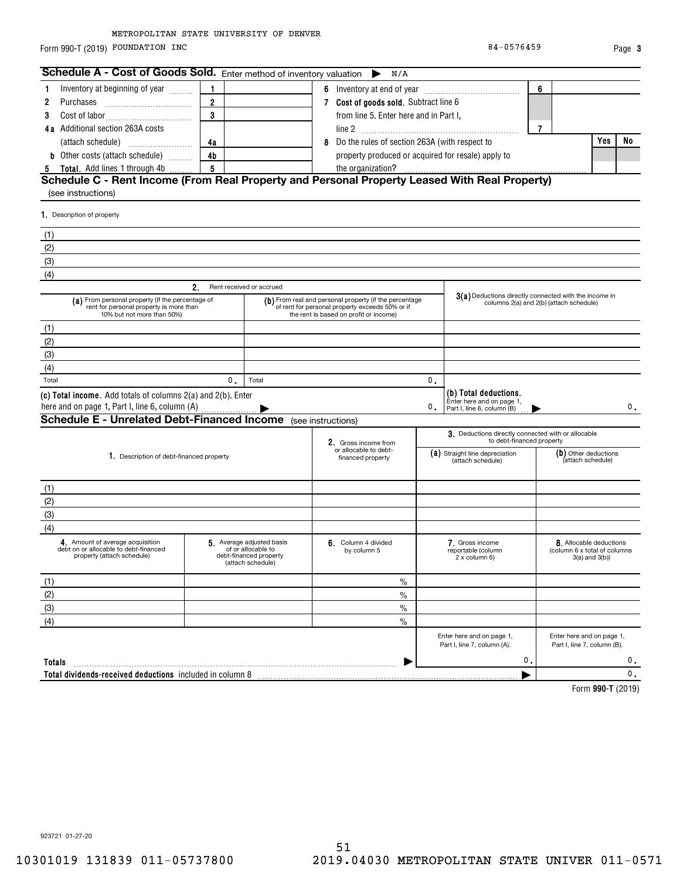Form 990-T (2019) Page FOUNDATION INC 84-0576459

| Schedule A - Cost of Goods Sold. Enter method of inventory valuation                                                      |                |                                                                                                | N/A                                                                                                                                                 |    |                                                                                  |                |                                                                           |       |
|---------------------------------------------------------------------------------------------------------------------------|----------------|------------------------------------------------------------------------------------------------|-----------------------------------------------------------------------------------------------------------------------------------------------------|----|----------------------------------------------------------------------------------|----------------|---------------------------------------------------------------------------|-------|
| Inventory at beginning of year<br>1                                                                                       | 1              |                                                                                                |                                                                                                                                                     |    |                                                                                  | 6              |                                                                           |       |
| 2<br>Purchases                                                                                                            | $\overline{2}$ |                                                                                                | 7 Cost of goods sold. Subtract line 6                                                                                                               |    |                                                                                  |                |                                                                           |       |
| 3                                                                                                                         | 3              |                                                                                                | from line 5. Enter here and in Part I,                                                                                                              |    |                                                                                  |                |                                                                           |       |
| 4a Additional section 263A costs                                                                                          |                |                                                                                                |                                                                                                                                                     |    |                                                                                  | $\overline{7}$ |                                                                           |       |
|                                                                                                                           | 4a             |                                                                                                | 8 Do the rules of section 263A (with respect to                                                                                                     |    |                                                                                  |                | Yes                                                                       | No    |
| <b>b</b> Other costs (attach schedule)                                                                                    | 4b             |                                                                                                | property produced or acquired for resale) apply to                                                                                                  |    |                                                                                  |                |                                                                           |       |
| 5 Total. Add lines 1 through 4b                                                                                           | 5              |                                                                                                | the organization?                                                                                                                                   |    |                                                                                  |                |                                                                           |       |
| Schedule C - Rent Income (From Real Property and Personal Property Leased With Real Property)<br>(see instructions)       |                |                                                                                                |                                                                                                                                                     |    |                                                                                  |                |                                                                           |       |
| 1. Description of property                                                                                                |                |                                                                                                |                                                                                                                                                     |    |                                                                                  |                |                                                                           |       |
| (1)                                                                                                                       |                |                                                                                                |                                                                                                                                                     |    |                                                                                  |                |                                                                           |       |
| (2)                                                                                                                       |                |                                                                                                |                                                                                                                                                     |    |                                                                                  |                |                                                                           |       |
| (3)                                                                                                                       |                |                                                                                                |                                                                                                                                                     |    |                                                                                  |                |                                                                           |       |
| (4)                                                                                                                       |                |                                                                                                |                                                                                                                                                     |    |                                                                                  |                |                                                                           |       |
| 2.                                                                                                                        |                | Rent received or accrued                                                                       |                                                                                                                                                     |    |                                                                                  |                |                                                                           |       |
| (a) From personal property (if the percentage of<br>rent for personal property is more than<br>10% but not more than 50%) |                |                                                                                                | (b) From real and personal property (if the percentage<br>of rent for personal property exceeds 50% or if<br>the rent is based on profit or income) |    | 3(a) Deductions directly connected with the income in                            |                | columns 2(a) and 2(b) (attach schedule)                                   |       |
| (1)                                                                                                                       |                |                                                                                                |                                                                                                                                                     |    |                                                                                  |                |                                                                           |       |
| (2)                                                                                                                       |                |                                                                                                |                                                                                                                                                     |    |                                                                                  |                |                                                                           |       |
| (3)                                                                                                                       |                |                                                                                                |                                                                                                                                                     |    |                                                                                  |                |                                                                           |       |
| (4)                                                                                                                       |                |                                                                                                |                                                                                                                                                     |    |                                                                                  |                |                                                                           |       |
| Total                                                                                                                     | 0.             | Total                                                                                          |                                                                                                                                                     | 0. |                                                                                  |                |                                                                           |       |
| (c) Total income. Add totals of columns 2(a) and 2(b). Enter<br>here and on page 1, Part I, line 6, column (A)            |                |                                                                                                |                                                                                                                                                     | 0. | (b) Total deductions.<br>Enter here and on page 1,<br>Part I, line 6, column (B) |                |                                                                           | 0.    |
| <b>Schedule E - Unrelated Debt-Financed Income</b> (see instructions)                                                     |                |                                                                                                |                                                                                                                                                     |    |                                                                                  |                |                                                                           |       |
|                                                                                                                           |                |                                                                                                | 2. Gross income from<br>or allocable to debt-                                                                                                       |    | 3. Deductions directly connected with or allocable<br>to debt-financed property  |                |                                                                           |       |
| 1. Description of debt-financed property                                                                                  |                |                                                                                                | financed property                                                                                                                                   |    | (a) Straight line depreciation<br>(attach schedule)                              |                | (b) Other deductions<br>(attach schedule)                                 |       |
| (1)                                                                                                                       |                |                                                                                                |                                                                                                                                                     |    |                                                                                  |                |                                                                           |       |
| (2)                                                                                                                       |                |                                                                                                |                                                                                                                                                     |    |                                                                                  |                |                                                                           |       |
| (3)                                                                                                                       |                |                                                                                                |                                                                                                                                                     |    |                                                                                  |                |                                                                           |       |
| (4)                                                                                                                       |                |                                                                                                |                                                                                                                                                     |    |                                                                                  |                |                                                                           |       |
| 4. Amount of average acquisition<br>debt on or allocable to debt-financed<br>property (attach schedule)                   |                | 5. Average adjusted basis<br>of or allocable to<br>debt-financed property<br>(attach schedule) | 6. Column 4 divided<br>by column 5                                                                                                                  |    | 7. Gross income<br>reportable (column<br>2 x column 6)                           |                | 8. Allocable deductions<br>(column 6 x total of columns<br>3(a) and 3(b)) |       |
| (1)                                                                                                                       |                |                                                                                                | $\%$                                                                                                                                                |    |                                                                                  |                |                                                                           |       |
| (2)                                                                                                                       |                |                                                                                                | $\%$                                                                                                                                                |    |                                                                                  |                |                                                                           |       |
| (3)                                                                                                                       |                |                                                                                                | $\%$                                                                                                                                                |    |                                                                                  |                |                                                                           |       |
| (4)                                                                                                                       |                |                                                                                                | $\%$                                                                                                                                                |    |                                                                                  |                |                                                                           |       |
|                                                                                                                           |                |                                                                                                |                                                                                                                                                     |    | Enter here and on page 1,<br>Part I, line 7, column (A).                         |                | Enter here and on page 1,<br>Part I, line 7, column (B).                  |       |
| Totals                                                                                                                    |                |                                                                                                |                                                                                                                                                     |    | $\mathfrak{o}$ .                                                                 |                |                                                                           | 0.    |
| Total dividends-received deductions included in column 8                                                                  |                |                                                                                                |                                                                                                                                                     |    |                                                                                  |                |                                                                           | $0$ . |

**990-T**  Form (2019)

923721 01-27-20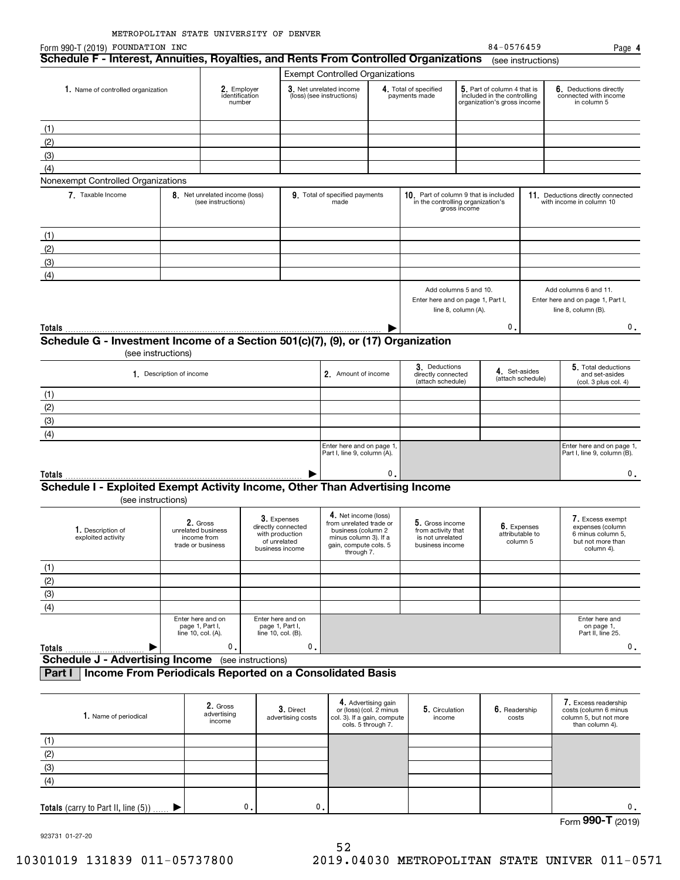| Form 990-T (2019) FOUNDATION INC                                                                   |                                                            |                                                      |                                                                                         |                                |                                                                                                               |                                                                      |                                                                              |                     | 84-0576459                                                                                |                    | Page 4                                                                                       |
|----------------------------------------------------------------------------------------------------|------------------------------------------------------------|------------------------------------------------------|-----------------------------------------------------------------------------------------|--------------------------------|---------------------------------------------------------------------------------------------------------------|----------------------------------------------------------------------|------------------------------------------------------------------------------|---------------------|-------------------------------------------------------------------------------------------|--------------------|----------------------------------------------------------------------------------------------|
| Schedule F - Interest, Annuities, Royalties, and Rents From Controlled Organizations               |                                                            |                                                      |                                                                                         |                                |                                                                                                               |                                                                      |                                                                              |                     |                                                                                           | (see instructions) |                                                                                              |
|                                                                                                    |                                                            |                                                      |                                                                                         |                                | <b>Exempt Controlled Organizations</b>                                                                        |                                                                      |                                                                              |                     |                                                                                           |                    |                                                                                              |
| 1. Name of controlled organization                                                                 |                                                            | 2. Employer<br>identification<br>number              |                                                                                         |                                | 3. Net unrelated income<br>(loss) (see instructions)                                                          |                                                                      | 4. Total of specified<br>payments made                                       |                     | 5. Part of column 4 that is<br>included in the controlling<br>organization's gross income |                    | 6. Deductions directly<br>connected with income<br>in column 5                               |
|                                                                                                    |                                                            |                                                      |                                                                                         |                                |                                                                                                               |                                                                      |                                                                              |                     |                                                                                           |                    |                                                                                              |
| (1)                                                                                                |                                                            |                                                      |                                                                                         |                                |                                                                                                               |                                                                      |                                                                              |                     |                                                                                           |                    |                                                                                              |
| (2)                                                                                                |                                                            |                                                      |                                                                                         |                                |                                                                                                               |                                                                      |                                                                              |                     |                                                                                           |                    |                                                                                              |
| (3)                                                                                                |                                                            |                                                      |                                                                                         |                                |                                                                                                               |                                                                      |                                                                              |                     |                                                                                           |                    |                                                                                              |
| (4)                                                                                                |                                                            |                                                      |                                                                                         |                                |                                                                                                               |                                                                      |                                                                              |                     |                                                                                           |                    |                                                                                              |
| Nonexempt Controlled Organizations                                                                 |                                                            |                                                      |                                                                                         |                                |                                                                                                               |                                                                      |                                                                              |                     |                                                                                           |                    |                                                                                              |
| 7. Taxable Income                                                                                  |                                                            | 8. Net unrelated income (loss)<br>(see instructions) |                                                                                         |                                | 9. Total of specified payments<br>made                                                                        |                                                                      | 10. Part of column 9 that is included<br>in the controlling organization's   | gross income        |                                                                                           |                    | 11. Deductions directly connected<br>with income in column 10                                |
| (1)                                                                                                |                                                            |                                                      |                                                                                         |                                |                                                                                                               |                                                                      |                                                                              |                     |                                                                                           |                    |                                                                                              |
|                                                                                                    |                                                            |                                                      |                                                                                         |                                |                                                                                                               |                                                                      |                                                                              |                     |                                                                                           |                    |                                                                                              |
| (2)                                                                                                |                                                            |                                                      |                                                                                         |                                |                                                                                                               |                                                                      |                                                                              |                     |                                                                                           |                    |                                                                                              |
| (3)                                                                                                |                                                            |                                                      |                                                                                         |                                |                                                                                                               |                                                                      |                                                                              |                     |                                                                                           |                    |                                                                                              |
| (4)                                                                                                |                                                            |                                                      |                                                                                         |                                |                                                                                                               |                                                                      |                                                                              |                     |                                                                                           |                    |                                                                                              |
|                                                                                                    |                                                            |                                                      |                                                                                         |                                |                                                                                                               |                                                                      | Add columns 5 and 10.<br>Enter here and on page 1, Part I,                   | line 8, column (A). |                                                                                           |                    | Add columns 6 and 11.<br>Enter here and on page 1, Part I,<br>line 8, column (B).            |
| Totals                                                                                             |                                                            |                                                      |                                                                                         |                                |                                                                                                               |                                                                      |                                                                              |                     | 0                                                                                         |                    | 0.                                                                                           |
| Schedule G - Investment Income of a Section 501(c)(7), (9), or (17) Organization                   |                                                            |                                                      |                                                                                         |                                |                                                                                                               |                                                                      |                                                                              |                     |                                                                                           |                    |                                                                                              |
| (see instructions)                                                                                 |                                                            |                                                      |                                                                                         |                                |                                                                                                               |                                                                      |                                                                              |                     |                                                                                           |                    |                                                                                              |
|                                                                                                    | 1. Description of income                                   |                                                      |                                                                                         |                                | 2. Amount of income                                                                                           |                                                                      | 3. Deductions<br>directly connected                                          |                     | 4. Set-asides                                                                             | (attach schedule)  | 5. Total deductions<br>and set-asides                                                        |
|                                                                                                    |                                                            |                                                      |                                                                                         |                                |                                                                                                               |                                                                      | (attach schedule)                                                            |                     |                                                                                           |                    | (col. 3 plus col. 4)                                                                         |
| (1)                                                                                                |                                                            |                                                      |                                                                                         |                                |                                                                                                               |                                                                      |                                                                              |                     |                                                                                           |                    |                                                                                              |
| (2)                                                                                                |                                                            |                                                      |                                                                                         |                                |                                                                                                               |                                                                      |                                                                              |                     |                                                                                           |                    |                                                                                              |
| (3)                                                                                                |                                                            |                                                      |                                                                                         |                                |                                                                                                               |                                                                      |                                                                              |                     |                                                                                           |                    |                                                                                              |
| (4)                                                                                                |                                                            |                                                      |                                                                                         |                                |                                                                                                               |                                                                      |                                                                              |                     |                                                                                           |                    |                                                                                              |
|                                                                                                    |                                                            |                                                      |                                                                                         |                                | Enter here and on page 1,<br>Part I, line 9, column (A).                                                      |                                                                      |                                                                              |                     |                                                                                           |                    | Enter here and on page 1,<br>Part I, line 9, column (B).                                     |
| Totals                                                                                             |                                                            |                                                      |                                                                                         |                                |                                                                                                               | 0.                                                                   |                                                                              |                     |                                                                                           |                    | 0.                                                                                           |
| Schedule I - Exploited Exempt Activity Income, Other Than Advertising Income<br>(see instructions) |                                                            |                                                      |                                                                                         |                                |                                                                                                               |                                                                      |                                                                              |                     |                                                                                           |                    |                                                                                              |
|                                                                                                    |                                                            |                                                      |                                                                                         |                                | 4. Net income (loss)                                                                                          |                                                                      |                                                                              |                     |                                                                                           |                    |                                                                                              |
| 1. Description of<br>exploited activity                                                            | unrelated business<br>income from<br>trade or business     | 2. Gross                                             | 3. Expenses<br>directly connected<br>with production<br>of unrelated<br>business income |                                | from unrelated trade or<br>business (column 2<br>minus column 3). If a<br>gain, compute cols. 5<br>through 7. |                                                                      | 5. Gross income<br>from activity that<br>is not unrelated<br>business income |                     | 6. Expenses<br>attributable to<br>column 5                                                |                    | 7. Excess exempt<br>expenses (column<br>6 minus column 5,<br>but not more than<br>column 4). |
| (1)                                                                                                |                                                            |                                                      |                                                                                         |                                |                                                                                                               |                                                                      |                                                                              |                     |                                                                                           |                    |                                                                                              |
| (2)                                                                                                |                                                            |                                                      |                                                                                         |                                |                                                                                                               |                                                                      |                                                                              |                     |                                                                                           |                    |                                                                                              |
| (3)                                                                                                |                                                            |                                                      |                                                                                         |                                |                                                                                                               |                                                                      |                                                                              |                     |                                                                                           |                    |                                                                                              |
|                                                                                                    |                                                            |                                                      |                                                                                         |                                |                                                                                                               |                                                                      |                                                                              |                     |                                                                                           |                    |                                                                                              |
| (4)                                                                                                |                                                            |                                                      |                                                                                         |                                |                                                                                                               |                                                                      |                                                                              |                     |                                                                                           |                    |                                                                                              |
|                                                                                                    | Enter here and on<br>page 1, Part I,<br>line 10, col. (A). |                                                      | Enter here and on<br>page 1, Part I,<br>line 10, col. (B).                              |                                |                                                                                                               |                                                                      |                                                                              |                     |                                                                                           |                    | Enter here and<br>on page 1,<br>Part II, line 25.                                            |
| Totals                                                                                             |                                                            | 0.                                                   |                                                                                         | 0.                             |                                                                                                               |                                                                      |                                                                              |                     |                                                                                           |                    | 0.                                                                                           |
| <b>Schedule J - Advertising Income</b> (see instructions)                                          |                                                            |                                                      |                                                                                         |                                |                                                                                                               |                                                                      |                                                                              |                     |                                                                                           |                    |                                                                                              |
| Income From Periodicals Reported on a Consolidated Basis<br>Part I                                 |                                                            |                                                      |                                                                                         |                                |                                                                                                               |                                                                      |                                                                              |                     |                                                                                           |                    |                                                                                              |
|                                                                                                    |                                                            |                                                      |                                                                                         |                                |                                                                                                               |                                                                      |                                                                              |                     |                                                                                           |                    |                                                                                              |
| 1. Name of periodical                                                                              |                                                            | 2. Gross<br>advertising<br>income                    |                                                                                         | 3. Direct<br>advertising costs | col. 3). If a gain, compute                                                                                   | 4. Advertising gain<br>or (loss) (col. 2 minus<br>cols. 5 through 7. | 5. Circulation<br>income                                                     |                     | 6. Readership<br>costs                                                                    |                    | 7. Excess readership<br>costs (column 6 minus<br>column 5, but not more<br>than column 4).   |
| (1)                                                                                                |                                                            |                                                      |                                                                                         |                                |                                                                                                               |                                                                      |                                                                              |                     |                                                                                           |                    |                                                                                              |
|                                                                                                    |                                                            |                                                      |                                                                                         |                                |                                                                                                               |                                                                      |                                                                              |                     |                                                                                           |                    |                                                                                              |
| $\frac{(2)}{(3)}$                                                                                  |                                                            |                                                      |                                                                                         |                                |                                                                                                               |                                                                      |                                                                              |                     |                                                                                           |                    |                                                                                              |
| (4)                                                                                                |                                                            |                                                      |                                                                                         |                                |                                                                                                               |                                                                      |                                                                              |                     |                                                                                           |                    |                                                                                              |
|                                                                                                    |                                                            |                                                      |                                                                                         |                                |                                                                                                               |                                                                      |                                                                              |                     |                                                                                           |                    |                                                                                              |
|                                                                                                    |                                                            |                                                      |                                                                                         |                                |                                                                                                               |                                                                      |                                                                              |                     |                                                                                           |                    |                                                                                              |

Form (2019) **990-T** 0. 0.

923731 01-27-20

 $\blacktriangleright$ 

0.

**Totals** (carry to Part II, line (5))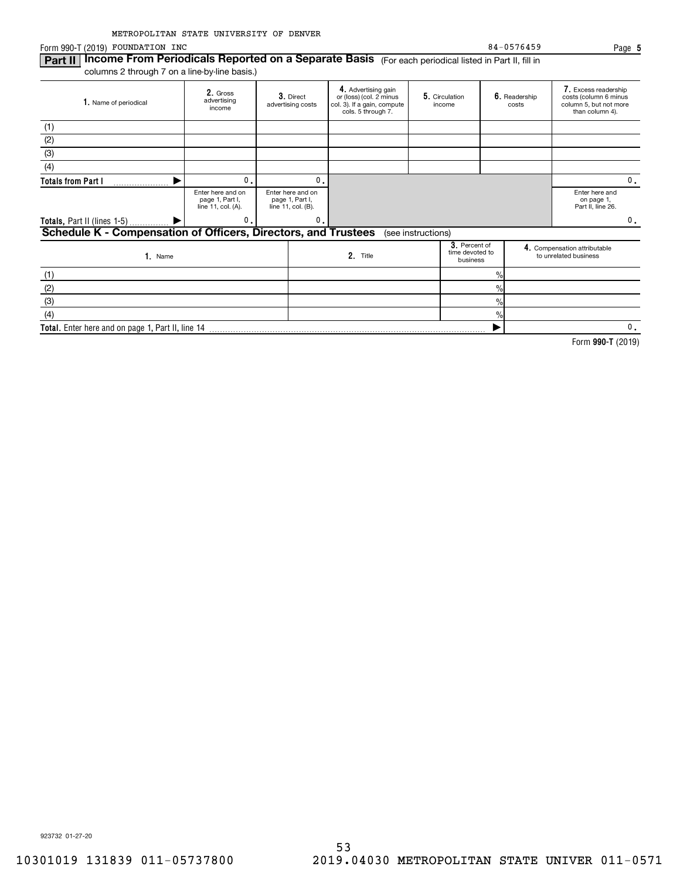Form 990-T (2019) Page FOUNDATION INC 84-0576459

(4)

 $\%$ 

 $\blacktriangleright$ 

**Part II | Income From Periodicals Reported on a Separate Basis** (For each periodical listed in Part II, fill in columns 2 through 7 on a line-by-line basis.)

**Total.**  Enter here and on page 1, Part II, line 14

| 1. Name of periodical                                          | 2. Gross<br>advertising<br>income                          | 3. Direct<br>advertising costs                             | 4. Advertising gain<br>or (loss) (col. 2 minus<br>col. 3). If a gain, compute<br>cols. 5 through 7. |                                              | 5. Circulation<br>income |               | 6. Readership<br>costs                                | 7. Excess readership<br>costs (column 6 minus<br>column 5, but not more<br>than column 4). |    |  |
|----------------------------------------------------------------|------------------------------------------------------------|------------------------------------------------------------|-----------------------------------------------------------------------------------------------------|----------------------------------------------|--------------------------|---------------|-------------------------------------------------------|--------------------------------------------------------------------------------------------|----|--|
| (1)                                                            |                                                            |                                                            |                                                                                                     |                                              |                          |               |                                                       |                                                                                            |    |  |
| (2)                                                            |                                                            |                                                            |                                                                                                     |                                              |                          |               |                                                       |                                                                                            |    |  |
| (3)                                                            |                                                            |                                                            |                                                                                                     |                                              |                          |               |                                                       |                                                                                            |    |  |
| (4)                                                            |                                                            |                                                            |                                                                                                     |                                              |                          |               |                                                       |                                                                                            |    |  |
| <b>Totals from Part I</b>                                      | 0.                                                         |                                                            | $\mathbf{0}$ .                                                                                      |                                              |                          |               |                                                       |                                                                                            |    |  |
|                                                                | Enter here and on<br>page 1, Part I,<br>line 11, col. (A). | Enter here and on<br>page 1, Part I,<br>line 11, col. (B). |                                                                                                     |                                              |                          |               |                                                       |                                                                                            |    |  |
|                                                                | 0.                                                         |                                                            | 0.                                                                                                  |                                              |                          |               |                                                       |                                                                                            | 0. |  |
| Schedule K - Compensation of Officers, Directors, and Trustees |                                                            |                                                            |                                                                                                     | (see instructions)                           |                          |               |                                                       |                                                                                            |    |  |
| 1. Name                                                        |                                                            | 2. Title                                                   |                                                                                                     | 3. Percent of<br>time devoted to<br>business |                          |               | 4. Compensation attributable<br>to unrelated business |                                                                                            |    |  |
| (1)                                                            |                                                            |                                                            |                                                                                                     |                                              | $\%$                     |               |                                                       |                                                                                            |    |  |
| (2)                                                            |                                                            |                                                            |                                                                                                     |                                              |                          | $\frac{0}{0}$ |                                                       |                                                                                            |    |  |
| (3)                                                            |                                                            |                                                            |                                                                                                     |                                              |                          | $\frac{0}{0}$ |                                                       |                                                                                            |    |  |

**990-T**  Form (2019)

 $\overline{\overline{\mathfrak{o}}.}$ 

923732 01-27-20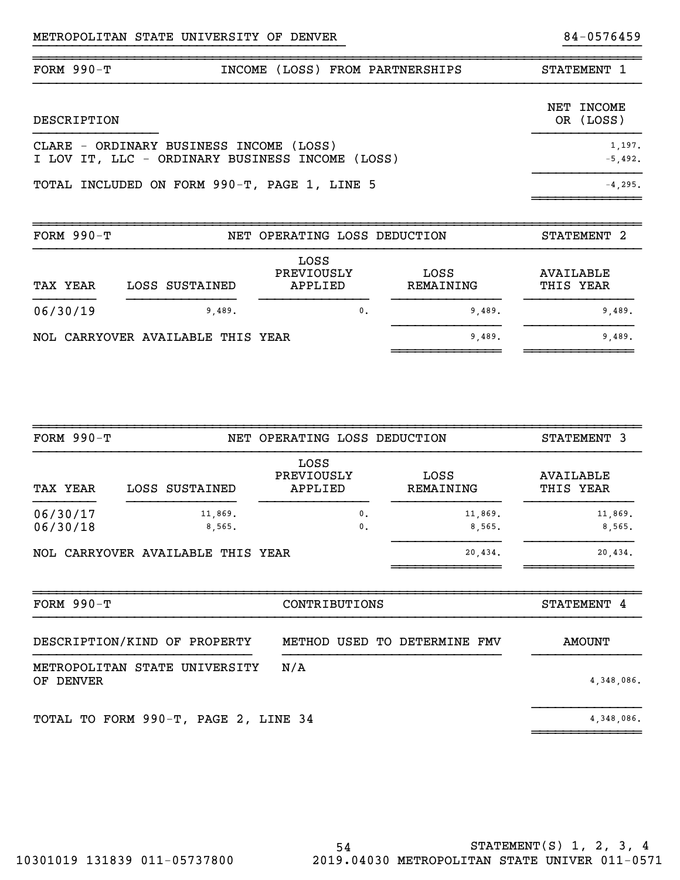| $FORM 990-T$ | INCOME (LOSS) FROM PARTNERSHIPS                                                            | STATEMENT 1             |
|--------------|--------------------------------------------------------------------------------------------|-------------------------|
| DESCRIPTION  |                                                                                            | NET INCOME<br>OR (LOSS) |
|              | CLARE - ORDINARY BUSINESS INCOME (LOSS)<br>I LOV IT, LLC - ORDINARY BUSINESS INCOME (LOSS) | 1,197.<br>$-5.492.$     |
|              | TOTAL INCLUDED ON FORM 990-T, PAGE 1, LINE 5                                               | $-4.295.$               |
|              |                                                                                            |                         |

}}}}}}}}}}}}}}}}}}}}}}}}}}}}}}}}}}}}}}}} }}}}}}}}}}

~~~~~~~~~~~~~~~~~~~~~~~~~~~~~~~~~~~~~~~~~~~~~~~~~~~~~~~~~~~~~~~~~~~~~~~~~~~~~~

| FORM $990-T$ |                                   | NET OPERATING LOSS DEDUCTION  |                   | STATEMENT <sub>2</sub> |
|--------------|-----------------------------------|-------------------------------|-------------------|------------------------|
| TAX YEAR     | LOSS SUSTAINED                    | LOSS<br>PREVIOUSLY<br>APPLIED | LOSS<br>REMAINING | AVAILABLE<br>THIS YEAR |
| 06/30/19     | 9,489.                            | 0.                            | 9.489.            | 9,489.                 |
|              | NOL CARRYOVER AVAILABLE THIS YEAR |                               | 9,489.            | 9,489.                 |

~~~~~~~~~~~~~~~~~~~~~~~~~~~~~~~~~~~~~~~~~~~~~~~~~~~~~~~~~~~~~~~~~~~~~~~~~~~~~~

| FORM $990-T$                               |                                   | NET OPERATING LOSS DEDUCTION     |                   | STATEMENT 3            |
|--------------------------------------------|-----------------------------------|----------------------------------|-------------------|------------------------|
| TAX YEAR                                   | LOSS SUSTAINED                    | LOSS<br>PREVIOUSLY<br>APPLIED    | LOSS<br>REMAINING | AVAILABLE<br>THIS YEAR |
| 06/30/17<br>06/30/18                       | 11,869.<br>8,565.                 | $\mathbf{0}$ .<br>$\mathbf{0}$ . | 11,869.<br>8,565. | 11,869.<br>8,565.      |
|                                            | NOL CARRYOVER AVAILABLE THIS YEAR |                                  | 20,434.           | 20,434.                |
|                                            |                                   |                                  |                   |                        |
| FORM $990-T$                               |                                   | CONTRIBUTIONS                    |                   | STATEMENT 4            |
|                                            | DESCRIPTION/KIND OF PROPERTY      | METHOD USED                      | TO DETERMINE FMV  | <b>AMOUNT</b>          |
| METROPOLITAN STATE<br><b>DENVER</b><br>OF. | UNIVERSITY                        | N/A                              |                   | 4,348,086.             |